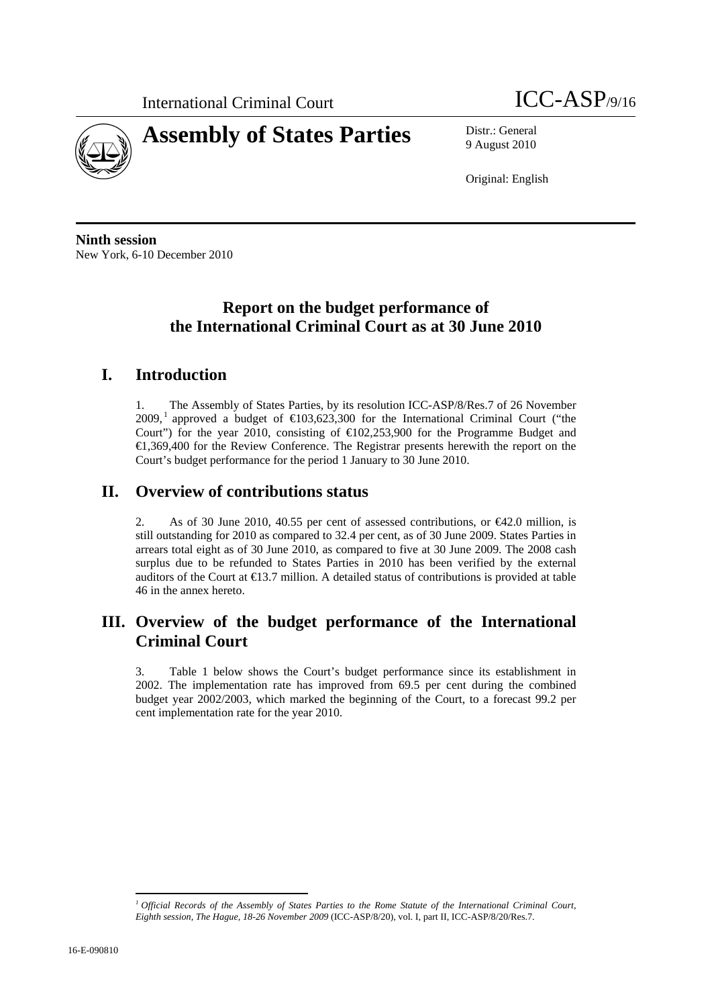



9 August 2010

Original: English

**Ninth session**  New York, 6-10 December 2010

### **Report on the budget performance of the International Criminal Court as at 30 June 2010**

### **I. Introduction**

1. The Assembly of States Parties, by its resolution ICC-ASP/8/Res.7 of 26 November 2009,<sup>1</sup> approved a budget of  $\in$ 103,623,300 for the International Criminal Court ("the Court") for the year 2010, consisting of  $E(02,253,900)$  for the Programme Budget and €1,369,400 for the Review Conference. The Registrar presents herewith the report on the Court's budget performance for the period 1 January to 30 June 2010.

### **II. Overview of contributions status**

2. As of 30 June 2010, 40.55 per cent of assessed contributions, or  $\epsilon$ 42.0 million, is still outstanding for 2010 as compared to 32.4 per cent, as of 30 June 2009. States Parties in arrears total eight as of 30 June 2010, as compared to five at 30 June 2009. The 2008 cash surplus due to be refunded to States Parties in 2010 has been verified by the external auditors of the Court at  $\bigoplus$  3.7 million. A detailed status of contributions is provided at table 46 in the annex hereto.

### **III. Overview of the budget performance of the International Criminal Court**

3. Table 1 below shows the Court's budget performance since its establishment in 2002. The implementation rate has improved from 69.5 per cent during the combined budget year 2002/2003, which marked the beginning of the Court, to a forecast 99.2 per cent implementation rate for the year 2010.

 $\overline{a}$ 

<sup>&</sup>lt;sup>1</sup> Official Records of the Assembly of States Parties to the Rome Statute of the International Criminal Court, *Eighth session, The Hague, 18-26 November 2009* (ICC-ASP/8/20), vol. I, part II, ICC-ASP/8/20/Res.7.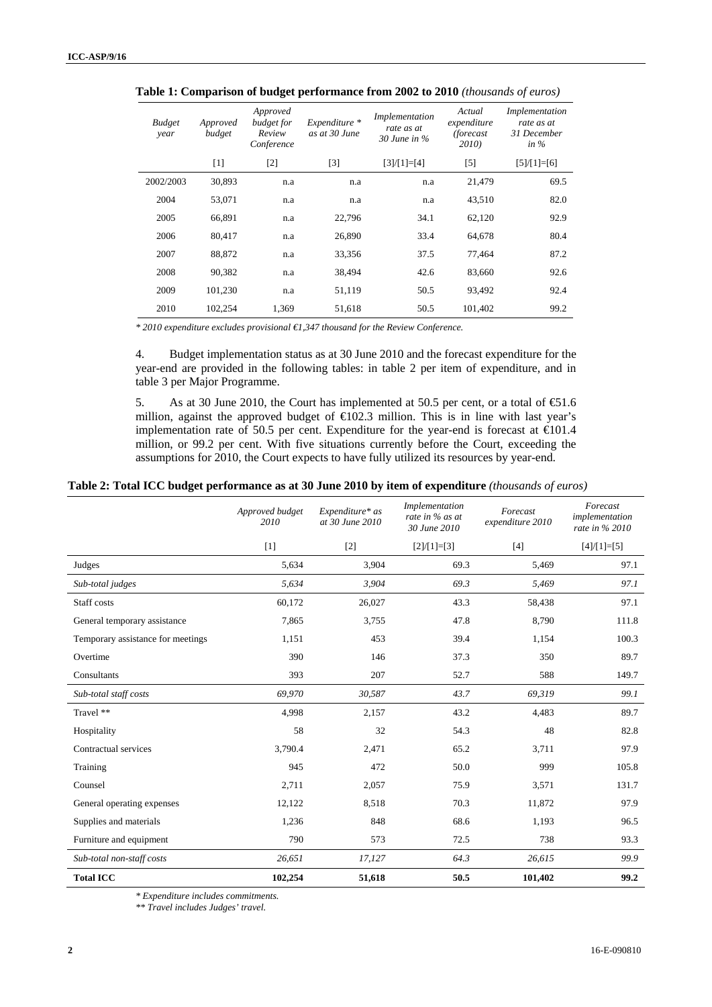| <b>Budget</b><br>year | Approved<br>budget | Approved<br>budget for<br>Review<br>Conference | Expenditure *<br>as at 30 June | Implementation<br>rate as at<br>$30$ June in $\%$ | Actual<br>expenditure<br><i>(forecast</i> )<br>2010) | Implementation<br>rate as at<br>31 December<br>in $\%$ |
|-----------------------|--------------------|------------------------------------------------|--------------------------------|---------------------------------------------------|------------------------------------------------------|--------------------------------------------------------|
|                       | $[1]$              | $[2]$                                          | $[3]$                          | $[3]/[1]=[4]$                                     | $[5]$                                                | $[5]/[1]=[6]$                                          |
| 2002/2003             | 30,893             | n.a                                            | n.a                            | n.a                                               | 21,479                                               | 69.5                                                   |
| 2004                  | 53,071             | n.a                                            | n.a                            | n.a                                               | 43,510                                               | 82.0                                                   |
| 2005                  | 66,891             | n.a                                            | 22,796                         | 34.1                                              | 62,120                                               | 92.9                                                   |
| 2006                  | 80,417             | n.a                                            | 26,890                         | 33.4                                              | 64,678                                               | 80.4                                                   |
| 2007                  | 88,872             | n.a                                            | 33,356                         | 37.5                                              | 77.464                                               | 87.2                                                   |
| 2008                  | 90,382             | n.a                                            | 38,494                         | 42.6                                              | 83,660                                               | 92.6                                                   |
| 2009                  | 101,230            | n.a                                            | 51,119                         | 50.5                                              | 93.492                                               | 92.4                                                   |
| 2010                  | 102.254            | 1.369                                          | 51,618                         | 50.5                                              | 101.402                                              | 99.2                                                   |

**Table 1: Comparison of budget performance from 2002 to 2010** *(thousands of euros)*

*\* 2010 expenditure excludes provisional €1,347 thousand for the Review Conference.* 

4. Budget implementation status as at 30 June 2010 and the forecast expenditure for the year-end are provided in the following tables: in table 2 per item of expenditure, and in table 3 per Major Programme.

5. As at 30 June 2010, the Court has implemented at 50.5 per cent, or a total of  $\text{\textsterling}1.6$ million, against the approved budget of  $\bigoplus$  02.3 million. This is in line with last year's implementation rate of 50.5 per cent. Expenditure for the year-end is forecast at  $\epsilon 01.4$ million, or 99.2 per cent. With five situations currently before the Court, exceeding the assumptions for 2010, the Court expects to have fully utilized its resources by year-end.

#### **Table 2: Total ICC budget performance as at 30 June 2010 by item of expenditure** *(thousands of euros)*

|                                   | Approved budget<br>2010 | Expenditure* as<br>at 30 June 2010 | Implementation<br>rate in % as at<br>30 June 2010 | Forecast<br>expenditure 2010 | Forecast<br>implementation<br>rate in % 2010 |
|-----------------------------------|-------------------------|------------------------------------|---------------------------------------------------|------------------------------|----------------------------------------------|
|                                   | $[1]$                   | $[2]$                              | $[2]/[1]=[3]$                                     | $[4]$                        | $[4]/[1]=[5]$                                |
| Judges                            | 5,634                   | 3,904                              | 69.3                                              | 5,469                        | 97.1                                         |
| Sub-total judges                  | 5,634                   | 3,904                              | 69.3                                              | 5,469                        | 97.1                                         |
| Staff costs                       | 60,172                  | 26,027                             | 43.3                                              | 58,438                       | 97.1                                         |
| General temporary assistance      | 7,865                   | 3,755                              | 47.8                                              | 8,790                        | 111.8                                        |
| Temporary assistance for meetings | 1,151                   | 453                                | 39.4                                              | 1,154                        | 100.3                                        |
| Overtime                          | 390                     | 146                                | 37.3                                              | 350                          | 89.7                                         |
| Consultants                       | 393                     | 207                                | 52.7                                              | 588                          | 149.7                                        |
| Sub-total staff costs             | 69.970                  | 30,587                             | 43.7                                              | 69,319                       | 99.1                                         |
| Travel **                         | 4,998                   | 2,157                              | 43.2                                              | 4,483                        | 89.7                                         |
| Hospitality                       | 58                      | 32                                 | 54.3                                              | 48                           | 82.8                                         |
| Contractual services              | 3,790.4                 | 2,471                              | 65.2                                              | 3,711                        | 97.9                                         |
| Training                          | 945                     | 472                                | 50.0                                              | 999                          | 105.8                                        |
| Counsel                           | 2,711                   | 2,057                              | 75.9                                              | 3,571                        | 131.7                                        |
| General operating expenses        | 12,122                  | 8,518                              | 70.3                                              | 11,872                       | 97.9                                         |
| Supplies and materials            | 1,236                   | 848                                | 68.6                                              | 1,193                        | 96.5                                         |
| Furniture and equipment           | 790                     | 573                                | 72.5                                              | 738                          | 93.3                                         |
| Sub-total non-staff costs         | 26,651                  | 17,127                             | 64.3                                              | 26,615                       | 99.9                                         |
| <b>Total ICC</b>                  | 102,254                 | 51,618                             | 50.5                                              | 101,402                      | 99.2                                         |

*\* Expenditure includes commitments.* 

*\*\* Travel includes Judges' travel.*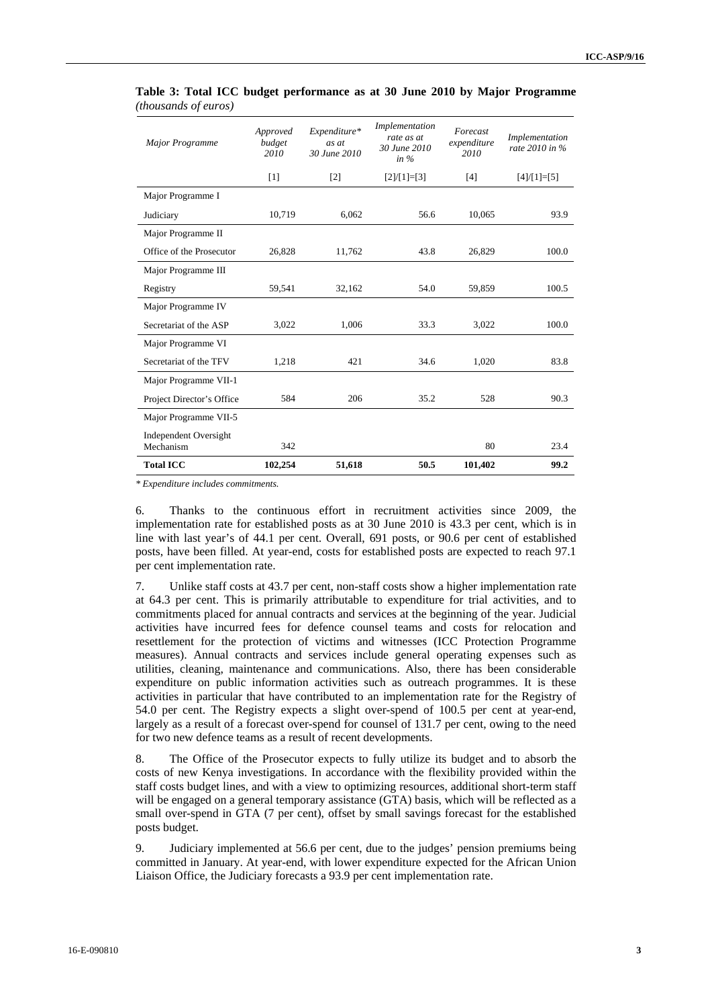| <b>Major Programme</b>             | Approved<br>budget<br>2010 | Expenditure*<br>as at<br>30 June 2010 | Implementation<br>rate as at<br>30 June 2010<br>in $%$ | Forecast<br>expenditure<br>2010 | Implementation<br>rate $2010$ in % |
|------------------------------------|----------------------------|---------------------------------------|--------------------------------------------------------|---------------------------------|------------------------------------|
|                                    | [1]                        | $\lceil 2 \rceil$                     | $[2]/[1]=[3]$                                          | [4]                             | $[4]/[1]=[5]$                      |
| Major Programme I                  |                            |                                       |                                                        |                                 |                                    |
| Judiciary                          | 10,719                     | 6,062                                 | 56.6                                                   | 10,065                          | 93.9                               |
| Major Programme II                 |                            |                                       |                                                        |                                 |                                    |
| Office of the Prosecutor           | 26,828                     | 11,762                                | 43.8                                                   | 26,829                          | 100.0                              |
| Major Programme III                |                            |                                       |                                                        |                                 |                                    |
| Registry                           | 59,541                     | 32,162                                | 54.0                                                   | 59,859                          | 100.5                              |
| Major Programme IV                 |                            |                                       |                                                        |                                 |                                    |
| Secretariat of the ASP             | 3,022                      | 1,006                                 | 33.3                                                   | 3,022                           | 100.0                              |
| Major Programme VI                 |                            |                                       |                                                        |                                 |                                    |
| Secretariat of the TFV             | 1,218                      | 421                                   | 34.6                                                   | 1,020                           | 83.8                               |
| Major Programme VII-1              |                            |                                       |                                                        |                                 |                                    |
| Project Director's Office          | 584                        | 206                                   | 35.2                                                   | 528                             | 90.3                               |
| Major Programme VII-5              |                            |                                       |                                                        |                                 |                                    |
| Independent Oversight<br>Mechanism | 342                        |                                       |                                                        | 80                              | 23.4                               |
| <b>Total ICC</b>                   | 102,254                    | 51,618                                | 50.5                                                   | 101,402                         | 99.2                               |

| Table 3: Total ICC budget performance as at 30 June 2010 by Major Programme |  |  |  |  |
|-----------------------------------------------------------------------------|--|--|--|--|
| <i>(thousands of euros)</i>                                                 |  |  |  |  |

*\* Expenditure includes commitments.* 

6. Thanks to the continuous effort in recruitment activities since 2009, the implementation rate for established posts as at 30 June 2010 is 43.3 per cent, which is in line with last year's of 44.1 per cent. Overall, 691 posts, or 90.6 per cent of established posts, have been filled. At year-end, costs for established posts are expected to reach 97.1 per cent implementation rate.

7. Unlike staff costs at 43.7 per cent, non-staff costs show a higher implementation rate at 64.3 per cent. This is primarily attributable to expenditure for trial activities, and to commitments placed for annual contracts and services at the beginning of the year. Judicial activities have incurred fees for defence counsel teams and costs for relocation and resettlement for the protection of victims and witnesses (ICC Protection Programme measures). Annual contracts and services include general operating expenses such as utilities, cleaning, maintenance and communications. Also, there has been considerable expenditure on public information activities such as outreach programmes. It is these activities in particular that have contributed to an implementation rate for the Registry of 54.0 per cent. The Registry expects a slight over-spend of 100.5 per cent at year-end, largely as a result of a forecast over-spend for counsel of 131.7 per cent, owing to the need for two new defence teams as a result of recent developments.

8. The Office of the Prosecutor expects to fully utilize its budget and to absorb the costs of new Kenya investigations. In accordance with the flexibility provided within the staff costs budget lines, and with a view to optimizing resources, additional short-term staff will be engaged on a general temporary assistance (GTA) basis, which will be reflected as a small over-spend in GTA (7 per cent), offset by small savings forecast for the established posts budget.

9. Judiciary implemented at 56.6 per cent, due to the judges' pension premiums being committed in January. At year-end, with lower expenditure expected for the African Union Liaison Office, the Judiciary forecasts a 93.9 per cent implementation rate.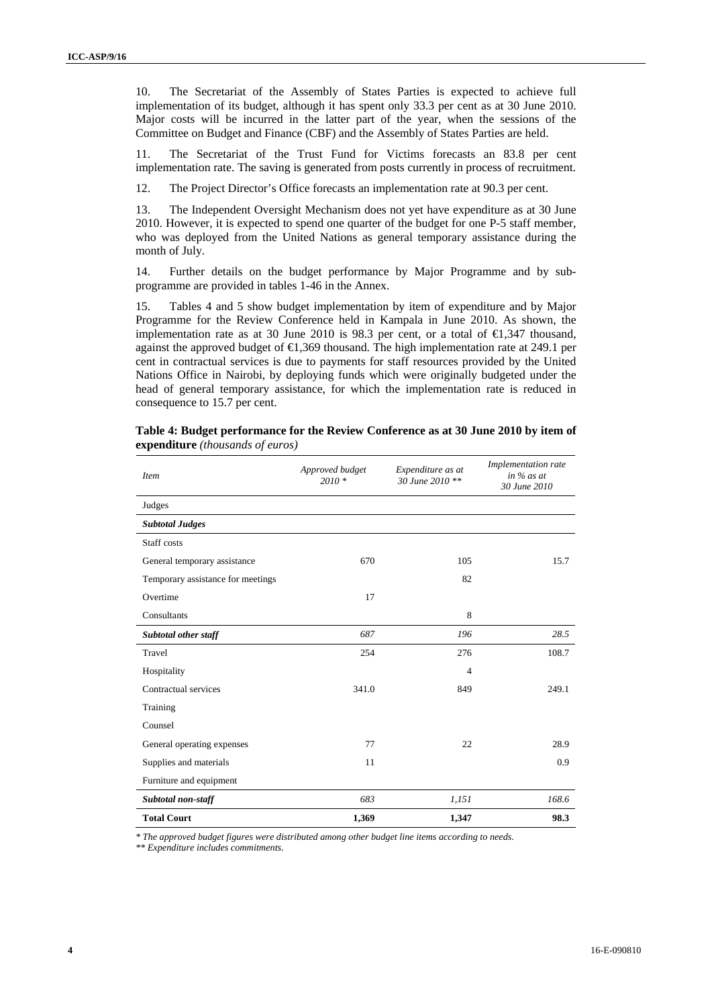10. The Secretariat of the Assembly of States Parties is expected to achieve full implementation of its budget, although it has spent only 33.3 per cent as at 30 June 2010. Major costs will be incurred in the latter part of the year, when the sessions of the Committee on Budget and Finance (CBF) and the Assembly of States Parties are held.

11. The Secretariat of the Trust Fund for Victims forecasts an 83.8 per cent implementation rate. The saving is generated from posts currently in process of recruitment.

12. The Project Director's Office forecasts an implementation rate at 90.3 per cent.

13. The Independent Oversight Mechanism does not yet have expenditure as at 30 June 2010. However, it is expected to spend one quarter of the budget for one P-5 staff member, who was deployed from the United Nations as general temporary assistance during the month of July.

14. Further details on the budget performance by Major Programme and by subprogramme are provided in tables 1-46 in the Annex.

15. Tables 4 and 5 show budget implementation by item of expenditure and by Major Programme for the Review Conference held in Kampala in June 2010. As shown, the implementation rate as at 30 June 2010 is 98.3 per cent, or a total of  $\bigoplus$ , 347 thousand, against the approved budget of €1,369 thousand. The high implementation rate at 249.1 per cent in contractual services is due to payments for staff resources provided by the United Nations Office in Nairobi, by deploying funds which were originally budgeted under the head of general temporary assistance, for which the implementation rate is reduced in consequence to 15.7 per cent.

| <b>Item</b>                       | Approved budget<br>$2010 *$ | Expenditure as at<br>30 June 2010 ** | Implementation rate<br>in $%$ as at<br>30 June 2010 |
|-----------------------------------|-----------------------------|--------------------------------------|-----------------------------------------------------|
| Judges                            |                             |                                      |                                                     |
| <b>Subtotal Judges</b>            |                             |                                      |                                                     |
| Staff costs                       |                             |                                      |                                                     |
| General temporary assistance      | 670                         | 105                                  | 15.7                                                |
| Temporary assistance for meetings |                             | 82                                   |                                                     |
| Overtime                          | 17                          |                                      |                                                     |
| Consultants                       |                             | 8                                    |                                                     |
| Subtotal other staff              | 687                         | 196                                  | 28.5                                                |
| Travel                            | 254                         | 276                                  | 108.7                                               |
| Hospitality                       |                             | $\overline{4}$                       |                                                     |
| Contractual services              | 341.0                       | 849                                  | 249.1                                               |
| Training                          |                             |                                      |                                                     |
| Counsel                           |                             |                                      |                                                     |
| General operating expenses        | 77                          | 22                                   | 28.9                                                |
| Supplies and materials            | 11                          |                                      | 0.9                                                 |
| Furniture and equipment           |                             |                                      |                                                     |
| Subtotal non-staff                | 683                         | 1,151                                | 168.6                                               |
| <b>Total Court</b>                | 1,369                       | 1,347                                | 98.3                                                |

**Table 4: Budget performance for the Review Conference as at 30 June 2010 by item of expenditure** *(thousands of euros)*

*\* The approved budget figures were distributed among other budget line items according to needs.* 

*\*\* Expenditure includes commitments.*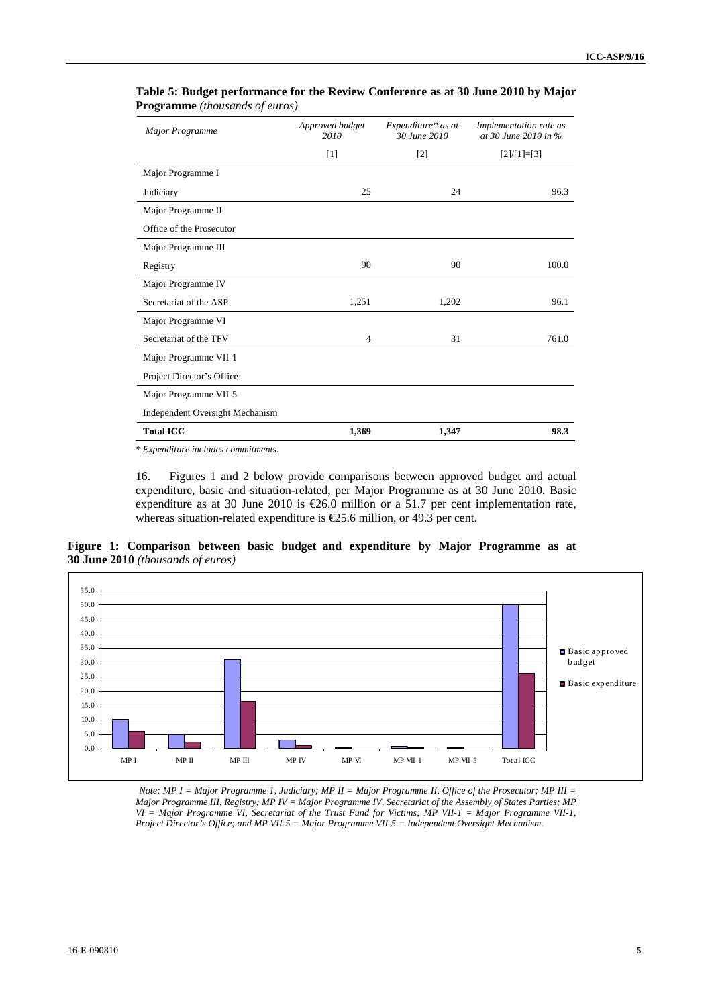| <b>Major Programme</b>          | Approved budget<br>2010 | Expenditure* as at<br>30 June 2010 | Implementation rate as<br>at 30 June 2010 in % |
|---------------------------------|-------------------------|------------------------------------|------------------------------------------------|
|                                 | $[1]$                   | $[2]$                              | $[2]/[1]=[3]$                                  |
| Major Programme I               |                         |                                    |                                                |
| Judiciary                       | 25                      | 24                                 | 96.3                                           |
| Major Programme II              |                         |                                    |                                                |
| Office of the Prosecutor        |                         |                                    |                                                |
| Major Programme III             |                         |                                    |                                                |
| Registry                        | 90                      | 90                                 | 100.0                                          |
| Major Programme IV              |                         |                                    |                                                |
| Secretariat of the ASP          | 1,251                   | 1,202                              | 96.1                                           |
| Major Programme VI              |                         |                                    |                                                |
| Secretariat of the TFV          | $\overline{4}$          | 31                                 | 761.0                                          |
| Major Programme VII-1           |                         |                                    |                                                |
| Project Director's Office       |                         |                                    |                                                |
| Major Programme VII-5           |                         |                                    |                                                |
| Independent Oversight Mechanism |                         |                                    |                                                |
| <b>Total ICC</b>                | 1,369                   | 1,347                              | 98.3                                           |

#### **Table 5: Budget performance for the Review Conference as at 30 June 2010 by Major Programme** *(thousands of euros)*

*\* Expenditure includes commitments.* 

16. Figures 1 and 2 below provide comparisons between approved budget and actual expenditure, basic and situation-related, per Major Programme as at 30 June 2010. Basic expenditure as at 30 June 2010 is  $\epsilon$ 26.0 million or a 51.7 per cent implementation rate, whereas situation-related expenditure is  $\epsilon$ 25.6 million, or 49.3 per cent.

**Figure 1: Comparison between basic budget and expenditure by Major Programme as at 30 June 2010** *(thousands of euros)*



*Note: MP I = Major Programme 1, Judiciary; MP II = Major Programme II, Office of the Prosecutor; MP III = Major Programme III, Registry; MP IV = Major Programme IV, Secretariat of the Assembly of States Parties; MP VI = Major Programme VI, Secretariat of the Trust Fund for Victims; MP VII-1 = Major Programme VII-1, Project Director's Office; and MP VII-5 = Major Programme VII-5 = Independent Oversight Mechanism.*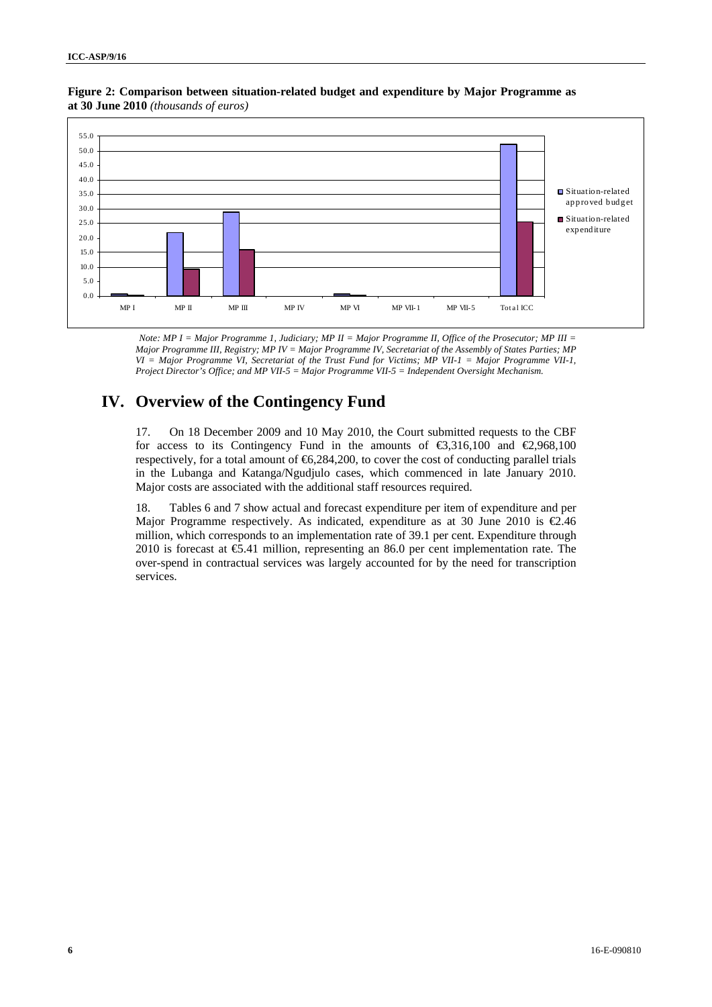

#### **Figure 2: Comparison between situation-related budget and expenditure by Major Programme as at 30 June 2010** *(thousands of euros)*

*Note: MP I = Major Programme 1, Judiciary; MP II = Major Programme II, Office of the Prosecutor; MP III = Major Programme III, Registry; MP IV = Major Programme IV, Secretariat of the Assembly of States Parties; MP VI = Major Programme VI, Secretariat of the Trust Fund for Victims; MP VII-1 = Major Programme VII-1, Project Director's Office; and MP VII-5 = Major Programme VII-5 = Independent Oversight Mechanism.* 

### **IV. Overview of the Contingency Fund**

17. On 18 December 2009 and 10 May 2010, the Court submitted requests to the CBF for access to its Contingency Fund in the amounts of  $\text{\textsterling}316,100$  and  $\text{\textsterling}2,968,100$ respectively, for a total amount of  $66,284,200$ , to cover the cost of conducting parallel trials in the Lubanga and Katanga/Ngudjulo cases, which commenced in late January 2010. Major costs are associated with the additional staff resources required.

18. Tables 6 and 7 show actual and forecast expenditure per item of expenditure and per Major Programme respectively. As indicated, expenditure as at 30 June 2010 is  $\epsilon$ 2.46 million, which corresponds to an implementation rate of 39.1 per cent. Expenditure through 2010 is forecast at €5.41 million, representing an 86.0 per cent implementation rate. The over-spend in contractual services was largely accounted for by the need for transcription services.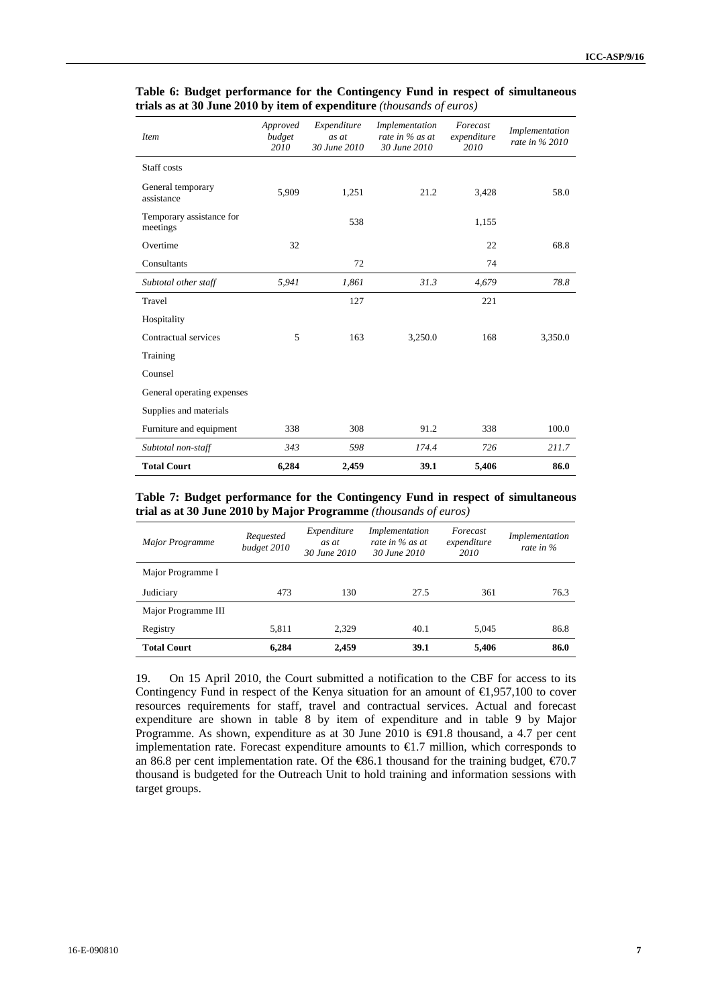| <b>Item</b>                          | Approved<br>budget<br>2010 | Expenditure<br>as at<br>30 June 2010 | Implementation<br>rate in % as at<br>30 June 2010 | Forecast<br>expenditure<br>2010 | Implementation<br>rate in % 2010 |
|--------------------------------------|----------------------------|--------------------------------------|---------------------------------------------------|---------------------------------|----------------------------------|
| Staff costs                          |                            |                                      |                                                   |                                 |                                  |
| General temporary<br>assistance      | 5,909                      | 1,251                                | 21.2                                              | 3,428                           | 58.0                             |
| Temporary assistance for<br>meetings |                            | 538                                  |                                                   | 1,155                           |                                  |
| Overtime                             | 32                         |                                      |                                                   | 22                              | 68.8                             |
| Consultants                          |                            | 72                                   |                                                   | 74                              |                                  |
| Subtotal other staff                 | 5,941                      | 1,861                                | 31.3                                              | 4,679                           | 78.8                             |
| Travel                               |                            | 127                                  |                                                   | 221                             |                                  |
| Hospitality                          |                            |                                      |                                                   |                                 |                                  |
| Contractual services                 | 5                          | 163                                  | 3,250.0                                           | 168                             | 3,350.0                          |
| Training                             |                            |                                      |                                                   |                                 |                                  |
| Counsel                              |                            |                                      |                                                   |                                 |                                  |
| General operating expenses           |                            |                                      |                                                   |                                 |                                  |
| Supplies and materials               |                            |                                      |                                                   |                                 |                                  |
| Furniture and equipment              | 338                        | 308                                  | 91.2                                              | 338                             | 100.0                            |
| Subtotal non-staff                   | 343                        | 598                                  | 174.4                                             | 726                             | 211.7                            |
| <b>Total Court</b>                   | 6,284                      | 2,459                                | 39.1                                              | 5,406                           | 86.0                             |

#### **Table 6: Budget performance for the Contingency Fund in respect of simultaneous trials as at 30 June 2010 by item of expenditure** *(thousands of euros)*

#### **Table 7: Budget performance for the Contingency Fund in respect of simultaneous trial as at 30 June 2010 by Major Programme** *(thousands of euros)*

| Major Programme     | Requested<br>budget 2010 | Expenditure<br>as at<br>30 June 2010 | Implementation<br>rate in % as at<br>30 June 2010 | Forecast<br>expenditure<br>2010 | Implementation<br>rate in $\%$ |
|---------------------|--------------------------|--------------------------------------|---------------------------------------------------|---------------------------------|--------------------------------|
| Major Programme I   |                          |                                      |                                                   |                                 |                                |
| Judiciary           | 473                      | 130                                  | 27.5                                              | 361                             | 76.3                           |
| Major Programme III |                          |                                      |                                                   |                                 |                                |
| Registry            | 5.811                    | 2.329                                | 40.1                                              | 5.045                           | 86.8                           |
| <b>Total Court</b>  | 6,284                    | 2,459                                | 39.1                                              | 5,406                           | 86.0                           |

19. On 15 April 2010, the Court submitted a notification to the CBF for access to its Contingency Fund in respect of the Kenya situation for an amount of  $\bigoplus$ , 957,100 to cover resources requirements for staff, travel and contractual services. Actual and forecast expenditure are shown in table 8 by item of expenditure and in table 9 by Major Programme. As shown, expenditure as at 30 June 2010 is  $\bigoplus$ 1.8 thousand, a 4.7 per cent implementation rate. Forecast expenditure amounts to  $\in$  7 million, which corresponds to an 86.8 per cent implementation rate. Of the  $\text{\textsterling}6.1$  thousand for the training budget,  $\text{\textsterling}70.7$ thousand is budgeted for the Outreach Unit to hold training and information sessions with target groups.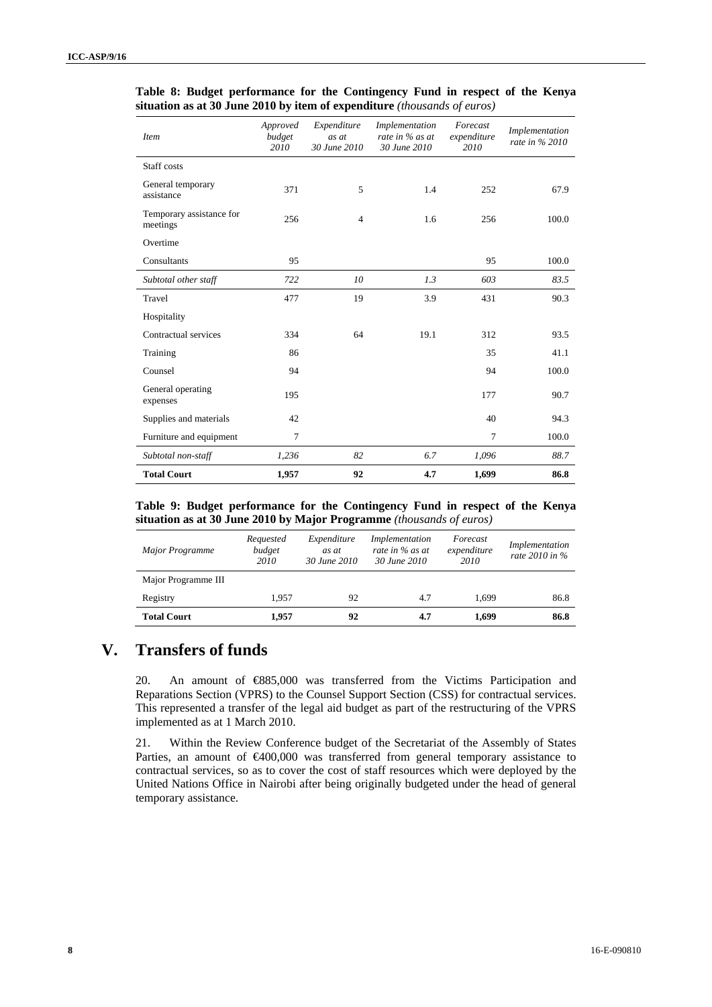| <b>Item</b>                          | Approved<br>budget<br>2010 | Expenditure<br>as at<br>30 June 2010 | Implementation<br>rate in % as at<br>30 June 2010 | Forecast<br>expenditure<br>2010 | Implementation<br>rate in % 2010 |
|--------------------------------------|----------------------------|--------------------------------------|---------------------------------------------------|---------------------------------|----------------------------------|
| Staff costs                          |                            |                                      |                                                   |                                 |                                  |
| General temporary<br>assistance      | 371                        | 5                                    | 1.4                                               | 252                             | 67.9                             |
| Temporary assistance for<br>meetings | 256                        | $\overline{4}$                       | 1.6                                               | 256                             | 100.0                            |
| Overtime                             |                            |                                      |                                                   |                                 |                                  |
| Consultants                          | 95                         |                                      |                                                   | 95                              | 100.0                            |
| Subtotal other staff                 | 722                        | 10                                   | 1.3                                               | 603                             | 83.5                             |
| Travel                               | 477                        | 19                                   | 3.9                                               | 431                             | 90.3                             |
| Hospitality                          |                            |                                      |                                                   |                                 |                                  |
| Contractual services                 | 334                        | 64                                   | 19.1                                              | 312                             | 93.5                             |
| Training                             | 86                         |                                      |                                                   | 35                              | 41.1                             |
| Counsel                              | 94                         |                                      |                                                   | 94                              | 100.0                            |
| General operating<br>expenses        | 195                        |                                      |                                                   | 177                             | 90.7                             |
| Supplies and materials               | 42                         |                                      |                                                   | 40                              | 94.3                             |
| Furniture and equipment              | $\tau$                     |                                      |                                                   | $\overline{7}$                  | 100.0                            |
| Subtotal non-staff                   | 1,236                      | 82                                   | 6.7                                               | 1,096                           | 88.7                             |
| <b>Total Court</b>                   | 1,957                      | 92                                   | 4.7                                               | 1,699                           | 86.8                             |

**Table 8: Budget performance for the Contingency Fund in respect of the Kenya situation as at 30 June 2010 by item of expenditure** *(thousands of euros)*

**Table 9: Budget performance for the Contingency Fund in respect of the Kenya situation as at 30 June 2010 by Major Programme** *(thousands of euros)*

| Major Programme     | Requested<br>budget<br>2010 | Expenditure<br>as at<br>30 June 2010 | Implementation<br>rate in % as at<br>30 June 2010 | Forecast<br>expenditure<br>2010 | Implementation<br>rate $2010$ in $\%$ |
|---------------------|-----------------------------|--------------------------------------|---------------------------------------------------|---------------------------------|---------------------------------------|
| Major Programme III |                             |                                      |                                                   |                                 |                                       |
| Registry            | 1.957                       | 92                                   | 4.7                                               | 1.699                           | 86.8                                  |
| <b>Total Court</b>  | 1.957                       | 92                                   | 4.7                                               | 1,699                           | 86.8                                  |

### **V. Transfers of funds**

20. An amount of €885,000 was transferred from the Victims Participation and Reparations Section (VPRS) to the Counsel Support Section (CSS) for contractual services. This represented a transfer of the legal aid budget as part of the restructuring of the VPRS implemented as at 1 March 2010.

21. Within the Review Conference budget of the Secretariat of the Assembly of States Parties, an amount of €400,000 was transferred from general temporary assistance to contractual services, so as to cover the cost of staff resources which were deployed by the United Nations Office in Nairobi after being originally budgeted under the head of general temporary assistance.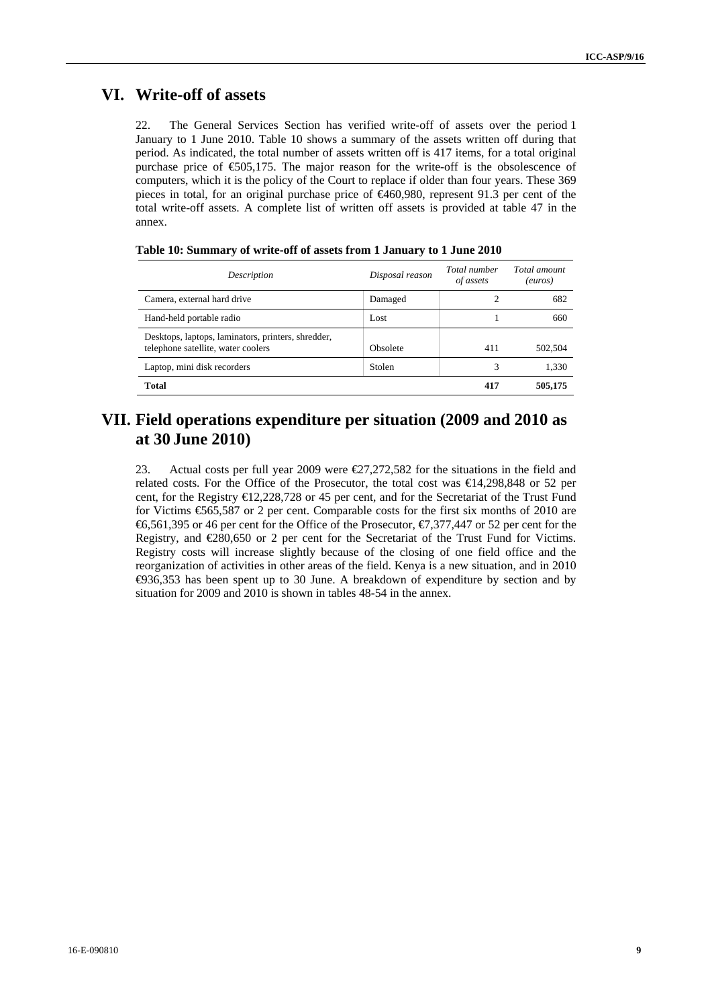### **VI. Write-off of assets**

22. The General Services Section has verified write-off of assets over the period 1 January to 1 June 2010. Table 10 shows a summary of the assets written off during that period. As indicated, the total number of assets written off is 417 items, for a total original purchase price of  $\epsilon$ 505,175. The major reason for the write-off is the obsolescence of computers, which it is the policy of the Court to replace if older than four years. These 369 pieces in total, for an original purchase price of €460,980, represent 91.3 per cent of the total write-off assets. A complete list of written off assets is provided at table 47 in the annex.

| Description                                                                              | Disposal reason | Total number<br>of assets | Total amount<br>(euros) |
|------------------------------------------------------------------------------------------|-----------------|---------------------------|-------------------------|
| Camera, external hard drive                                                              | Damaged         | 2                         | 682                     |
| Hand-held portable radio                                                                 | Lost            |                           | 660                     |
| Desktops, laptops, laminators, printers, shredder,<br>telephone satellite, water coolers | Obsolete        | 411                       | 502.504                 |
| Laptop, mini disk recorders                                                              | Stolen          | 3                         | 1,330                   |
| <b>Total</b>                                                                             |                 | 417                       | 505,175                 |

| Table 10: Summary of write-off of assets from 1 January to 1 June 2010 |
|------------------------------------------------------------------------|
|------------------------------------------------------------------------|

### **VII. Field operations expenditure per situation (2009 and 2010 as at 30 June 2010)**

23. Actual costs per full year 2009 were €27,272,582 for the situations in the field and related costs. For the Office of the Prosecutor, the total cost was €14,298,848 or 52 per cent, for the Registry €12,228,728 or 45 per cent, and for the Secretariat of the Trust Fund for Victims €565,587 or 2 per cent. Comparable costs for the first six months of 2010 are €6,561,395 or 46 per cent for the Office of the Prosecutor, €7,377,447 or 52 per cent for the Registry, and €280,650 or 2 per cent for the Secretariat of the Trust Fund for Victims. Registry costs will increase slightly because of the closing of one field office and the reorganization of activities in other areas of the field. Kenya is a new situation, and in 2010 €936,353 has been spent up to 30 June. A breakdown of expenditure by section and by situation for 2009 and 2010 is shown in tables 48-54 in the annex.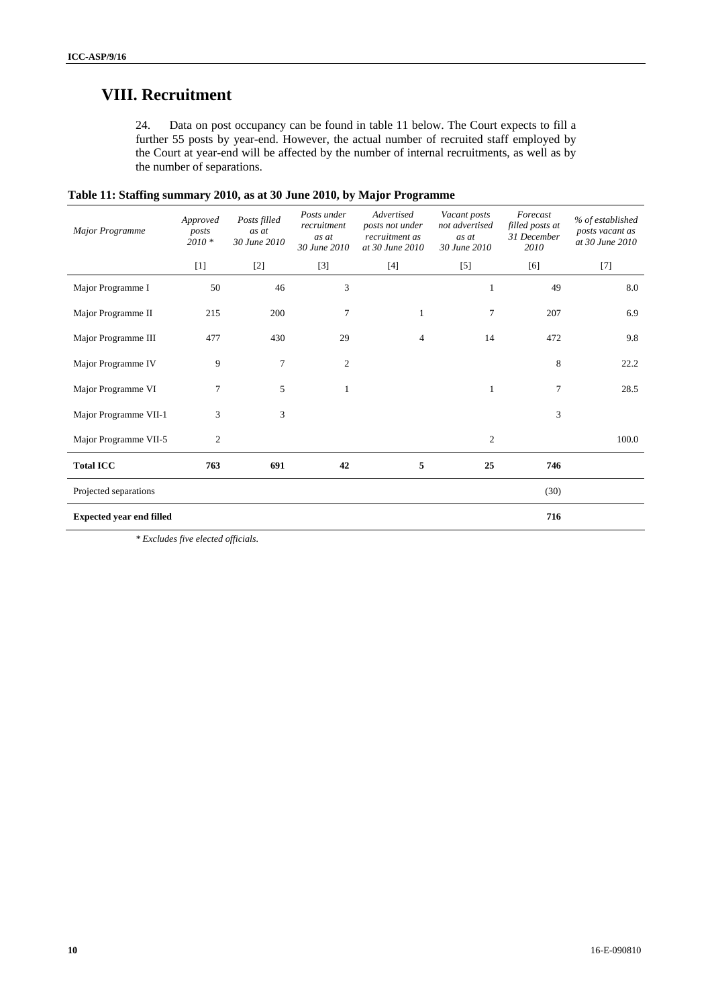### **VIII. Recruitment**

24. Data on post occupancy can be found in table 11 below. The Court expects to fill a further 55 posts by year-end. However, the actual number of recruited staff employed by the Court at year-end will be affected by the number of internal recruitments, as well as by the number of separations.

| <b>Major Programme</b>          | Approved<br>posts<br>$2010 *$ | Posts filled<br>as at<br>30 June 2010 | Posts under<br>recruitment<br>as at<br>30 June 2010 | Advertised<br>posts not under<br>recruitment as<br>at 30 June 2010 | Vacant posts<br>not advertised<br>as at<br>30 June 2010 | Forecast<br>filled posts at<br>31 December<br>2010                                                                                                                                             | % of established<br>posts vacant as<br>at 30 June 2010 |
|---------------------------------|-------------------------------|---------------------------------------|-----------------------------------------------------|--------------------------------------------------------------------|---------------------------------------------------------|------------------------------------------------------------------------------------------------------------------------------------------------------------------------------------------------|--------------------------------------------------------|
|                                 | $[1]$                         | $[2]$                                 | $[3]$                                               | $[4]$                                                              | $[5]$                                                   | $[6] % \begin{center} \includegraphics[width=\linewidth]{imagesSupplemental/Imit} \caption{The image shows the image shows a function of the number of times.} \label{fig:limal} \end{center}$ | $[7]$                                                  |
| Major Programme I               | 50                            | 46                                    | 3                                                   |                                                                    | 1                                                       | 49                                                                                                                                                                                             | 8.0                                                    |
| Major Programme II              | 215                           | 200                                   | 7                                                   | 1                                                                  | 7                                                       | 207                                                                                                                                                                                            | 6.9                                                    |
| Major Programme III             | 477                           | 430                                   | 29                                                  | 4                                                                  | 14                                                      | 472                                                                                                                                                                                            | 9.8                                                    |
| Major Programme IV              | 9                             | 7                                     | $\boldsymbol{2}$                                    |                                                                    |                                                         | 8                                                                                                                                                                                              | 22.2                                                   |
| Major Programme VI              | 7                             | 5                                     | $\mathbf{1}$                                        |                                                                    | 1                                                       | 7                                                                                                                                                                                              | 28.5                                                   |
| Major Programme VII-1           | 3                             | 3                                     |                                                     |                                                                    |                                                         | 3                                                                                                                                                                                              |                                                        |
| Major Programme VII-5           | 2                             |                                       |                                                     |                                                                    | $\overline{2}$                                          |                                                                                                                                                                                                | 100.0                                                  |
| <b>Total ICC</b>                | 763                           | 691                                   | 42                                                  | 5                                                                  | 25                                                      | 746                                                                                                                                                                                            |                                                        |
| Projected separations           |                               |                                       |                                                     |                                                                    |                                                         | (30)                                                                                                                                                                                           |                                                        |
| <b>Expected year end filled</b> |                               |                                       |                                                     |                                                                    |                                                         | 716                                                                                                                                                                                            |                                                        |

| Table 11: Staffing summary 2010, as at 30 June 2010, by Major Programme |  |  |  |
|-------------------------------------------------------------------------|--|--|--|
|-------------------------------------------------------------------------|--|--|--|

*\* Excludes five elected officials.*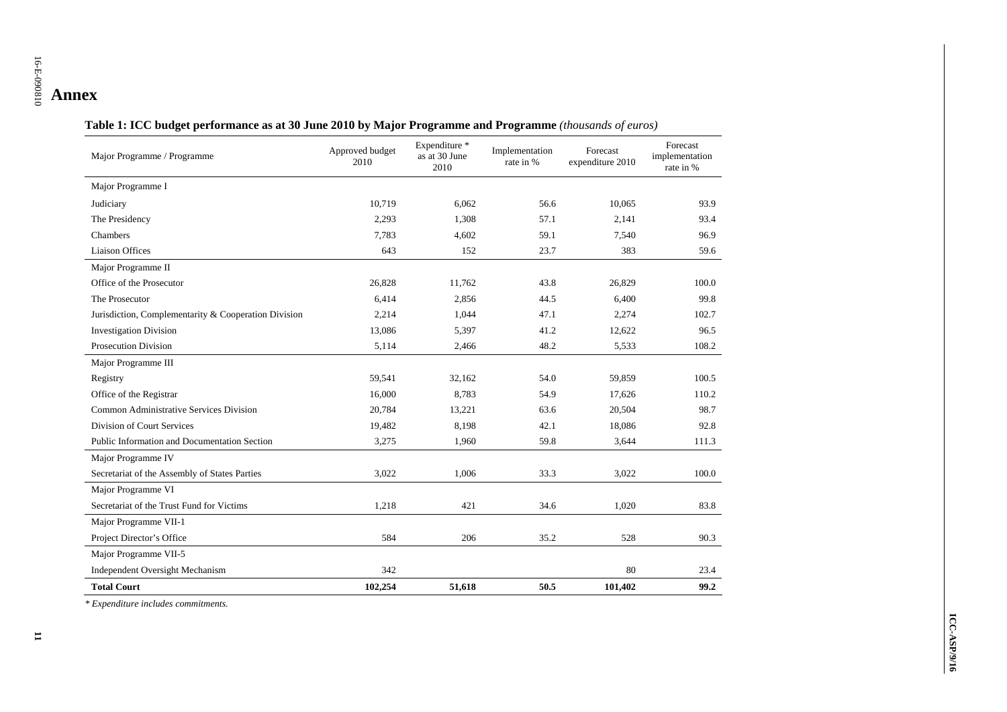## 16-E-090810 **Annex**

| Table 1: ICC budget performance as at 30 June 2010 by Major Programme and Programme (thousands of euros) |
|----------------------------------------------------------------------------------------------------------|
|----------------------------------------------------------------------------------------------------------|

| Major Programme / Programme                          | Approved budget<br>2010 | Expenditure *<br>as at 30 June<br>2010 | Implementation<br>rate in % | Forecast<br>expenditure 2010 | Forecast<br>implementation<br>rate in % |
|------------------------------------------------------|-------------------------|----------------------------------------|-----------------------------|------------------------------|-----------------------------------------|
| Major Programme I                                    |                         |                                        |                             |                              |                                         |
| Judiciary                                            | 10,719                  | 6.062                                  | 56.6                        | 10,065                       | 93.9                                    |
| The Presidency                                       | 2,293                   | 1,308                                  | 57.1                        | 2,141                        | 93.4                                    |
| Chambers                                             | 7.783                   | 4,602                                  | 59.1                        | 7.540                        | 96.9                                    |
| <b>Liaison Offices</b>                               | 643                     | 152                                    | 23.7                        | 383                          | 59.6                                    |
| Major Programme II                                   |                         |                                        |                             |                              |                                         |
| Office of the Prosecutor                             | 26,828                  | 11,762                                 | 43.8                        | 26,829                       | 100.0                                   |
| The Prosecutor                                       | 6,414                   | 2,856                                  | 44.5                        | 6,400                        | 99.8                                    |
| Jurisdiction, Complementarity & Cooperation Division | 2,214                   | 1,044                                  | 47.1                        | 2,274                        | 102.7                                   |
| <b>Investigation Division</b>                        | 13,086                  | 5,397                                  | 41.2                        | 12,622                       | 96.5                                    |
| <b>Prosecution Division</b>                          | 5,114                   | 2,466                                  | 48.2                        | 5,533                        | 108.2                                   |
| Major Programme III                                  |                         |                                        |                             |                              |                                         |
| Registry                                             | 59,541                  | 32,162                                 | 54.0                        | 59,859                       | 100.5                                   |
| Office of the Registrar                              | 16,000                  | 8,783                                  | 54.9                        | 17,626                       | 110.2                                   |
| Common Administrative Services Division              | 20,784                  | 13,221                                 | 63.6                        | 20,504                       | 98.7                                    |
| Division of Court Services                           | 19,482                  | 8,198                                  | 42.1                        | 18,086                       | 92.8                                    |
| Public Information and Documentation Section         | 3,275                   | 1,960                                  | 59.8                        | 3,644                        | 111.3                                   |
| Major Programme IV                                   |                         |                                        |                             |                              |                                         |
| Secretariat of the Assembly of States Parties        | 3,022                   | 1,006                                  | 33.3                        | 3,022                        | 100.0                                   |
| Major Programme VI                                   |                         |                                        |                             |                              |                                         |
| Secretariat of the Trust Fund for Victims            | 1,218                   | 421                                    | 34.6                        | 1,020                        | 83.8                                    |
| Major Programme VII-1                                |                         |                                        |                             |                              |                                         |
| Project Director's Office                            | 584                     | 206                                    | 35.2                        | 528                          | 90.3                                    |
| Major Programme VII-5                                |                         |                                        |                             |                              |                                         |
| Independent Oversight Mechanism                      | 342                     |                                        |                             | 80                           | 23.4                                    |
| <b>Total Court</b>                                   | 102,254                 | 51,618                                 | 50.5                        | 101,402                      | 99.2                                    |

*\* Expenditure includes commitments.*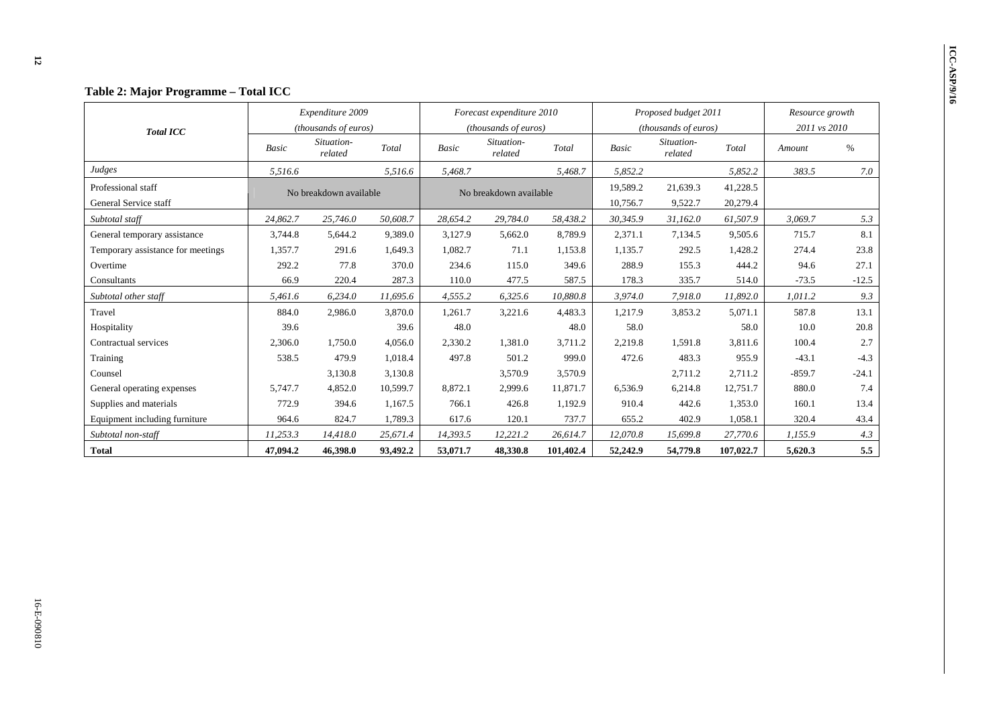| Table 2: Major Programme – Total ICC |          |                        |          |                           |                        |           |              |                               |                 |              |         |
|--------------------------------------|----------|------------------------|----------|---------------------------|------------------------|-----------|--------------|-------------------------------|-----------------|--------------|---------|
|                                      |          | Expenditure 2009       |          | Forecast expenditure 2010 |                        |           |              | Proposed budget 2011          | Resource growth |              |         |
| <b>Total ICC</b>                     |          | (thousands of euros)   |          | (thousands of euros)      |                        |           |              | ( <i>thousands of euros</i> ) |                 | 2011 vs 2010 |         |
|                                      | Basic    | Situation-<br>related  | Total    | <b>Basic</b>              | Situation-<br>related  | Total     | <b>Basic</b> | Situation-<br>related         | Total           | Amount       | $\%$    |
| Judges                               | 5,516.6  |                        | 5,516.6  | 5,468.7                   |                        | 5,468.7   | 5,852.2      |                               | 5,852.2         | 383.5        | 7.0     |
| Professional staff                   |          | No breakdown available |          |                           | No breakdown available |           | 19,589.2     | 21,639.3                      | 41,228.5        |              |         |
| General Service staff                |          |                        |          |                           |                        |           | 10,756.7     | 9,522.7                       | 20,279.4        |              |         |
| Subtotal staff                       | 24,862.7 | 25,746.0               | 50,608.7 | 28,654.2                  | 29,784.0               | 58,438.2  | 30,345.9     | 31,162.0                      | 61,507.9        | 3,069.7      | 5.3     |
| General temporary assistance         | 3,744.8  | 5,644.2                | 9,389.0  | 3,127.9                   | 5,662.0                | 8,789.9   | 2,371.1      | 7,134.5                       | 9,505.6         | 715.7        | 8.1     |
| Temporary assistance for meetings    | 1,357.7  | 291.6                  | 1,649.3  | 1,082.7                   | 71.1                   | 1,153.8   | 1,135.7      | 292.5                         | 1,428.2         | 274.4        | 23.8    |
| Overtime                             | 292.2    | 77.8                   | 370.0    | 234.6                     | 115.0                  | 349.6     | 288.9        | 155.3                         | 444.2           | 94.6         | 27.1    |
| Consultants                          | 66.9     | 220.4                  | 287.3    | 110.0                     | 477.5                  | 587.5     | 178.3        | 335.7                         | 514.0           | $-73.5$      | $-12.5$ |
| Subtotal other staff                 | 5,461.6  | 6,234.0                | 11,695.6 | 4,555.2                   | 6,325.6                | 10,880.8  | 3,974.0      | 7,918.0                       | 11,892.0        | 1,011.2      | 9.3     |
| Travel                               | 884.0    | 2,986.0                | 3,870.0  | 1,261.7                   | 3,221.6                | 4,483.3   | 1,217.9      | 3,853.2                       | 5,071.1         | 587.8        | 13.1    |
| Hospitality                          | 39.6     |                        | 39.6     | 48.0                      |                        | 48.0      | 58.0         |                               | 58.0            | 10.0         | 20.8    |
| Contractual services                 | 2,306.0  | 1.750.0                | 4.056.0  | 2,330.2                   | 1.381.0                | 3,711.2   | 2,219.8      | 1.591.8                       | 3,811.6         | 100.4        | 2.7     |
| Training                             | 538.5    | 479.9                  | 1,018.4  | 497.8                     | 501.2                  | 999.0     | 472.6        | 483.3                         | 955.9           | $-43.1$      | $-4.3$  |
| Counsel                              |          | 3,130.8                | 3,130.8  |                           | 3,570.9                | 3,570.9   |              | 2,711.2                       | 2,711.2         | $-859.7$     | $-24.1$ |
| General operating expenses           | 5,747.7  | 4,852.0                | 10,599.7 | 8,872.1                   | 2,999.6                | 11,871.7  | 6,536.9      | 6,214.8                       | 12,751.7        | 880.0        | 7.4     |
| Supplies and materials               | 772.9    | 394.6                  | 1.167.5  | 766.1                     | 426.8                  | 1.192.9   | 910.4        | 442.6                         | 1,353.0         | 160.1        | 13.4    |
| Equipment including furniture        | 964.6    | 824.7                  | 1,789.3  | 617.6                     | 120.1                  | 737.7     | 655.2        | 402.9                         | 1,058.1         | 320.4        | 43.4    |
| Subtotal non-staff                   | 11,253.3 | 14,418.0               | 25,671.4 | 14,393.5                  | 12,221.2               | 26.614.7  | 12.070.8     | 15,699.8                      | 27,770.6        | 1,155.9      | 4.3     |
| <b>Total</b>                         | 47,094.2 | 46,398.0               | 93,492.2 | 53,071.7                  | 48,330.8               | 101,402.4 | 52,242.9     | 54,779.8                      | 107,022.7       | 5,620.3      | 5.5     |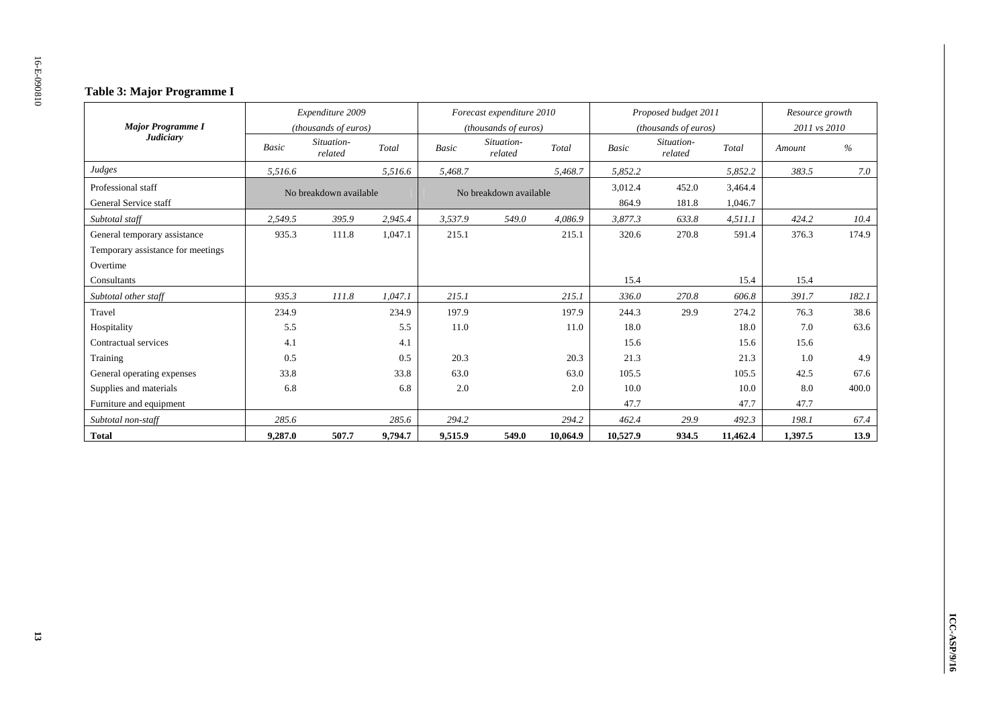### **Table 3: Major Programme I**

|                                   |              | Expenditure 2009       |         |              | Forecast expenditure 2010 |          |          | Proposed budget 2011  |          | Resource growth |       |  |
|-----------------------------------|--------------|------------------------|---------|--------------|---------------------------|----------|----------|-----------------------|----------|-----------------|-------|--|
| <b>Major Programme I</b>          |              | (thousands of euros)   |         |              | (thousands of euros)      |          |          | (thousands of euros)  |          | 2011 vs 2010    |       |  |
| <b>Judiciary</b>                  | <b>Basic</b> | Situation-<br>related  | Total   | <b>Basic</b> | Situation-<br>related     | Total    | Basic    | Situation-<br>related | Total    | Amount          | $\%$  |  |
| Judges                            | 5,516.6      |                        | 5,516.6 | 5,468.7      |                           | 5,468.7  | 5,852.2  |                       | 5,852.2  | 383.5           | 7.0   |  |
| Professional staff                |              | No breakdown available |         |              | No breakdown available    |          | 3,012.4  | 452.0                 | 3,464.4  |                 |       |  |
| General Service staff             |              |                        |         |              |                           |          | 864.9    | 181.8                 | 1,046.7  |                 |       |  |
| Subtotal staff                    | 2.549.5      | 395.9                  | 2.945.4 | 3,537.9      | 549.0                     | 4.086.9  | 3,877.3  | 633.8                 | 4,511.1  | 424.2           | 10.4  |  |
| General temporary assistance      | 935.3        | 111.8                  | 1,047.1 | 215.1        |                           | 215.1    | 320.6    | 270.8                 | 591.4    | 376.3           | 174.9 |  |
| Temporary assistance for meetings |              |                        |         |              |                           |          |          |                       |          |                 |       |  |
| Overtime                          |              |                        |         |              |                           |          |          |                       |          |                 |       |  |
| Consultants                       |              |                        |         |              |                           |          | 15.4     |                       | 15.4     | 15.4            |       |  |
| Subtotal other staff              | 935.3        | 111.8                  | 1,047.1 | 215.1        |                           | 215.1    | 336.0    | 270.8                 | 606.8    | 391.7           | 182.1 |  |
| Travel                            | 234.9        |                        | 234.9   | 197.9        |                           | 197.9    | 244.3    | 29.9                  | 274.2    | 76.3            | 38.6  |  |
| Hospitality                       | 5.5          |                        | 5.5     | 11.0         |                           | 11.0     | 18.0     |                       | 18.0     | 7.0             | 63.6  |  |
| Contractual services              | 4.1          |                        | 4.1     |              |                           |          | 15.6     |                       | 15.6     | 15.6            |       |  |
| Training                          | 0.5          |                        | 0.5     | 20.3         |                           | 20.3     | 21.3     |                       | 21.3     | 1.0             | 4.9   |  |
| General operating expenses        | 33.8         |                        | 33.8    | 63.0         |                           | 63.0     | 105.5    |                       | 105.5    | 42.5            | 67.6  |  |
| Supplies and materials            | 6.8          |                        | 6.8     | 2.0          |                           | 2.0      | 10.0     |                       | 10.0     | 8.0             | 400.0 |  |
| Furniture and equipment           |              |                        |         |              |                           |          | 47.7     |                       | 47.7     | 47.7            |       |  |
| Subtotal non-staff                | 285.6        |                        | 285.6   | 294.2        |                           | 294.2    | 462.4    | 29.9                  | 492.3    | 198.1           | 67.4  |  |
| <b>Total</b>                      | 9,287.0      | 507.7                  | 9,794.7 | 9,515.9      | 549.0                     | 10,064.9 | 10,527.9 | 934.5                 | 11,462.4 | 1,397.5         | 13.9  |  |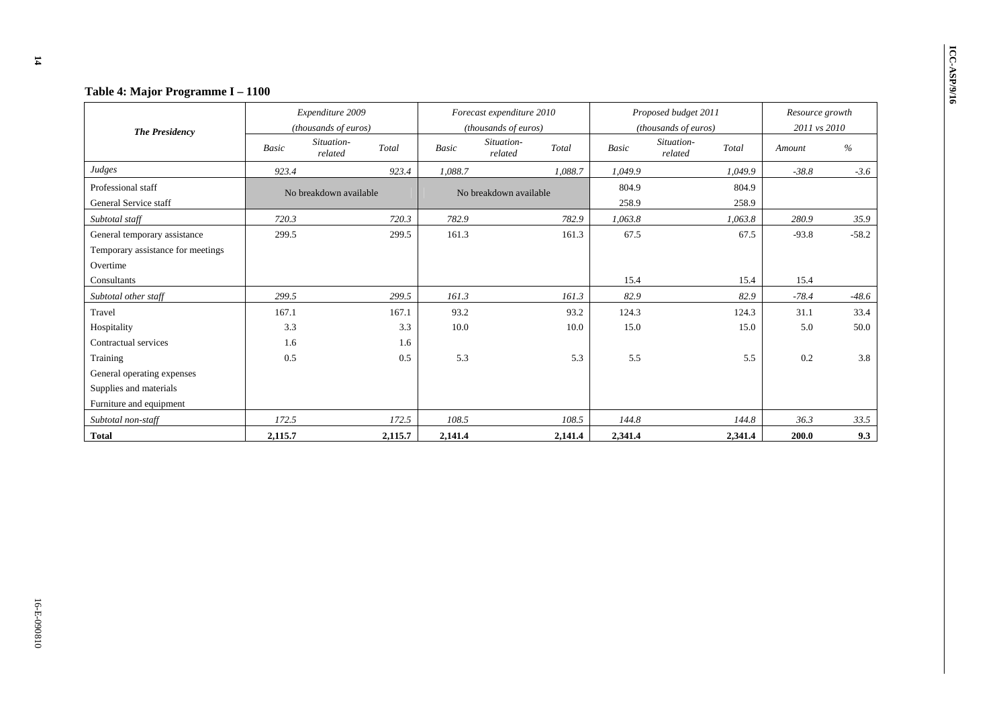|                                   | Table 4: Major Programme I - 1100 |                        |         |                           |                        |         |              |                                |                 |         |
|-----------------------------------|-----------------------------------|------------------------|---------|---------------------------|------------------------|---------|--------------|--------------------------------|-----------------|---------|
|                                   |                                   | Expenditure 2009       |         | Forecast expenditure 2010 |                        |         |              | Proposed budget 2011           | Resource growth |         |
| <b>The Presidency</b>             |                                   | (thousands of euros)   |         |                           | (thousands of euros)   |         |              | (thousands of euros)           | 2011 vs 2010    |         |
|                                   | Basic                             | Situation-<br>related  | Total   | Basic                     | Situation-<br>related  | Total   | <b>Basic</b> | Situation-<br>Total<br>related | Amount          | $\%$    |
| Judges                            | 923.4                             |                        | 923.4   | 1,088.7                   |                        | 1.088.7 | 1.049.9      | 1.049.9                        | $-38.8$         | $-3.6$  |
| Professional staff                |                                   | No breakdown available |         |                           | No breakdown available |         | 804.9        | 804.9                          |                 |         |
| General Service staff             |                                   |                        |         |                           |                        |         | 258.9        | 258.9                          |                 |         |
| Subtotal staff                    | 720.3                             |                        | 720.3   | 782.9                     |                        | 782.9   | 1,063.8      | 1,063.8                        | 280.9           | 35.9    |
| General temporary assistance      | 299.5                             |                        | 299.5   | 161.3                     |                        | 161.3   | 67.5         | 67.5                           | $-93.8$         | $-58.2$ |
| Temporary assistance for meetings |                                   |                        |         |                           |                        |         |              |                                |                 |         |
| Overtime                          |                                   |                        |         |                           |                        |         |              |                                |                 |         |
| Consultants                       |                                   |                        |         |                           |                        |         | 15.4         | 15.4                           | 15.4            |         |
| Subtotal other staff              | 299.5                             |                        | 299.5   | 161.3                     |                        | 161.3   | 82.9         | 82.9                           | $-78.4$         | $-48.6$ |
| Travel                            | 167.1                             |                        | 167.1   | 93.2                      |                        | 93.2    | 124.3        | 124.3                          | 31.1            | 33.4    |
| Hospitality                       | 3.3                               |                        | 3.3     | 10.0                      |                        | 10.0    | 15.0         | 15.0                           | 5.0             | 50.0    |
| Contractual services              | 1.6                               |                        | 1.6     |                           |                        |         |              |                                |                 |         |
| Training                          | 0.5                               |                        | 0.5     | 5.3                       |                        | 5.3     | 5.5          |                                | 0.2<br>5.5      | 3.8     |
| General operating expenses        |                                   |                        |         |                           |                        |         |              |                                |                 |         |
| Supplies and materials            |                                   |                        |         |                           |                        |         |              |                                |                 |         |
| Furniture and equipment           |                                   |                        |         |                           |                        |         |              |                                |                 |         |
| Subtotal non-staff                | 172.5                             |                        | 172.5   | 108.5                     |                        | 108.5   | 144.8        | 144.8                          | 36.3            | 33.5    |
| <b>Total</b>                      | 2,115.7                           |                        | 2,115.7 | 2,141.4                   |                        | 2,141.4 | 2,341.4      | 2,341.4                        | 200.0           | 9.3     |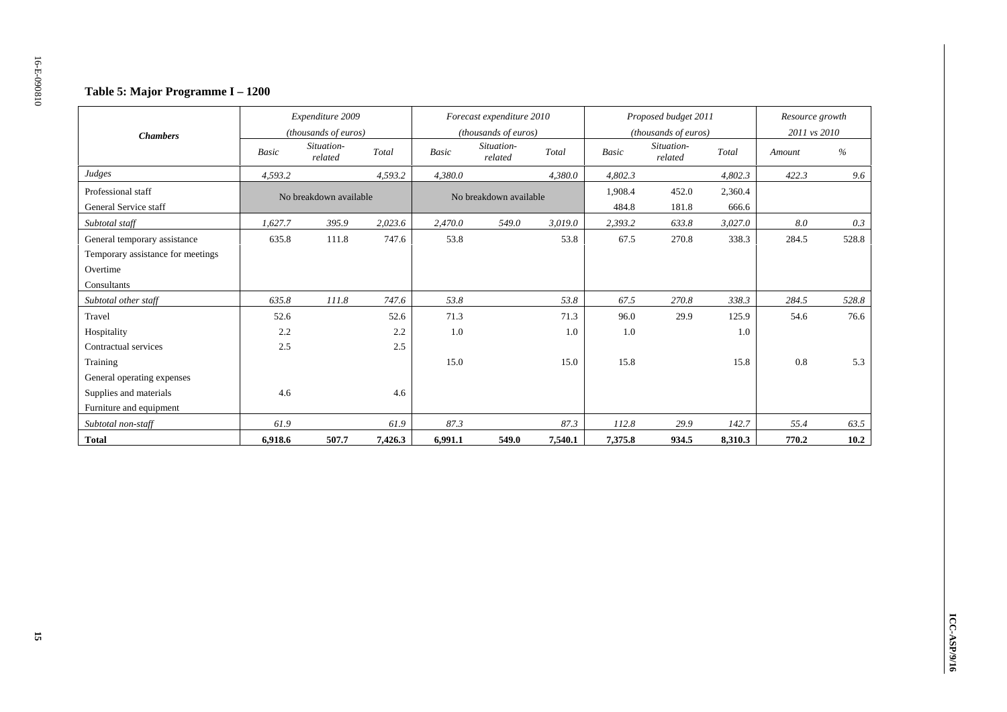### **Table 5: Major Programme I – 1200**

|                                   |              | Expenditure 2009       |         |              | Forecast expenditure 2010 |         |              | Proposed budget 2011  |         | Resource growth |       |
|-----------------------------------|--------------|------------------------|---------|--------------|---------------------------|---------|--------------|-----------------------|---------|-----------------|-------|
| <b>Chambers</b>                   |              | (thousands of euros)   |         |              | (thousands of euros)      |         |              | (thousands of euros)  |         | 2011 vs 2010    |       |
|                                   | <b>Basic</b> | Situation-<br>related  | Total   | <b>Basic</b> | Situation-<br>related     | Total   | <b>Basic</b> | Situation-<br>related | Total   | Amount          | %     |
| Judges                            | 4,593.2      |                        | 4,593.2 | 4,380.0      |                           | 4,380.0 | 4,802.3      |                       | 4,802.3 | 422.3           | 9.6   |
| Professional staff                |              | No breakdown available |         |              | No breakdown available    |         | 1,908.4      | 452.0                 | 2,360.4 |                 |       |
| General Service staff             |              |                        |         |              |                           |         | 484.8        | 181.8                 | 666.6   |                 |       |
| Subtotal staff                    | 1.627.7      | 395.9                  | 2,023.6 | 2,470.0      | 549.0                     | 3,019.0 | 2,393.2      | 633.8                 | 3,027.0 | 8.0             | 0.3   |
| General temporary assistance      | 635.8        | 111.8                  | 747.6   | 53.8         |                           | 53.8    | 67.5         | 270.8                 | 338.3   | 284.5           | 528.8 |
| Temporary assistance for meetings |              |                        |         |              |                           |         |              |                       |         |                 |       |
| Overtime                          |              |                        |         |              |                           |         |              |                       |         |                 |       |
| Consultants                       |              |                        |         |              |                           |         |              |                       |         |                 |       |
| Subtotal other staff              | 635.8        | 111.8                  | 747.6   | 53.8         |                           | 53.8    | 67.5         | 270.8                 | 338.3   | 284.5           | 528.8 |
| Travel                            | 52.6         |                        | 52.6    | 71.3         |                           | 71.3    | 96.0         | 29.9                  | 125.9   | 54.6            | 76.6  |
| Hospitality                       | 2.2          |                        | 2.2     | 1.0          |                           | 1.0     | 1.0          |                       | 1.0     |                 |       |
| Contractual services              | 2.5          |                        | 2.5     |              |                           |         |              |                       |         |                 |       |
| Training                          |              |                        |         | 15.0         |                           | 15.0    | 15.8         |                       | 15.8    | 0.8             | 5.3   |
| General operating expenses        |              |                        |         |              |                           |         |              |                       |         |                 |       |
| Supplies and materials            | 4.6          |                        | 4.6     |              |                           |         |              |                       |         |                 |       |
| Furniture and equipment           |              |                        |         |              |                           |         |              |                       |         |                 |       |
| Subtotal non-staff                | 61.9         |                        | 61.9    | 87.3         |                           | 87.3    | 112.8        | 29.9                  | 142.7   | 55.4            | 63.5  |
| <b>Total</b>                      | 6,918.6      | 507.7                  | 7,426.3 | 6,991.1      | 549.0                     | 7,540.1 | 7,375.8      | 934.5                 | 8,310.3 | 770.2           | 10.2  |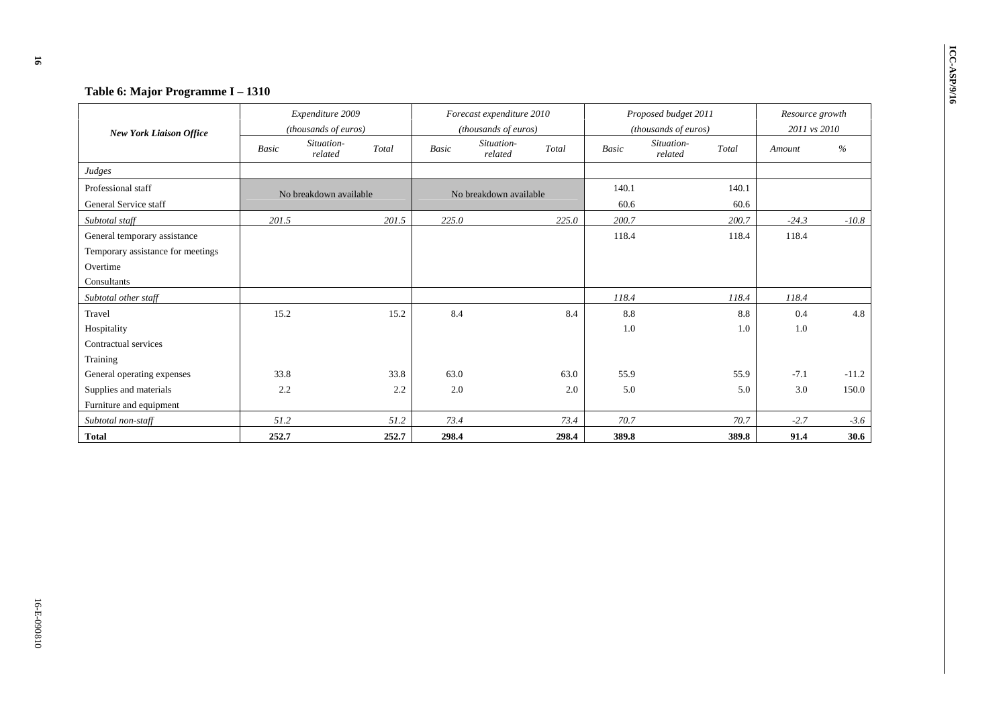| Table 6: Major Programme I - 1310<br><b>New York Liaison Office</b>                          | Expenditure 2009<br>(thousands of euros) |                        |             | Forecast expenditure 2010<br>(thousands of euros) |                        |             |               | Proposed budget 2011<br>(thousands of euros) |               | Resource growth<br>2011 vs 2010 |  |
|----------------------------------------------------------------------------------------------|------------------------------------------|------------------------|-------------|---------------------------------------------------|------------------------|-------------|---------------|----------------------------------------------|---------------|---------------------------------|--|
|                                                                                              | Basic                                    | Situation-<br>related  | Total       | <b>Basic</b>                                      | Situation-<br>related  | Total       | <b>Basic</b>  | Situation-<br>Total<br>related               | Amount        | $\%$                            |  |
| Judges                                                                                       |                                          |                        |             |                                                   |                        |             |               |                                              |               |                                 |  |
| Professional staff<br>General Service staff                                                  |                                          | No breakdown available |             |                                                   | No breakdown available |             | 140.1<br>60.6 | 140.1<br>60.6                                |               |                                 |  |
| Subtotal staff                                                                               | 201.5                                    |                        | 201.5       | 225.0                                             |                        | 225.0       | 200.7         | 200.7                                        | $-24.3$       | $-10.8$                         |  |
| General temporary assistance<br>Temporary assistance for meetings<br>Overtime<br>Consultants |                                          |                        |             |                                                   |                        |             | 118.4         | 118.4                                        | 118.4         |                                 |  |
| Subtotal other staff                                                                         |                                          |                        |             |                                                   |                        |             | 118.4         | 118.4                                        | 118.4         |                                 |  |
| Travel<br>Hospitality<br>Contractual services<br>Training                                    | 15.2                                     |                        | 15.2        | 8.4                                               |                        | 8.4         | 8.8<br>1.0    | 8.8<br>1.0                                   | 0.4<br>1.0    | 4.8                             |  |
| General operating expenses<br>Supplies and materials<br>Furniture and equipment              | 33.8<br>2.2                              |                        | 33.8<br>2.2 | 63.0<br>2.0                                       |                        | 63.0<br>2.0 | 55.9<br>5.0   | 55.9<br>5.0                                  | $-7.1$<br>3.0 | $-11.2$<br>150.0                |  |
| Subtotal non-staff                                                                           | 51.2                                     |                        | 51.2        | 73.4                                              |                        | 73.4        | 70.7          | 70.7                                         | $-2.7$        | $-3.6$                          |  |
| <b>Total</b>                                                                                 | 252.7                                    |                        | 252.7       | 298.4                                             |                        | 298.4       | 389.8         | 389.8                                        | 91.4          | 30.6                            |  |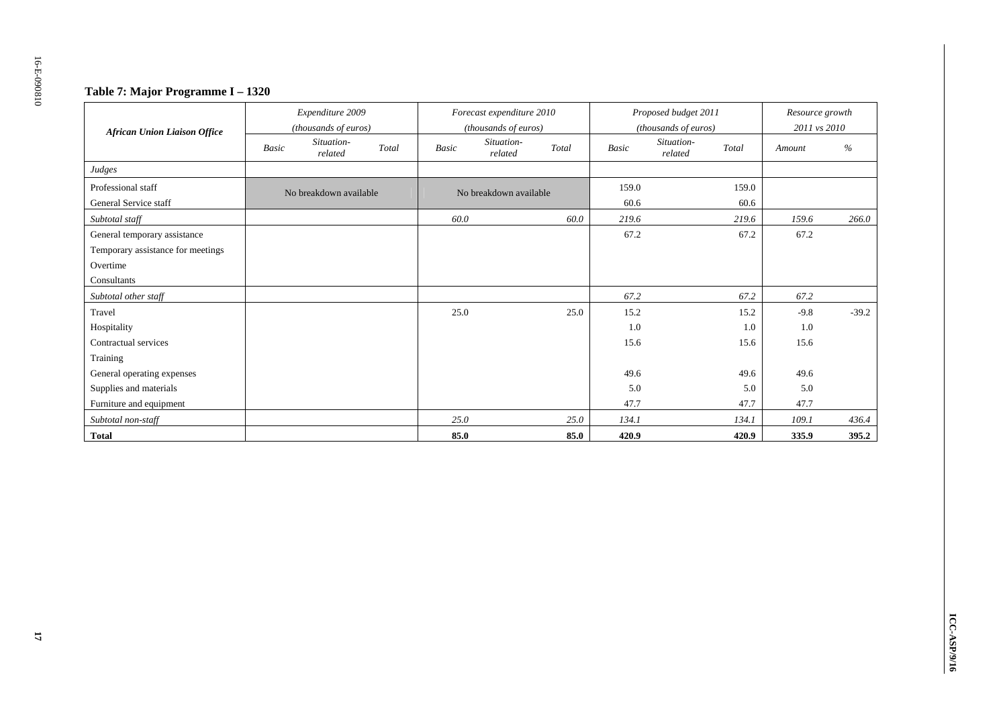### **Table 7: Major Programme I – 1320**

|                                     |              | Expenditure 2009       |       |       | Forecast expenditure 2010 |       |              | Proposed budget 2011  |       | Resource growth |         |
|-------------------------------------|--------------|------------------------|-------|-------|---------------------------|-------|--------------|-----------------------|-------|-----------------|---------|
| <b>African Union Liaison Office</b> |              | (thousands of euros)   |       |       | (thousands of euros)      |       |              | (thousands of euros)  |       | 2011 vs 2010    |         |
|                                     | <b>Basic</b> | Situation-<br>related  | Total | Basic | Situation-<br>related     | Total | <b>Basic</b> | Situation-<br>related | Total | Amount          | %       |
| Judges                              |              |                        |       |       |                           |       |              |                       |       |                 |         |
| Professional staff                  |              | No breakdown available |       |       | No breakdown available    |       | 159.0        |                       | 159.0 |                 |         |
| General Service staff               |              |                        |       |       |                           |       | 60.6         |                       | 60.6  |                 |         |
| Subtotal staff                      |              |                        |       | 60.0  |                           | 60.0  | 219.6        |                       | 219.6 | 159.6           | 266.0   |
| General temporary assistance        |              |                        |       |       |                           |       | 67.2         |                       | 67.2  | 67.2            |         |
| Temporary assistance for meetings   |              |                        |       |       |                           |       |              |                       |       |                 |         |
| Overtime                            |              |                        |       |       |                           |       |              |                       |       |                 |         |
| Consultants                         |              |                        |       |       |                           |       |              |                       |       |                 |         |
| Subtotal other staff                |              |                        |       |       |                           |       | 67.2         |                       | 67.2  | 67.2            |         |
| Travel                              |              |                        |       | 25.0  |                           | 25.0  | 15.2         |                       | 15.2  | $-9.8$          | $-39.2$ |
| Hospitality                         |              |                        |       |       |                           |       | 1.0          |                       | 1.0   | 1.0             |         |
| Contractual services                |              |                        |       |       |                           |       | 15.6         |                       | 15.6  | 15.6            |         |
| Training                            |              |                        |       |       |                           |       |              |                       |       |                 |         |
| General operating expenses          |              |                        |       |       |                           |       | 49.6         |                       | 49.6  | 49.6            |         |
| Supplies and materials              |              |                        |       |       |                           |       | 5.0          |                       | 5.0   | 5.0             |         |
| Furniture and equipment             |              |                        |       |       |                           |       | 47.7         |                       | 47.7  | 47.7            |         |
| Subtotal non-staff                  |              |                        |       | 25.0  |                           | 25.0  | 134.1        |                       | 134.1 | 109.1           | 436.4   |
| <b>Total</b>                        |              |                        |       | 85.0  |                           | 85.0  | 420.9        |                       | 420.9 | 335.9           | 395.2   |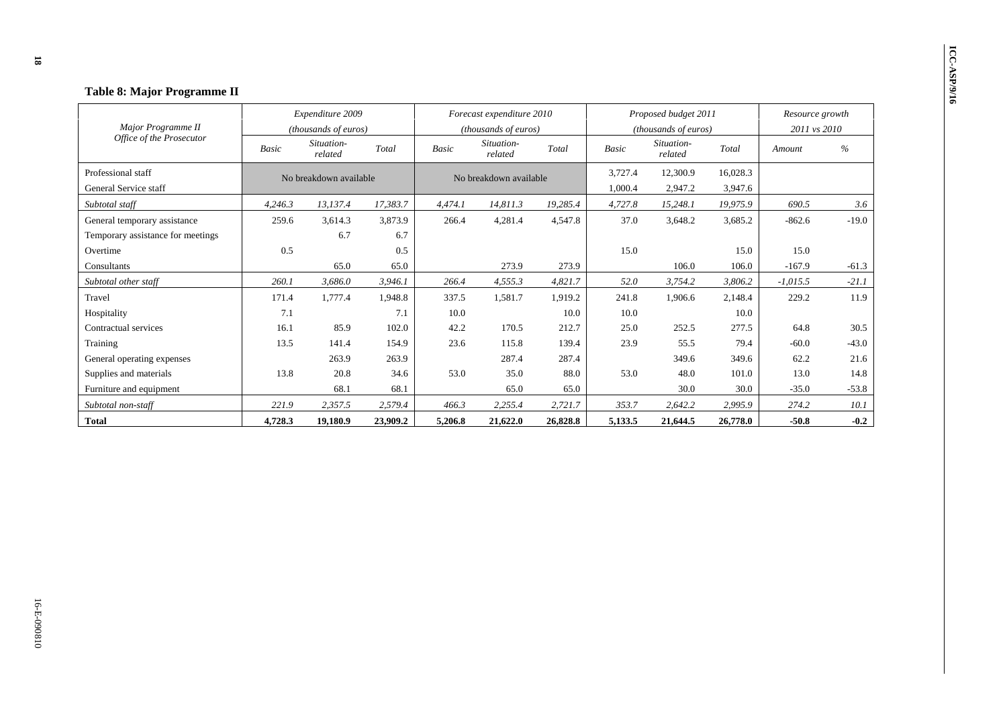| Table 8: Major Programme II                    |              |                                               |          |                           |                                               |          |                                                                        |          |          |                        |         |  |
|------------------------------------------------|--------------|-----------------------------------------------|----------|---------------------------|-----------------------------------------------|----------|------------------------------------------------------------------------|----------|----------|------------------------|---------|--|
|                                                |              | Expenditure 2009                              |          | Forecast expenditure 2010 |                                               |          | Proposed budget 2011                                                   |          |          | Resource growth        |         |  |
| Major Programme II<br>Office of the Prosecutor | <b>Basic</b> | (thousands of euros)<br>Situation-<br>related | Total    | <b>Basic</b>              | (thousands of euros)<br>Situation-<br>related | Total    | (thousands of euros)<br>Situation-<br>Total<br><b>Basic</b><br>related |          |          | 2011 vs 2010<br>Amount | $\%$    |  |
| Professional staff                             |              | No breakdown available                        |          |                           | No breakdown available                        |          | 3,727.4                                                                | 12,300.9 | 16,028.3 |                        |         |  |
| General Service staff                          |              |                                               |          |                           |                                               |          | 1,000.4                                                                | 2,947.2  | 3,947.6  |                        |         |  |
| Subtotal staff                                 | 4,246.3      | 13.137.4                                      | 17.383.7 | 4,474.1                   | 14,811.3                                      | 19,285.4 | 4,727.8                                                                | 15,248.1 | 19.975.9 | 690.5                  | 3.6     |  |
| General temporary assistance                   | 259.6        | 3,614.3                                       | 3,873.9  | 266.4                     | 4,281.4                                       | 4,547.8  | 37.0                                                                   | 3,648.2  | 3,685.2  | $-862.6$               | $-19.0$ |  |
| Temporary assistance for meetings              |              | 6.7                                           | 6.7      |                           |                                               |          |                                                                        |          |          |                        |         |  |
| Overtime                                       | 0.5          |                                               | 0.5      |                           |                                               |          | 15.0                                                                   |          | 15.0     | 15.0                   |         |  |
| Consultants                                    |              | 65.0                                          | 65.0     |                           | 273.9                                         | 273.9    |                                                                        | 106.0    | 106.0    | $-167.9$               | $-61.3$ |  |
| Subtotal other staff                           | 260.1        | 3,686.0                                       | 3,946.1  | 266.4                     | 4,555.3                                       | 4,821.7  | 52.0                                                                   | 3,754.2  | 3,806.2  | $-1,015.5$             | $-21.1$ |  |
| Travel                                         | 171.4        | 1,777.4                                       | 1,948.8  | 337.5                     | 1,581.7                                       | 1,919.2  | 241.8                                                                  | 1,906.6  | 2,148.4  | 229.2                  | 11.9    |  |
| Hospitality                                    | 7.1          |                                               | 7.1      | 10.0                      |                                               | 10.0     | 10.0                                                                   |          | 10.0     |                        |         |  |
| Contractual services                           | 16.1         | 85.9                                          | 102.0    | 42.2                      | 170.5                                         | 212.7    | 25.0                                                                   | 252.5    | 277.5    | 64.8                   | 30.5    |  |
| Training                                       | 13.5         | 141.4                                         | 154.9    | 23.6                      | 115.8                                         | 139.4    | 23.9                                                                   | 55.5     | 79.4     | $-60.0$                | $-43.0$ |  |
| General operating expenses                     |              | 263.9                                         | 263.9    |                           | 287.4                                         | 287.4    |                                                                        | 349.6    | 349.6    | 62.2                   | 21.6    |  |
| Supplies and materials                         | 13.8         | 20.8                                          | 34.6     | 53.0                      | 35.0                                          | 88.0     | 53.0                                                                   | 48.0     | 101.0    | 13.0                   | 14.8    |  |
| Furniture and equipment                        |              | 68.1                                          | 68.1     |                           | 65.0                                          | 65.0     |                                                                        | 30.0     | 30.0     | $-35.0$                | $-53.8$ |  |
| Subtotal non-staff                             | 221.9        | 2,357.5                                       | 2,579.4  | 466.3                     | 2,255.4                                       | 2,721.7  | 353.7                                                                  | 2,642.2  | 2,995.9  | 274.2                  | 10.1    |  |
| <b>Total</b>                                   | 4,728.3      | 19,180.9                                      | 23,909.2 | 5,206.8                   | 21,622.0                                      | 26,828.8 | 5,133.5                                                                | 21,644.5 | 26,778.0 | $-50.8$                | $-0.2$  |  |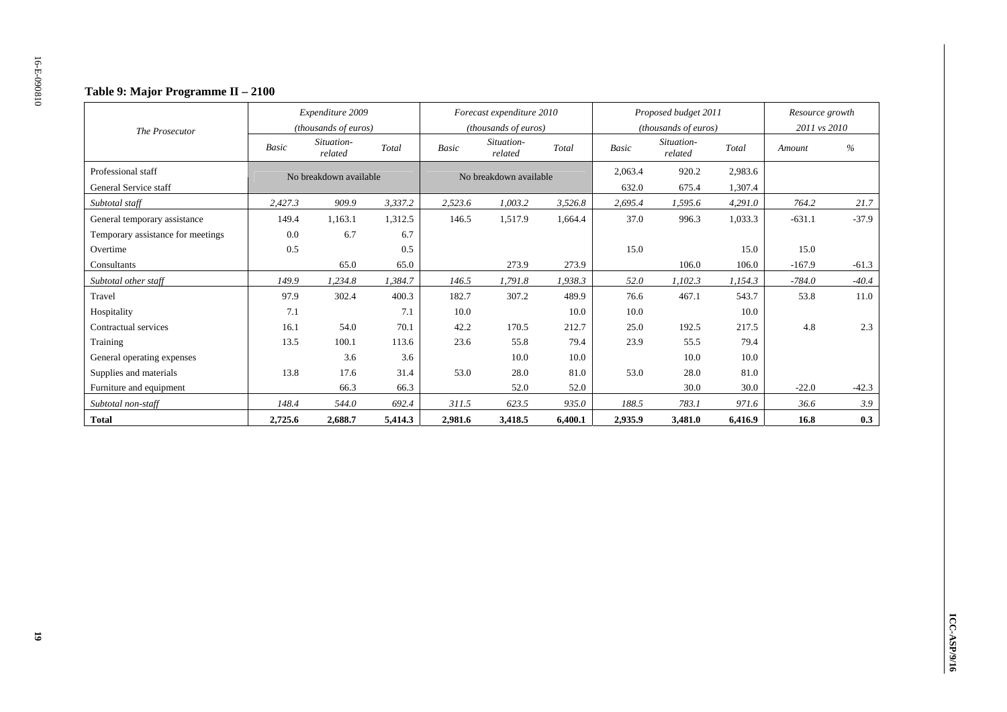### **Table 9: Major Programme II – 2100**

|                                   |                        | Expenditure 2009      |         |              | Forecast expenditure 2010 |         |              | Proposed budget 2011  |         | Resource growth |               |
|-----------------------------------|------------------------|-----------------------|---------|--------------|---------------------------|---------|--------------|-----------------------|---------|-----------------|---------------|
| The Prosecutor                    |                        | (thousands of euros)  |         |              | (thousands of euros)      |         |              | (thousands of euros)  |         | 2011 vs 2010    |               |
|                                   | Basic                  | Situation-<br>related | Total   | <b>Basic</b> | Situation-<br>related     | Total   | <b>Basic</b> | Situation-<br>related | Total   | Amount          | $\frac{0}{0}$ |
| Professional staff                | No breakdown available |                       |         |              | No breakdown available    |         | 2,063.4      | 920.2                 | 2,983.6 |                 |               |
| General Service staff             |                        |                       |         |              |                           |         | 632.0        | 675.4                 | 1,307.4 |                 |               |
| Subtotal staff                    | 2,427.3                | 909.9                 | 3,337.2 | 2,523.6      | 1,003.2                   | 3,526.8 | 2,695.4      | 1,595.6               | 4,291.0 | 764.2           | 21.7          |
| General temporary assistance      | 149.4                  | 1,163.1               | 1,312.5 | 146.5        | 1,517.9                   | 1.664.4 | 37.0         | 996.3                 | 1,033.3 | $-631.1$        | $-37.9$       |
| Temporary assistance for meetings | 0.0                    | 6.7                   | 6.7     |              |                           |         |              |                       |         |                 |               |
| Overtime                          | 0.5                    |                       | 0.5     |              |                           |         | 15.0         |                       | 15.0    | 15.0            |               |
| Consultants                       |                        | 65.0                  | 65.0    |              | 273.9                     | 273.9   |              | 106.0                 | 106.0   | $-167.9$        | $-61.3$       |
| Subtotal other staff              | 149.9                  | 1,234.8               | 1,384.7 | 146.5        | 1,791.8                   | 1,938.3 | 52.0         | 1,102.3               | 1,154.3 | $-784.0$        | $-40.4$       |
| Travel                            | 97.9                   | 302.4                 | 400.3   | 182.7        | 307.2                     | 489.9   | 76.6         | 467.1                 | 543.7   | 53.8            | 11.0          |
| Hospitality                       | 7.1                    |                       | 7.1     | 10.0         |                           | 10.0    | 10.0         |                       | 10.0    |                 |               |
| Contractual services              | 16.1                   | 54.0                  | 70.1    | 42.2         | 170.5                     | 212.7   | 25.0         | 192.5                 | 217.5   | 4.8             | 2.3           |
| Training                          | 13.5                   | 100.1                 | 113.6   | 23.6         | 55.8                      | 79.4    | 23.9         | 55.5                  | 79.4    |                 |               |
| General operating expenses        |                        | 3.6                   | 3.6     |              | 10.0                      | 10.0    |              | 10.0                  | 10.0    |                 |               |
| Supplies and materials            | 13.8                   | 17.6                  | 31.4    | 53.0         | 28.0                      | 81.0    | 53.0         | 28.0                  | 81.0    |                 |               |
| Furniture and equipment           |                        | 66.3                  | 66.3    |              | 52.0                      | 52.0    |              | 30.0                  | 30.0    | $-22.0$         | $-42.3$       |
| Subtotal non-staff                | 148.4                  | 544.0                 | 692.4   | 311.5        | 623.5                     | 935.0   | 188.5        | 783.1                 | 971.6   | 36.6            | 3.9           |
| <b>Total</b>                      | 2,725.6                | 2,688.7               | 5,414.3 | 2,981.6      | 3,418.5                   | 6,400.1 | 2,935.9      | 3,481.0               | 6,416.9 | 16.8            | 0.3           |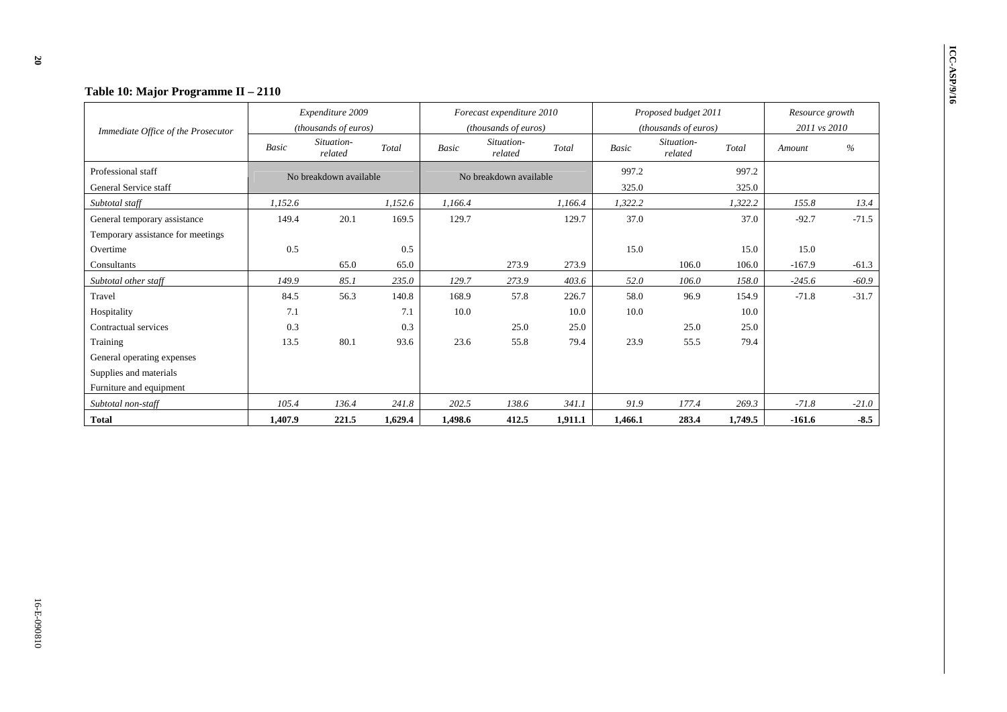|                                    |              | Expenditure 2009       |         |              | Forecast expenditure 2010 |         |              | Proposed budget 2011  |         | Resource growth |         |
|------------------------------------|--------------|------------------------|---------|--------------|---------------------------|---------|--------------|-----------------------|---------|-----------------|---------|
| Immediate Office of the Prosecutor |              | (thousands of euros)   |         |              | (thousands of euros)      |         |              | (thousands of euros)  |         | 2011 vs 2010    |         |
|                                    | <b>Basic</b> | Situation-<br>related  | Total   | <b>Basic</b> | Situation-<br>related     | Total   | <b>Basic</b> | Situation-<br>related | Total   | Amount          | $\%$    |
| Professional staff                 |              | No breakdown available |         |              | No breakdown available    |         | 997.2        |                       | 997.2   |                 |         |
| General Service staff              |              |                        |         |              |                           |         | 325.0        |                       | 325.0   |                 |         |
| Subtotal staff                     | 1,152.6      |                        | 1,152.6 | 1,166.4      |                           | 1,166.4 | 1,322.2      |                       | 1,322.2 | 155.8           | 13.4    |
| General temporary assistance       | 149.4        | 20.1                   | 169.5   | 129.7        |                           | 129.7   | 37.0         |                       | 37.0    | $-92.7$         | $-71.5$ |
| Temporary assistance for meetings  |              |                        |         |              |                           |         |              |                       |         |                 |         |
| Overtime                           | 0.5          |                        | 0.5     |              |                           |         | 15.0         |                       | 15.0    | 15.0            |         |
| Consultants                        |              | 65.0                   | 65.0    |              | 273.9                     | 273.9   |              | 106.0                 | 106.0   | $-167.9$        | $-61.3$ |
| Subtotal other staff               | 149.9        | 85.1                   | 235.0   | 129.7        | 273.9                     | 403.6   | 52.0         | 106.0                 | 158.0   | $-245.6$        | $-60.9$ |
| Travel                             | 84.5         | 56.3                   | 140.8   | 168.9        | 57.8                      | 226.7   | 58.0         | 96.9                  | 154.9   | $-71.8$         | $-31.7$ |
| Hospitality                        | 7.1          |                        | 7.1     | 10.0         |                           | 10.0    | 10.0         |                       | 10.0    |                 |         |
| Contractual services               | 0.3          |                        | 0.3     |              | 25.0                      | 25.0    |              | 25.0                  | 25.0    |                 |         |
| Training                           | 13.5         | 80.1                   | 93.6    | 23.6         | 55.8                      | 79.4    | 23.9         | 55.5                  | 79.4    |                 |         |
| General operating expenses         |              |                        |         |              |                           |         |              |                       |         |                 |         |
| Supplies and materials             |              |                        |         |              |                           |         |              |                       |         |                 |         |
| Furniture and equipment            |              |                        |         |              |                           |         |              |                       |         |                 |         |
| Subtotal non-staff                 | 105.4        | 136.4                  | 241.8   | 202.5        | 138.6                     | 341.1   | 91.9         | 177.4                 | 269.3   | $-71.8$         | $-21.0$ |
| <b>Total</b>                       | 1,407.9      | 221.5                  | 1,629.4 | 1,498.6      | 412.5                     | 1,911.1 | 1,466.1      | 283.4                 | 1,749.5 | $-161.6$        | $-8.5$  |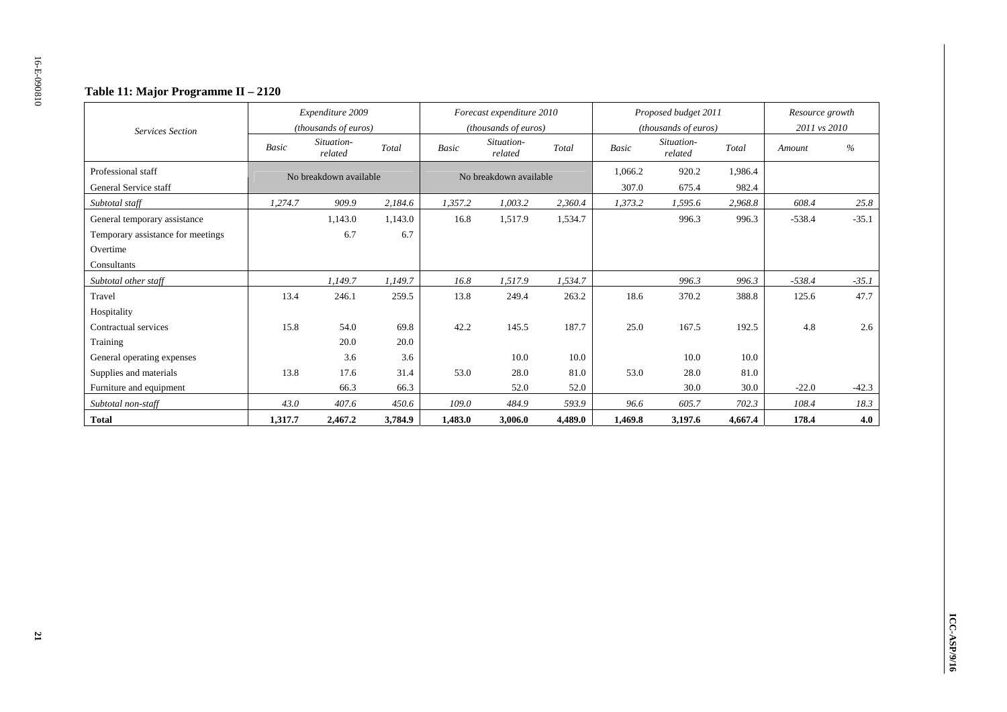### **Table 11: Major Programme II – 2120**

|                                             |              | Expenditure 2009<br>(thousands of euros) |         |              | Forecast expenditure 2010<br>(thousands of euros) |         |                  | Proposed budget 2011<br>(thousands of euros) |                  | Resource growth<br>2011 vs 2010 |               |
|---------------------------------------------|--------------|------------------------------------------|---------|--------------|---------------------------------------------------|---------|------------------|----------------------------------------------|------------------|---------------------------------|---------------|
| <b>Services Section</b>                     | <b>Basic</b> | Situation-<br>related                    | Total   | <b>Basic</b> | Situation-<br>related                             | Total   | <b>Basic</b>     | Situation-<br>related                        | Total            | Amount                          | $\frac{0}{0}$ |
| Professional staff<br>General Service staff |              | No breakdown available                   |         |              | No breakdown available                            |         | 1.066.2<br>307.0 | 920.2<br>675.4                               | 1.986.4<br>982.4 |                                 |               |
| Subtotal staff                              | 1,274.7      | 909.9                                    | 2,184.6 | 1,357.2      | 1,003.2                                           | 2,360.4 | 1,373.2          | 1,595.6                                      | 2,968.8          | 608.4                           | 25.8          |
| General temporary assistance                |              | 1,143.0                                  | 1,143.0 | 16.8         | 1,517.9                                           | 1,534.7 |                  | 996.3                                        | 996.3            | $-538.4$                        | $-35.1$       |
| Temporary assistance for meetings           |              | 6.7                                      | 6.7     |              |                                                   |         |                  |                                              |                  |                                 |               |
| Overtime                                    |              |                                          |         |              |                                                   |         |                  |                                              |                  |                                 |               |
| Consultants                                 |              |                                          |         |              |                                                   |         |                  |                                              |                  |                                 |               |
| Subtotal other staff                        |              | 1,149.7                                  | 1,149.7 | 16.8         | 1,517.9                                           | 1,534.7 |                  | 996.3                                        | 996.3            | $-538.4$                        | $-35.1$       |
| Travel                                      | 13.4         | 246.1                                    | 259.5   | 13.8         | 249.4                                             | 263.2   | 18.6             | 370.2                                        | 388.8            | 125.6                           | 47.7          |
| Hospitality                                 |              |                                          |         |              |                                                   |         |                  |                                              |                  |                                 |               |
| Contractual services                        | 15.8         | 54.0                                     | 69.8    | 42.2         | 145.5                                             | 187.7   | 25.0             | 167.5                                        | 192.5            | 4.8                             | 2.6           |
| Training                                    |              | 20.0                                     | 20.0    |              |                                                   |         |                  |                                              |                  |                                 |               |
| General operating expenses                  |              | 3.6                                      | 3.6     |              | 10.0                                              | 10.0    |                  | 10.0                                         | 10.0             |                                 |               |
| Supplies and materials                      | 13.8         | 17.6                                     | 31.4    | 53.0         | 28.0                                              | 81.0    | 53.0             | 28.0                                         | 81.0             |                                 |               |
| Furniture and equipment                     |              | 66.3                                     | 66.3    |              | 52.0                                              | 52.0    |                  | 30.0                                         | 30.0             | $-22.0$                         | $-42.3$       |
| Subtotal non-staff                          | 43.0         | 407.6                                    | 450.6   | 109.0        | 484.9                                             | 593.9   | 96.6             | 605.7                                        | 702.3            | 108.4                           | 18.3          |
| <b>Total</b>                                | 1,317.7      | 2,467.2                                  | 3,784.9 | 1,483.0      | 3,006.0                                           | 4,489.0 | 1,469.8          | 3,197.6                                      | 4,667.4          | 178.4                           | 4.0           |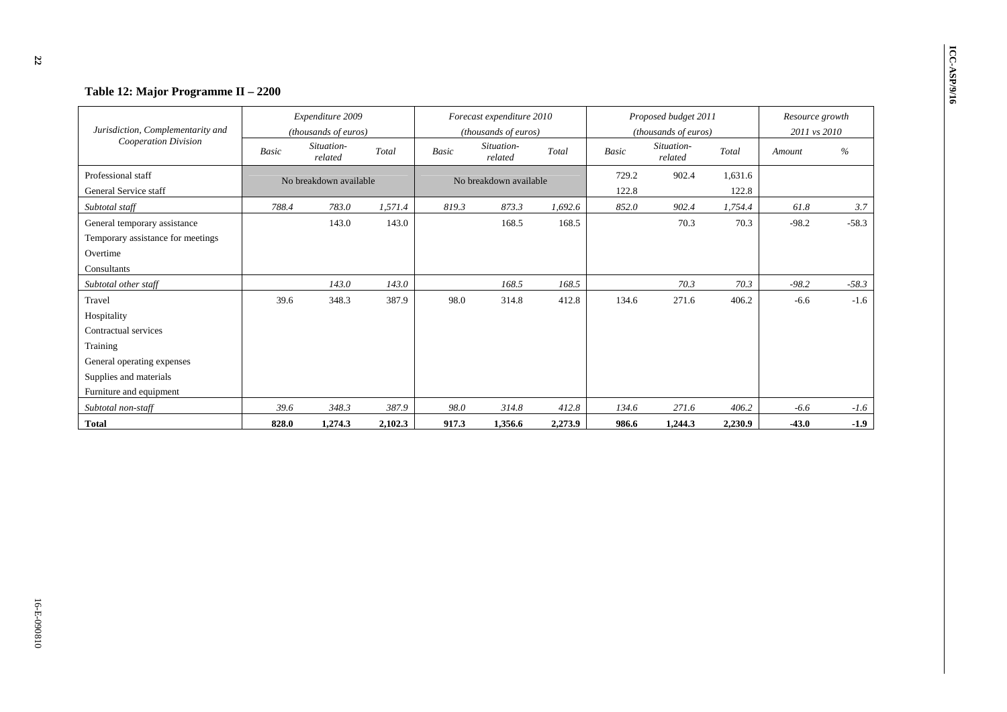# **IVERTABLE 12: Major Programme II – 2200**

| Jurisdiction, Complementarity and           |       | Expenditure 2009<br>(thousands of euros) |         |       | Forecast expenditure 2010<br>(thousands of euros) |         |                | Proposed budget 2011<br>(thousands of euros) |                  | Resource growth<br>2011 vs 2010 |         |
|---------------------------------------------|-------|------------------------------------------|---------|-------|---------------------------------------------------|---------|----------------|----------------------------------------------|------------------|---------------------------------|---------|
| Cooperation Division                        | Basic | Situation-<br>related                    | Total   | Basic | Situation-<br>related                             | Total   | Basic          | Situation-<br>related                        | Total            | Amount                          | $\%$    |
| Professional staff<br>General Service staff |       | No breakdown available                   |         |       | No breakdown available                            |         | 729.2<br>122.8 | 902.4                                        | 1,631.6<br>122.8 |                                 |         |
| Subtotal staff                              | 788.4 | 783.0                                    | 1,571.4 | 819.3 | 873.3                                             | 1.692.6 | 852.0          | 902.4                                        | 1,754.4          | 61.8                            | 3.7     |
| General temporary assistance                |       | 143.0                                    | 143.0   |       | 168.5                                             | 168.5   |                | 70.3                                         | 70.3             | $-98.2$                         | $-58.3$ |
| Temporary assistance for meetings           |       |                                          |         |       |                                                   |         |                |                                              |                  |                                 |         |
| Overtime                                    |       |                                          |         |       |                                                   |         |                |                                              |                  |                                 |         |
| Consultants                                 |       |                                          |         |       |                                                   |         |                |                                              |                  |                                 |         |
| Subtotal other staff                        |       | 143.0                                    | 143.0   |       | 168.5                                             | 168.5   |                | 70.3                                         | 70.3             | $-98.2$                         | $-58.3$ |
| Travel                                      | 39.6  | 348.3                                    | 387.9   | 98.0  | 314.8                                             | 412.8   | 134.6          | 271.6                                        | 406.2            | $-6.6$                          | $-1.6$  |
| Hospitality                                 |       |                                          |         |       |                                                   |         |                |                                              |                  |                                 |         |
| Contractual services                        |       |                                          |         |       |                                                   |         |                |                                              |                  |                                 |         |
| Training                                    |       |                                          |         |       |                                                   |         |                |                                              |                  |                                 |         |
| General operating expenses                  |       |                                          |         |       |                                                   |         |                |                                              |                  |                                 |         |
| Supplies and materials                      |       |                                          |         |       |                                                   |         |                |                                              |                  |                                 |         |
| Furniture and equipment                     |       |                                          |         |       |                                                   |         |                |                                              |                  |                                 |         |
| Subtotal non-staff                          | 39.6  | 348.3                                    | 387.9   | 98.0  | 314.8                                             | 412.8   | 134.6          | 271.6                                        | 406.2            | $-6.6$                          | $-1.6$  |
| <b>Total</b>                                | 828.0 | 1,274.3                                  | 2,102.3 | 917.3 | 1,356.6                                           | 2,273.9 | 986.6          | 1,244.3                                      | 2,230.9          | $-43.0$                         | $-1.9$  |

 $z<sub>2</sub>$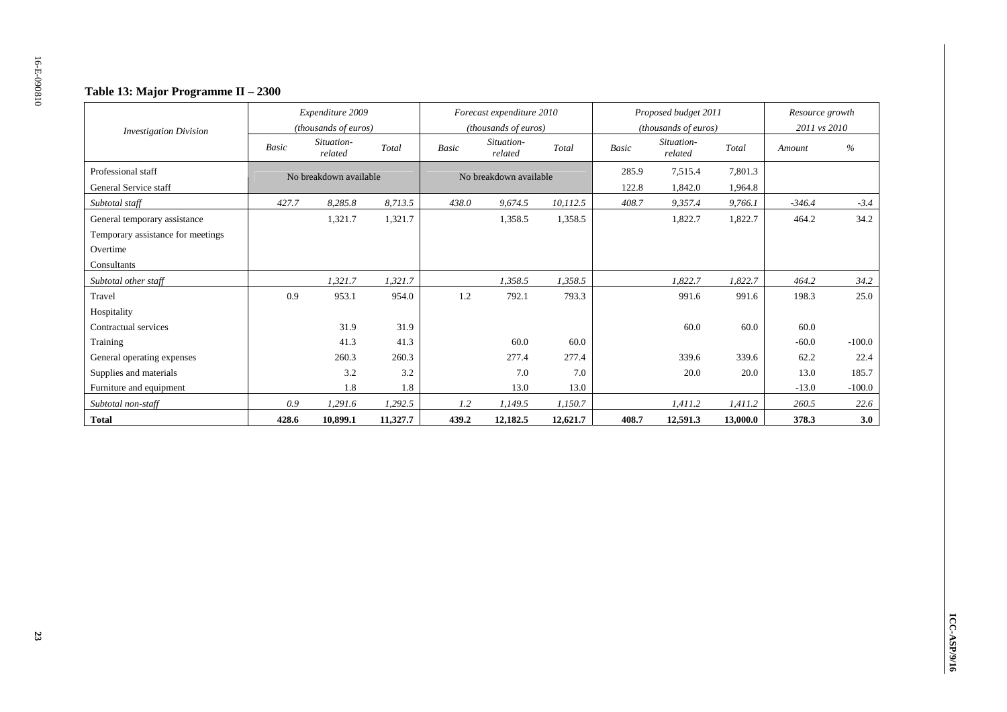### **Table 13: Major Programme II – 2300**

| <b>Investigation Division</b>     |              | Expenditure 2009<br>(thousands of euros) |          |              | Forecast expenditure 2010<br>(thousands of euros) |          |              | Proposed budget 2011<br>(thousands of euros) |          | Resource growth<br>2011 vs 2010 |          |
|-----------------------------------|--------------|------------------------------------------|----------|--------------|---------------------------------------------------|----------|--------------|----------------------------------------------|----------|---------------------------------|----------|
|                                   | <b>Basic</b> | Situation-<br>related                    | Total    | <b>Basic</b> | Situation-<br>related                             | Total    | <b>Basic</b> | Situation-<br>related                        | Total    | Amount                          | $\%$     |
| Professional staff                |              | No breakdown available                   |          |              | No breakdown available                            |          | 285.9        | 7,515.4                                      | 7,801.3  |                                 |          |
| General Service staff             |              |                                          |          |              |                                                   |          | 122.8        | 1,842.0                                      | 1,964.8  |                                 |          |
| Subtotal staff                    | 427.7        | 8,285.8                                  | 8,713.5  | 438.0        | 9,674.5                                           | 10,112.5 | 408.7        | 9,357.4                                      | 9,766.1  | $-346.4$                        | $-3.4$   |
| General temporary assistance      |              | 1,321.7                                  | 1,321.7  |              | 1,358.5                                           | 1,358.5  |              | 1,822.7                                      | 1,822.7  | 464.2                           | 34.2     |
| Temporary assistance for meetings |              |                                          |          |              |                                                   |          |              |                                              |          |                                 |          |
| Overtime                          |              |                                          |          |              |                                                   |          |              |                                              |          |                                 |          |
| Consultants                       |              |                                          |          |              |                                                   |          |              |                                              |          |                                 |          |
| Subtotal other staff              |              | 1,321.7                                  | 1,321.7  |              | 1,358.5                                           | 1,358.5  |              | 1,822.7                                      | 1,822.7  | 464.2                           | 34.2     |
| Travel                            | 0.9          | 953.1                                    | 954.0    | 1.2          | 792.1                                             | 793.3    |              | 991.6                                        | 991.6    | 198.3                           | 25.0     |
| Hospitality                       |              |                                          |          |              |                                                   |          |              |                                              |          |                                 |          |
| Contractual services              |              | 31.9                                     | 31.9     |              |                                                   |          |              | 60.0                                         | 60.0     | 60.0                            |          |
| Training                          |              | 41.3                                     | 41.3     |              | 60.0                                              | 60.0     |              |                                              |          | $-60.0$                         | $-100.0$ |
| General operating expenses        |              | 260.3                                    | 260.3    |              | 277.4                                             | 277.4    |              | 339.6                                        | 339.6    | 62.2                            | 22.4     |
| Supplies and materials            |              | 3.2                                      | 3.2      |              | 7.0                                               | 7.0      |              | 20.0                                         | 20.0     | 13.0                            | 185.7    |
| Furniture and equipment           |              | 1.8                                      | 1.8      |              | 13.0                                              | 13.0     |              |                                              |          | $-13.0$                         | $-100.0$ |
| Subtotal non-staff                | 0.9          | 1,291.6                                  | 1,292.5  | 1.2          | 1,149.5                                           | 1,150.7  |              | 1,411.2                                      | 1,411.2  | 260.5                           | 22.6     |
| <b>Total</b>                      | 428.6        | 10,899.1                                 | 11,327.7 | 439.2        | 12,182.5                                          | 12,621.7 | 408.7        | 12,591.3                                     | 13,000.0 | 378.3                           | 3.0      |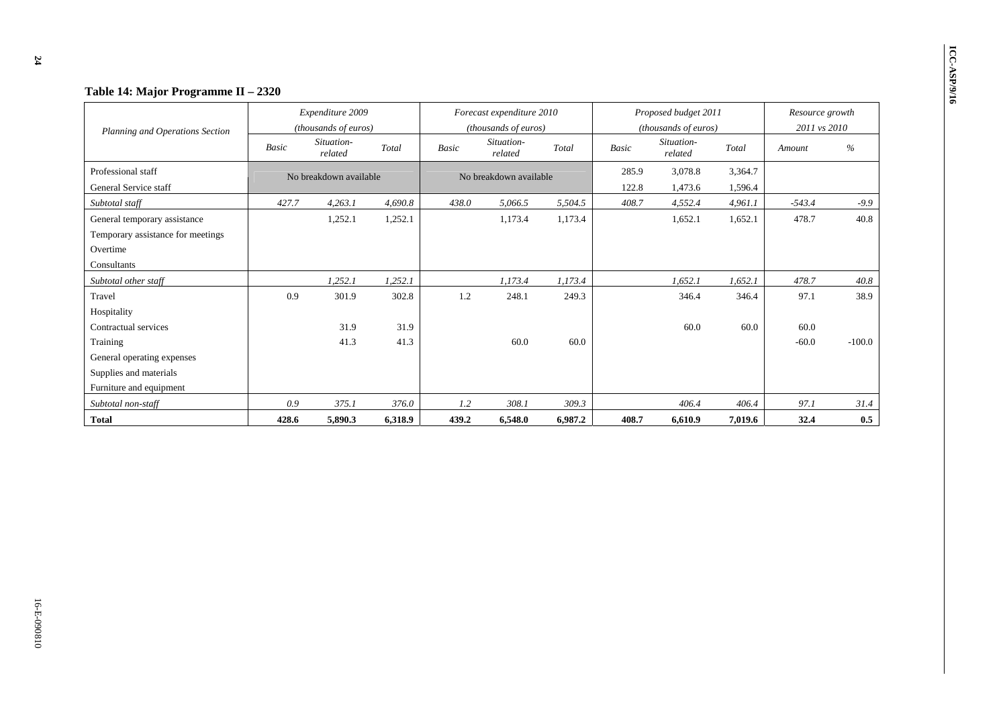| Table 14: Major Programme II - 2320 |       |                                          |         |              |                                                   |         |       |                                              |         |                                 |          |
|-------------------------------------|-------|------------------------------------------|---------|--------------|---------------------------------------------------|---------|-------|----------------------------------------------|---------|---------------------------------|----------|
| Planning and Operations Section     |       | Expenditure 2009<br>(thousands of euros) |         |              | Forecast expenditure 2010<br>(thousands of euros) |         |       | Proposed budget 2011<br>(thousands of euros) |         | Resource growth<br>2011 vs 2010 |          |
|                                     | Basic | Situation-<br>related                    | Total   | <b>Basic</b> | Situation-<br>related                             | Total   | Basic | Situation-<br>related                        | Total   | Amount                          | $\%$     |
| Professional staff                  |       | No breakdown available                   |         |              | No breakdown available                            |         | 285.9 | 3,078.8                                      | 3,364.7 |                                 |          |
| General Service staff               |       |                                          |         |              |                                                   |         | 122.8 | 1,473.6                                      | 1,596.4 |                                 |          |
| Subtotal staff                      | 427.7 | 4.263.1                                  | 4.690.8 | 438.0        | 5,066.5                                           | 5,504.5 | 408.7 | 4,552.4                                      | 4,961.1 | $-543.4$                        | $-9.9$   |
| General temporary assistance        |       | 1,252.1                                  | 1,252.1 |              | 1,173.4                                           | 1,173.4 |       | 1,652.1                                      | 1,652.1 | 478.7                           | 40.8     |
| Temporary assistance for meetings   |       |                                          |         |              |                                                   |         |       |                                              |         |                                 |          |
| Overtime                            |       |                                          |         |              |                                                   |         |       |                                              |         |                                 |          |
| Consultants                         |       |                                          |         |              |                                                   |         |       |                                              |         |                                 |          |
| Subtotal other staff                |       | 1,252.1                                  | 1,252.1 |              | 1,173.4                                           | 1,173.4 |       | 1,652.1                                      | 1,652.1 | 478.7                           | 40.8     |
| Travel                              | 0.9   | 301.9                                    | 302.8   | 1.2          | 248.1                                             | 249.3   |       | 346.4                                        | 346.4   | 97.1                            | 38.9     |
| Hospitality                         |       |                                          |         |              |                                                   |         |       |                                              |         |                                 |          |
| Contractual services                |       | 31.9                                     | 31.9    |              |                                                   |         |       | 60.0                                         | 60.0    | 60.0                            |          |
| Training                            |       | 41.3                                     | 41.3    |              | 60.0                                              | 60.0    |       |                                              |         | $-60.0$                         | $-100.0$ |
| General operating expenses          |       |                                          |         |              |                                                   |         |       |                                              |         |                                 |          |
| Supplies and materials              |       |                                          |         |              |                                                   |         |       |                                              |         |                                 |          |
| Furniture and equipment             |       |                                          |         |              |                                                   |         |       |                                              |         |                                 |          |
| Subtotal non-staff                  | 0.9   | 375.1                                    | 376.0   | 1.2          | 308.1                                             | 309.3   |       | 406.4                                        | 406.4   | 97.1                            | 31.4     |
| <b>Total</b>                        | 428.6 | 5,890.3                                  | 6,318.9 | 439.2        | 6,548.0                                           | 6,987.2 | 408.7 | 6,610.9                                      | 7,019.6 | 32.4                            | 0.5      |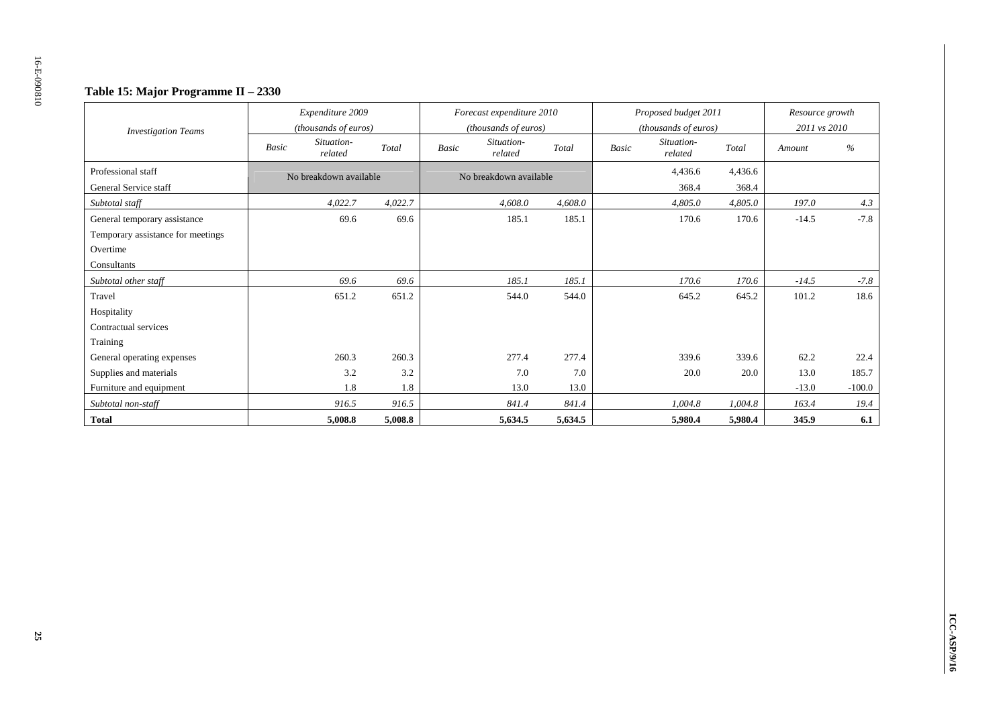### **Table 15: Major Programme II – 2330**

| <b>Investigation Teams</b>        |       | Expenditure 2009<br>(thousands of euros) |         |              | Forecast expenditure 2010<br>(thousands of euros) |         |              | Proposed budget 2011<br>(thousands of euros) |         | Resource growth<br>2011 vs 2010 |          |
|-----------------------------------|-------|------------------------------------------|---------|--------------|---------------------------------------------------|---------|--------------|----------------------------------------------|---------|---------------------------------|----------|
|                                   | Basic | Situation-<br>related                    | Total   | <b>Basic</b> | Situation-<br>related                             | Total   | <b>Basic</b> | Situation-<br>related                        | Total   | Amount                          | $\%$     |
| Professional staff                |       | No breakdown available                   |         |              | No breakdown available                            |         |              | 4,436.6                                      | 4,436.6 |                                 |          |
| General Service staff             |       |                                          |         |              |                                                   |         |              | 368.4                                        | 368.4   |                                 |          |
| Subtotal staff                    |       | 4,022.7                                  | 4,022.7 |              | 4,608.0                                           | 4,608.0 |              | 4,805.0                                      | 4,805.0 | 197.0                           | 4.3      |
| General temporary assistance      |       | 69.6                                     | 69.6    |              | 185.1                                             | 185.1   |              | 170.6                                        | 170.6   | $-14.5$                         | $-7.8$   |
| Temporary assistance for meetings |       |                                          |         |              |                                                   |         |              |                                              |         |                                 |          |
| Overtime                          |       |                                          |         |              |                                                   |         |              |                                              |         |                                 |          |
| Consultants                       |       |                                          |         |              |                                                   |         |              |                                              |         |                                 |          |
| Subtotal other staff              |       | 69.6                                     | 69.6    |              | 185.1                                             | 185.1   |              | 170.6                                        | 170.6   | $-14.5$                         | $-7.8$   |
| Travel                            |       | 651.2                                    | 651.2   |              | 544.0                                             | 544.0   |              | 645.2                                        | 645.2   | 101.2                           | 18.6     |
| Hospitality                       |       |                                          |         |              |                                                   |         |              |                                              |         |                                 |          |
| Contractual services              |       |                                          |         |              |                                                   |         |              |                                              |         |                                 |          |
| Training                          |       |                                          |         |              |                                                   |         |              |                                              |         |                                 |          |
| General operating expenses        |       | 260.3                                    | 260.3   |              | 277.4                                             | 277.4   |              | 339.6                                        | 339.6   | 62.2                            | 22.4     |
| Supplies and materials            |       | 3.2                                      | 3.2     |              | 7.0                                               | 7.0     |              | 20.0                                         | 20.0    | 13.0                            | 185.7    |
| Furniture and equipment           |       | 1.8                                      | 1.8     |              | 13.0                                              | 13.0    |              |                                              |         | $-13.0$                         | $-100.0$ |
| Subtotal non-staff                |       | 916.5                                    | 916.5   |              | 841.4                                             | 841.4   |              | 1,004.8                                      | 1,004.8 | 163.4                           | 19.4     |
| <b>Total</b>                      |       | 5,008.8                                  | 5,008.8 |              | 5,634.5                                           | 5,634.5 |              | 5,980.4                                      | 5,980.4 | 345.9                           | 6.1      |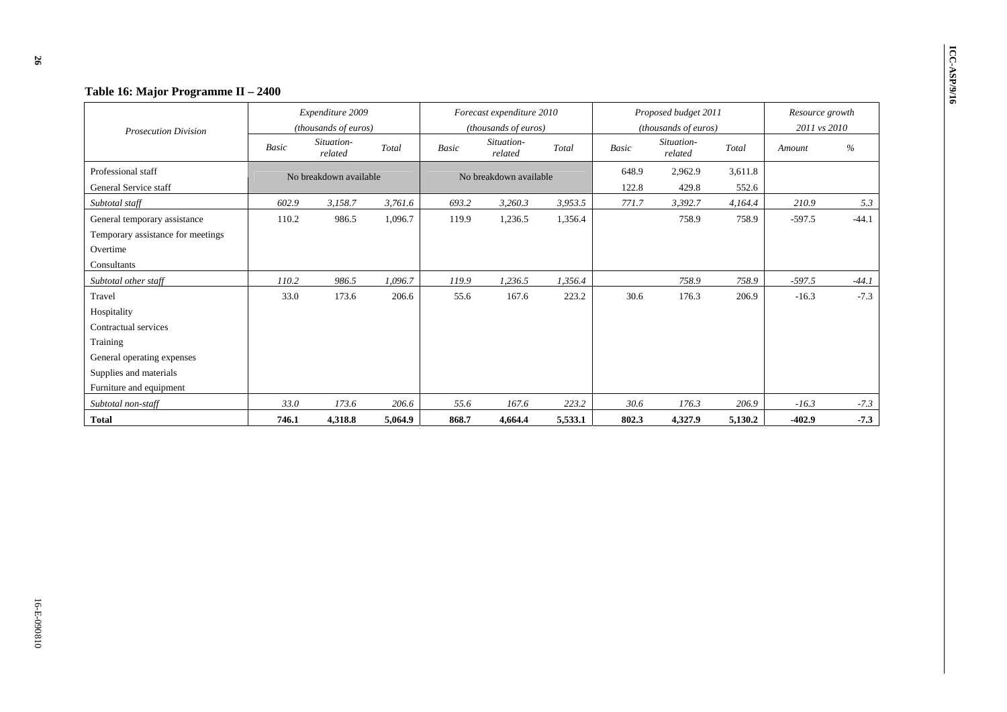| Table 16: Major Programme II - 2400                                                                                                          |       |                                          |         |              |                                                   |         |                |                                              |                  |                                 |         |
|----------------------------------------------------------------------------------------------------------------------------------------------|-------|------------------------------------------|---------|--------------|---------------------------------------------------|---------|----------------|----------------------------------------------|------------------|---------------------------------|---------|
| <b>Prosecution Division</b>                                                                                                                  |       | Expenditure 2009<br>(thousands of euros) |         |              | Forecast expenditure 2010<br>(thousands of euros) |         |                | Proposed budget 2011<br>(thousands of euros) |                  | Resource growth<br>2011 vs 2010 |         |
|                                                                                                                                              | Basic | Situation-<br>related                    | Total   | <b>Basic</b> | Situation-<br>related                             | Total   | <b>Basic</b>   | Situation-<br>related                        | Total            | Amount                          | $\%$    |
| Professional staff<br>General Service staff                                                                                                  |       | No breakdown available                   |         |              | No breakdown available                            |         | 648.9<br>122.8 | 2,962.9<br>429.8                             | 3,611.8<br>552.6 |                                 |         |
| Subtotal staff                                                                                                                               | 602.9 | 3,158.7                                  | 3,761.6 | 693.2        | 3,260.3                                           | 3,953.5 | 771.7          | 3,392.7                                      | 4,164.4          | 210.9                           | 5.3     |
| General temporary assistance<br>Temporary assistance for meetings<br>Overtime<br>Consultants                                                 | 110.2 | 986.5                                    | 1,096.7 | 119.9        | 1,236.5                                           | 1,356.4 |                | 758.9                                        | 758.9            | $-597.5$                        | $-44.1$ |
| Subtotal other staff                                                                                                                         | 110.2 | 986.5                                    | 1.096.7 | 119.9        | 1,236.5                                           | 1,356.4 |                | 758.9                                        | 758.9            | $-597.5$                        | $-44.1$ |
| Travel<br>Hospitality<br>Contractual services<br>Training<br>General operating expenses<br>Supplies and materials<br>Furniture and equipment | 33.0  | 173.6                                    | 206.6   | 55.6         | 167.6                                             | 223.2   | 30.6           | 176.3                                        | 206.9            | $-16.3$                         | $-7.3$  |
| Subtotal non-staff                                                                                                                           | 33.0  | 173.6                                    | 206.6   | 55.6         | 167.6                                             | 223.2   | 30.6           | 176.3                                        | 206.9            | $-16.3$                         | $-7.3$  |
| <b>Total</b>                                                                                                                                 | 746.1 | 4,318.8                                  | 5,064.9 | 868.7        | 4,664.4                                           | 5,533.1 | 802.3          | 4,327.9                                      | 5,130.2          | $-402.9$                        | $-7.3$  |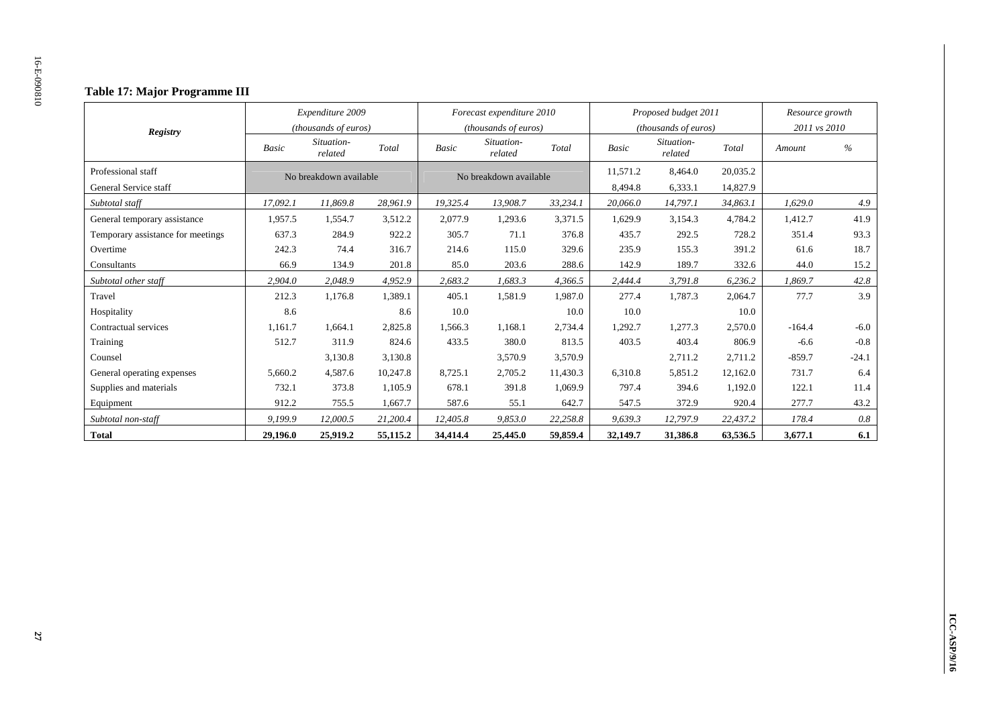### **Table 17: Major Programme III**

|                                   |              | Expenditure 2009       |          |              | Forecast expenditure 2010 |          |              | Proposed budget 2011  |          | Resource growth |         |
|-----------------------------------|--------------|------------------------|----------|--------------|---------------------------|----------|--------------|-----------------------|----------|-----------------|---------|
| <b>Registry</b>                   |              | (thousands of euros)   |          |              | (thousands of euros)      |          |              | (thousands of euros)  |          | 2011 vs 2010    |         |
|                                   | <b>Basic</b> | Situation-<br>related  | Total    | <b>Basic</b> | Situation-<br>related     | Total    | <b>Basic</b> | Situation-<br>related | Total    | Amount          | %       |
| Professional staff                |              | No breakdown available |          |              | No breakdown available    |          | 11,571.2     | 8,464.0               | 20,035.2 |                 |         |
| General Service staff             |              |                        |          |              |                           |          | 8,494.8      | 6,333.1               | 14,827.9 |                 |         |
| Subtotal staff                    | 17,092.1     | 11,869.8               | 28,961.9 | 19,325.4     | 13,908.7                  | 33,234.1 | 20,066.0     | 14,797.1              | 34,863.1 | 1,629.0         | 4.9     |
| General temporary assistance      | 1,957.5      | 1,554.7                | 3,512.2  | 2,077.9      | 1,293.6                   | 3,371.5  | 1,629.9      | 3,154.3               | 4,784.2  | 1,412.7         | 41.9    |
| Temporary assistance for meetings | 637.3        | 284.9                  | 922.2    | 305.7        | 71.1                      | 376.8    | 435.7        | 292.5                 | 728.2    | 351.4           | 93.3    |
| Overtime                          | 242.3        | 74.4                   | 316.7    | 214.6        | 115.0                     | 329.6    | 235.9        | 155.3                 | 391.2    | 61.6            | 18.7    |
| Consultants                       | 66.9         | 134.9                  | 201.8    | 85.0         | 203.6                     | 288.6    | 142.9        | 189.7                 | 332.6    | 44.0            | 15.2    |
| Subtotal other staff              | 2,904.0      | 2,048.9                | 4,952.9  | 2,683.2      | 1,683.3                   | 4,366.5  | 2,444.4      | 3,791.8               | 6,236.2  | 1,869.7         | 42.8    |
| Travel                            | 212.3        | 1,176.8                | 1,389.1  | 405.1        | 1,581.9                   | 1,987.0  | 277.4        | 1,787.3               | 2,064.7  | 77.7            | 3.9     |
| Hospitality                       | 8.6          |                        | 8.6      | 10.0         |                           | 10.0     | 10.0         |                       | 10.0     |                 |         |
| Contractual services              | 1,161.7      | 1,664.1                | 2,825.8  | 1,566.3      | 1,168.1                   | 2,734.4  | 1,292.7      | 1,277.3               | 2,570.0  | $-164.4$        | $-6.0$  |
| Training                          | 512.7        | 311.9                  | 824.6    | 433.5        | 380.0                     | 813.5    | 403.5        | 403.4                 | 806.9    | $-6.6$          | $-0.8$  |
| Counsel                           |              | 3,130.8                | 3,130.8  |              | 3,570.9                   | 3,570.9  |              | 2,711.2               | 2,711.2  | $-859.7$        | $-24.1$ |
| General operating expenses        | 5,660.2      | 4,587.6                | 10,247.8 | 8,725.1      | 2,705.2                   | 11,430.3 | 6,310.8      | 5,851.2               | 12,162.0 | 731.7           | 6.4     |
| Supplies and materials            | 732.1        | 373.8                  | 1,105.9  | 678.1        | 391.8                     | 1.069.9  | 797.4        | 394.6                 | 1,192.0  | 122.1           | 11.4    |
| Equipment                         | 912.2        | 755.5                  | 1,667.7  | 587.6        | 55.1                      | 642.7    | 547.5        | 372.9                 | 920.4    | 277.7           | 43.2    |
| Subtotal non-staff                | 9,199.9      | 12,000.5               | 21,200.4 | 12,405.8     | 9,853.0                   | 22,258.8 | 9,639.3      | 12,797.9              | 22,437.2 | 178.4           | 0.8     |
| <b>Total</b>                      | 29,196.0     | 25,919.2               | 55,115.2 | 34,414.4     | 25,445.0                  | 59,859.4 | 32,149.7     | 31,386.8              | 63,536.5 | 3,677.1         | 6.1     |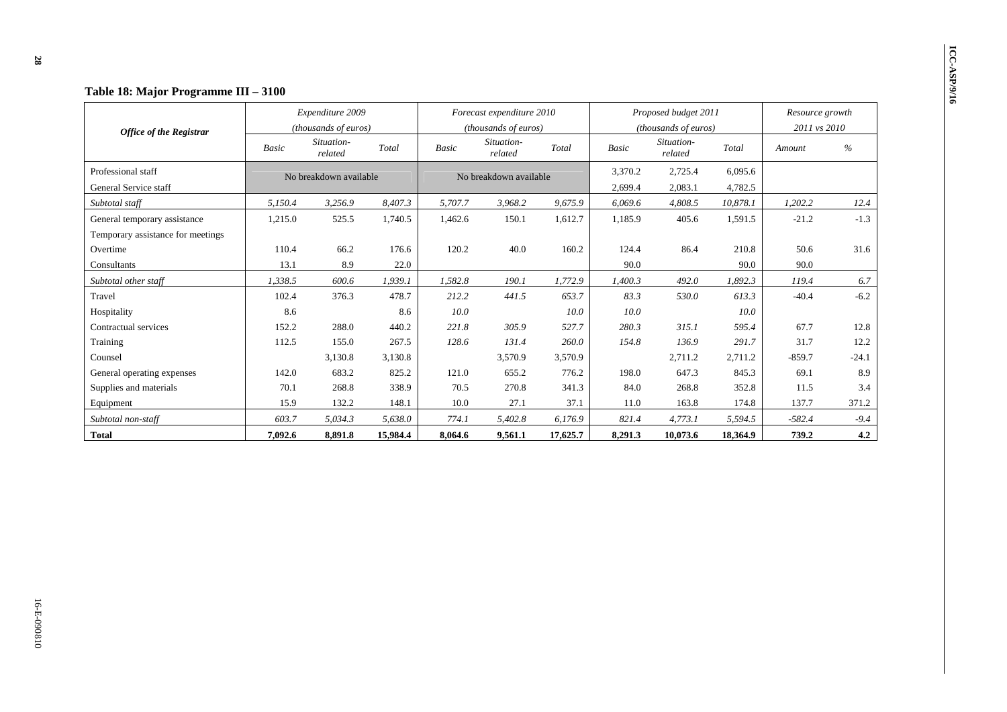|                                             |         | Expenditure 2009       |          |              | Forecast expenditure 2010 |          |                    | Proposed budget 2011  |                    | Resource growth |         |
|---------------------------------------------|---------|------------------------|----------|--------------|---------------------------|----------|--------------------|-----------------------|--------------------|-----------------|---------|
| <b>Office of the Registrar</b>              |         | (thousands of euros)   |          |              | (thousands of euros)      |          |                    | (thousands of euros)  |                    | 2011 vs 2010    |         |
|                                             | Basic   | Situation-<br>related  | Total    | <b>Basic</b> | Situation-<br>related     | Total    | Basic              | Situation-<br>related | Total              | Amount          | $\%$    |
| Professional staff<br>General Service staff |         | No breakdown available |          |              | No breakdown available    |          | 3,370.2<br>2,699.4 | 2,725.4<br>2,083.1    | 6,095.6<br>4,782.5 |                 |         |
| Subtotal staff                              | 5,150.4 | 3,256.9                | 8,407.3  | 5,707.7      | 3,968.2                   | 9,675.9  | 6,069.6            | 4,808.5               | 10,878.1           | 1,202.2         | 12.4    |
| General temporary assistance                | 1,215.0 | 525.5                  | 1,740.5  | 1,462.6      | 150.1                     | 1,612.7  | 1,185.9            | 405.6                 | 1,591.5            | $-21.2$         | $-1.3$  |
| Temporary assistance for meetings           |         |                        |          |              |                           |          |                    |                       |                    |                 |         |
| Overtime                                    | 110.4   | 66.2                   | 176.6    | 120.2        | 40.0                      | 160.2    | 124.4              | 86.4                  | 210.8              | 50.6            | 31.6    |
| Consultants                                 | 13.1    | 8.9                    | 22.0     |              |                           |          | 90.0               |                       | 90.0               | 90.0            |         |
| Subtotal other staff                        | 1,338.5 | 600.6                  | 1,939.1  | 1,582.8      | 190.1                     | 1,772.9  | 1,400.3            | 492.0                 | 1,892.3            | 119.4           | 6.7     |
| Travel                                      | 102.4   | 376.3                  | 478.7    | 212.2        | 441.5                     | 653.7    | 83.3               | 530.0                 | 613.3              | $-40.4$         | $-6.2$  |
| Hospitality                                 | 8.6     |                        | 8.6      | 10.0         |                           | 10.0     | 10.0               |                       | 10.0               |                 |         |
| Contractual services                        | 152.2   | 288.0                  | 440.2    | 221.8        | 305.9                     | 527.7    | 280.3              | 315.1                 | 595.4              | 67.7            | 12.8    |
| Training                                    | 112.5   | 155.0                  | 267.5    | 128.6        | 131.4                     | 260.0    | 154.8              | 136.9                 | 291.7              | 31.7            | 12.2    |
| Counsel                                     |         | 3,130.8                | 3,130.8  |              | 3,570.9                   | 3,570.9  |                    | 2,711.2               | 2,711.2            | $-859.7$        | $-24.1$ |
| General operating expenses                  | 142.0   | 683.2                  | 825.2    | 121.0        | 655.2                     | 776.2    | 198.0              | 647.3                 | 845.3              | 69.1            | 8.9     |
| Supplies and materials                      | 70.1    | 268.8                  | 338.9    | 70.5         | 270.8                     | 341.3    | 84.0               | 268.8                 | 352.8              | 11.5            | 3.4     |
| Equipment                                   | 15.9    | 132.2                  | 148.1    | 10.0         | 27.1                      | 37.1     | 11.0               | 163.8                 | 174.8              | 137.7           | 371.2   |
| Subtotal non-staff                          | 603.7   | 5,034.3                | 5,638.0  | 774.1        | 5,402.8                   | 6,176.9  | 821.4              | 4,773.1               | 5,594.5            | $-582.4$        | $-9.4$  |
| <b>Total</b>                                | 7,092.6 | 8,891.8                | 15,984.4 | 8,064.6      | 9,561.1                   | 17,625.7 | 8,291.3            | 10,073.6              | 18,364.9           | 739.2           | 4.2     |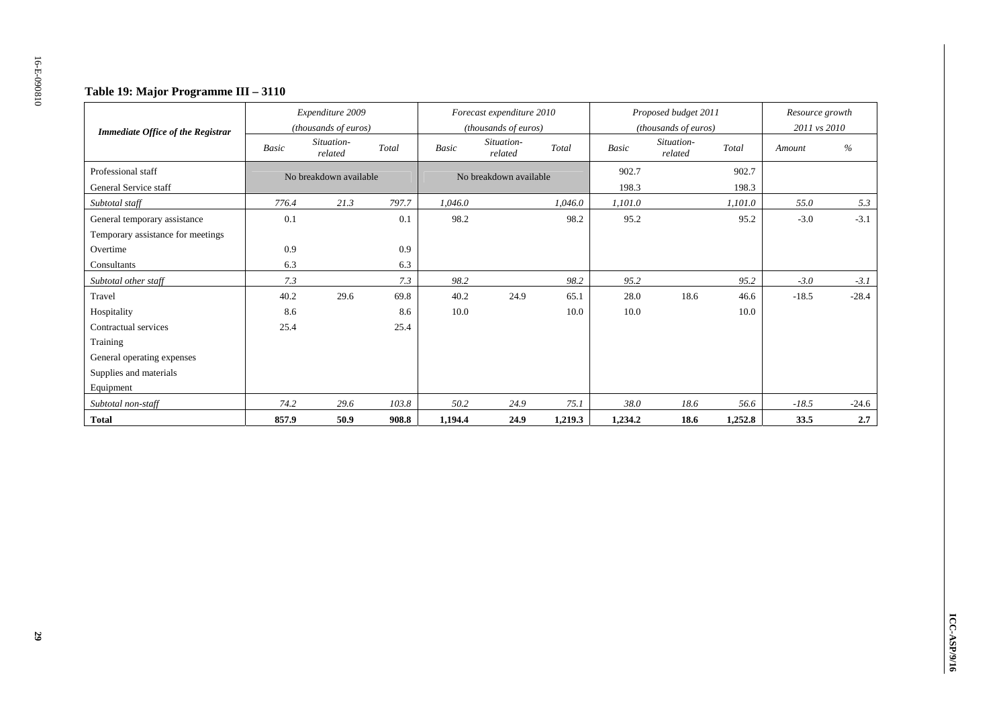### **Table 19: Major Programme III – 3110**

| <b>Immediate Office of the Registrar</b> |       | Expenditure 2009<br>(thousands of euros) |       |              | Forecast expenditure 2010<br>(thousands of euros) |         |         | Proposed budget 2011<br>(thousands of euros) |         | Resource growth<br>2011 vs 2010 |         |
|------------------------------------------|-------|------------------------------------------|-------|--------------|---------------------------------------------------|---------|---------|----------------------------------------------|---------|---------------------------------|---------|
|                                          | Basic | Situation-<br>related                    | Total | <b>Basic</b> | Situation-<br>related                             | Total   | Basic   | Situation-<br>related                        | Total   | Amount                          | %       |
| Professional staff                       |       | No breakdown available                   |       |              | No breakdown available                            |         | 902.7   |                                              | 902.7   |                                 |         |
| General Service staff                    |       |                                          |       |              |                                                   |         | 198.3   |                                              | 198.3   |                                 |         |
| Subtotal staff                           | 776.4 | 21.3                                     | 797.7 | 1,046.0      |                                                   | 1,046.0 | 1,101.0 |                                              | 1,101.0 | 55.0                            | 5.3     |
| General temporary assistance             | 0.1   |                                          | 0.1   | 98.2         |                                                   | 98.2    | 95.2    |                                              | 95.2    | $-3.0$                          | $-3.1$  |
| Temporary assistance for meetings        |       |                                          |       |              |                                                   |         |         |                                              |         |                                 |         |
| Overtime                                 | 0.9   |                                          | 0.9   |              |                                                   |         |         |                                              |         |                                 |         |
| Consultants                              | 6.3   |                                          | 6.3   |              |                                                   |         |         |                                              |         |                                 |         |
| Subtotal other staff                     | 7.3   |                                          | 7.3   | 98.2         |                                                   | 98.2    | 95.2    |                                              | 95.2    | $-3.0$                          | $-3.1$  |
| Travel                                   | 40.2  | 29.6                                     | 69.8  | 40.2         | 24.9                                              | 65.1    | 28.0    | 18.6                                         | 46.6    | $-18.5$                         | $-28.4$ |
| Hospitality                              | 8.6   |                                          | 8.6   | 10.0         |                                                   | 10.0    | 10.0    |                                              | 10.0    |                                 |         |
| Contractual services                     | 25.4  |                                          | 25.4  |              |                                                   |         |         |                                              |         |                                 |         |
| Training                                 |       |                                          |       |              |                                                   |         |         |                                              |         |                                 |         |
| General operating expenses               |       |                                          |       |              |                                                   |         |         |                                              |         |                                 |         |
| Supplies and materials                   |       |                                          |       |              |                                                   |         |         |                                              |         |                                 |         |
| Equipment                                |       |                                          |       |              |                                                   |         |         |                                              |         |                                 |         |
| Subtotal non-staff                       | 74.2  | 29.6                                     | 103.8 | 50.2         | 24.9                                              | 75.1    | 38.0    | 18.6                                         | 56.6    | $-18.5$                         | $-24.6$ |
| <b>Total</b>                             | 857.9 | 50.9                                     | 908.8 | 1,194.4      | 24.9                                              | 1,219.3 | 1,234.2 | 18.6                                         | 1,252.8 | 33.5                            | 2.7     |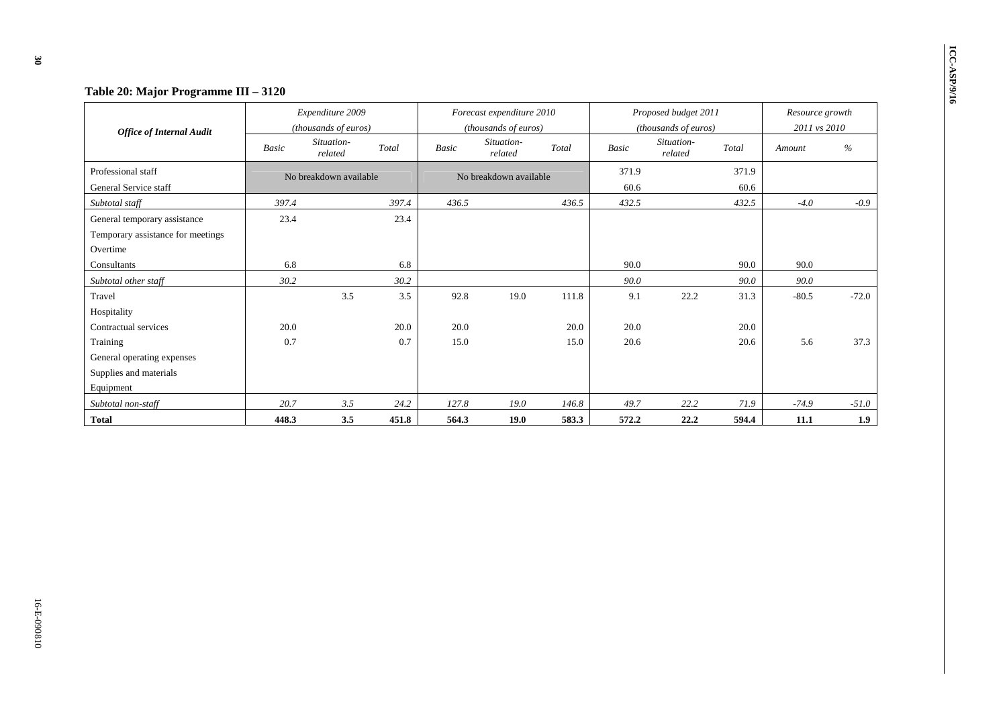| Table 20: Major Programme III - 3120                                          |              |                                          |       |       |                                                   |       |               |                                              |               |                                 |         |
|-------------------------------------------------------------------------------|--------------|------------------------------------------|-------|-------|---------------------------------------------------|-------|---------------|----------------------------------------------|---------------|---------------------------------|---------|
| <b>Office of Internal Audit</b>                                               |              | Expenditure 2009<br>(thousands of euros) |       |       | Forecast expenditure 2010<br>(thousands of euros) |       |               | Proposed budget 2011<br>(thousands of euros) |               | Resource growth<br>2011 vs 2010 |         |
|                                                                               | <b>Basic</b> | Situation-<br>related                    | Total | Basic | Situation-<br>related                             | Total | <b>Basic</b>  | Situation-<br>related                        | Total         | Amount                          | $\%$    |
| Professional staff<br>General Service staff                                   |              | No breakdown available                   |       |       | No breakdown available                            |       | 371.9<br>60.6 |                                              | 371.9<br>60.6 |                                 |         |
| Subtotal staff                                                                | 397.4        |                                          | 397.4 | 436.5 |                                                   | 436.5 | 432.5         |                                              | 432.5         | $-4.0$                          | $-0.9$  |
| General temporary assistance<br>Temporary assistance for meetings<br>Overtime | 23.4         |                                          | 23.4  |       |                                                   |       |               |                                              |               |                                 |         |
| Consultants                                                                   | 6.8          |                                          | 6.8   |       |                                                   |       | 90.0          |                                              | 90.0          | 90.0                            |         |
| Subtotal other staff                                                          | 30.2         |                                          | 30.2  |       |                                                   |       | 90.0          |                                              | 90.0          | 90.0                            |         |
| Travel<br>Hospitality                                                         |              | 3.5                                      | 3.5   | 92.8  | 19.0                                              | 111.8 | 9.1           | 22.2                                         | 31.3          | $-80.5$                         | $-72.0$ |
| Contractual services                                                          | 20.0         |                                          | 20.0  | 20.0  |                                                   | 20.0  | 20.0          |                                              | 20.0          |                                 |         |
| Training                                                                      | 0.7          |                                          | 0.7   | 15.0  |                                                   | 15.0  | 20.6          |                                              | 20.6          | 5.6                             | 37.3    |
| General operating expenses<br>Supplies and materials<br>Equipment             |              |                                          |       |       |                                                   |       |               |                                              |               |                                 |         |
| Subtotal non-staff                                                            | 20.7         | 3.5                                      | 24.2  | 127.8 | 19.0                                              | 146.8 | 49.7          | 22.2                                         | 71.9          | $-74.9$                         | $-51.0$ |
| <b>Total</b>                                                                  | 448.3        | 3.5                                      | 451.8 | 564.3 | 19.0                                              | 583.3 | 572.2         | 22.2                                         | 594.4         | 11.1                            | 1.9     |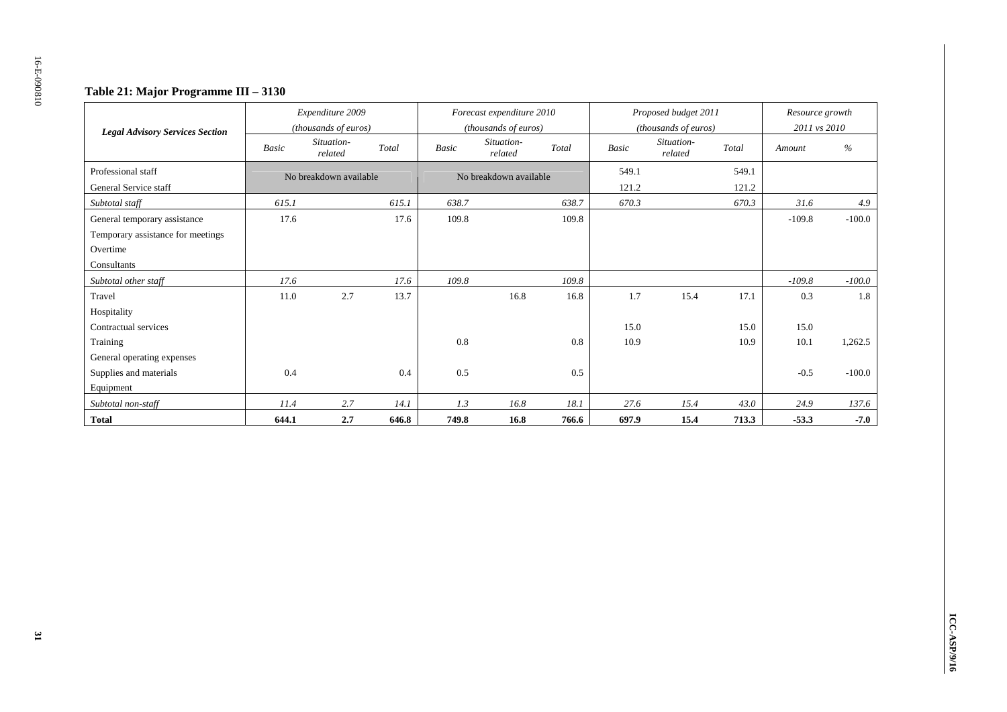### **Table 21: Major Programme III – 3130**

| <b>Legal Advisory Services Section</b> |       | Expenditure 2009<br>(thousands of euros) |       |              | Forecast expenditure 2010<br>(thousands of euros) |       |              | Proposed budget 2011<br>(thousands of euros) |       | Resource growth<br>2011 vs 2010 |          |
|----------------------------------------|-------|------------------------------------------|-------|--------------|---------------------------------------------------|-------|--------------|----------------------------------------------|-------|---------------------------------|----------|
|                                        | Basic | Situation-<br>related                    | Total | <b>Basic</b> | Situation-<br>related                             | Total | <b>Basic</b> | Situation-<br>related                        | Total | Amount                          | $\%$     |
| Professional staff                     |       | No breakdown available                   |       |              | No breakdown available                            |       | 549.1        |                                              | 549.1 |                                 |          |
| General Service staff                  |       |                                          |       |              |                                                   |       | 121.2        |                                              | 121.2 |                                 |          |
| Subtotal staff                         | 615.1 |                                          | 615.1 | 638.7        |                                                   | 638.7 | 670.3        |                                              | 670.3 | 31.6                            | 4.9      |
| General temporary assistance           | 17.6  |                                          | 17.6  | 109.8        |                                                   | 109.8 |              |                                              |       | $-109.8$                        | $-100.0$ |
| Temporary assistance for meetings      |       |                                          |       |              |                                                   |       |              |                                              |       |                                 |          |
| Overtime                               |       |                                          |       |              |                                                   |       |              |                                              |       |                                 |          |
| Consultants                            |       |                                          |       |              |                                                   |       |              |                                              |       |                                 |          |
| Subtotal other staff                   | 17.6  |                                          | 17.6  | 109.8        |                                                   | 109.8 |              |                                              |       | $-109.8$                        | $-100.0$ |
| Travel                                 | 11.0  | 2.7                                      | 13.7  |              | 16.8                                              | 16.8  | 1.7          | 15.4                                         | 17.1  | 0.3                             | 1.8      |
| Hospitality                            |       |                                          |       |              |                                                   |       |              |                                              |       |                                 |          |
| Contractual services                   |       |                                          |       |              |                                                   |       | 15.0         |                                              | 15.0  | 15.0                            |          |
| Training                               |       |                                          |       | 0.8          |                                                   | 0.8   | 10.9         |                                              | 10.9  | 10.1                            | 1,262.5  |
| General operating expenses             |       |                                          |       |              |                                                   |       |              |                                              |       |                                 |          |
| Supplies and materials                 | 0.4   |                                          | 0.4   | 0.5          |                                                   | 0.5   |              |                                              |       | $-0.5$                          | $-100.0$ |
| Equipment                              |       |                                          |       |              |                                                   |       |              |                                              |       |                                 |          |
| Subtotal non-staff                     | 11.4  | 2.7                                      | 14.1  | 1.3          | 16.8                                              | 18.1  | 27.6         | 15.4                                         | 43.0  | 24.9                            | 137.6    |
| <b>Total</b>                           | 644.1 | 2.7                                      | 646.8 | 749.8        | 16.8                                              | 766.6 | 697.9        | 15.4                                         | 713.3 | $-53.3$                         | $-7.0$   |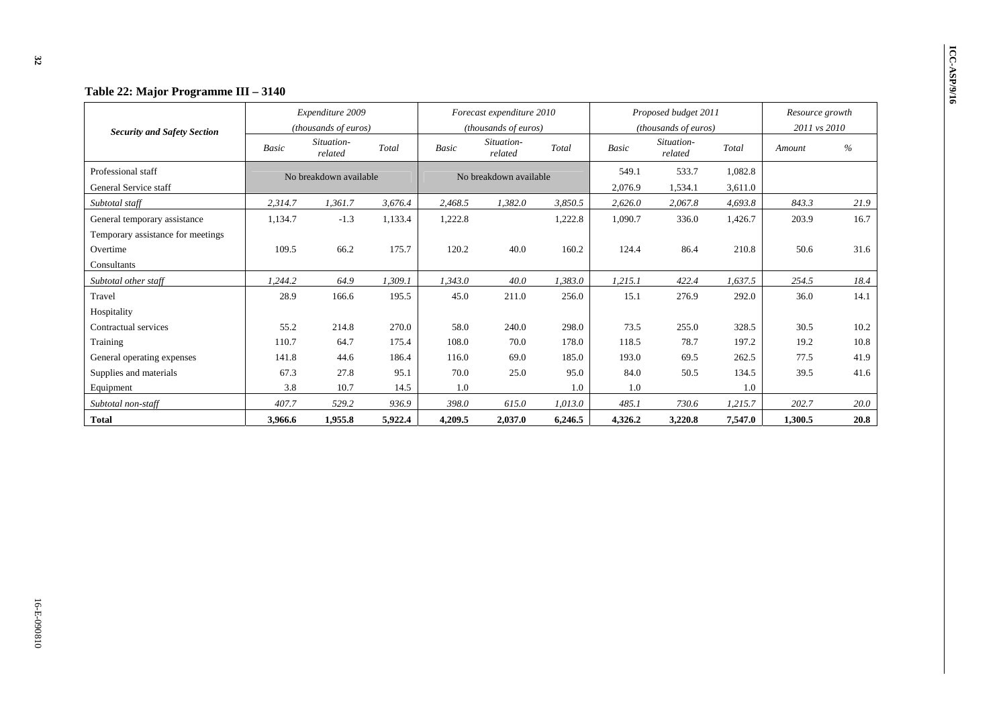| Table 22: Major Programme III - 3140 |              |                                          |         |                                                   |                        |         |              |                                              |         |                                 |      |  |
|--------------------------------------|--------------|------------------------------------------|---------|---------------------------------------------------|------------------------|---------|--------------|----------------------------------------------|---------|---------------------------------|------|--|
| <b>Security and Safety Section</b>   |              | Expenditure 2009<br>(thousands of euros) |         | Forecast expenditure 2010<br>(thousands of euros) |                        |         |              | Proposed budget 2011<br>(thousands of euros) |         | Resource growth<br>2011 vs 2010 |      |  |
|                                      | <b>Basic</b> | Situation-<br>related                    | Total   | <b>Basic</b>                                      | Situation-<br>related  | Total   | <b>Basic</b> | Situation-<br>related                        | Total   | Amount                          | $\%$ |  |
| Professional staff                   |              | No breakdown available                   |         |                                                   | No breakdown available |         | 549.1        | 533.7                                        | 1,082.8 |                                 |      |  |
| General Service staff                |              |                                          |         |                                                   |                        |         | 2,076.9      | 1,534.1                                      | 3,611.0 |                                 |      |  |
| Subtotal staff                       | 2,314.7      | 1,361.7                                  | 3,676.4 | 2,468.5                                           | 1.382.0                | 3,850.5 | 2,626.0      | 2,067.8                                      | 4.693.8 | 843.3                           | 21.9 |  |
| General temporary assistance         | 1,134.7      | $-1.3$                                   | 1,133.4 | 1,222.8                                           |                        | 1,222.8 | 1,090.7      | 336.0                                        | 1,426.7 | 203.9                           | 16.7 |  |
| Temporary assistance for meetings    |              |                                          |         |                                                   |                        |         |              |                                              |         |                                 |      |  |
| Overtime                             | 109.5        | 66.2                                     | 175.7   | 120.2                                             | 40.0                   | 160.2   | 124.4        | 86.4                                         | 210.8   | 50.6                            | 31.6 |  |
| Consultants                          |              |                                          |         |                                                   |                        |         |              |                                              |         |                                 |      |  |
| Subtotal other staff                 | 1,244.2      | 64.9                                     | 1,309.1 | 1,343.0                                           | 40.0                   | 1,383.0 | 1,215.1      | 422.4                                        | 1,637.5 | 254.5                           | 18.4 |  |
| Travel                               | 28.9         | 166.6                                    | 195.5   | 45.0                                              | 211.0                  | 256.0   | 15.1         | 276.9                                        | 292.0   | 36.0                            | 14.1 |  |
| Hospitality                          |              |                                          |         |                                                   |                        |         |              |                                              |         |                                 |      |  |
| Contractual services                 | 55.2         | 214.8                                    | 270.0   | 58.0                                              | 240.0                  | 298.0   | 73.5         | 255.0                                        | 328.5   | 30.5                            | 10.2 |  |
| Training                             | 110.7        | 64.7                                     | 175.4   | 108.0                                             | 70.0                   | 178.0   | 118.5        | 78.7                                         | 197.2   | 19.2                            | 10.8 |  |
| General operating expenses           | 141.8        | 44.6                                     | 186.4   | 116.0                                             | 69.0                   | 185.0   | 193.0        | 69.5                                         | 262.5   | 77.5                            | 41.9 |  |
| Supplies and materials               | 67.3         | 27.8                                     | 95.1    | 70.0                                              | 25.0                   | 95.0    | 84.0         | 50.5                                         | 134.5   | 39.5                            | 41.6 |  |
| Equipment                            | 3.8          | 10.7                                     | 14.5    | 1.0                                               |                        | 1.0     | 1.0          |                                              | 1.0     |                                 |      |  |
| Subtotal non-staff                   | 407.7        | 529.2                                    | 936.9   | 398.0                                             | 615.0                  | 1,013.0 | 485.1        | 730.6                                        | 1,215.7 | 202.7                           | 20.0 |  |
| <b>Total</b>                         | 3,966.6      | 1,955.8                                  | 5,922.4 | 4,209.5                                           | 2,037.0                | 6,246.5 | 4,326.2      | 3,220.8                                      | 7,547.0 | 1,300.5                         | 20.8 |  |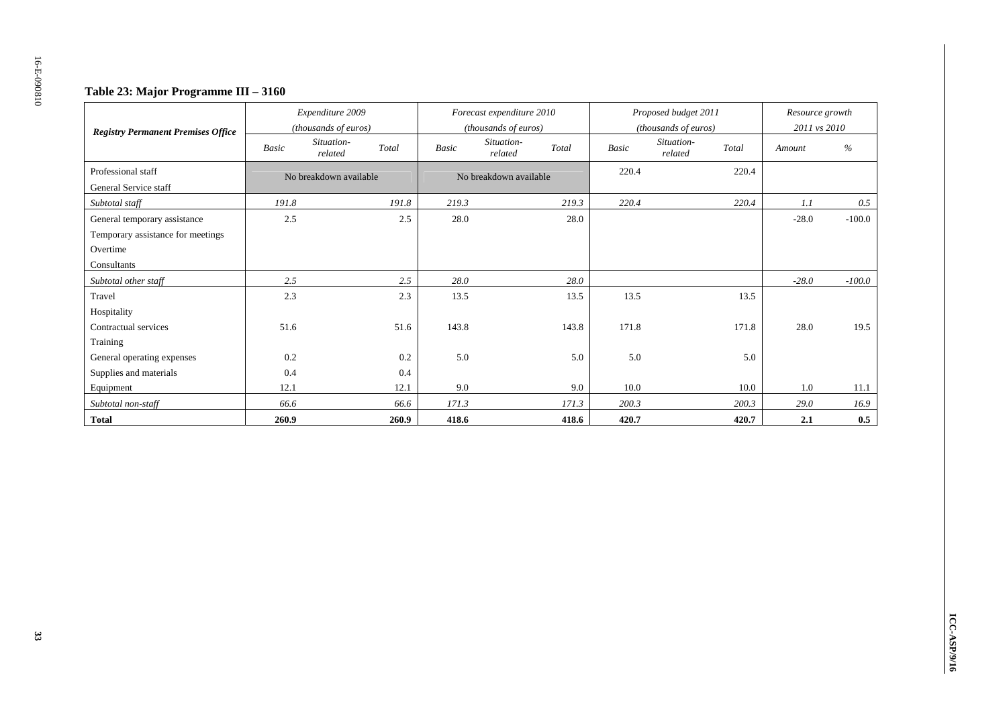### **Table 23: Major Programme III – 3160**

| <b>Registry Permanent Premises Office</b> |              | Expenditure 2009<br>(thousands of euros) |       | Forecast expenditure 2010<br>(thousands of euros) |       | Proposed budget 2011<br>(thousands of euros) | Resource growth<br>2011 vs 2010 |          |
|-------------------------------------------|--------------|------------------------------------------|-------|---------------------------------------------------|-------|----------------------------------------------|---------------------------------|----------|
|                                           | <b>Basic</b> | Situation-<br>Total<br>related           | Basic | Situation-<br>Total<br>related                    | Basic | Situation-<br>Total<br>related               | Amount                          | $\%$     |
| Professional staff                        |              | No breakdown available                   |       | No breakdown available                            | 220.4 | 220.4                                        |                                 |          |
| General Service staff                     |              |                                          |       |                                                   |       |                                              |                                 |          |
| Subtotal staff                            | 191.8        | 191.8                                    | 219.3 | 219.3                                             | 220.4 | 220.4                                        | 1.1                             | 0.5      |
| General temporary assistance              | 2.5          | 2.5                                      | 28.0  | 28.0                                              |       |                                              | $-28.0$                         | $-100.0$ |
| Temporary assistance for meetings         |              |                                          |       |                                                   |       |                                              |                                 |          |
| Overtime                                  |              |                                          |       |                                                   |       |                                              |                                 |          |
| Consultants                               |              |                                          |       |                                                   |       |                                              |                                 |          |
| Subtotal other staff                      | 2.5          | 2.5                                      | 28.0  | 28.0                                              |       |                                              | $-28.0$                         | $-100.0$ |
| Travel                                    | 2.3          | 2.3                                      | 13.5  | 13.5                                              | 13.5  | 13.5                                         |                                 |          |
| Hospitality                               |              |                                          |       |                                                   |       |                                              |                                 |          |
| Contractual services                      | 51.6         | 51.6                                     | 143.8 | 143.8                                             | 171.8 | 171.8                                        | 28.0                            | 19.5     |
| Training                                  |              |                                          |       |                                                   |       |                                              |                                 |          |
| General operating expenses                | 0.2          | 0.2                                      | 5.0   | 5.0                                               | 5.0   | 5.0                                          |                                 |          |
| Supplies and materials                    | 0.4          | 0.4                                      |       |                                                   |       |                                              |                                 |          |
| Equipment                                 | 12.1         | 12.1                                     | 9.0   | 9.0                                               | 10.0  | 10.0                                         | 1.0                             | 11.1     |
| Subtotal non-staff                        | 66.6         | 66.6                                     | 171.3 | 171.3                                             | 200.3 | 200.3                                        | 29.0                            | 16.9     |
| <b>Total</b>                              | 260.9        | 260.9                                    | 418.6 | 418.6                                             | 420.7 | 420.7                                        | 2.1                             | 0.5      |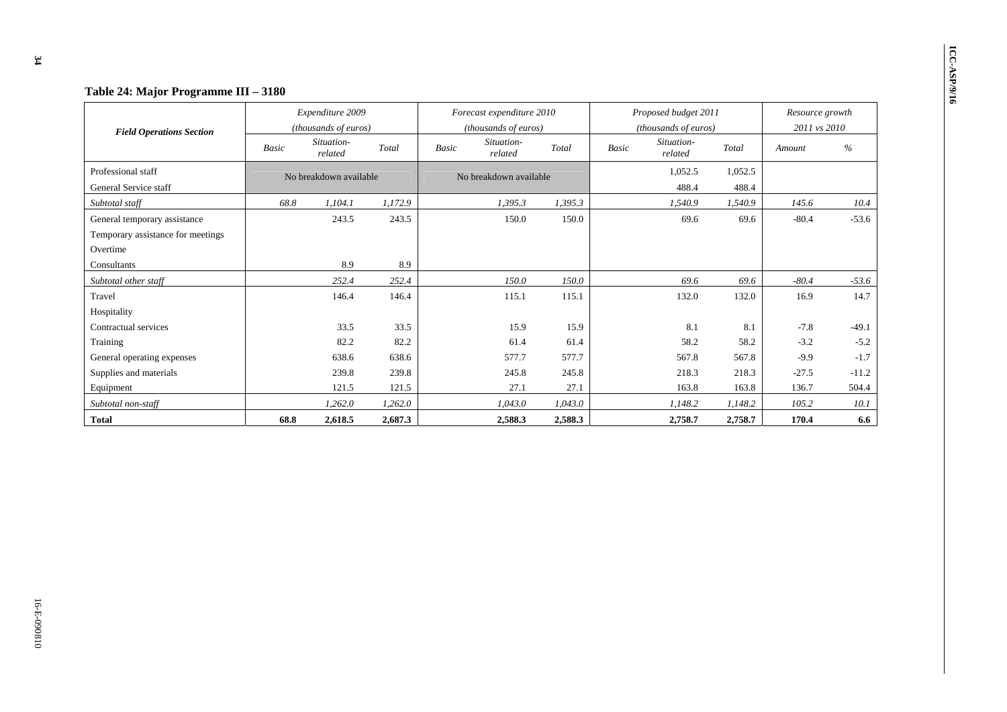|                                   |              | Expenditure 2009<br>(thousands of euros) |         |              | Forecast expenditure 2010<br>(thousands of euros) |         |       | Proposed budget 2011<br>(thousands of euros) |         | Resource growth<br>2011 vs 2010 |         |
|-----------------------------------|--------------|------------------------------------------|---------|--------------|---------------------------------------------------|---------|-------|----------------------------------------------|---------|---------------------------------|---------|
| <b>Field Operations Section</b>   | <b>Basic</b> | Situation-<br>related                    | Total   | <b>Basic</b> | Situation-<br>related                             | Total   | Basic | Situation-<br>related                        | Total   | Amount                          | $\%$    |
| Professional staff                |              | No breakdown available                   |         |              | No breakdown available                            |         |       | 1,052.5                                      | 1,052.5 |                                 |         |
| General Service staff             |              |                                          |         |              |                                                   |         |       | 488.4                                        | 488.4   |                                 |         |
| Subtotal staff                    | 68.8         | 1,104.1                                  | 1,172.9 |              | 1,395.3                                           | 1,395.3 |       | 1,540.9                                      | 1,540.9 | 145.6                           | 10.4    |
| General temporary assistance      |              | 243.5                                    | 243.5   |              | 150.0                                             | 150.0   |       | 69.6                                         | 69.6    | $-80.4$                         | $-53.6$ |
| Temporary assistance for meetings |              |                                          |         |              |                                                   |         |       |                                              |         |                                 |         |
| Overtime                          |              |                                          |         |              |                                                   |         |       |                                              |         |                                 |         |
| Consultants                       |              | 8.9                                      | 8.9     |              |                                                   |         |       |                                              |         |                                 |         |
| Subtotal other staff              |              | 252.4                                    | 252.4   |              | 150.0                                             | 150.0   |       | 69.6                                         | 69.6    | $-80.4$                         | $-53.6$ |
| Travel                            |              | 146.4                                    | 146.4   |              | 115.1                                             | 115.1   |       | 132.0                                        | 132.0   | 16.9                            | 14.7    |
| Hospitality                       |              |                                          |         |              |                                                   |         |       |                                              |         |                                 |         |
| Contractual services              |              | 33.5                                     | 33.5    |              | 15.9                                              | 15.9    |       | 8.1                                          | 8.1     | $-7.8$                          | $-49.1$ |
| Training                          |              | 82.2                                     | 82.2    |              | 61.4                                              | 61.4    |       | 58.2                                         | 58.2    | $-3.2$                          | $-5.2$  |
| General operating expenses        |              | 638.6                                    | 638.6   |              | 577.7                                             | 577.7   |       | 567.8                                        | 567.8   | $-9.9$                          | $-1.7$  |
| Supplies and materials            |              | 239.8                                    | 239.8   |              | 245.8                                             | 245.8   |       | 218.3                                        | 218.3   | $-27.5$                         | $-11.2$ |
| Equipment                         |              | 121.5                                    | 121.5   |              | 27.1                                              | 27.1    |       | 163.8                                        | 163.8   | 136.7                           | 504.4   |
| Subtotal non-staff                |              | 1,262.0                                  | 1,262.0 |              | 1,043.0                                           | 1,043.0 |       | 1,148.2                                      | 1,148.2 | 105.2                           | 10.1    |
| Total                             | 68.8         | 2,618.5                                  | 2,687.3 |              | 2,588.3                                           | 2,588.3 |       | 2,758.7                                      | 2,758.7 | 170.4                           | 6.6     |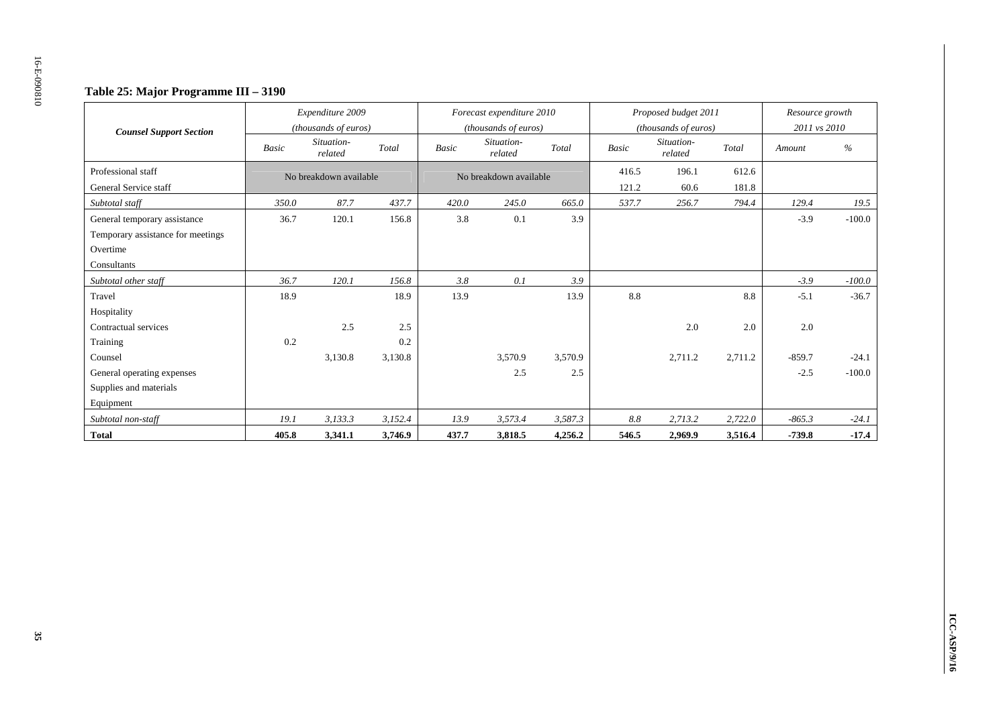### **Table 25: Major Programme III – 3190**

|                                   | Expenditure 2009<br>(thousands of euros) |                        |         |              | Forecast expenditure 2010 |         |              | Proposed budget 2011  |         | Resource growth |          |
|-----------------------------------|------------------------------------------|------------------------|---------|--------------|---------------------------|---------|--------------|-----------------------|---------|-----------------|----------|
| <b>Counsel Support Section</b>    |                                          |                        |         |              | (thousands of euros)      |         |              | (thousands of euros)  |         | 2011 vs 2010    |          |
|                                   | <b>Basic</b>                             | Situation-<br>related  | Total   | <b>Basic</b> | Situation-<br>related     | Total   | <b>Basic</b> | Situation-<br>related | Total   | Amount          | %        |
| Professional staff                |                                          | No breakdown available |         |              | No breakdown available    |         | 416.5        | 196.1                 | 612.6   |                 |          |
| General Service staff             |                                          |                        |         |              |                           |         | 121.2        | 60.6                  | 181.8   |                 |          |
| Subtotal staff                    | 350.0                                    | 87.7                   | 437.7   | 420.0        | 245.0                     | 665.0   | 537.7        | 256.7                 | 794.4   | 129.4           | 19.5     |
| General temporary assistance      | 36.7                                     | 120.1                  | 156.8   | 3.8          | 0.1                       | 3.9     |              |                       |         | $-3.9$          | $-100.0$ |
| Temporary assistance for meetings |                                          |                        |         |              |                           |         |              |                       |         |                 |          |
| Overtime                          |                                          |                        |         |              |                           |         |              |                       |         |                 |          |
| Consultants                       |                                          |                        |         |              |                           |         |              |                       |         |                 |          |
| Subtotal other staff              | 36.7                                     | 120.1                  | 156.8   | 3.8          | 0.1                       | 3.9     |              |                       |         | $-3.9$          | $-100.0$ |
| Travel                            | 18.9                                     |                        | 18.9    | 13.9         |                           | 13.9    | 8.8          |                       | 8.8     | $-5.1$          | $-36.7$  |
| Hospitality                       |                                          |                        |         |              |                           |         |              |                       |         |                 |          |
| Contractual services              |                                          | 2.5                    | 2.5     |              |                           |         |              | 2.0                   | 2.0     | 2.0             |          |
| Training                          | 0.2                                      |                        | 0.2     |              |                           |         |              |                       |         |                 |          |
| Counsel                           |                                          | 3,130.8                | 3,130.8 |              | 3,570.9                   | 3,570.9 |              | 2,711.2               | 2,711.2 | $-859.7$        | $-24.1$  |
| General operating expenses        |                                          |                        |         |              | 2.5                       | 2.5     |              |                       |         | $-2.5$          | $-100.0$ |
| Supplies and materials            |                                          |                        |         |              |                           |         |              |                       |         |                 |          |
| Equipment                         |                                          |                        |         |              |                           |         |              |                       |         |                 |          |
| Subtotal non-staff                | 19.1                                     | 3,133.3                | 3,152.4 | 13.9         | 3,573.4                   | 3,587.3 | 8.8          | 2,713.2               | 2,722.0 | $-865.3$        | $-24.1$  |
| <b>Total</b>                      | 405.8                                    | 3,341.1                | 3,746.9 | 437.7        | 3,818.5                   | 4,256.2 | 546.5        | 2,969.9               | 3,516.4 | $-739.8$        | $-17.4$  |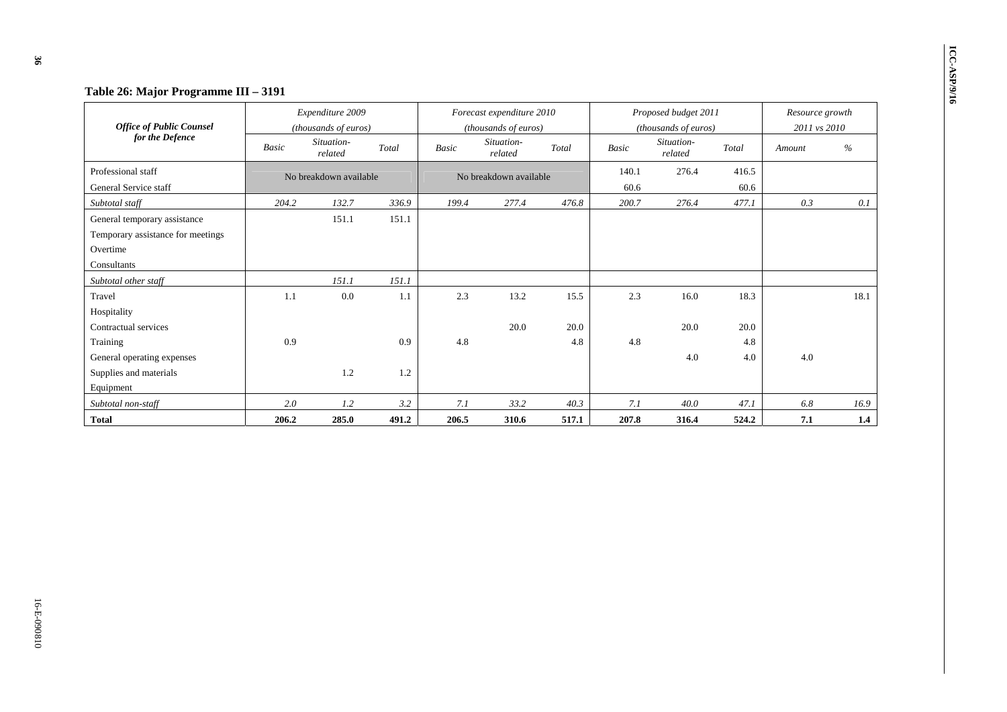| Table 26: Major Programme III - 3191               |              |                        |       |              |                           |       |       |                       |       |                 |      |  |
|----------------------------------------------------|--------------|------------------------|-------|--------------|---------------------------|-------|-------|-----------------------|-------|-----------------|------|--|
|                                                    |              | Expenditure 2009       |       |              | Forecast expenditure 2010 |       |       | Proposed budget 2011  |       | Resource growth |      |  |
| <b>Office of Public Counsel</b><br>for the Defence |              | (thousands of euros)   |       |              | (thousands of euros)      |       |       | (thousands of euros)  |       | 2011 vs 2010    |      |  |
|                                                    | <b>Basic</b> | Situation-<br>related  | Total | <b>Basic</b> | Situation-<br>related     | Total | Basic | Situation-<br>related | Total | Amount          | $\%$ |  |
| Professional staff                                 |              | No breakdown available |       |              | No breakdown available    |       | 140.1 | 276.4                 | 416.5 |                 |      |  |
| General Service staff                              |              |                        |       |              |                           |       | 60.6  |                       | 60.6  |                 |      |  |
| Subtotal staff                                     | 204.2        | 132.7                  | 336.9 | 199.4        | 277.4                     | 476.8 | 200.7 | 276.4                 | 477.1 | 0.3             | 0.1  |  |
| General temporary assistance                       |              | 151.1                  | 151.1 |              |                           |       |       |                       |       |                 |      |  |
| Temporary assistance for meetings                  |              |                        |       |              |                           |       |       |                       |       |                 |      |  |
| Overtime                                           |              |                        |       |              |                           |       |       |                       |       |                 |      |  |
| Consultants                                        |              |                        |       |              |                           |       |       |                       |       |                 |      |  |
| Subtotal other staff                               |              | 151.1                  | 151.1 |              |                           |       |       |                       |       |                 |      |  |
| Travel                                             | 1.1          | 0.0                    | 1.1   | 2.3          | 13.2                      | 15.5  | 2.3   | 16.0                  | 18.3  |                 | 18.1 |  |
| Hospitality                                        |              |                        |       |              |                           |       |       |                       |       |                 |      |  |
| Contractual services                               |              |                        |       |              | 20.0                      | 20.0  |       | 20.0                  | 20.0  |                 |      |  |
| Training                                           | 0.9          |                        | 0.9   | 4.8          |                           | 4.8   | 4.8   |                       | 4.8   |                 |      |  |
| General operating expenses                         |              |                        |       |              |                           |       |       | 4.0                   | 4.0   | 4.0             |      |  |
| Supplies and materials                             |              | 1.2                    | 1.2   |              |                           |       |       |                       |       |                 |      |  |
| Equipment                                          |              |                        |       |              |                           |       |       |                       |       |                 |      |  |
| Subtotal non-staff                                 | 2.0          | 1.2                    | 3.2   | 7.1          | 33.2                      | 40.3  | 7.1   | 40.0                  | 47.1  | 6.8             | 16.9 |  |
| <b>Total</b>                                       | 206.2        | 285.0                  | 491.2 | 206.5        | 310.6                     | 517.1 | 207.8 | 316.4                 | 524.2 | 7.1             | 1.4  |  |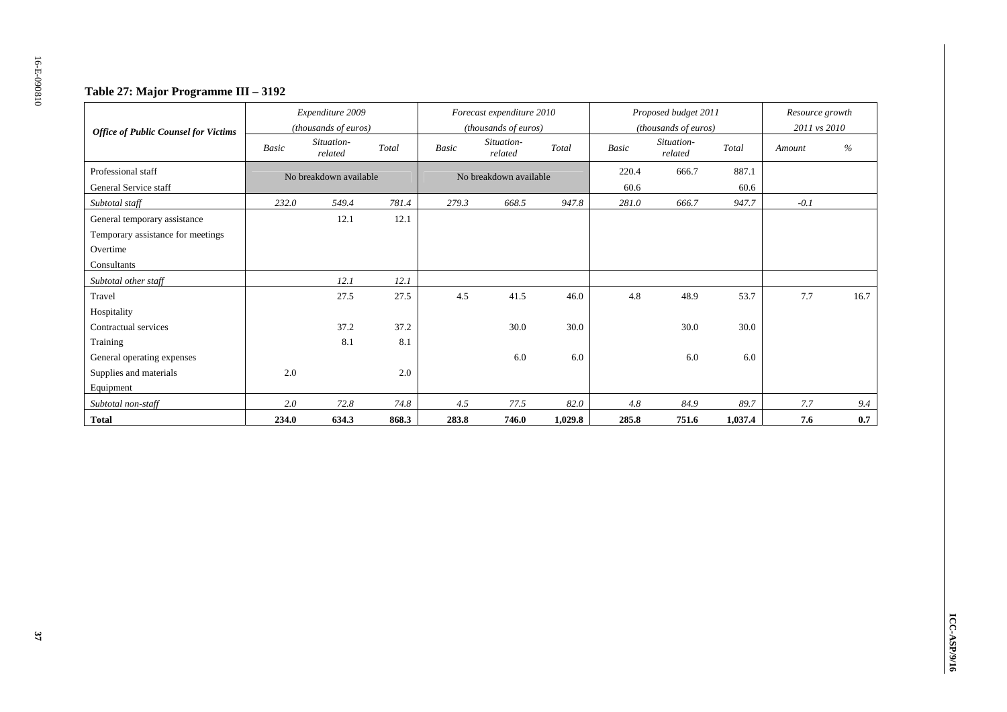### **Table 27: Major Programme III – 3192**

| <b>Office of Public Counsel for Victims</b> |       | Expenditure 2009<br>(thousands of euros) |       |       | Forecast expenditure 2010<br>(thousands of euros) |         |       | Proposed budget 2011<br>(thousands of euros) |         | Resource growth<br>2011 vs 2010 |      |
|---------------------------------------------|-------|------------------------------------------|-------|-------|---------------------------------------------------|---------|-------|----------------------------------------------|---------|---------------------------------|------|
|                                             | Basic | Situation-<br>related                    | Total | Basic | Situation-<br>related                             | Total   | Basic | Situation-<br>related                        | Total   | Amount                          | $\%$ |
| Professional staff                          |       | No breakdown available                   |       |       | No breakdown available                            |         | 220.4 | 666.7                                        | 887.1   |                                 |      |
| General Service staff                       |       |                                          |       |       |                                                   |         | 60.6  |                                              | 60.6    |                                 |      |
| Subtotal staff                              | 232.0 | 549.4                                    | 781.4 | 279.3 | 668.5                                             | 947.8   | 281.0 | 666.7                                        | 947.7   | $-0.1$                          |      |
| General temporary assistance                |       | 12.1                                     | 12.1  |       |                                                   |         |       |                                              |         |                                 |      |
| Temporary assistance for meetings           |       |                                          |       |       |                                                   |         |       |                                              |         |                                 |      |
| Overtime                                    |       |                                          |       |       |                                                   |         |       |                                              |         |                                 |      |
| Consultants                                 |       |                                          |       |       |                                                   |         |       |                                              |         |                                 |      |
| Subtotal other staff                        |       | 12.1                                     | 12.1  |       |                                                   |         |       |                                              |         |                                 |      |
| Travel                                      |       | 27.5                                     | 27.5  | 4.5   | 41.5                                              | 46.0    | 4.8   | 48.9                                         | 53.7    | 7.7                             | 16.7 |
| Hospitality                                 |       |                                          |       |       |                                                   |         |       |                                              |         |                                 |      |
| Contractual services                        |       | 37.2                                     | 37.2  |       | 30.0                                              | 30.0    |       | 30.0                                         | 30.0    |                                 |      |
| Training                                    |       | 8.1                                      | 8.1   |       |                                                   |         |       |                                              |         |                                 |      |
| General operating expenses                  |       |                                          |       |       | 6.0                                               | 6.0     |       | 6.0                                          | 6.0     |                                 |      |
| Supplies and materials                      | 2.0   |                                          | 2.0   |       |                                                   |         |       |                                              |         |                                 |      |
| Equipment                                   |       |                                          |       |       |                                                   |         |       |                                              |         |                                 |      |
| Subtotal non-staff                          | 2.0   | 72.8                                     | 74.8  | 4.5   | 77.5                                              | 82.0    | 4.8   | 84.9                                         | 89.7    | 7.7                             | 9.4  |
| <b>Total</b>                                | 234.0 | 634.3                                    | 868.3 | 283.8 | 746.0                                             | 1,029.8 | 285.8 | 751.6                                        | 1,037.4 | 7.6                             | 0.7  |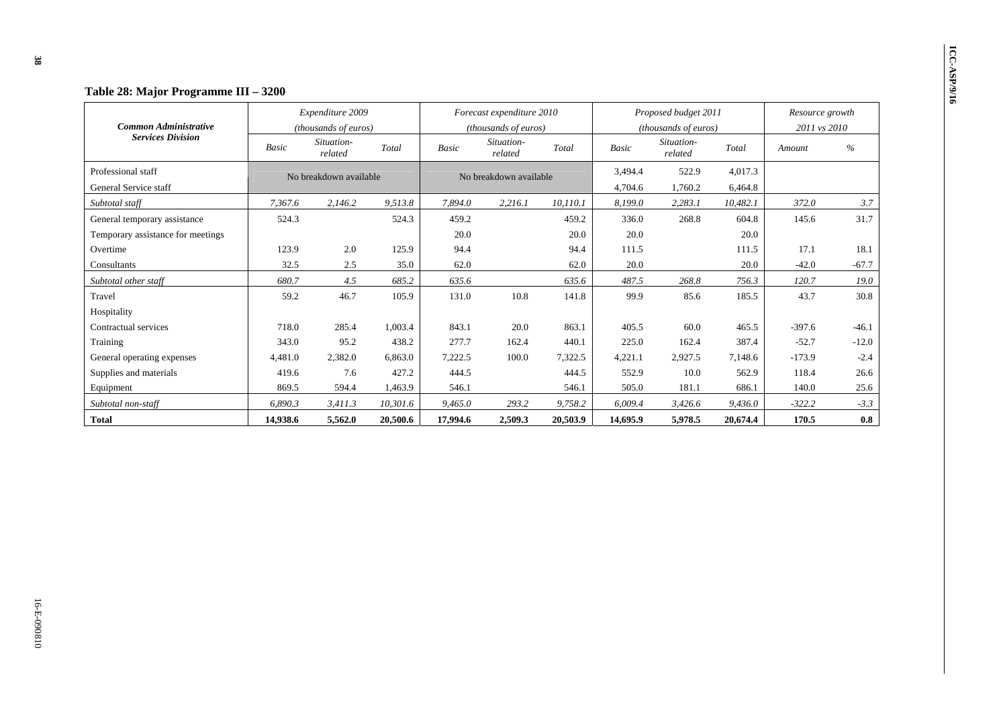| Table 28: Major Programme III – 3200 |              |                        |          |              |                           |          |              |                       |          |                 |         |
|--------------------------------------|--------------|------------------------|----------|--------------|---------------------------|----------|--------------|-----------------------|----------|-----------------|---------|
|                                      |              | Expenditure 2009       |          |              | Forecast expenditure 2010 |          |              | Proposed budget 2011  |          | Resource growth |         |
| <b>Common Administrative</b>         |              | (thousands of euros)   |          |              | (thousands of euros)      |          |              | (thousands of euros)  |          | 2011 vs 2010    |         |
| <b>Services Division</b>             | <b>Basic</b> | Situation-<br>related  | Total    | <b>Basic</b> | Situation-<br>related     | Total    | <b>Basic</b> | Situation-<br>related | Total    | Amount          | $\%$    |
| Professional staff                   |              | No breakdown available |          |              | No breakdown available    |          | 3,494.4      | 522.9                 | 4.017.3  |                 |         |
| General Service staff                |              |                        |          |              |                           |          | 4,704.6      | 1,760.2               | 6,464.8  |                 |         |
| Subtotal staff                       | 7,367.6      | 2,146.2                | 9,513.8  | 7.894.0      | 2,216.1                   | 10.110.1 | 8.199.0      | 2,283.1               | 10,482.1 | 372.0           | 3.7     |
| General temporary assistance         | 524.3        |                        | 524.3    | 459.2        |                           | 459.2    | 336.0        | 268.8                 | 604.8    | 145.6           | 31.7    |
| Temporary assistance for meetings    |              |                        |          | 20.0         |                           | 20.0     | 20.0         |                       | 20.0     |                 |         |
| Overtime                             | 123.9        | 2.0                    | 125.9    | 94.4         |                           | 94.4     | 111.5        |                       | 111.5    | 17.1            | 18.1    |
| Consultants                          | 32.5         | 2.5                    | 35.0     | 62.0         |                           | 62.0     | 20.0         |                       | 20.0     | $-42.0$         | $-67.7$ |
| Subtotal other staff                 | 680.7        | 4.5                    | 685.2    | 635.6        |                           | 635.6    | 487.5        | 268.8                 | 756.3    | 120.7           | 19.0    |
| Travel                               | 59.2         | 46.7                   | 105.9    | 131.0        | 10.8                      | 141.8    | 99.9         | 85.6                  | 185.5    | 43.7            | 30.8    |
| Hospitality                          |              |                        |          |              |                           |          |              |                       |          |                 |         |
| Contractual services                 | 718.0        | 285.4                  | 1,003.4  | 843.1        | 20.0                      | 863.1    | 405.5        | 60.0                  | 465.5    | $-397.6$        | $-46.1$ |
| Training                             | 343.0        | 95.2                   | 438.2    | 277.7        | 162.4                     | 440.1    | 225.0        | 162.4                 | 387.4    | $-52.7$         | $-12.0$ |
| General operating expenses           | 4,481.0      | 2,382.0                | 6,863.0  | 7,222.5      | 100.0                     | 7,322.5  | 4,221.1      | 2,927.5               | 7,148.6  | $-173.9$        | $-2.4$  |
| Supplies and materials               | 419.6        | 7.6                    | 427.2    | 444.5        |                           | 444.5    | 552.9        | 10.0                  | 562.9    | 118.4           | 26.6    |
| Equipment                            | 869.5        | 594.4                  | 1,463.9  | 546.1        |                           | 546.1    | 505.0        | 181.1                 | 686.1    | 140.0           | 25.6    |
| Subtotal non-staff                   | 6,890.3      | 3,411.3                | 10,301.6 | 9,465.0      | 293.2                     | 9,758.2  | 6,009.4      | 3,426.6               | 9,436.0  | $-322.2$        | $-3.3$  |
| <b>Total</b>                         | 14,938.6     | 5,562.0                | 20,500.6 | 17,994.6     | 2,509.3                   | 20,503.9 | 14,695.9     | 5,978.5               | 20,674.4 | 170.5           | 0.8     |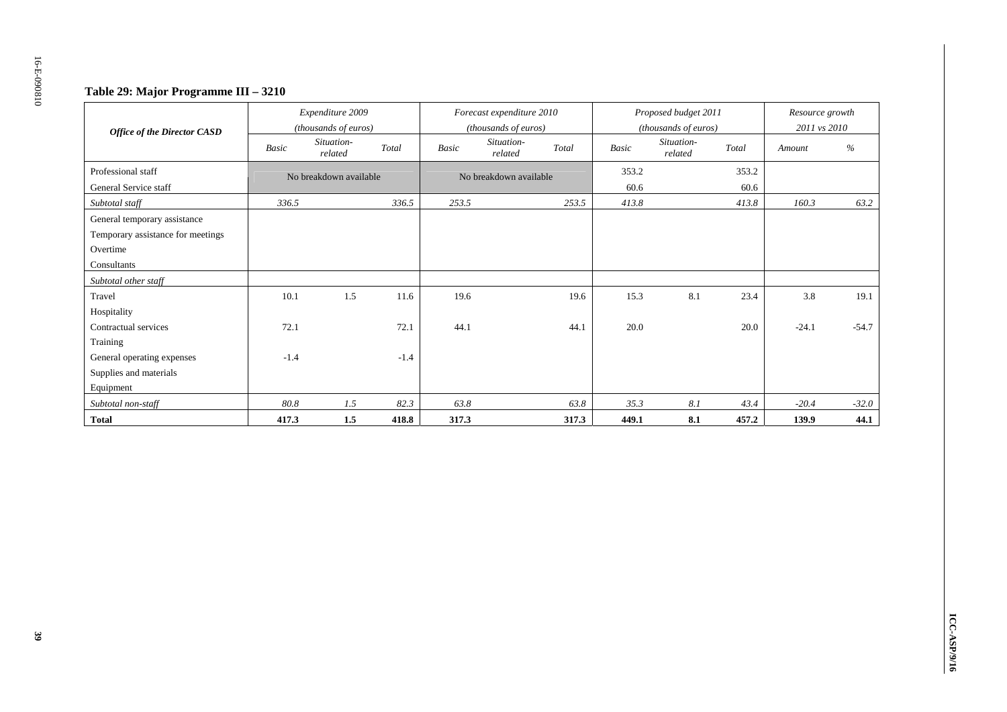### **Table 29: Major Programme III – 3210**

| <b>Office of the Director CASD</b> |        | Expenditure 2009<br>(thousands of euros) |        |              | Forecast expenditure 2010<br>(thousands of euros) |              | Proposed budget 2011<br>(thousands of euros) |       | Resource growth<br>2011 vs 2010 |         |
|------------------------------------|--------|------------------------------------------|--------|--------------|---------------------------------------------------|--------------|----------------------------------------------|-------|---------------------------------|---------|
|                                    | Basic  | Situation-<br>related                    | Total  | <b>Basic</b> | Situation-<br>Total<br>related                    | <b>Basic</b> | Situation-<br>related                        | Total | Amount                          | $\%$    |
| Professional staff                 |        | No breakdown available                   |        |              | No breakdown available                            | 353.2        |                                              | 353.2 |                                 |         |
| General Service staff              |        |                                          |        |              |                                                   | 60.6         |                                              | 60.6  |                                 |         |
| Subtotal staff                     | 336.5  |                                          | 336.5  | 253.5        | 253.5                                             | 413.8        |                                              | 413.8 | 160.3                           | 63.2    |
| General temporary assistance       |        |                                          |        |              |                                                   |              |                                              |       |                                 |         |
| Temporary assistance for meetings  |        |                                          |        |              |                                                   |              |                                              |       |                                 |         |
| Overtime                           |        |                                          |        |              |                                                   |              |                                              |       |                                 |         |
| Consultants                        |        |                                          |        |              |                                                   |              |                                              |       |                                 |         |
| Subtotal other staff               |        |                                          |        |              |                                                   |              |                                              |       |                                 |         |
| Travel                             | 10.1   | 1.5                                      | 11.6   | 19.6         | 19.6                                              | 15.3         | 8.1                                          | 23.4  | 3.8                             | 19.1    |
| Hospitality                        |        |                                          |        |              |                                                   |              |                                              |       |                                 |         |
| Contractual services               | 72.1   |                                          | 72.1   | 44.1         | 44.1                                              | 20.0         |                                              | 20.0  | $-24.1$                         | $-54.7$ |
| Training                           |        |                                          |        |              |                                                   |              |                                              |       |                                 |         |
| General operating expenses         | $-1.4$ |                                          | $-1.4$ |              |                                                   |              |                                              |       |                                 |         |
| Supplies and materials             |        |                                          |        |              |                                                   |              |                                              |       |                                 |         |
| Equipment                          |        |                                          |        |              |                                                   |              |                                              |       |                                 |         |
| Subtotal non-staff                 | 80.8   | 1.5                                      | 82.3   | 63.8         | 63.8                                              | 35.3         | 8.1                                          | 43.4  | $-20.4$                         | $-32.0$ |
| <b>Total</b>                       | 417.3  | 1.5                                      | 418.8  | 317.3        | 317.3                                             | 449.1        | 8.1                                          | 457.2 | 139.9                           | 44.1    |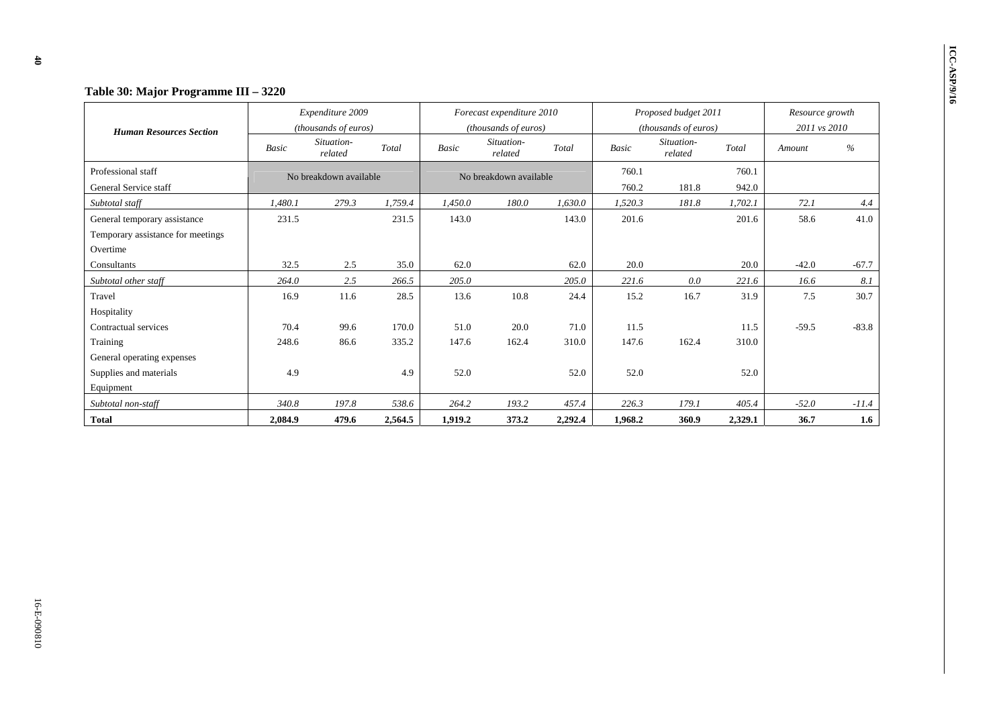| Table 30: Major Programme III - 3220 |         |                                          |         |              |                                                   |         |              |                                              |         |                                 |         |  |
|--------------------------------------|---------|------------------------------------------|---------|--------------|---------------------------------------------------|---------|--------------|----------------------------------------------|---------|---------------------------------|---------|--|
| <b>Human Resources Section</b>       |         | Expenditure 2009<br>(thousands of euros) |         |              | Forecast expenditure 2010<br>(thousands of euros) |         |              | Proposed budget 2011<br>(thousands of euros) |         | Resource growth<br>2011 vs 2010 |         |  |
|                                      | Basic   | Situation-<br>related                    | Total   | <b>Basic</b> | Situation-<br>related                             | Total   | <b>Basic</b> | Situation-<br>related                        | Total   | Amount                          | %       |  |
| Professional staff                   |         | No breakdown available                   |         |              | No breakdown available                            |         | 760.1        |                                              | 760.1   |                                 |         |  |
| General Service staff                |         |                                          |         |              |                                                   |         | 760.2        | 181.8                                        | 942.0   |                                 |         |  |
| Subtotal staff                       | 1.480.1 | 279.3                                    | 1.759.4 | 1.450.0      | 180.0                                             | 1.630.0 | 1.520.3      | 181.8                                        | 1.702.1 | 72.1                            | 4.4     |  |
| General temporary assistance         | 231.5   |                                          | 231.5   | 143.0        |                                                   | 143.0   | 201.6        |                                              | 201.6   | 58.6                            | 41.0    |  |
| Temporary assistance for meetings    |         |                                          |         |              |                                                   |         |              |                                              |         |                                 |         |  |
| Overtime                             |         |                                          |         |              |                                                   |         |              |                                              |         |                                 |         |  |
| Consultants                          | 32.5    | 2.5                                      | 35.0    | 62.0         |                                                   | 62.0    | 20.0         |                                              | 20.0    | $-42.0$                         | $-67.7$ |  |
| Subtotal other staff                 | 264.0   | 2.5                                      | 266.5   | 205.0        |                                                   | 205.0   | 221.6        | 0.0                                          | 221.6   | 16.6                            | 8.1     |  |
| Travel                               | 16.9    | 11.6                                     | 28.5    | 13.6         | 10.8                                              | 24.4    | 15.2         | 16.7                                         | 31.9    | 7.5                             | 30.7    |  |
| Hospitality                          |         |                                          |         |              |                                                   |         |              |                                              |         |                                 |         |  |
| Contractual services                 | 70.4    | 99.6                                     | 170.0   | 51.0         | 20.0                                              | 71.0    | 11.5         |                                              | 11.5    | $-59.5$                         | $-83.8$ |  |
| Training                             | 248.6   | 86.6                                     | 335.2   | 147.6        | 162.4                                             | 310.0   | 147.6        | 162.4                                        | 310.0   |                                 |         |  |
| General operating expenses           |         |                                          |         |              |                                                   |         |              |                                              |         |                                 |         |  |
| Supplies and materials               | 4.9     |                                          | 4.9     | 52.0         |                                                   | 52.0    | 52.0         |                                              | 52.0    |                                 |         |  |
| Equipment                            |         |                                          |         |              |                                                   |         |              |                                              |         |                                 |         |  |
| Subtotal non-staff                   | 340.8   | 197.8                                    | 538.6   | 264.2        | 193.2                                             | 457.4   | 226.3        | 179.1                                        | 405.4   | $-52.0$                         | $-11.4$ |  |
| Total                                | 2,084.9 | 479.6                                    | 2,564.5 | 1,919.2      | 373.2                                             | 2,292.4 | 1,968.2      | 360.9                                        | 2,329.1 | 36.7                            | 1.6     |  |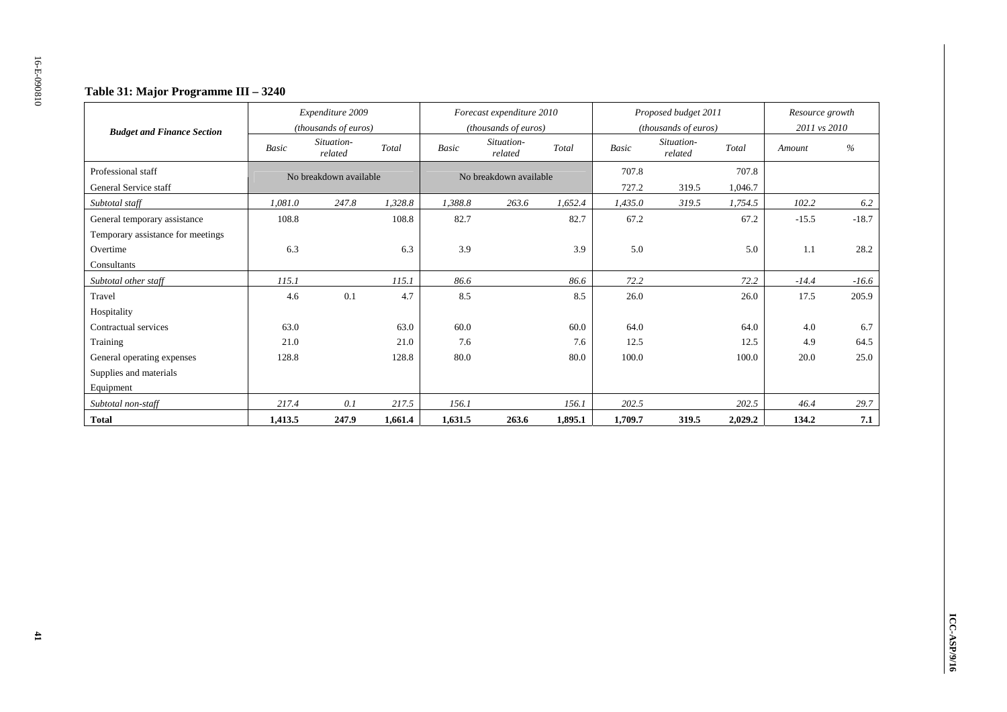### **Table 31: Major Programme III – 3240**

|                                   |         | Expenditure 2009<br>(thousands of euros) |         |              | Forecast expenditure 2010<br>(thousands of euros) |         | Proposed budget 2011<br>(thousands of euros) |                       |         | Resource growth<br>2011 vs 2010 |         |
|-----------------------------------|---------|------------------------------------------|---------|--------------|---------------------------------------------------|---------|----------------------------------------------|-----------------------|---------|---------------------------------|---------|
| <b>Budget and Finance Section</b> | Basic   | Situation-<br>related                    | Total   | <b>Basic</b> | Situation-<br>related                             | Total   | <b>Basic</b>                                 | Situation-<br>related | Total   | Amount                          | $\%$    |
| Professional staff                |         | No breakdown available                   |         |              | No breakdown available                            |         | 707.8                                        |                       | 707.8   |                                 |         |
| General Service staff             |         |                                          |         |              |                                                   |         | 727.2                                        | 319.5                 | 1,046.7 |                                 |         |
| Subtotal staff                    | 1,081.0 | 247.8                                    | 1,328.8 | 1,388.8      | 263.6                                             | 1,652.4 | 1,435.0                                      | 319.5                 | 1,754.5 | 102.2                           | 6.2     |
| General temporary assistance      | 108.8   |                                          | 108.8   | 82.7         |                                                   | 82.7    | 67.2                                         |                       | 67.2    | $-15.5$                         | $-18.7$ |
| Temporary assistance for meetings |         |                                          |         |              |                                                   |         |                                              |                       |         |                                 |         |
| Overtime                          | 6.3     |                                          | 6.3     | 3.9          |                                                   | 3.9     | 5.0                                          |                       | 5.0     | 1.1                             | 28.2    |
| Consultants                       |         |                                          |         |              |                                                   |         |                                              |                       |         |                                 |         |
| Subtotal other staff              | 115.1   |                                          | 115.1   | 86.6         |                                                   | 86.6    | 72.2                                         |                       | 72.2    | $-14.4$                         | $-16.6$ |
| Travel                            | 4.6     | 0.1                                      | 4.7     | 8.5          |                                                   | 8.5     | 26.0                                         |                       | 26.0    | 17.5                            | 205.9   |
| Hospitality                       |         |                                          |         |              |                                                   |         |                                              |                       |         |                                 |         |
| Contractual services              | 63.0    |                                          | 63.0    | 60.0         |                                                   | 60.0    | 64.0                                         |                       | 64.0    | 4.0                             | 6.7     |
| Training                          | 21.0    |                                          | 21.0    | 7.6          |                                                   | 7.6     | 12.5                                         |                       | 12.5    | 4.9                             | 64.5    |
| General operating expenses        | 128.8   |                                          | 128.8   | 80.0         |                                                   | 80.0    | 100.0                                        |                       | 100.0   | 20.0                            | 25.0    |
| Supplies and materials            |         |                                          |         |              |                                                   |         |                                              |                       |         |                                 |         |
| Equipment                         |         |                                          |         |              |                                                   |         |                                              |                       |         |                                 |         |
| Subtotal non-staff                | 217.4   | 0.1                                      | 217.5   | 156.1        |                                                   | 156.1   | 202.5                                        |                       | 202.5   | 46.4                            | 29.7    |
| <b>Total</b>                      | 1,413.5 | 247.9                                    | 1.661.4 | 1,631.5      | 263.6                                             | 1,895.1 | 1,709.7                                      | 319.5                 | 2,029.2 | 134.2                           | 7.1     |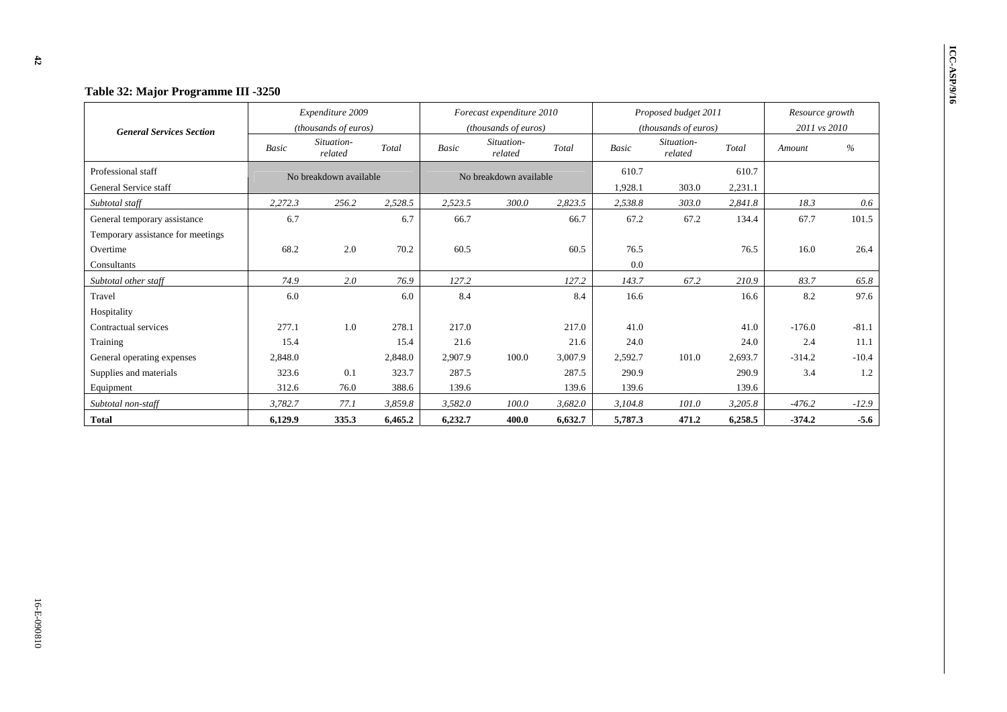| Table 32: Major Programme III -3250 |         |                        |         |              |                           |         |              |                       |         |                 |         |
|-------------------------------------|---------|------------------------|---------|--------------|---------------------------|---------|--------------|-----------------------|---------|-----------------|---------|
|                                     |         | Expenditure 2009       |         |              | Forecast expenditure 2010 |         |              | Proposed budget 2011  |         | Resource growth |         |
| <b>General Services Section</b>     |         | (thousands of euros)   |         |              | (thousands of euros)      |         |              | (thousands of euros)  |         | 2011 vs 2010    |         |
|                                     | Basic   | Situation-<br>related  | Total   | <b>Basic</b> | Situation-<br>related     | Total   | <b>Basic</b> | Situation-<br>related | Total   | Amount          | %       |
| Professional staff                  |         | No breakdown available |         |              | No breakdown available    |         | 610.7        |                       | 610.7   |                 |         |
| General Service staff               |         |                        |         |              |                           |         | 1,928.1      | 303.0                 | 2,231.1 |                 |         |
| Subtotal staff                      | 2,272.3 | 256.2                  | 2,528.5 | 2,523.5      | 300.0                     | 2,823.5 | 2,538.8      | 303.0                 | 2,841.8 | 18.3            | 0.6     |
| General temporary assistance        | 6.7     |                        | 6.7     | 66.7         |                           | 66.7    | 67.2         | 67.2                  | 134.4   | 67.7            | 101.5   |
| Temporary assistance for meetings   |         |                        |         |              |                           |         |              |                       |         |                 |         |
| Overtime                            | 68.2    | 2.0                    | 70.2    | 60.5         |                           | 60.5    | 76.5         |                       | 76.5    | 16.0            | 26.4    |
| Consultants                         |         |                        |         |              |                           |         | 0.0          |                       |         |                 |         |
| Subtotal other staff                | 74.9    | 2.0                    | 76.9    | 127.2        |                           | 127.2   | 143.7        | 67.2                  | 210.9   | 83.7            | 65.8    |
| Travel                              | 6.0     |                        | 6.0     | 8.4          |                           | 8.4     | 16.6         |                       | 16.6    | 8.2             | 97.6    |
| Hospitality                         |         |                        |         |              |                           |         |              |                       |         |                 |         |
| Contractual services                | 277.1   | 1.0                    | 278.1   | 217.0        |                           | 217.0   | 41.0         |                       | 41.0    | $-176.0$        | $-81.1$ |
| Training                            | 15.4    |                        | 15.4    | 21.6         |                           | 21.6    | 24.0         |                       | 24.0    | 2.4             | 11.1    |
| General operating expenses          | 2,848.0 |                        | 2,848.0 | 2.907.9      | 100.0                     | 3,007.9 | 2,592.7      | 101.0                 | 2,693.7 | $-314.2$        | $-10.4$ |
| Supplies and materials              | 323.6   | 0.1                    | 323.7   | 287.5        |                           | 287.5   | 290.9        |                       | 290.9   | 3.4             | 1.2     |
| Equipment                           | 312.6   | 76.0                   | 388.6   | 139.6        |                           | 139.6   | 139.6        |                       | 139.6   |                 |         |
| Subtotal non-staff                  | 3,782.7 | 77.1                   | 3,859.8 | 3,582.0      | 100.0                     | 3,682.0 | 3,104.8      | 101.0                 | 3,205.8 | $-476.2$        | $-12.9$ |
| <b>Total</b>                        | 6,129.9 | 335.3                  | 6,465.2 | 6,232.7      | 400.0                     | 6,632.7 | 5,787.3      | 471.2                 | 6,258.5 | $-374.2$        | $-5.6$  |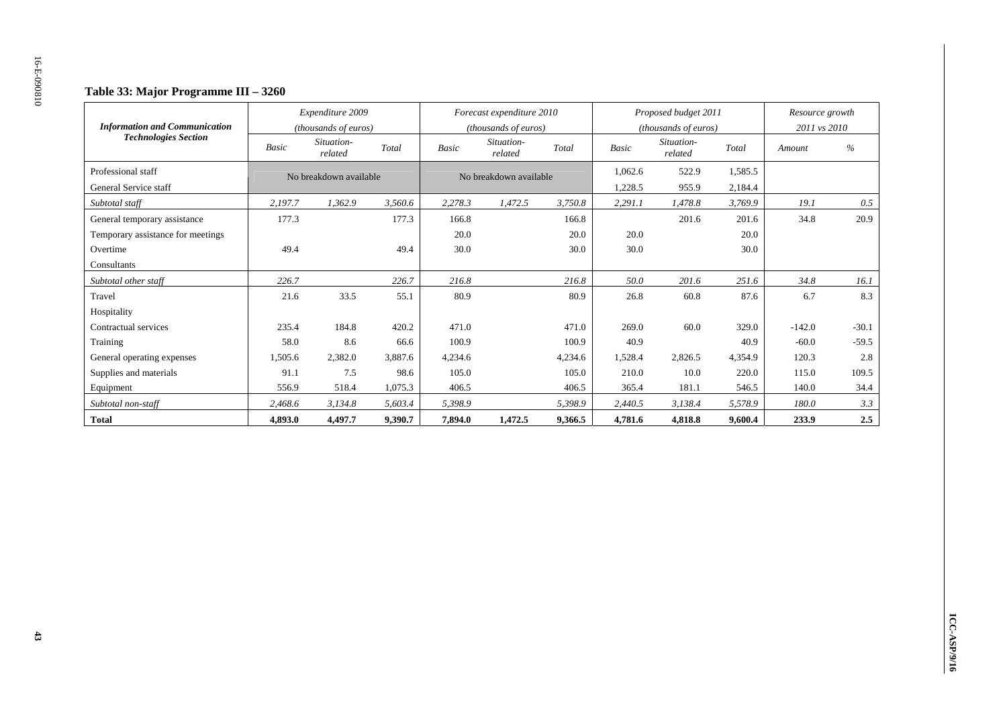### **Table 33: Major Programme III – 3260**

| <b>Information and Communication</b> |              | Expenditure 2009<br>(thousands of euros) |         |         | Forecast expenditure 2010<br>(thousands of euros) |         | Proposed budget 2011<br>(thousands of euros) |                       |         | Resource growth<br>2011 vs 2010 |               |
|--------------------------------------|--------------|------------------------------------------|---------|---------|---------------------------------------------------|---------|----------------------------------------------|-----------------------|---------|---------------------------------|---------------|
| <b>Technologies Section</b>          | <b>Basic</b> | Situation-<br>related                    | Total   | Basic   | Situation-<br>related                             | Total   | <b>Basic</b>                                 | Situation-<br>related | Total   | Amount                          | $\frac{0}{0}$ |
| Professional staff                   |              | No breakdown available                   |         |         | No breakdown available                            |         | 1,062.6                                      | 522.9                 | 1,585.5 |                                 |               |
| General Service staff                |              |                                          |         |         |                                                   |         | 1,228.5                                      | 955.9                 | 2,184.4 |                                 |               |
| Subtotal staff                       | 2,197.7      | 1,362.9                                  | 3,560.6 | 2,278.3 | 1,472.5                                           | 3,750.8 | 2,291.1                                      | 1,478.8               | 3,769.9 | 19.1                            | 0.5           |
| General temporary assistance         | 177.3        |                                          | 177.3   | 166.8   |                                                   | 166.8   |                                              | 201.6                 | 201.6   | 34.8                            | 20.9          |
| Temporary assistance for meetings    |              |                                          |         | 20.0    |                                                   | 20.0    | 20.0                                         |                       | 20.0    |                                 |               |
| Overtime                             | 49.4         |                                          | 49.4    | 30.0    |                                                   | 30.0    | 30.0                                         |                       | 30.0    |                                 |               |
| Consultants                          |              |                                          |         |         |                                                   |         |                                              |                       |         |                                 |               |
| Subtotal other staff                 | 226.7        |                                          | 226.7   | 216.8   |                                                   | 216.8   | 50.0                                         | 201.6                 | 251.6   | 34.8                            | 16.1          |
| Travel                               | 21.6         | 33.5                                     | 55.1    | 80.9    |                                                   | 80.9    | 26.8                                         | 60.8                  | 87.6    | 6.7                             | 8.3           |
| Hospitality                          |              |                                          |         |         |                                                   |         |                                              |                       |         |                                 |               |
| Contractual services                 | 235.4        | 184.8                                    | 420.2   | 471.0   |                                                   | 471.0   | 269.0                                        | 60.0                  | 329.0   | $-142.0$                        | $-30.1$       |
| Training                             | 58.0         | 8.6                                      | 66.6    | 100.9   |                                                   | 100.9   | 40.9                                         |                       | 40.9    | $-60.0$                         | $-59.5$       |
| General operating expenses           | .505.6       | 2,382.0                                  | 3,887.6 | 4,234.6 |                                                   | 4,234.6 | 1,528.4                                      | 2,826.5               | 4,354.9 | 120.3                           | 2.8           |
| Supplies and materials               | 91.1         | 7.5                                      | 98.6    | 105.0   |                                                   | 105.0   | 210.0                                        | 10.0                  | 220.0   | 115.0                           | 109.5         |
| Equipment                            | 556.9        | 518.4                                    | 1,075.3 | 406.5   |                                                   | 406.5   | 365.4                                        | 181.1                 | 546.5   | 140.0                           | 34.4          |
| Subtotal non-staff                   | 2,468.6      | 3,134.8                                  | 5,603.4 | 5,398.9 |                                                   | 5,398.9 | 2,440.5                                      | 3,138.4               | 5,578.9 | 180.0                           | 3.3           |
| <b>Total</b>                         | 4,893.0      | 4,497.7                                  | 9.390.7 | 7,894.0 | 1,472.5                                           | 9,366.5 | 4,781.6                                      | 4,818.8               | 9,600.4 | 233.9                           | 2.5           |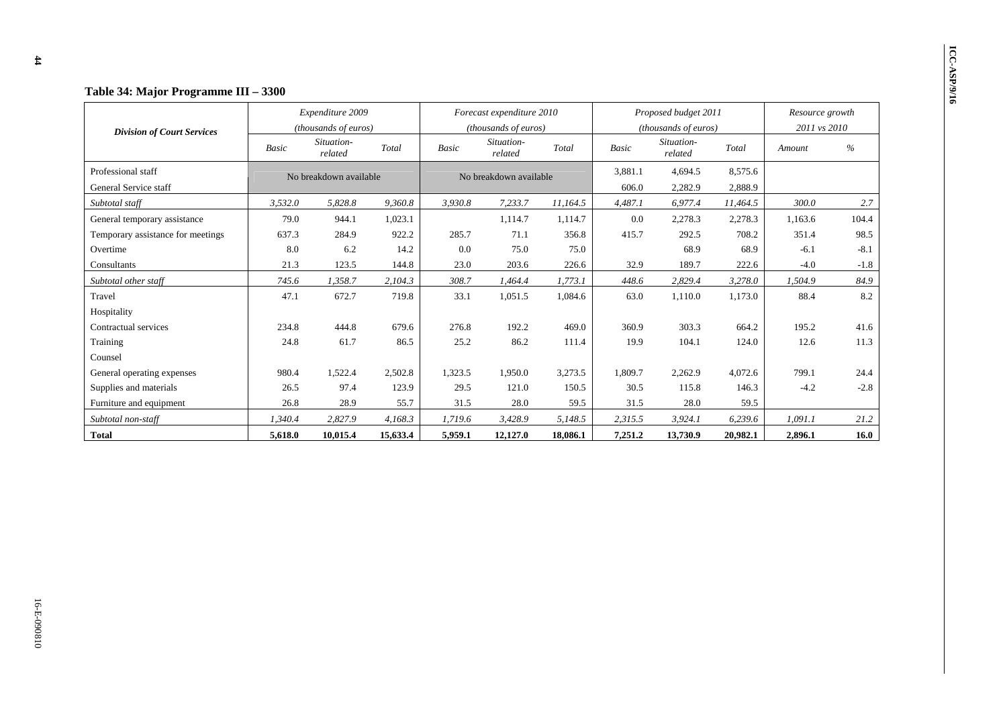|                                             |                                                                                                  | Expenditure 2009       |              |                       | Forecast expenditure 2010 |          |                  | Proposed budget 2011 |                    | Resource growth |        |  |
|---------------------------------------------|--------------------------------------------------------------------------------------------------|------------------------|--------------|-----------------------|---------------------------|----------|------------------|----------------------|--------------------|-----------------|--------|--|
| <b>Division of Court Services</b>           |                                                                                                  | (thousands of euros)   |              |                       | (thousands of euros)      |          |                  | (thousands of euros) |                    | 2011 vs 2010    |        |  |
|                                             | Situation-<br>Situation-<br>Total<br>Total<br><b>Basic</b><br><b>Basic</b><br>related<br>related |                        | <b>Basic</b> | Situation-<br>related | Total                     | Amount   | $\%$             |                      |                    |                 |        |  |
| Professional staff<br>General Service staff |                                                                                                  | No breakdown available |              |                       | No breakdown available    |          | 3,881.1<br>606.0 | 4,694.5<br>2,282.9   | 8,575.6<br>2,888.9 |                 |        |  |
| Subtotal staff                              | 3,532.0                                                                                          | 5,828.8                | 9,360.8      | 3,930.8               | 7,233.7                   | 11,164.5 | 4,487.1          | 6,977.4              | 11,464.5           | 300.0           | 2.7    |  |
| General temporary assistance                | 79.0                                                                                             | 944.1                  | 1,023.1      |                       | 1,114.7                   | 1,114.7  | 0.0              | 2,278.3              | 2,278.3            | 1,163.6         | 104.4  |  |
| Temporary assistance for meetings           | 637.3                                                                                            | 284.9                  | 922.2        | 285.7                 | 71.1                      | 356.8    | 415.7            | 292.5                | 708.2              | 351.4           | 98.5   |  |
| Overtime                                    | 8.0                                                                                              | 6.2                    | 14.2         | 0.0                   | 75.0                      | 75.0     |                  | 68.9                 | 68.9               | $-6.1$          | $-8.1$ |  |
| Consultants                                 | 21.3                                                                                             | 123.5                  | 144.8        | 23.0                  | 203.6                     | 226.6    | 32.9             | 189.7                | 222.6              | $-4.0$          | $-1.8$ |  |
| Subtotal other staff                        | 745.6                                                                                            | 1,358.7                | 2,104.3      | 308.7                 | 1,464.4                   | 1,773.1  | 448.6            | 2,829.4              | 3,278.0            | 1,504.9         | 84.9   |  |
| Travel                                      | 47.1                                                                                             | 672.7                  | 719.8        | 33.1                  | 1,051.5                   | 1,084.6  | 63.0             | 1,110.0              | 1,173.0            | 88.4            | 8.2    |  |
| Hospitality                                 |                                                                                                  |                        |              |                       |                           |          |                  |                      |                    |                 |        |  |
| Contractual services                        | 234.8                                                                                            | 444.8                  | 679.6        | 276.8                 | 192.2                     | 469.0    | 360.9            | 303.3                | 664.2              | 195.2           | 41.6   |  |
| Training                                    | 24.8                                                                                             | 61.7                   | 86.5         | 25.2                  | 86.2                      | 111.4    | 19.9             | 104.1                | 124.0              | 12.6            | 11.3   |  |
| Counsel                                     |                                                                                                  |                        |              |                       |                           |          |                  |                      |                    |                 |        |  |
| General operating expenses                  | 980.4                                                                                            | 1,522.4                | 2,502.8      | 1,323.5               | 1,950.0                   | 3,273.5  | 1,809.7          | 2,262.9              | 4,072.6            | 799.1           | 24.4   |  |
| Supplies and materials                      | 26.5                                                                                             | 97.4                   | 123.9        | 29.5                  | 121.0                     | 150.5    | 30.5             | 115.8                | 146.3              | $-4.2$          | $-2.8$ |  |
| Furniture and equipment                     | 26.8                                                                                             | 28.9                   | 55.7         | 31.5                  | 28.0                      | 59.5     | 31.5             | 28.0                 | 59.5               |                 |        |  |
| Subtotal non-staff                          | 1,340.4                                                                                          | 2,827.9                | 4,168.3      | 1,719.6               | 3,428.9                   | 5,148.5  | 2,315.5          | 3,924.1              | 6,239.6            | 1,091.1         | 21.2   |  |
| <b>Total</b>                                | 5,618.0                                                                                          | 10,015.4               | 15,633.4     | 5,959.1               | 12,127.0                  | 18,086.1 | 7,251.2          | 13,730.9             | 20,982.1           | 2,896.1         | 16.0   |  |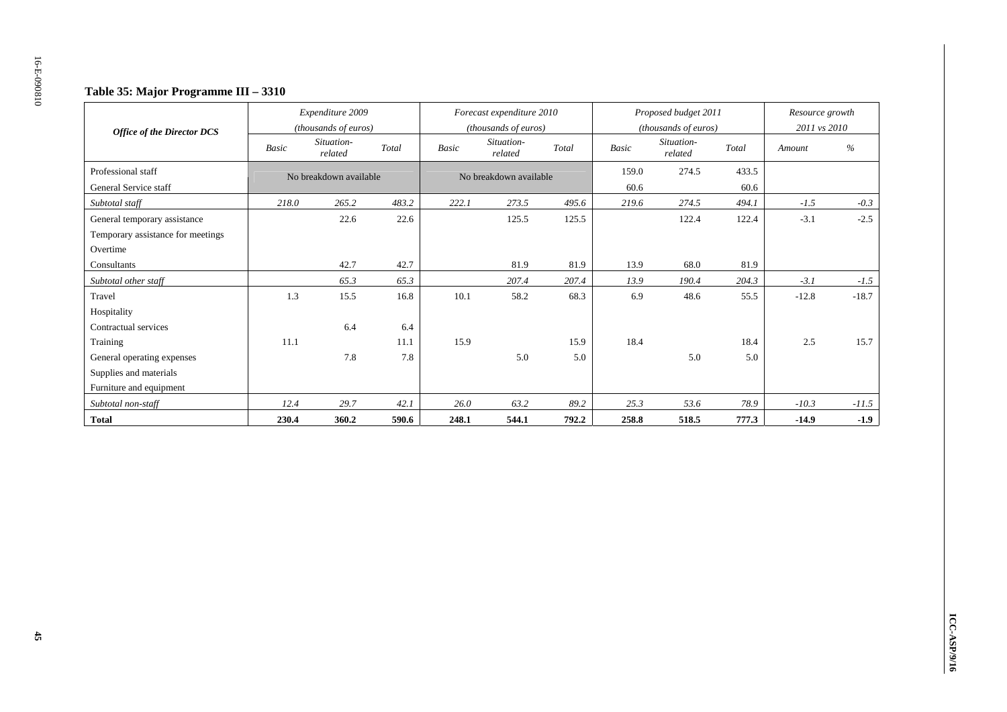### **Table 35: Major Programme III – 3310**

| <b>Office of the Director DCS</b> |       | Expenditure 2009<br>(thousands of euros) |       |              | Forecast expenditure 2010<br>(thousands of euros) |       |              | Proposed budget 2011<br>(thousands of euros) |       | Resource growth<br>2011 vs 2010 |         |
|-----------------------------------|-------|------------------------------------------|-------|--------------|---------------------------------------------------|-------|--------------|----------------------------------------------|-------|---------------------------------|---------|
|                                   | Basic | Situation-<br>related                    | Total | <b>Basic</b> | Situation-<br>related                             | Total | <b>Basic</b> | Situation-<br>related                        | Total | Amount                          | $\%$    |
| Professional staff                |       | No breakdown available                   |       |              | No breakdown available                            |       | 159.0        | 274.5                                        | 433.5 |                                 |         |
| General Service staff             |       |                                          |       |              |                                                   |       | 60.6         |                                              | 60.6  |                                 |         |
| Subtotal staff                    | 218.0 | 265.2                                    | 483.2 | 222.1        | 273.5                                             | 495.6 | 219.6        | 274.5                                        | 494.1 | $-1.5$                          | $-0.3$  |
| General temporary assistance      |       | 22.6                                     | 22.6  |              | 125.5                                             | 125.5 |              | 122.4                                        | 122.4 | $-3.1$                          | $-2.5$  |
| Temporary assistance for meetings |       |                                          |       |              |                                                   |       |              |                                              |       |                                 |         |
| Overtime                          |       |                                          |       |              |                                                   |       |              |                                              |       |                                 |         |
| Consultants                       |       | 42.7                                     | 42.7  |              | 81.9                                              | 81.9  | 13.9         | 68.0                                         | 81.9  |                                 |         |
| Subtotal other staff              |       | 65.3                                     | 65.3  |              | 207.4                                             | 207.4 | 13.9         | 190.4                                        | 204.3 | $-3.1$                          | $-1.5$  |
| Travel                            | 1.3   | 15.5                                     | 16.8  | 10.1         | 58.2                                              | 68.3  | 6.9          | 48.6                                         | 55.5  | $-12.8$                         | $-18.7$ |
| Hospitality                       |       |                                          |       |              |                                                   |       |              |                                              |       |                                 |         |
| Contractual services              |       | 6.4                                      | 6.4   |              |                                                   |       |              |                                              |       |                                 |         |
| Training                          | 11.1  |                                          | 11.1  | 15.9         |                                                   | 15.9  | 18.4         |                                              | 18.4  | 2.5                             | 15.7    |
| General operating expenses        |       | 7.8                                      | 7.8   |              | 5.0                                               | 5.0   |              | 5.0                                          | 5.0   |                                 |         |
| Supplies and materials            |       |                                          |       |              |                                                   |       |              |                                              |       |                                 |         |
| Furniture and equipment           |       |                                          |       |              |                                                   |       |              |                                              |       |                                 |         |
| Subtotal non-staff                | 12.4  | 29.7                                     | 42.1  | 26.0         | 63.2                                              | 89.2  | 25.3         | 53.6                                         | 78.9  | $-10.3$                         | $-11.5$ |
| <b>Total</b>                      | 230.4 | 360.2                                    | 590.6 | 248.1        | 544.1                                             | 792.2 | 258.8        | 518.5                                        | 777.3 | $-14.9$                         | $-1.9$  |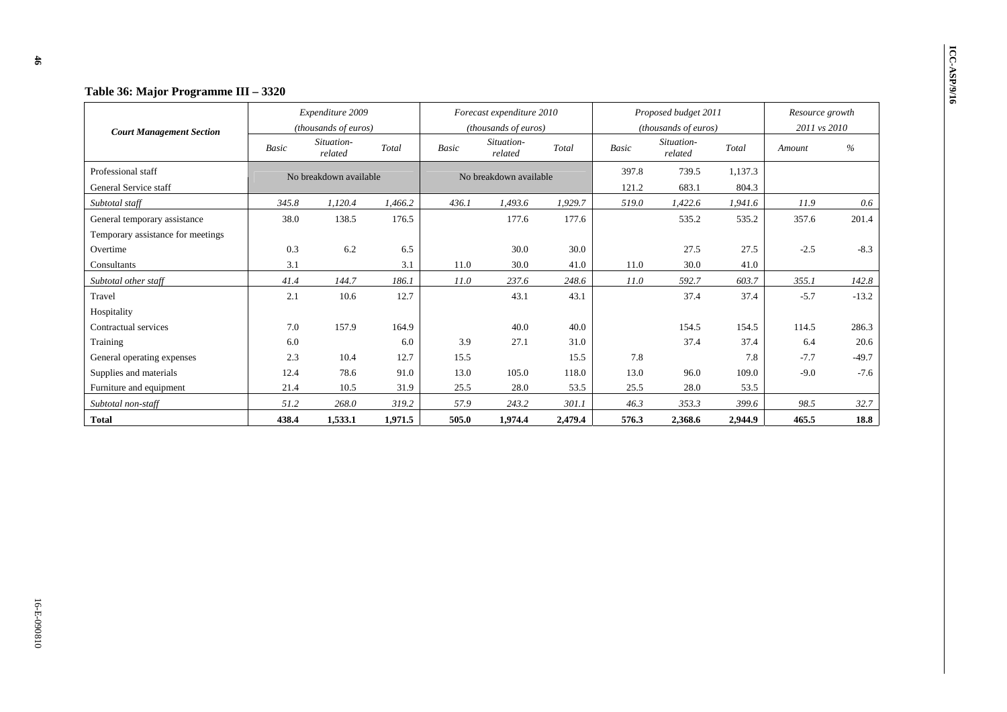|                                   | Table 36: Major Programme III – 3320 |                        |         |              |                           |         |              |                       |         |                 |         |
|-----------------------------------|--------------------------------------|------------------------|---------|--------------|---------------------------|---------|--------------|-----------------------|---------|-----------------|---------|
|                                   |                                      | Expenditure 2009       |         |              | Forecast expenditure 2010 |         |              | Proposed budget 2011  |         | Resource growth |         |
| <b>Court Management Section</b>   |                                      | (thousands of euros)   |         |              | (thousands of euros)      |         |              | (thousands of euros)  |         | 2011 vs 2010    |         |
|                                   | Basic                                | Situation-<br>related  | Total   | <b>Basic</b> | Situation-<br>related     | Total   | <b>Basic</b> | Situation-<br>related | Total   | Amount          | $\%$    |
| Professional staff                |                                      | No breakdown available |         |              | No breakdown available    |         | 397.8        | 739.5                 | 1,137.3 |                 |         |
| General Service staff             |                                      |                        |         |              |                           |         | 121.2        | 683.1                 | 804.3   |                 |         |
| Subtotal staff                    | 345.8                                | 1,120.4                | 1,466.2 | 436.1        | 1,493.6                   | 1,929.7 | 519.0        | 1,422.6               | 1,941.6 | 11.9            | 0.6     |
| General temporary assistance      | 38.0                                 | 138.5                  | 176.5   |              | 177.6                     | 177.6   |              | 535.2                 | 535.2   | 357.6           | 201.4   |
| Temporary assistance for meetings |                                      |                        |         |              |                           |         |              |                       |         |                 |         |
| Overtime                          | 0.3                                  | 6.2                    | 6.5     |              | 30.0                      | 30.0    |              | 27.5                  | 27.5    | $-2.5$          | $-8.3$  |
| Consultants                       | 3.1                                  |                        | 3.1     | 11.0         | 30.0                      | 41.0    | 11.0         | 30.0                  | 41.0    |                 |         |
| Subtotal other staff              | 41.4                                 | 144.7                  | 186.1   | 11.0         | 237.6                     | 248.6   | 11.0         | 592.7                 | 603.7   | 355.1           | 142.8   |
| Travel                            | 2.1                                  | 10.6                   | 12.7    |              | 43.1                      | 43.1    |              | 37.4                  | 37.4    | $-5.7$          | $-13.2$ |
| Hospitality                       |                                      |                        |         |              |                           |         |              |                       |         |                 |         |
| Contractual services              | 7.0                                  | 157.9                  | 164.9   |              | 40.0                      | 40.0    |              | 154.5                 | 154.5   | 114.5           | 286.3   |
| Training                          | 6.0                                  |                        | 6.0     | 3.9          | 27.1                      | 31.0    |              | 37.4                  | 37.4    | 6.4             | 20.6    |
| General operating expenses        | 2.3                                  | 10.4                   | 12.7    | 15.5         |                           | 15.5    | 7.8          |                       | 7.8     | $-7.7$          | $-49.7$ |
| Supplies and materials            | 12.4                                 | 78.6                   | 91.0    | 13.0         | 105.0                     | 118.0   | 13.0         | 96.0                  | 109.0   | $-9.0$          | $-7.6$  |
| Furniture and equipment           | 21.4                                 | 10.5                   | 31.9    | 25.5         | 28.0                      | 53.5    | 25.5         | 28.0                  | 53.5    |                 |         |
| Subtotal non-staff                | 51.2                                 | 268.0                  | 319.2   | 57.9         | 243.2                     | 301.1   | 46.3         | 353.3                 | 399.6   | 98.5            | 32.7    |
| Total                             | 438.4                                | 1,533.1                | 1,971.5 | 505.0        | 1,974.4                   | 2,479.4 | 576.3        | 2,368.6               | 2,944.9 | 465.5           | 18.8    |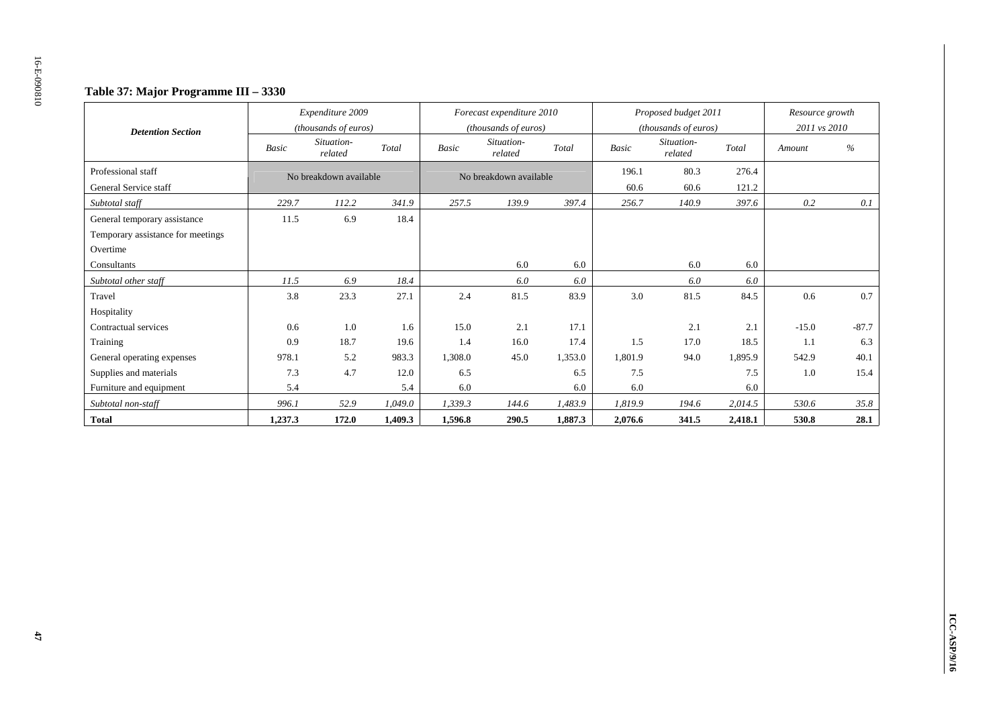### **Table 37: Major Programme III – 3330**

|                                   |              | Expenditure 2009<br>(thousands of euros) |         |              | Forecast expenditure 2010<br>(thousands of euros) |         |              | Proposed budget 2011<br>(thousands of euros) |         | Resource growth<br>2011 vs 2010 |               |
|-----------------------------------|--------------|------------------------------------------|---------|--------------|---------------------------------------------------|---------|--------------|----------------------------------------------|---------|---------------------------------|---------------|
| <b>Detention Section</b>          | <b>Basic</b> | Situation-<br>related                    | Total   | <b>Basic</b> | Situation-<br>related                             | Total   | <b>Basic</b> | Situation-<br>related                        | Total   | Amount                          | $\frac{0}{0}$ |
| Professional staff                |              | No breakdown available                   |         |              | No breakdown available                            |         | 196.1        | 80.3                                         | 276.4   |                                 |               |
| General Service staff             |              |                                          |         |              |                                                   |         | 60.6         | 60.6                                         | 121.2   |                                 |               |
| Subtotal staff                    | 229.7        | 112.2                                    | 341.9   | 257.5        | 139.9                                             | 397.4   | 256.7        | 140.9                                        | 397.6   | 0.2                             | 0.1           |
| General temporary assistance      | 11.5         | 6.9                                      | 18.4    |              |                                                   |         |              |                                              |         |                                 |               |
| Temporary assistance for meetings |              |                                          |         |              |                                                   |         |              |                                              |         |                                 |               |
| Overtime                          |              |                                          |         |              |                                                   |         |              |                                              |         |                                 |               |
| Consultants                       |              |                                          |         |              | 6.0                                               | 6.0     |              | 6.0                                          | 6.0     |                                 |               |
| Subtotal other staff              | 11.5         | 6.9                                      | 18.4    |              | 6.0                                               | 6.0     |              | 6.0                                          | 6.0     |                                 |               |
| Travel                            | 3.8          | 23.3                                     | 27.1    | 2.4          | 81.5                                              | 83.9    | 3.0          | 81.5                                         | 84.5    | 0.6                             | 0.7           |
| Hospitality                       |              |                                          |         |              |                                                   |         |              |                                              |         |                                 |               |
| Contractual services              | 0.6          | 1.0                                      | 1.6     | 15.0         | 2.1                                               | 17.1    |              | 2.1                                          | 2.1     | $-15.0$                         | $-87.7$       |
| Training                          | 0.9          | 18.7                                     | 19.6    | 1.4          | 16.0                                              | 17.4    | 1.5          | 17.0                                         | 18.5    | 1.1                             | 6.3           |
| General operating expenses        | 978.1        | 5.2                                      | 983.3   | 1,308.0      | 45.0                                              | 1,353.0 | 1,801.9      | 94.0                                         | 1,895.9 | 542.9                           | 40.1          |
| Supplies and materials            | 7.3          | 4.7                                      | 12.0    | 6.5          |                                                   | 6.5     | 7.5          |                                              | 7.5     | 1.0                             | 15.4          |
| Furniture and equipment           | 5.4          |                                          | 5.4     | 6.0          |                                                   | 6.0     | 6.0          |                                              | 6.0     |                                 |               |
| Subtotal non-staff                | 996.1        | 52.9                                     | 1,049.0 | 1,339.3      | 144.6                                             | 1,483.9 | 1,819.9      | 194.6                                        | 2,014.5 | 530.6                           | 35.8          |
| <b>Total</b>                      | 1,237.3      | 172.0                                    | 1,409.3 | 1,596.8      | 290.5                                             | 1,887.3 | 2,076.6      | 341.5                                        | 2,418.1 | 530.8                           | 28.1          |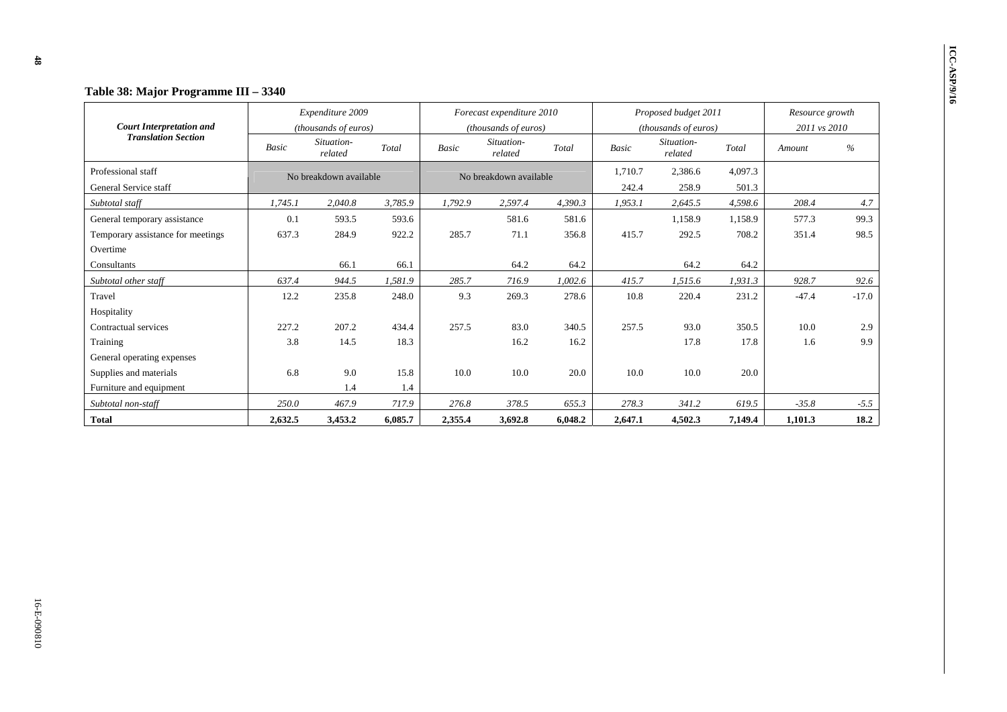| Table 38: Major Programme III - 3340 |              |                                          |         |              |                                                   |         |              |                                              |         |                                 |         |
|--------------------------------------|--------------|------------------------------------------|---------|--------------|---------------------------------------------------|---------|--------------|----------------------------------------------|---------|---------------------------------|---------|
| <b>Court Interpretation and</b>      |              | Expenditure 2009<br>(thousands of euros) |         |              | Forecast expenditure 2010<br>(thousands of euros) |         |              | Proposed budget 2011<br>(thousands of euros) |         | Resource growth<br>2011 vs 2010 |         |
| <b>Translation Section</b>           | <b>Basic</b> | Situation-<br>related                    | Total   | <b>Basic</b> | Situation-<br>related                             | Total   | <b>Basic</b> | Situation-<br>related                        | Total   | Amount                          | %       |
| Professional staff                   |              | No breakdown available                   |         |              | No breakdown available                            |         | 1,710.7      | 2,386.6                                      | 4,097.3 |                                 |         |
| General Service staff                |              |                                          |         |              |                                                   |         | 242.4        | 258.9                                        | 501.3   |                                 |         |
| Subtotal staff                       | 1,745.1      | 2,040.8                                  | 3,785.9 | 1,792.9      | 2,597.4                                           | 4,390.3 | 1,953.1      | 2,645.5                                      | 4,598.6 | 208.4                           | 4.7     |
| General temporary assistance         | 0.1          | 593.5                                    | 593.6   |              | 581.6                                             | 581.6   |              | 1,158.9                                      | 1,158.9 | 577.3                           | 99.3    |
| Temporary assistance for meetings    | 637.3        | 284.9                                    | 922.2   | 285.7        | 71.1                                              | 356.8   | 415.7        | 292.5                                        | 708.2   | 351.4                           | 98.5    |
| Overtime                             |              |                                          |         |              |                                                   |         |              |                                              |         |                                 |         |
| Consultants                          |              | 66.1                                     | 66.1    |              | 64.2                                              | 64.2    |              | 64.2                                         | 64.2    |                                 |         |
| Subtotal other staff                 | 637.4        | 944.5                                    | 1,581.9 | 285.7        | 716.9                                             | 1,002.6 | 415.7        | 1,515.6                                      | 1,931.3 | 928.7                           | 92.6    |
| Travel                               | 12.2         | 235.8                                    | 248.0   | 9.3          | 269.3                                             | 278.6   | 10.8         | 220.4                                        | 231.2   | $-47.4$                         | $-17.0$ |
| Hospitality                          |              |                                          |         |              |                                                   |         |              |                                              |         |                                 |         |
| Contractual services                 | 227.2        | 207.2                                    | 434.4   | 257.5        | 83.0                                              | 340.5   | 257.5        | 93.0                                         | 350.5   | 10.0                            | 2.9     |
| Training                             | 3.8          | 14.5                                     | 18.3    |              | 16.2                                              | 16.2    |              | 17.8                                         | 17.8    | 1.6                             | 9.9     |
| General operating expenses           |              |                                          |         |              |                                                   |         |              |                                              |         |                                 |         |
| Supplies and materials               | 6.8          | 9.0<br>15.8                              |         | 10.0         | 10.0                                              | 20.0    | 10.0         | 10.0                                         | 20.0    |                                 |         |
| Furniture and equipment              |              | 1.4                                      | 1.4     |              |                                                   |         |              |                                              |         |                                 |         |
| Subtotal non-staff                   | 250.0        | 467.9                                    | 717.9   | 276.8        | 378.5                                             | 655.3   | 278.3        | 341.2                                        | 619.5   | $-35.8$                         | $-5.5$  |
| <b>Total</b>                         | 2,632.5      | 3,453.2                                  | 6,085.7 | 2,355.4      | 3,692.8                                           | 6,048.2 | 2,647.1      | 4,502.3                                      | 7,149.4 | 1,101.3                         | 18.2    |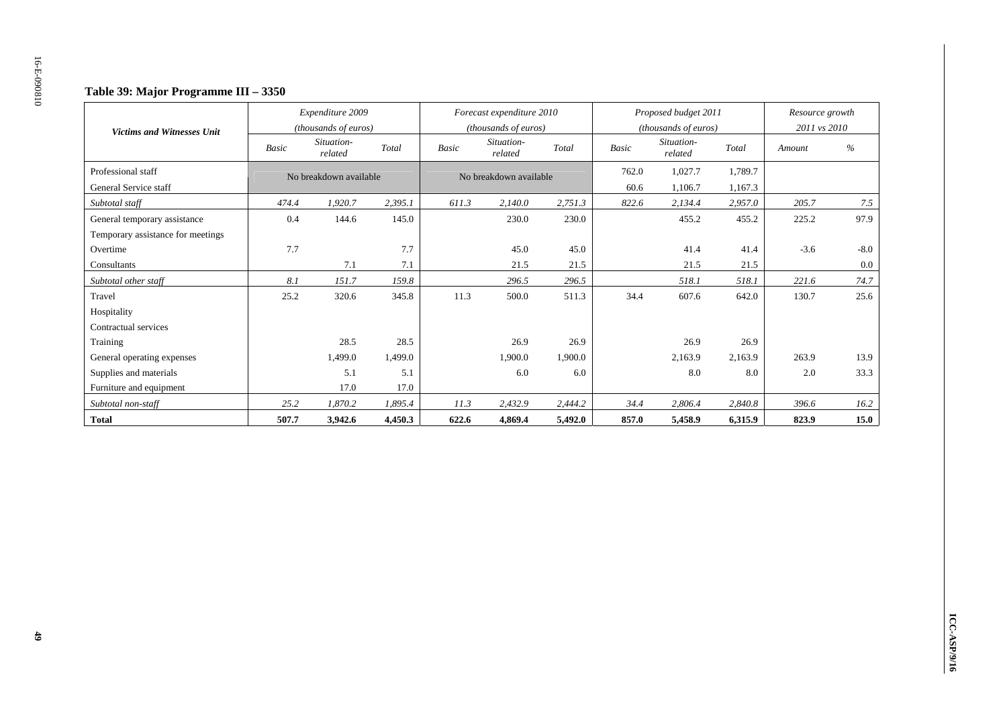### **Table 39: Major Programme III – 3350**

|                                   |       | Expenditure 2009<br>(thousands of euros) |         |              | Forecast expenditure 2010<br>(thousands of euros) |         |              | Proposed budget 2011<br>(thousands of euros) |         | Resource growth<br>2011 vs 2010 |        |
|-----------------------------------|-------|------------------------------------------|---------|--------------|---------------------------------------------------|---------|--------------|----------------------------------------------|---------|---------------------------------|--------|
| <b>Victims and Witnesses Unit</b> | Basic | Situation-<br>related                    | Total   | <b>Basic</b> | Situation-<br>related                             | Total   | <b>Basic</b> | Situation-<br>related                        | Total   | Amount                          | $\%$   |
| Professional staff                |       | No breakdown available                   |         |              | No breakdown available                            |         | 762.0        | 1,027.7                                      | 1,789.7 |                                 |        |
| General Service staff             |       |                                          |         |              |                                                   |         | 60.6         | 1,106.7                                      | 1,167.3 |                                 |        |
| Subtotal staff                    | 474.4 | 1,920.7                                  | 2,395.1 | 611.3        | 2,140.0                                           | 2,751.3 | 822.6        | 2,134.4                                      | 2,957.0 | 205.7                           | 7.5    |
| General temporary assistance      | 0.4   | 144.6                                    | 145.0   |              | 230.0                                             | 230.0   |              | 455.2                                        | 455.2   | 225.2                           | 97.9   |
| Temporary assistance for meetings |       |                                          |         |              |                                                   |         |              |                                              |         |                                 |        |
| Overtime                          | 7.7   |                                          | 7.7     |              | 45.0                                              | 45.0    |              | 41.4                                         | 41.4    | $-3.6$                          | $-8.0$ |
| Consultants                       |       | 7.1<br>7.1                               |         |              | 21.5                                              | 21.5    |              | 21.5                                         | 21.5    |                                 | 0.0    |
| Subtotal other staff              | 8.1   | 151.7                                    | 159.8   |              | 296.5                                             | 296.5   |              | 518.1                                        | 518.1   | 221.6                           | 74.7   |
| Travel                            | 25.2  | 320.6                                    | 345.8   | 11.3         | 500.0                                             | 511.3   | 34.4         | 607.6                                        | 642.0   | 130.7                           | 25.6   |
| Hospitality                       |       |                                          |         |              |                                                   |         |              |                                              |         |                                 |        |
| Contractual services              |       |                                          |         |              |                                                   |         |              |                                              |         |                                 |        |
| Training                          |       | 28.5                                     | 28.5    |              | 26.9                                              | 26.9    |              | 26.9                                         | 26.9    |                                 |        |
| General operating expenses        |       | 1,499.0                                  | 1,499.0 |              | 1,900.0                                           | 1.900.0 |              | 2,163.9                                      | 2,163.9 | 263.9                           | 13.9   |
| Supplies and materials            |       | 5.1                                      | 5.1     |              | 6.0                                               | 6.0     |              | 8.0                                          | 8.0     | 2.0                             | 33.3   |
| Furniture and equipment           |       | 17.0                                     | 17.0    |              |                                                   |         |              |                                              |         |                                 |        |
| Subtotal non-staff                | 25.2  | 1,870.2                                  | 1,895.4 | 11.3         | 2,432.9                                           | 2,444.2 | 34.4         | 2,806.4                                      | 2,840.8 | 396.6                           | 16.2   |
| <b>Total</b>                      | 507.7 | 3,942.6                                  | 4,450.3 | 622.6        | 4,869.4                                           | 5,492.0 | 857.0        | 5,458.9                                      | 6,315.9 | 823.9                           | 15.0   |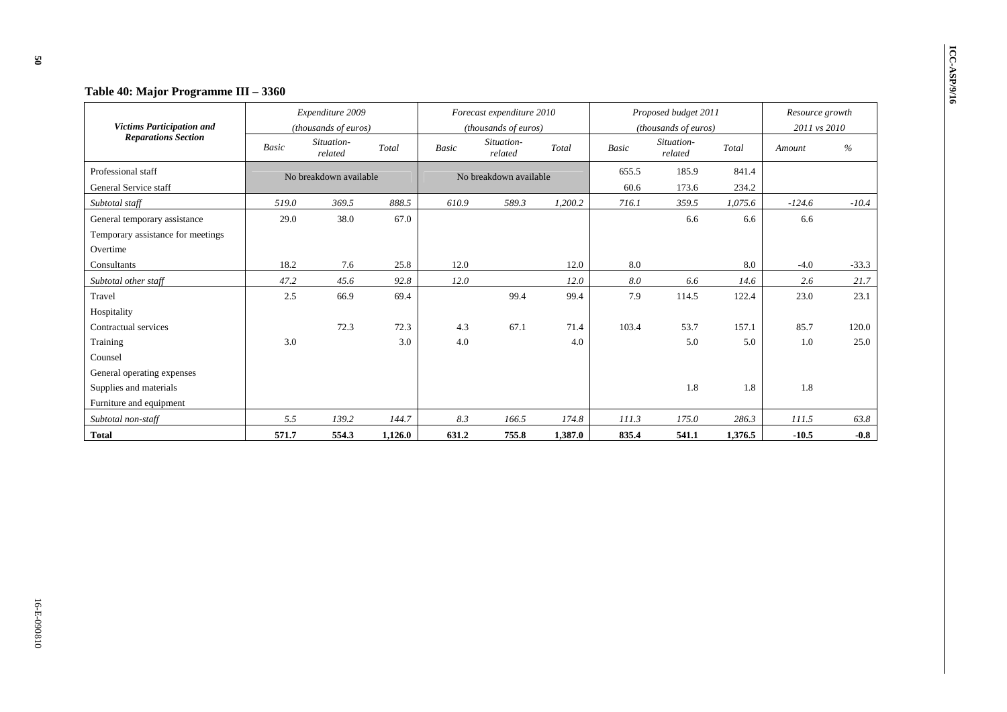| Table 40: Major Programme III - 3360                                          |              |                                          |         |       |                                                   |         |               |                                              |                |                                 |               |
|-------------------------------------------------------------------------------|--------------|------------------------------------------|---------|-------|---------------------------------------------------|---------|---------------|----------------------------------------------|----------------|---------------------------------|---------------|
| <b>Victims Participation and</b>                                              |              | Expenditure 2009<br>(thousands of euros) |         |       | Forecast expenditure 2010<br>(thousands of euros) |         |               | Proposed budget 2011<br>(thousands of euros) |                | Resource growth<br>2011 vs 2010 |               |
| <b>Reparations Section</b>                                                    | <b>Basic</b> | Situation-<br>related                    | Total   | Basic | Situation-<br>related                             | Total   | Basic         | Situation-<br>related                        | Total          | Amount                          | $\frac{0}{0}$ |
| Professional staff<br>General Service staff                                   |              | No breakdown available                   |         |       | No breakdown available                            |         | 655.5<br>60.6 | 185.9<br>173.6                               | 841.4<br>234.2 |                                 |               |
| Subtotal staff                                                                | 519.0        | 369.5                                    | 888.5   | 610.9 | 589.3                                             | 1,200.2 | 716.1         | 359.5                                        | 1,075.6        | $-124.6$                        | $-10.4$       |
| General temporary assistance<br>Temporary assistance for meetings<br>Overtime | 29.0         | 38.0                                     | 67.0    |       |                                                   |         |               | 6.6                                          | 6.6            | 6.6                             |               |
| Consultants                                                                   | 18.2         | 7.6                                      | 25.8    | 12.0  |                                                   | 12.0    | 8.0           |                                              | 8.0            | $-4.0$                          | $-33.3$       |
| Subtotal other staff                                                          | 47.2         | 45.6                                     | 92.8    | 12.0  |                                                   | 12.0    | 8.0           | 6.6                                          | 14.6           | 2.6                             | 21.7          |
| Travel<br>Hospitality                                                         | 2.5          | 66.9                                     | 69.4    |       | 99.4                                              | 99.4    | 7.9           | 114.5                                        | 122.4          | 23.0                            | 23.1          |
| Contractual services                                                          |              | 72.3                                     | 72.3    | 4.3   | 67.1                                              | 71.4    | 103.4         | 53.7                                         | 157.1          | 85.7                            | 120.0         |
| Training<br>Counsel                                                           | 3.0          |                                          | 3.0     | 4.0   |                                                   | 4.0     |               | 5.0                                          | 5.0            | 1.0                             | 25.0          |
| General operating expenses                                                    |              |                                          |         |       |                                                   |         |               |                                              |                |                                 |               |
| Supplies and materials<br>Furniture and equipment                             |              |                                          |         |       |                                                   |         |               | 1.8                                          | 1.8            | 1.8                             |               |
| Subtotal non-staff                                                            | 5.5          | 139.2                                    | 144.7   | 8.3   | 166.5                                             | 174.8   | 111.3         | 175.0                                        | 286.3          | 111.5                           | 63.8          |
| <b>Total</b>                                                                  | 571.7        | 554.3                                    | 1,126.0 | 631.2 | 755.8                                             | 1,387.0 | 835.4         | 541.1                                        | 1,376.5        | $-10.5$                         | $-0.8$        |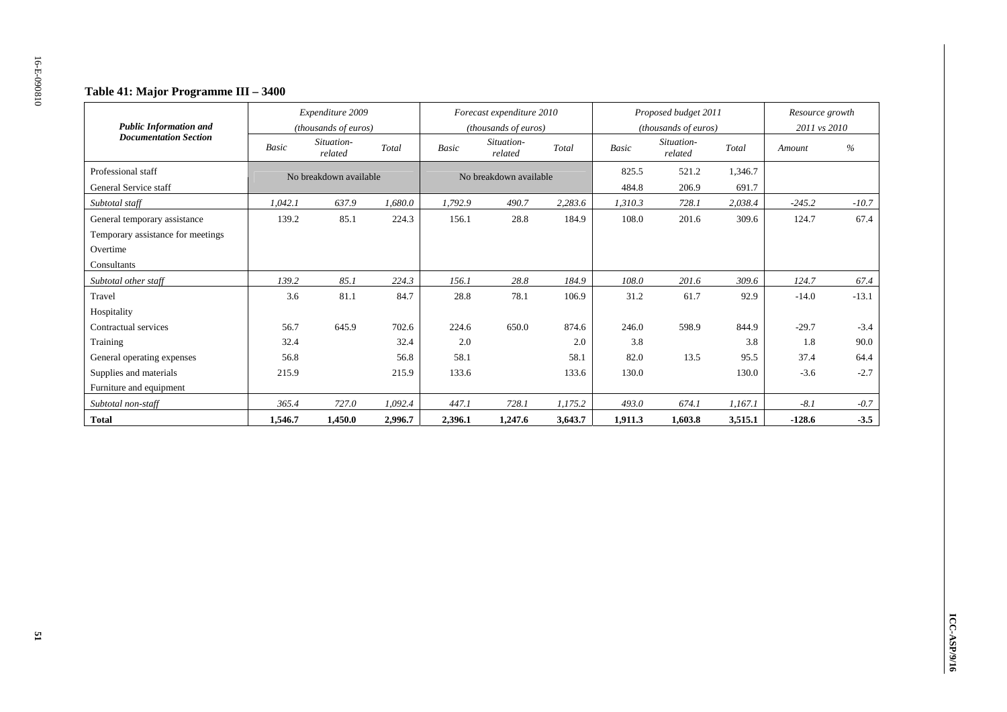### **Table 41: Major Programme III – 3400**

| <b>Public Information and</b>               |                               | Expenditure 2009<br>(thousands of euros) |         |              | Forecast expenditure 2010<br>(thousands of euros) |         |                | Proposed budget 2011<br>(thousands of euros) |                  | Resource growth<br>2011 vs 2010 |         |
|---------------------------------------------|-------------------------------|------------------------------------------|---------|--------------|---------------------------------------------------|---------|----------------|----------------------------------------------|------------------|---------------------------------|---------|
| <b>Documentation Section</b>                | <b>Basic</b>                  | Situation-<br>related                    | Total   | <b>Basic</b> | Situation-<br>related                             | Total   | <b>Basic</b>   | Situation-<br>related                        | Total            | Amount                          | $\%$    |
| Professional staff<br>General Service staff |                               | No breakdown available                   |         |              | No breakdown available                            |         | 825.5<br>484.8 | 521.2<br>206.9                               | 1,346.7<br>691.7 |                                 |         |
| Subtotal staff                              | 1.042.1                       | 637.9                                    | 1,680.0 | 1,792.9      | 490.7                                             | 2,283.6 | 1,310.3        | 728.1                                        | 2,038.4          | $-245.2$                        | $-10.7$ |
| General temporary assistance                | 139.2                         | 85.1                                     | 224.3   | 156.1        | 28.8                                              | 184.9   | 108.0          | 201.6                                        | 309.6            | 124.7                           | 67.4    |
| Temporary assistance for meetings           |                               |                                          |         |              |                                                   |         |                |                                              |                  |                                 |         |
| Overtime                                    |                               |                                          |         |              |                                                   |         |                |                                              |                  |                                 |         |
| Consultants                                 |                               |                                          |         |              |                                                   |         |                |                                              |                  |                                 |         |
| Subtotal other staff                        | 139.2                         | 85.1                                     | 224.3   | 156.1        | 28.8                                              | 184.9   | 108.0          | 201.6                                        | 309.6            | 124.7                           | 67.4    |
| Travel                                      | 3.6                           | 81.1                                     | 84.7    | 28.8         | 78.1                                              | 106.9   | 31.2           | 61.7                                         | 92.9             | $-14.0$                         | $-13.1$ |
| Hospitality                                 |                               |                                          |         |              |                                                   |         |                |                                              |                  |                                 |         |
| Contractual services                        | 56.7                          | 645.9                                    | 702.6   | 224.6        | 650.0                                             | 874.6   | 246.0          | 598.9                                        | 844.9            | $-29.7$                         | $-3.4$  |
| Training                                    | 32.4                          |                                          | 32.4    | 2.0          |                                                   | 2.0     | 3.8            |                                              | 3.8              | 1.8                             | 90.0    |
| General operating expenses                  | 56.8                          |                                          | 56.8    | 58.1         |                                                   | 58.1    | 82.0           | 13.5                                         | 95.5             | 37.4                            | 64.4    |
| Supplies and materials                      | 215.9                         |                                          | 215.9   | 133.6        |                                                   | 133.6   | 130.0          |                                              | 130.0            | $-3.6$                          | $-2.7$  |
| Furniture and equipment                     |                               |                                          |         |              |                                                   |         |                |                                              |                  |                                 |         |
| Subtotal non-staff                          | 365.4                         | 727.0                                    | 1,092.4 | 447.1        | 728.1                                             | 1,175.2 | 493.0          | 674.1                                        | 1,167.1          | $-8.1$                          | $-0.7$  |
| <b>Total</b>                                | 2,996.7<br>1,546.7<br>1,450.0 |                                          |         | 2,396.1      | 1,247.6                                           | 3,643.7 | 1,911.3        | 1,603.8                                      | 3,515.1          | $-128.6$                        | $-3.5$  |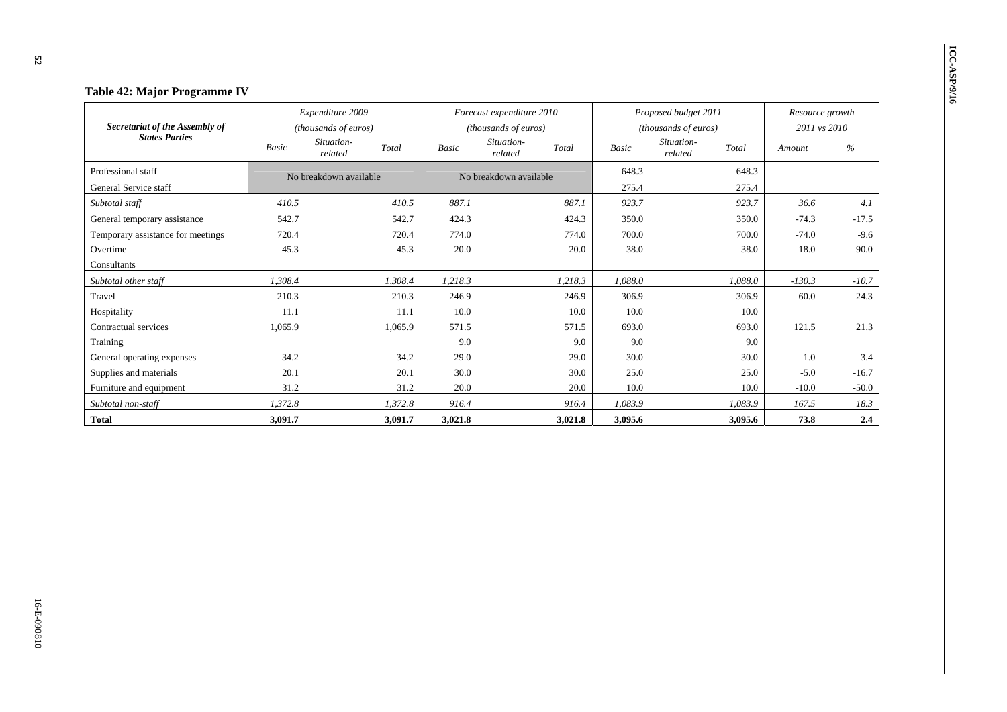| Table 42: Major Programme IV      |              |                                |              |                                |              |                                |                 |         |  |
|-----------------------------------|--------------|--------------------------------|--------------|--------------------------------|--------------|--------------------------------|-----------------|---------|--|
|                                   |              | Expenditure 2009               |              | Forecast expenditure 2010      |              | Proposed budget 2011           | Resource growth |         |  |
| Secretariat of the Assembly of    |              | (thousands of euros)           |              | (thousands of euros)           |              | (thousands of euros)           | 2011 vs 2010    |         |  |
| <b>States Parties</b>             | <b>Basic</b> | Situation-<br>Total<br>related | <b>Basic</b> | Situation-<br>Total<br>related | <b>Basic</b> | Situation-<br>Total<br>related | Amount          | %       |  |
| Professional staff                |              | No breakdown available         |              | No breakdown available         | 648.3        | 648.3                          |                 |         |  |
| General Service staff             |              |                                |              |                                | 275.4        | 275.4                          |                 |         |  |
| Subtotal staff                    | 410.5        | 410.5                          | 887.1        | 887.1                          | 923.7        | 923.7                          | 36.6            | 4.1     |  |
| General temporary assistance      | 542.7        | 542.7                          | 424.3        | 424.3                          | 350.0        | 350.0                          | $-74.3$         | $-17.5$ |  |
| Temporary assistance for meetings | 720.4        | 720.4                          | 774.0        | 774.0                          | 700.0        | 700.0                          | $-74.0$         | $-9.6$  |  |
| Overtime                          | 45.3         | 45.3                           | 20.0         | 20.0                           | 38.0         | 38.0                           | 18.0            | 90.0    |  |
| Consultants                       |              |                                |              |                                |              |                                |                 |         |  |
| Subtotal other staff              | 1.308.4      | 1,308.4                        | 1,218.3      | 1,218.3                        | 1,088.0      | 1,088.0                        | $-130.3$        | $-10.7$ |  |
| Travel                            | 210.3        | 210.3                          | 246.9        | 246.9                          | 306.9        | 306.9                          | 60.0            | 24.3    |  |
| Hospitality                       | 11.1         | 11.1                           | 10.0         | 10.0                           | 10.0         | 10.0                           |                 |         |  |
| Contractual services              | 1,065.9      | 1,065.9                        | 571.5        | 571.5                          | 693.0        | 693.0                          | 121.5           | 21.3    |  |
| Training                          |              |                                | 9.0          | 9.0                            | 9.0          | 9.0                            |                 |         |  |
| General operating expenses        | 34.2         | 34.2                           | 29.0         | 29.0                           | 30.0         | 30.0                           | 1.0             | 3.4     |  |
| Supplies and materials            | 20.1         | 20.1                           | 30.0         | 30.0                           | 25.0         | 25.0                           | $-5.0$          | $-16.7$ |  |
| Furniture and equipment           | 31.2         | 31.2                           | 20.0         | 20.0                           | 10.0         | 10.0                           | $-10.0$         | $-50.0$ |  |
| Subtotal non-staff                | 1,372.8      | 1,372.8                        | 916.4        | 916.4                          | 1,083.9      | 1,083.9                        | 167.5           | 18.3    |  |
| <b>Total</b>                      | 3,091.7      | 3,091.7                        | 3,021.8      | 3,021.8                        | 3,095.6      | 3,095.6                        | 73.8            | 2.4     |  |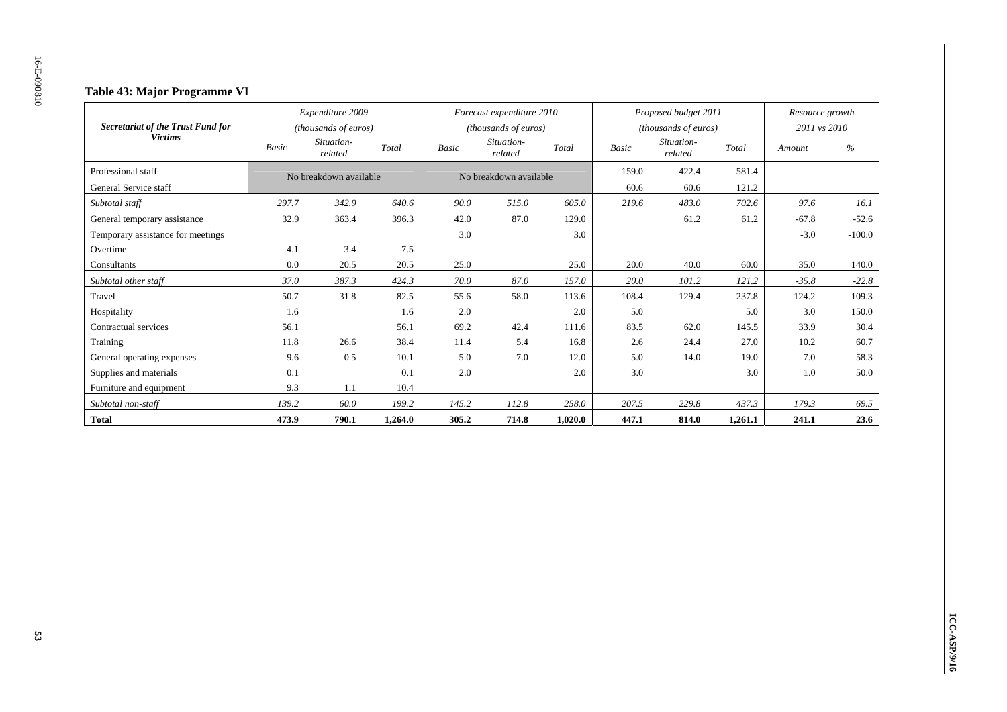### **Table 43: Major Programme VI**

| Secretariat of the Trust Fund for |                     | Expenditure 2009<br><i>(thousands of euros)</i> |         |              | Forecast expenditure 2010<br>(thousands of euros) |         |              | Proposed budget 2011<br>( <i>thousands of euros</i> ) |         | Resource growth<br>2011 vs 2010 |          |
|-----------------------------------|---------------------|-------------------------------------------------|---------|--------------|---------------------------------------------------|---------|--------------|-------------------------------------------------------|---------|---------------------------------|----------|
| <b>Victims</b>                    | Basic               | Situation-<br>related                           | Total   | <b>Basic</b> | Situation-<br>related                             | Total   | <b>Basic</b> | Situation-<br>related                                 | Total   | Amount                          | $\%$     |
| Professional staff                |                     | No breakdown available                          |         |              | No breakdown available                            |         | 159.0        | 422.4                                                 | 581.4   |                                 |          |
| General Service staff             |                     |                                                 |         |              |                                                   |         | 60.6         | 60.6                                                  | 121.2   |                                 |          |
| Subtotal staff                    | 297.7               | 342.9                                           | 640.6   | 90.0         | 515.0                                             | 605.0   | 219.6        | 483.0                                                 | 702.6   | 97.6                            | 16.1     |
| General temporary assistance      | 32.9                | 363.4                                           | 396.3   | 42.0         | 87.0                                              | 129.0   |              | 61.2                                                  | 61.2    | $-67.8$                         | $-52.6$  |
| Temporary assistance for meetings |                     |                                                 |         | 3.0          |                                                   | 3.0     |              |                                                       |         | $-3.0$                          | $-100.0$ |
| Overtime                          | 3.4<br>4.1<br>7.5   |                                                 |         |              |                                                   |         |              |                                                       |         |                                 |          |
| Consultants                       | 0.0<br>20.5<br>20.5 |                                                 | 25.0    |              | 25.0                                              | 20.0    | 40.0         | 60.0                                                  | 35.0    | 140.0                           |          |
| Subtotal other staff              | 37.0                | 387.3                                           | 424.3   | 70.0         | 87.0                                              | 157.0   | 20.0         | 101.2                                                 | 121.2   | $-35.8$                         | $-22.8$  |
| Travel                            | 50.7                | 31.8                                            | 82.5    | 55.6         | 58.0                                              | 113.6   | 108.4        | 129.4                                                 | 237.8   | 124.2                           | 109.3    |
| Hospitality                       | 1.6                 |                                                 | 1.6     | 2.0          |                                                   | 2.0     | 5.0          |                                                       | 5.0     | 3.0                             | 150.0    |
| Contractual services              | 56.1                |                                                 | 56.1    | 69.2         | 42.4                                              | 111.6   | 83.5         | 62.0                                                  | 145.5   | 33.9                            | 30.4     |
| Training                          | 11.8                | 26.6                                            | 38.4    | 11.4         | 5.4                                               | 16.8    | 2.6          | 24.4                                                  | 27.0    | 10.2                            | 60.7     |
| General operating expenses        | 9.6                 | 0.5                                             | 10.1    | 5.0          | 7.0                                               | 12.0    | 5.0          | 14.0                                                  | 19.0    | 7.0                             | 58.3     |
| Supplies and materials            | 0.1                 |                                                 | 0.1     | 2.0          |                                                   | 2.0     | 3.0          |                                                       | 3.0     | 1.0                             | 50.0     |
| Furniture and equipment           | 9.3                 | 1.1                                             | 10.4    |              |                                                   |         |              |                                                       |         |                                 |          |
| Subtotal non-staff                | 139.2               | 60.0                                            | 199.2   | 145.2        | 112.8                                             | 258.0   | 207.5        | 229.8                                                 | 437.3   | 179.3                           | 69.5     |
| <b>Total</b>                      | 473.9               | 790.1                                           | 1.264.0 | 305.2        | 714.8                                             | 1.020.0 | 447.1        | 814.0                                                 | 1,261.1 | 241.1                           | 23.6     |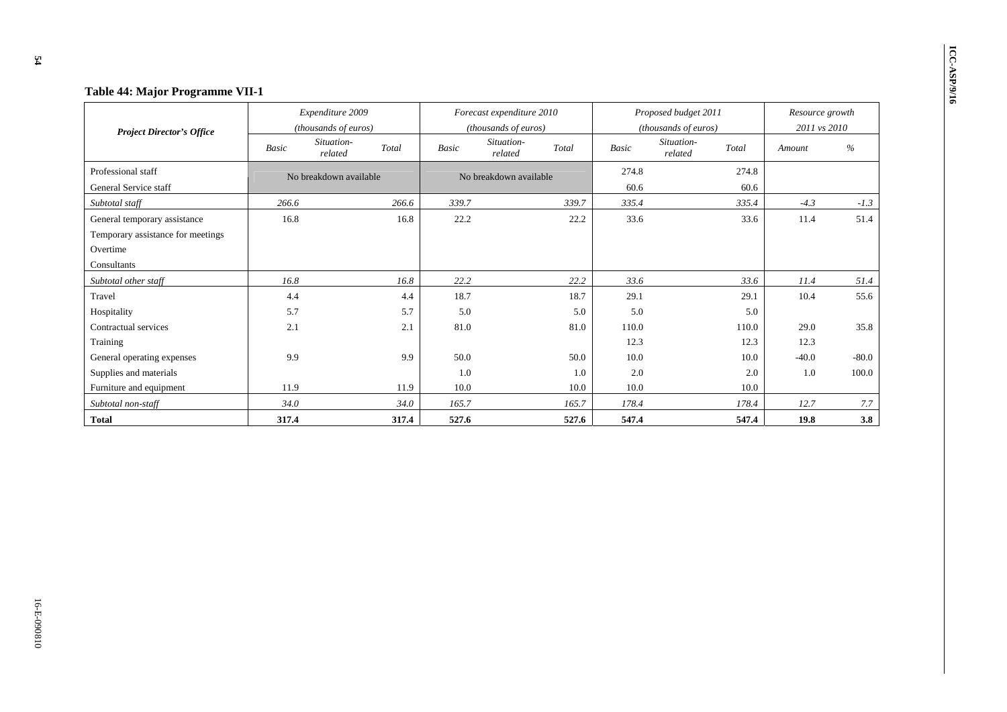| Table 44: Major Programme VII-1   |       |                                |       |              |                           |       |              |                                |                 |         |  |
|-----------------------------------|-------|--------------------------------|-------|--------------|---------------------------|-------|--------------|--------------------------------|-----------------|---------|--|
|                                   |       | Expenditure 2009               |       |              | Forecast expenditure 2010 |       |              | Proposed budget 2011           | Resource growth |         |  |
| <b>Project Director's Office</b>  |       | (thousands of euros)           |       |              | (thousands of euros)      |       |              | (thousands of euros)           | 2011 vs 2010    |         |  |
|                                   | Basic | Situation-<br>Total<br>related |       | <b>Basic</b> | Situation-<br>related     | Total | <b>Basic</b> | Situation-<br>Total<br>related | Amount          | %       |  |
| Professional staff                |       | No breakdown available         |       |              | No breakdown available    |       | 274.8        | 274.8                          |                 |         |  |
| General Service staff             |       |                                |       |              |                           |       | 60.6         | 60.6                           |                 |         |  |
| Subtotal staff                    | 266.6 |                                | 266.6 | 339.7        |                           | 339.7 | 335.4        | 335.4                          | $-4.3$          | $-1.3$  |  |
| General temporary assistance      | 16.8  |                                | 16.8  | 22.2         |                           | 22.2  | 33.6         | 33.6                           | 11.4            | 51.4    |  |
| Temporary assistance for meetings |       |                                |       |              |                           |       |              |                                |                 |         |  |
| Overtime                          |       |                                |       |              |                           |       |              |                                |                 |         |  |
| Consultants                       |       |                                |       |              |                           |       |              |                                |                 |         |  |
| Subtotal other staff              | 16.8  |                                | 16.8  | 22.2         |                           | 22.2  | 33.6         | 33.6                           | 11.4            | 51.4    |  |
| Travel                            | 4.4   |                                | 4.4   | 18.7         |                           | 18.7  | 29.1         | 29.1                           | 10.4            | 55.6    |  |
| Hospitality                       | 5.7   |                                | 5.7   | 5.0          |                           | 5.0   | 5.0          | 5.0                            |                 |         |  |
| Contractual services              | 2.1   |                                | 2.1   | 81.0         |                           | 81.0  | 110.0        | 110.0                          | 29.0            | 35.8    |  |
| Training                          |       |                                |       |              |                           |       | 12.3         | 12.3                           | 12.3            |         |  |
| General operating expenses        | 9.9   |                                | 9.9   | 50.0         |                           | 50.0  | 10.0         | 10.0                           | $-40.0$         | $-80.0$ |  |
| Supplies and materials            |       |                                |       | 1.0          |                           | 1.0   | 2.0          | 2.0                            | 1.0             | 100.0   |  |
| Furniture and equipment           | 11.9  |                                | 11.9  | 10.0         |                           | 10.0  | 10.0         | 10.0                           |                 |         |  |
| Subtotal non-staff                | 34.0  |                                | 34.0  | 165.7        |                           | 165.7 | 178.4        | 178.4                          | 12.7            | 7.7     |  |
| <b>Total</b>                      | 317.4 |                                | 317.4 | 527.6        |                           | 527.6 | 547.4        | 547.4                          | 19.8            | 3.8     |  |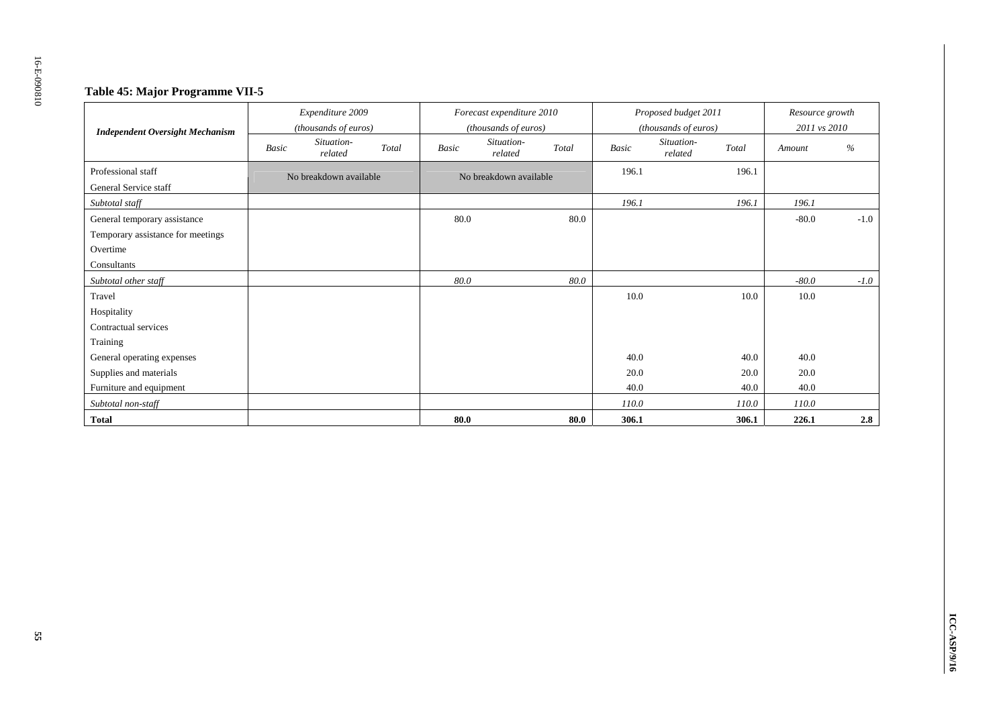### **Table 45: Major Programme VII-5**

| <b>Independent Oversight Mechanism</b>      |       | Expenditure 2009<br>(thousands of euros) |       |       | Forecast expenditure 2010<br>(thousands of euros) |       |              | Proposed budget 2011<br>(thousands of euros) |       | Resource growth<br>2011 vs 2010 |        |
|---------------------------------------------|-------|------------------------------------------|-------|-------|---------------------------------------------------|-------|--------------|----------------------------------------------|-------|---------------------------------|--------|
|                                             | Basic | Situation-<br>related                    | Total | Basic | Situation-<br>related                             | Total | <b>Basic</b> | Situation-<br>related                        | Total | Amount                          | $\%$   |
| Professional staff<br>General Service staff |       | No breakdown available                   |       |       | No breakdown available                            |       | 196.1        |                                              | 196.1 |                                 |        |
| Subtotal staff                              |       |                                          |       |       |                                                   |       | 196.1        |                                              | 196.1 | 196.1                           |        |
| General temporary assistance                |       |                                          |       | 80.0  |                                                   | 80.0  |              |                                              |       | $-80.0$                         | $-1.0$ |
| Temporary assistance for meetings           |       |                                          |       |       |                                                   |       |              |                                              |       |                                 |        |
| Overtime                                    |       |                                          |       |       |                                                   |       |              |                                              |       |                                 |        |
| Consultants                                 |       |                                          |       |       |                                                   |       |              |                                              |       |                                 |        |
| Subtotal other staff                        |       |                                          |       | 80.0  |                                                   | 80.0  |              |                                              |       | $-80.0$                         | $-1.0$ |
| Travel                                      |       |                                          |       |       |                                                   |       | 10.0         |                                              | 10.0  | 10.0                            |        |
| Hospitality                                 |       |                                          |       |       |                                                   |       |              |                                              |       |                                 |        |
| Contractual services                        |       |                                          |       |       |                                                   |       |              |                                              |       |                                 |        |
| Training                                    |       |                                          |       |       |                                                   |       |              |                                              |       |                                 |        |
| General operating expenses                  |       |                                          |       |       |                                                   |       | 40.0         |                                              | 40.0  | 40.0                            |        |
| Supplies and materials                      |       |                                          |       |       |                                                   |       | 20.0         |                                              | 20.0  | 20.0                            |        |
| Furniture and equipment                     |       |                                          |       |       |                                                   |       | 40.0         |                                              | 40.0  | 40.0                            |        |
| Subtotal non-staff                          |       |                                          |       |       |                                                   |       | 110.0        |                                              | 110.0 | 110.0                           |        |
| <b>Total</b>                                |       |                                          |       | 80.0  |                                                   | 80.0  | 306.1        |                                              | 306.1 | 226.1                           | 2.8    |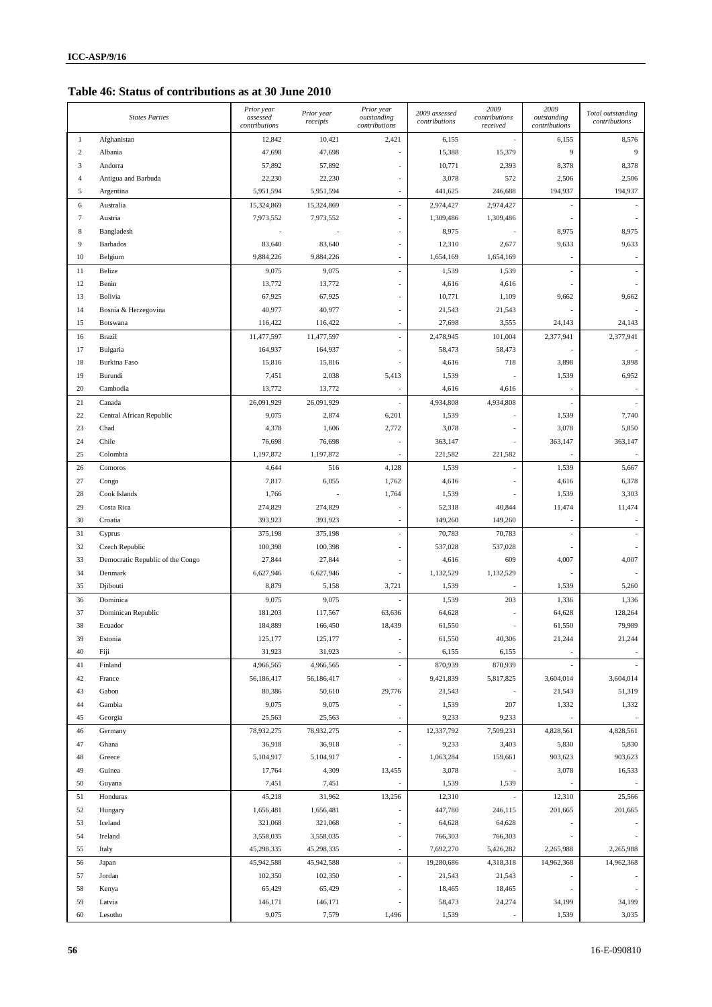**Table 46: Status of contributions as at 30 June 2010** 

|                  | <b>States Parties</b>            | Prior year<br>assessed | Prior year | Prior year<br>outstanding | 2009 assessed | 2009<br>contributions | 2009<br>outstanding | Total outstanding |
|------------------|----------------------------------|------------------------|------------|---------------------------|---------------|-----------------------|---------------------|-------------------|
|                  |                                  | contributions          | receipts   | contributions             | contributions | received              | contributions       | contributions     |
| 1                | Afghanistan                      | 12,842                 | 10,421     | 2,421                     | 6,155         |                       | 6,155               | 8,576             |
| $\boldsymbol{2}$ | Albania                          | 47,698                 | 47,698     |                           | 15,388        | 15,379                | 9                   | 9                 |
| 3                | Andorra                          | 57,892                 | 57,892     |                           | 10,771        | 2,393                 | 8,378               | 8,378             |
| $\overline{4}$   | Antigua and Barbuda              | 22,230                 | 22,230     |                           | 3,078         | 572                   | 2,506               | 2,506             |
| 5                | Argentina                        | 5,951,594              | 5,951,594  | $\overline{a}$            | 441,625       | 246,688               | 194,937             | 194,937           |
| 6                | Australia                        | 15,324,869             | 15,324,869 |                           | 2,974,427     | 2,974,427             |                     |                   |
| $7\phantom{.0}$  | Austria                          | 7,973,552              | 7,973,552  |                           | 1,309,486     | 1,309,486             |                     |                   |
| 8                | Bangladesh                       |                        |            |                           | 8,975         |                       | 8,975               | 8,975             |
| 9                | Barbados                         | 83,640                 | 83,640     |                           | 12,310        | 2,677                 | 9,633               | 9,633             |
| 10               | Belgium                          | 9,884,226              | 9,884,226  |                           | 1,654,169     | 1,654,169             |                     |                   |
| 11               | Belize                           | 9,075                  | 9,075      |                           | 1,539         | 1,539                 |                     |                   |
| 12               | Benin                            | 13,772                 | 13,772     |                           | 4,616         | 4,616                 |                     |                   |
| 13               | Bolivia                          | 67,925                 | 67,925     |                           | 10,771        | 1,109                 | 9,662               | 9,662             |
| 14               | Bosnia & Herzegovina             | 40,977                 | 40,977     |                           | 21,543        | 21,543                |                     |                   |
| 15               | Botswana                         | 116,422                | 116,422    |                           | 27,698        | 3,555                 | 24,143              | 24,143            |
| 16               | <b>Brazil</b>                    | 11,477,597             | 11,477,597 |                           | 2,478,945     | 101,004               | 2,377,941           | 2,377,941         |
| 17               | Bulgaria                         | 164,937                | 164,937    |                           | 58,473        | 58,473                |                     |                   |
| 18               | <b>Burkina Faso</b>              | 15,816                 | 15,816     |                           | 4,616         | 718                   | 3,898               | 3,898             |
| 19               | Burundi                          | 7,451                  | 2,038      | 5,413                     | 1,539         |                       | 1,539               | 6,952             |
| 20               | Cambodia                         | 13,772                 | 13,772     |                           | 4,616         | 4,616                 |                     |                   |
| 21               | Canada                           | 26,091,929             | 26,091,929 |                           | 4,934,808     | 4,934,808             |                     |                   |
| 22               | Central African Republic         | 9,075                  | 2,874      | 6,201                     | 1,539         |                       | 1,539               | 7,740             |
| 23               | Chad                             | 4,378                  | 1,606      | 2,772                     | 3,078         |                       | 3,078               | 5,850             |
| 24               | Chile                            | 76,698                 | 76,698     |                           | 363,147       |                       | 363,147             | 363,147           |
| 25               | Colombia                         | 1,197,872              | 1,197,872  |                           | 221,582       | 221,582               |                     |                   |
| 26               | Comoros                          | 4,644                  | 516        | 4,128                     | 1,539         |                       | 1,539               | 5,667             |
| 27               | Congo                            | 7,817                  | 6,055      | 1,762                     | 4,616         |                       | 4,616               | 6,378             |
| 28               | Cook Islands                     | 1,766                  |            | 1,764                     | 1,539         |                       | 1,539               | 3,303             |
| 29               | Costa Rica                       | 274,829                | 274,829    |                           | 52,318        | 40,844                | 11,474              | 11,474            |
| 30               | Croatia                          | 393,923                | 393,923    |                           | 149,260       | 149,260               |                     |                   |
| 31               | Cyprus                           | 375,198                | 375,198    |                           | 70,783        | 70,783                |                     |                   |
| 32               | Czech Republic                   | 100,398                | 100,398    |                           | 537,028       | 537,028               |                     |                   |
| 33               | Democratic Republic of the Congo | 27,844                 | 27,844     |                           | 4,616         | 609                   | 4,007               | 4,007             |
| 34               | Denmark                          | 6,627,946              | 6,627,946  |                           | 1,132,529     | 1,132,529             |                     |                   |
| 35               | Djibouti                         | 8,879                  | 5,158      | 3,721                     | 1,539         |                       | 1,539               | 5,260             |
| 36               | Dominica                         | 9,075                  | 9,075      |                           | 1,539         | 203                   | 1,336               | 1,336             |
| 37               | Dominican Republic               | 181,203                | 117,567    | 63,636                    | 64,628        |                       | 64,628              | 128,264           |
| 38               | Ecuador                          | 184,889                | 166,450    | 18,439                    | 61,550        |                       | 61,550              | 79,989            |
| 39               | Estonia                          | 125,177                | 125,177    |                           | 61,550        | 40,306                | 21,244              | 21,244            |
| 40               | Fiji                             | 31,923                 | 31,923     |                           | 6,155         | 6,155                 |                     |                   |
| 41               | Finland                          | 4,966,565              | 4,966,565  |                           | 870,939       | 870,939               |                     |                   |
| 42               | France                           | 56,186,417             | 56,186,417 |                           | 9,421,839     | 5,817,825             | 3,604,014           | 3,604,014         |
| 43               | Gabon                            | 80,386                 | 50,610     | 29,776                    | 21,543        |                       | 21,543              | 51,319            |
| 44               | Gambia                           | 9,075                  | 9,075      |                           | 1,539         | 207                   | 1,332               | 1,332             |
| 45               | Georgia                          | 25,563                 | 25,563     |                           | 9,233         | 9,233                 |                     |                   |
| 46               | Germany                          | 78,932,275             | 78,932,275 |                           | 12,337,792    | 7,509,231             | 4,828,561           | 4,828,561         |
| 47               | Ghana                            | 36,918                 | 36,918     |                           | 9,233         | 3,403                 | 5,830               | 5,830             |
| 48               | Greece                           | 5,104,917              | 5,104,917  |                           | 1,063,284     | 159,661               | 903,623             | 903,623           |
| 49               | Guinea                           | 17,764                 | 4,309      | 13,455                    | 3,078         |                       | 3,078               | 16,533            |
| 50               | Guyana                           | 7,451                  | 7,451      | ÷,                        | 1,539         | 1,539                 |                     |                   |
| 51               | Honduras                         | 45,218                 | 31,962     | 13,256                    | 12,310        |                       | 12,310              | 25,566            |
| 52               | Hungary                          | 1,656,481              | 1,656,481  |                           | 447,780       | 246,115               | 201,665             | 201,665           |
| 53               | Iceland                          | 321,068                | 321,068    |                           | 64,628        | 64,628                |                     |                   |
| 54               | Ireland                          | 3,558,035              | 3,558,035  |                           | 766,303       | 766,303               |                     |                   |
| 55               | Italy                            | 45,298,335             | 45,298,335 |                           | 7,692,270     | 5,426,282             | 2,265,988           | 2,265,988         |
| 56               | Japan                            | 45,942,588             | 45,942,588 |                           | 19,280,686    | 4,318,318             | 14,962,368          | 14,962,368        |
| 57               | Jordan                           | 102,350                | 102,350    |                           | 21,543        | 21,543                |                     |                   |
| 58               | Kenya                            | 65,429                 | 65,429     |                           | 18,465        | 18,465                |                     |                   |
| 59               | Latvia                           | 146,171                | 146,171    |                           | 58,473        | 24,274                | 34,199              | 34,199            |
| 60               | Lesotho                          | 9,075                  | 7,579      | 1,496                     | 1,539         |                       | 1,539               | 3,035             |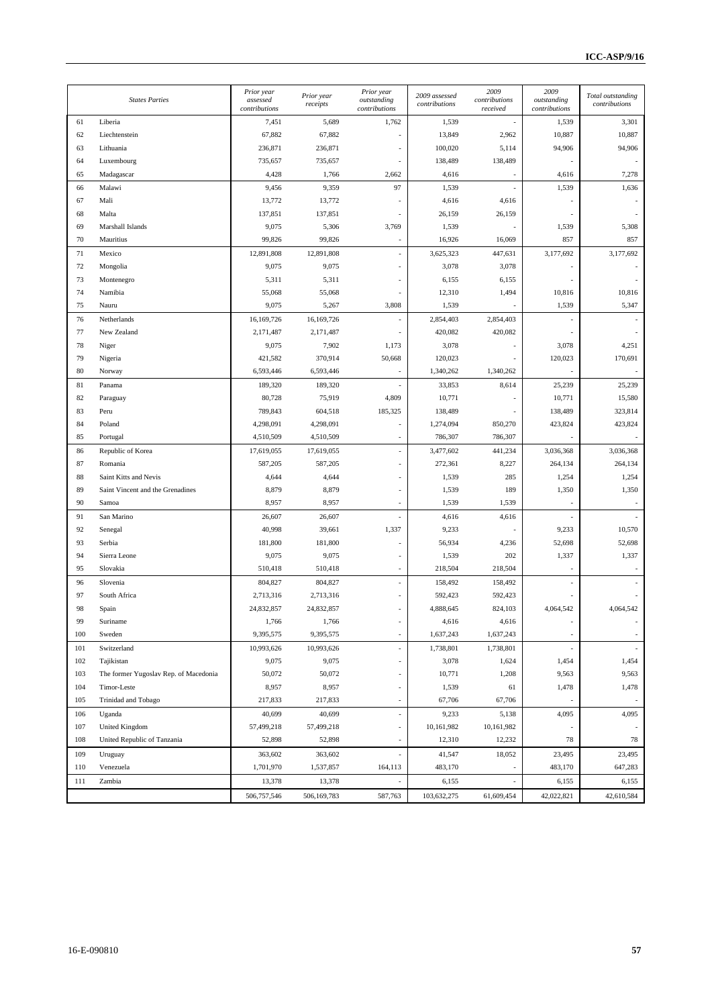|     | <b>States Parties</b>                 | Prior year<br>assessed<br>contributions | Prior year<br>receipts | Prior year<br>outstanding<br>contributions | 2009 assessed<br>contributions | 2009<br>contributions<br>received | 2009<br>outstanding<br>contributions | Total outstanding<br>contributions |
|-----|---------------------------------------|-----------------------------------------|------------------------|--------------------------------------------|--------------------------------|-----------------------------------|--------------------------------------|------------------------------------|
| 61  | Liberia                               | 7,451                                   | 5,689                  | 1,762                                      | 1,539                          |                                   | 1,539                                | 3,301                              |
| 62  | Liechtenstein                         | 67,882                                  | 67,882                 |                                            | 13,849                         | 2,962                             | 10,887                               | 10,887                             |
| 63  | Lithuania                             | 236,871                                 | 236,871                |                                            | 100,020                        | 5,114                             | 94,906                               | 94,906                             |
| 64  | Luxembourg                            | 735,657                                 | 735,657                |                                            | 138,489                        | 138,489                           |                                      |                                    |
| 65  | Madagascar                            | 4,428                                   | 1,766                  | 2,662                                      | 4,616                          |                                   | 4,616                                | 7,278                              |
| 66  | Malawi                                | 9,456                                   | 9,359                  | 97                                         | 1,539                          |                                   | 1,539                                | 1,636                              |
| 67  | Mali                                  | 13,772                                  | 13,772                 |                                            | 4,616                          | 4,616                             |                                      |                                    |
| 68  | Malta                                 | 137,851                                 | 137,851                |                                            | 26,159                         | 26,159                            |                                      |                                    |
| 69  | Marshall Islands                      | 9,075                                   | 5,306                  | 3,769                                      | 1,539                          |                                   | 1,539                                | 5,308                              |
| 70  | Mauritius                             | 99,826                                  | 99,826                 |                                            | 16,926                         | 16,069                            | 857                                  | 857                                |
| 71  | Mexico                                | 12,891,808                              | 12,891,808             |                                            | 3,625,323                      | 447,631                           | 3,177,692                            | 3,177,692                          |
| 72  | Mongolia                              | 9,075                                   | 9,075                  |                                            | 3,078                          | 3,078                             |                                      |                                    |
| 73  | Montenegro                            | 5,311                                   | 5,311                  |                                            | 6,155                          | 6,155                             |                                      |                                    |
| 74  | Namibia                               | 55,068                                  | 55,068                 |                                            | 12,310                         | 1,494                             | 10,816                               | 10,816                             |
| 75  | Nauru                                 | 9,075                                   | 5,267                  | 3,808                                      | 1,539                          |                                   | 1,539                                | 5,347                              |
| 76  | Netherlands                           | 16,169,726                              | 16,169,726             |                                            | 2,854,403                      | 2,854,403                         |                                      |                                    |
| 77  | New Zealand                           | 2,171,487                               | 2,171,487              |                                            | 420,082                        | 420,082                           |                                      |                                    |
| 78  | Niger                                 | 9,075                                   | 7,902                  | 1,173                                      | 3,078                          |                                   | 3,078                                | 4,251                              |
| 79  | Nigeria                               | 421,582                                 | 370,914                | 50,668                                     | 120,023                        |                                   | 120,023                              | 170,691                            |
| 80  | Norway                                | 6,593,446                               | 6,593,446              |                                            | 1,340,262                      | 1,340,262                         |                                      |                                    |
| 81  | Panama                                | 189,320                                 | 189,320                |                                            | 33,853                         | 8,614                             | 25,239                               | 25,239                             |
| 82  | Paraguay                              | 80,728                                  | 75,919                 | 4,809                                      | 10,771                         |                                   | 10,771                               | 15,580                             |
| 83  | Peru                                  | 789,843                                 | 604,518                | 185,325                                    | 138,489                        |                                   | 138,489                              | 323,814                            |
| 84  | Poland                                | 4,298,091                               | 4,298,091              |                                            | 1,274,094                      | 850,270                           | 423,824                              | 423,824                            |
| 85  | Portugal                              | 4,510,509                               | 4,510,509              |                                            | 786,307                        | 786,307                           |                                      |                                    |
| 86  | Republic of Korea                     | 17,619,055                              | 17,619,055             |                                            | 3,477,602                      | 441,234                           | 3,036,368                            | 3,036,368                          |
| 87  | Romania                               | 587,205                                 | 587,205                |                                            | 272,361                        | 8,227                             | 264,134                              | 264,134                            |
| 88  | Saint Kitts and Nevis                 | 4,644                                   | 4,644                  |                                            | 1,539                          | 285                               | 1,254                                | 1,254                              |
| 89  | Saint Vincent and the Grenadines      | 8,879                                   | 8,879                  |                                            | 1,539                          | 189                               | 1,350                                | 1,350                              |
| 90  | Samoa                                 | 8,957                                   | 8,957                  |                                            | 1,539                          | 1,539                             |                                      |                                    |
| 91  | San Marino                            | 26,607                                  | 26,607                 |                                            | 4,616                          | 4,616                             |                                      |                                    |
| 92  | Senegal                               | 40,998                                  | 39,661                 | 1,337                                      | 9,233                          |                                   | 9,233                                | 10,570                             |
| 93  | Serbia                                | 181,800                                 | 181,800                |                                            | 56,934                         | 4,236                             | 52,698                               | 52,698                             |
| 94  | Sierra Leone                          | 9,075                                   | 9,075                  |                                            | 1,539                          | 202                               | 1,337                                | 1,337                              |
| 95  | Slovakia                              | 510,418                                 | 510,418                |                                            | 218,504                        | 218,504                           |                                      |                                    |
| 96  | Slovenia                              | 804,827                                 | 804,827                |                                            | 158,492                        | 158,492                           |                                      |                                    |
| 97  | South Africa                          | 2,713,316                               | 2,713,316              |                                            | 592,423                        | 592,423                           |                                      |                                    |
| 98  | Spain                                 | 24,832,857                              | 24,832,857             |                                            | 4,888,645                      | 824,103                           | 4,064,542                            | 4,064,542                          |
| 99  | Suriname                              | 1,766                                   | 1,766                  |                                            | 4,616                          | 4,616                             |                                      |                                    |
| 100 | Sweden                                | 9,395,575                               | 9,395,575              | L,                                         | 1,637,243                      | 1,637,243                         |                                      |                                    |
| 101 | Switzerland                           | 10,993,626                              | 10,993,626             |                                            | 1,738,801                      | 1,738,801                         |                                      | $\sim$                             |
| 102 | Tajikistan                            | 9,075                                   | 9,075                  |                                            | 3,078                          | 1,624                             | 1,454                                | 1,454                              |
| 103 | The former Yugoslav Rep. of Macedonia | 50,072                                  | 50,072                 |                                            | 10,771                         | 1,208                             | 9,563                                | 9,563                              |
| 104 | Timor-Leste                           | 8,957                                   | 8,957                  |                                            | 1,539                          | 61                                | 1,478                                | 1,478                              |
| 105 | Trinidad and Tobago                   | 217,833                                 | 217,833                |                                            | 67,706                         | 67,706                            |                                      |                                    |
| 106 | Uganda                                | 40,699                                  | 40,699                 |                                            | 9,233                          | 5,138                             | 4,095                                | 4,095                              |
| 107 | <b>United Kingdom</b>                 | 57,499,218                              | 57,499,218             |                                            | 10,161,982                     | 10,161,982                        |                                      |                                    |
| 108 | United Republic of Tanzania           | 52,898                                  | 52,898                 |                                            | 12,310                         | 12,232                            | 78                                   | 78                                 |
| 109 | Uruguay                               | 363,602                                 | 363,602                |                                            | 41,547                         | 18,052                            | 23,495                               | 23,495                             |
| 110 | Venezuela                             | 1,701,970                               | 1,537,857              | 164,113                                    | 483,170                        |                                   | 483,170                              | 647,283                            |
| 111 | Zambia                                | 13,378                                  | 13,378                 |                                            | 6,155                          |                                   | 6,155                                | 6,155                              |
|     |                                       | 506,757,546                             | 506,169,783            | 587,763                                    | 103,632,275                    | 61,609,454                        | 42,022,821                           | 42,610,584                         |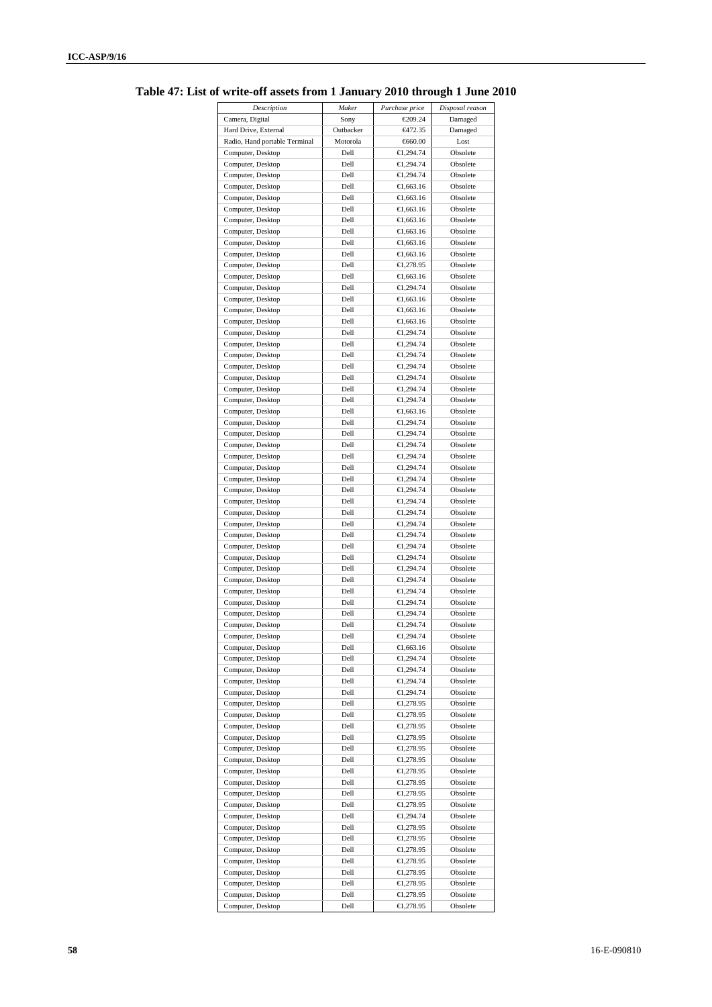| Description                   | Maker     | Purchase price | Disposal reason |
|-------------------------------|-----------|----------------|-----------------|
| Camera, Digital               | Sony      | €209.24        | Damaged         |
| Hard Drive, External          | Outbacker | €472.35        | Damaged         |
| Radio, Hand portable Terminal | Motorola  | €660.00        | Lost            |
| Computer, Desktop             | Dell      | €1,294.74      | Obsolete        |
| Computer, Desktop             | Dell      | €1,294.74      | Obsolete        |
| Computer, Desktop             | Dell      | €1,294.74      | Obsolete        |
| Computer, Desktop             | Dell      | €1,663.16      | Obsolete        |
| Computer, Desktop             | Dell      | €1,663.16      | Obsolete        |
| Computer, Desktop             | Dell      | €1,663.16      | Obsolete        |
| Computer, Desktop             | Dell      | €1,663.16      | Obsolete        |
| Computer, Desktop             | Dell      | €1,663.16      | Obsolete        |
| Computer, Desktop             | Dell      | €1,663.16      | Obsolete        |
| Computer, Desktop             | Dell      | €1,663.16      | Obsolete        |
| Computer, Desktop             | Dell      | €1,278.95      | Obsolete        |
| Computer, Desktop             | Dell      | €1,663.16      | Obsolete        |
| Computer, Desktop             | Dell      | €1,294.74      | Obsolete        |
| Computer, Desktop             | Dell      | €1,663.16      | Obsolete        |
|                               | Dell      | €1,663.16      | Obsolete        |
| Computer, Desktop             |           |                |                 |
| Computer, Desktop             | Dell      | €1,663.16      | Obsolete        |
| Computer, Desktop             | Dell      | €1,294.74      | Obsolete        |
| Computer, Desktop             | Dell      | €1,294.74      | Obsolete        |
| Computer, Desktop             | Dell      | €1,294.74      | Obsolete        |
| Computer, Desktop             | Dell      | €1,294.74      | Obsolete        |
| Computer, Desktop             | Dell      | €1,294.74      | Obsolete        |
| Computer, Desktop             | Dell      | €1,294.74      | Obsolete        |
| Computer, Desktop             | Dell      | €1,294.74      | Obsolete        |
| Computer, Desktop             | Dell      | €1,663.16      | Obsolete        |
| Computer, Desktop             | Dell      | €1,294.74      | Obsolete        |
| Computer, Desktop             | Dell      | €1,294.74      | Obsolete        |
| Computer, Desktop             | Dell      | €1,294.74      | Obsolete        |
| Computer, Desktop             | Dell      | €1,294.74      | Obsolete        |
| Computer, Desktop             | Dell      | €1,294.74      | Obsolete        |
| Computer, Desktop             | Dell      | €1,294.74      | Obsolete        |
|                               | Dell      |                |                 |
| Computer, Desktop             |           | €1,294.74      | Obsolete        |
| Computer, Desktop             | Dell      | €1,294.74      | Obsolete        |
| Computer, Desktop             | Dell      | €1,294.74      | Obsolete        |
| Computer, Desktop             | Dell      | €1,294.74      | Obsolete        |
| Computer, Desktop             | Dell      | €1,294.74      | Obsolete        |
| Computer, Desktop             | Dell      | €1,294.74      | Obsolete        |
| Computer, Desktop             | Dell      | €1,294.74      | Obsolete        |
| Computer, Desktop             | Dell      | €1,294.74      | Obsolete        |
| Computer, Desktop             | Dell      | €1,294.74      | Obsolete        |
| Computer, Desktop             | Dell      | €1,294.74      | Obsolete        |
| Computer, Desktop             | Dell      | €1,294.74      | Obsolete        |
| Computer, Desktop             | Dell      | €1,294.74      | Obsolete        |
| Computer, Desktop             | Dell      | €1,294.74      | Obsolete        |
| Computer, Desktop             | Dell      | €1,294.74      | Obsolete        |
| Computer, Desktop             | Dell      | €1,663.16      | Obsolete        |
| Computer, Desktop             | Dell      | €1,294.74      | Obsolete        |
|                               |           |                |                 |
| Computer, Desktop             | Dell      | €1,294.74      | Obsolete        |
| Computer, Desktop             | Dell      | €1,294.74      | Obsolete        |
| Computer, Desktop             | Dell      | €1,294.74      | Obsolete        |
| Computer, Desktop             | Dell      | €1,278.95      | Obsolete        |
| Computer, Desktop             | Dell      | €1,278.95      | Obsolete        |
| Computer, Desktop             | Dell      | €1,278.95      | Obsolete        |
| Computer, Desktop             | Dell      | €1,278.95      | Obsolete        |
| Computer, Desktop             | Dell      | €1,278.95      | Obsolete        |
| Computer, Desktop             | Dell      | €1,278.95      | Obsolete        |
| Computer, Desktop             | Dell      | €1,278.95      | Obsolete        |
| Computer, Desktop             | Dell      | €1,278.95      | Obsolete        |
| Computer, Desktop             | Dell      | €1,278.95      | Obsolete        |
| Computer, Desktop             | Dell      | €1,278.95      | Obsolete        |
|                               | Dell      |                |                 |
| Computer, Desktop             |           | €1,294.74      | Obsolete        |
| Computer, Desktop             | Dell      | €1,278.95      | Obsolete        |
| Computer, Desktop             | Dell      | €1,278.95      | Obsolete        |
| Computer, Desktop             | Dell      | €1,278.95      | Obsolete        |
| Computer, Desktop             | Dell      | €1,278.95      | Obsolete        |
| Computer, Desktop             | Dell      | €1,278.95      | Obsolete        |
| Computer, Desktop             | Dell      | €1,278.95      | Obsolete        |
| Computer, Desktop             | Dell      | €1,278.95      | Obsolete        |
| Computer, Desktop             | Dell      | €1,278.95      | Obsolete        |

**Table 47: List of write-off assets from 1 January 2010 through 1 June 2010**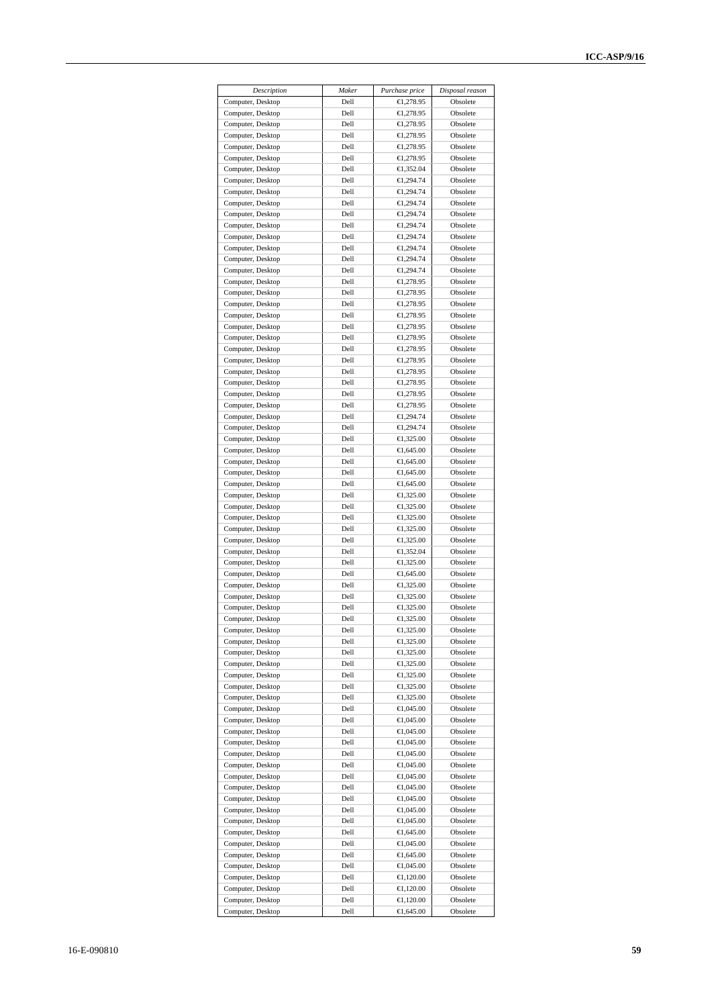| Description                            | Maker        | Purchase price         | Disposal reason      |
|----------------------------------------|--------------|------------------------|----------------------|
| Computer, Desktop                      | Dell         | €1,278.95              | Obsolete             |
| Computer, Desktop                      | Dell         | €1,278.95              | Obsolete             |
| Computer, Desktop                      | Dell         | €1,278.95              | Obsolete             |
| Computer, Desktop                      | Dell         | €1,278.95              | Obsolete             |
| Computer, Desktop                      | Dell         | €1,278.95              | Obsolete             |
| Computer, Desktop                      | Dell         | €1,278.95              | Obsolete             |
| Computer, Desktop                      | Dell         | €1,352.04              | Obsolete             |
| Computer, Desktop                      | Dell         | €1,294.74              | Obsolete             |
| Computer, Desktop                      | Dell         | €1,294.74              | Obsolete             |
| Computer, Desktop                      | Dell<br>Dell | €1,294.74              | Obsolete             |
| Computer, Desktop<br>Computer, Desktop | Dell         | €1,294.74<br>€1,294.74 | Obsolete<br>Obsolete |
| Computer, Desktop                      | Dell         | €1,294.74              | Obsolete             |
| Computer, Desktop                      | Dell         | €1,294.74              | Obsolete             |
| Computer, Desktop                      | Dell         | €1,294.74              | Obsolete             |
| Computer, Desktop                      | Dell         | €1,294.74              | Obsolete             |
| Computer, Desktop                      | Dell         | €1,278.95              | Obsolete             |
| Computer, Desktop                      | Dell         | €1,278.95              | Obsolete             |
| Computer, Desktop                      | Dell         | €1,278.95              | Obsolete             |
| Computer, Desktop                      | Dell         | €1,278.95              | Obsolete             |
| Computer, Desktop                      | Dell         | €1,278.95              | Obsolete             |
| Computer, Desktop                      | Dell         | €1,278.95              | Obsolete             |
| Computer, Desktop                      | Dell         | €1,278.95              | Obsolete             |
| Computer, Desktop                      | Dell         | €1,278.95              | Obsolete             |
| Computer, Desktop                      | Dell         | €1,278.95              | Obsolete             |
| Computer, Desktop                      | Dell         | €1,278.95              | Obsolete             |
| Computer, Desktop                      | Dell         | €1,278.95              | Obsolete             |
| Computer, Desktop                      | Dell         | €1.278.95              | Obsolete             |
| Computer, Desktop                      | Dell         | €1,294.74              | Obsolete             |
| Computer, Desktop                      | Dell         | €1,294.74              | Obsolete             |
| Computer, Desktop                      | Dell         | €1,325.00              | Obsolete             |
| Computer, Desktop                      | Dell<br>Dell | €1,645.00<br>€1,645.00 | Obsolete<br>Obsolete |
| Computer, Desktop<br>Computer, Desktop | Dell         | €1,645.00              | Obsolete             |
| Computer, Desktop                      | Dell         | €1,645.00              | Obsolete             |
| Computer, Desktop                      | Dell         | €1,325.00              | Obsolete             |
| Computer, Desktop                      | Dell         | €1,325.00              | Obsolete             |
| Computer, Desktop                      | Dell         | €1,325.00              | Obsolete             |
| Computer, Desktop                      | Dell         | €1,325.00              | Obsolete             |
| Computer, Desktop                      | Dell         | €1,325.00              | Obsolete             |
| Computer, Desktop                      | Dell         | €1,352.04              | Obsolete             |
| Computer, Desktop                      | Dell         | €1,325.00              | Obsolete             |
| Computer, Desktop                      | Dell         | €1,645.00              | Obsolete             |
| Computer, Desktop                      | Dell         | €1,325.00              | Obsolete             |
| Computer, Desktop                      | Dell         | €1,325.00              | Obsolete             |
| Computer, Desktop                      | Dell         | €1,325.00              | Obsolete             |
| Computer, Desktop                      | Dell         | €1,325.00              | Obsolete             |
| Computer, Desktop                      | Dell         | €1,325.00              | Obsolete             |
| Computer, Desktop                      | Dell         | €1,325.00              | Obsolete             |
| Computer, Desktop                      | Dell         | €1,325.00              | Obsolete             |
| Computer, Desktop                      | Dell         | €1,325.00              | Obsolete             |
| Computer, Desktop<br>Computer, Desktop | Dell<br>Dell | €1,325.00<br>€1,325.00 | Obsolete<br>Obsolete |
| Computer, Desktop                      | Dell         | €1,325.00              | Obsolete             |
| Computer, Desktop                      | Dell         | €1,045.00              | Obsolete             |
| Computer, Desktop                      | Dell         | €1,045.00              | Obsolete             |
| Computer, Desktop                      | Dell         | €1,045.00              | Obsolete             |
| Computer, Desktop                      | Dell         | €1,045.00              | Obsolete             |
| Computer, Desktop                      | Dell         | €1,045.00              | Obsolete             |
| Computer, Desktop                      | Dell         | €1,045.00              | Obsolete             |
| Computer, Desktop                      | Dell         | €1,045.00              | Obsolete             |
| Computer, Desktop                      | Dell         | €1,045.00              | Obsolete             |
| Computer, Desktop                      | Dell         | €1,045.00              | Obsolete             |
| Computer, Desktop                      | Dell         | €1,045.00              | Obsolete             |
| Computer, Desktop                      | Dell         | €1,045.00              | Obsolete             |
| Computer, Desktop                      | Dell         | €1,645.00              | Obsolete             |
| Computer, Desktop                      | Dell         | €1,045.00              | Obsolete             |
| Computer, Desktop                      | Dell         | €1,645.00              | Obsolete             |
| Computer, Desktop                      | Dell         | €1,045.00              | Obsolete             |
| Computer, Desktop                      | Dell         | €1,120.00              | Obsolete             |
| Computer, Desktop                      | Dell         | €1,120.00              | Obsolete             |
| Computer, Desktop                      | Dell         | €1,120.00              | Obsolete             |
| Computer, Desktop                      | Dell         | €1,645.00              | Obsolete             |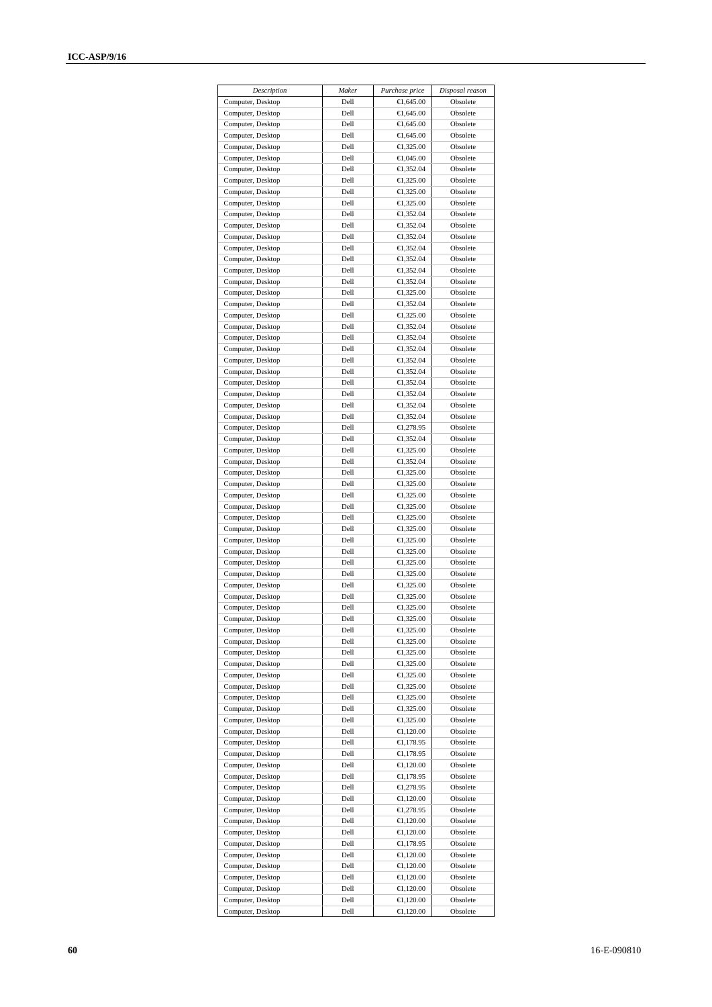| Description       | Maker | Purchase price       | Disposal reason |
|-------------------|-------|----------------------|-----------------|
| Computer, Desktop | Dell  | €1,645.00            | Obsolete        |
| Computer, Desktop | Dell  | €1,645.00            | Obsolete        |
| Computer, Desktop | Dell  | €1,645.00            | Obsolete        |
| Computer, Desktop | Dell  | €1,645.00            | Obsolete        |
| Computer, Desktop | Dell  | €1,325.00            | Obsolete        |
| Computer, Desktop | Dell  | €1,045.00            | Obsolete        |
| Computer, Desktop | Dell  | €1,352.04            | Obsolete        |
| Computer, Desktop | Dell  | €1,325.00            | Obsolete        |
| Computer, Desktop | Dell  | €1,325.00            | Obsolete        |
| Computer, Desktop | Dell  | €1,325.00            | Obsolete        |
| Computer, Desktop | Dell  | €1,352.04            | Obsolete        |
| Computer, Desktop | Dell  | €1,352.04            | Obsolete        |
| Computer, Desktop | Dell  | €1,352.04            | Obsolete        |
| Computer, Desktop | Dell  | €1,352.04            | Obsolete        |
| Computer, Desktop | Dell  | €1,352.04            | Obsolete        |
| Computer, Desktop | Dell  | €1,352.04            | Obsolete        |
| Computer, Desktop | Dell  | €1,352.04            | Obsolete        |
| Computer, Desktop | Dell  | €1,325.00            | Obsolete        |
| Computer, Desktop | Dell  | €1,352.04            | Obsolete        |
| Computer, Desktop | Dell  | €1,325.00            | Obsolete        |
| Computer, Desktop | Dell  | €1,352.04            | Obsolete        |
| Computer, Desktop | Dell  | €1,352.04            | Obsolete        |
| Computer, Desktop | Dell  | €1,352.04            | Obsolete        |
| Computer, Desktop | Dell  | €1,352.04            | Obsolete        |
| Computer, Desktop | Dell  | €1,352.04            | Obsolete        |
| Computer, Desktop | Dell  | €1,352.04            | Obsolete        |
| Computer, Desktop | Dell  | €1,352.04            | Obsolete        |
| Computer, Desktop | Dell  | €1,352.04            | Obsolete        |
| Computer, Desktop | Dell  | €1,352.04            | Obsolete        |
| Computer, Desktop | Dell  | €1,278.95            | Obsolete        |
| Computer, Desktop | Dell  | €1,352.04            | Obsolete        |
| Computer, Desktop | Dell  | €1,325.00            | Obsolete        |
| Computer, Desktop | Dell  | €1,352.04            | Obsolete        |
| Computer, Desktop | Dell  | €1,325.00            | Obsolete        |
| Computer, Desktop | Dell  | €1,325.00            | Obsolete        |
| Computer, Desktop | Dell  | €1,325.00            | Obsolete        |
| Computer, Desktop | Dell  | €1,325.00            | Obsolete        |
| Computer, Desktop | Dell  | €1,325.00            | Obsolete        |
| Computer, Desktop | Dell  | €1,325.00            | Obsolete        |
| Computer, Desktop | Dell  | €1,325.00            | Obsolete        |
| Computer, Desktop | Dell  | €1,325.00            | Obsolete        |
| Computer, Desktop | Dell  | €1,325.00            | Obsolete        |
| Computer, Desktop | Dell  | €1,325.00            | Obsolete        |
| Computer, Desktop | Dell  | €1,325.00            | Obsolete        |
| Computer, Desktop | Dell  | €1,325.00            | Obsolete        |
| Computer, Desktop | Dell  | €1,325.00            | Obsolete        |
| Computer, Desktop | Dell  | €1,325.00            | Obsolete        |
| Computer, Desktop | Dell  | €1,325.00            | Obsolete        |
| Computer, Desktop | Dell  | €1,325.00            | Obsolete        |
| Computer, Desktop | Dell  | €1,325.00            | Obsolete        |
| Computer, Desktop | Dell  | €1,325.00            | Obsolete        |
| Computer, Desktop | Dell  | €1,325.00            | Obsolete        |
| Computer, Desktop | Dell  | €1,325.00            | Obsolete        |
| Computer, Desktop | Dell  | €1,325.00            | Obsolete        |
| Computer, Desktop | Dell  | €1,325.00            | Obsolete        |
| Computer, Desktop | Dell  | €1,325.00            | Obsolete        |
| Computer, Desktop | Dell  | $\bigoplus$ , 120.00 | Obsolete        |
| Computer, Desktop | Dell  | €1,178.95            | Obsolete        |
| Computer, Desktop | Dell  | €1,178.95            | Obsolete        |
| Computer, Desktop | Dell  | €1,120.00            | Obsolete        |
| Computer, Desktop | Dell  | €1,178.95            | Obsolete        |
| Computer, Desktop | Dell  | €1,278.95            | Obsolete        |
| Computer, Desktop | Dell  | €1,120.00            | Obsolete        |
| Computer, Desktop | Dell  | €1,278.95            | Obsolete        |
| Computer, Desktop | Dell  | €1,120.00            | Obsolete        |
| Computer, Desktop | Dell  | €1,120.00            | Obsolete        |
| Computer, Desktop | Dell  | €1,178.95            | Obsolete        |
| Computer, Desktop | Dell  | €1,120.00            | Obsolete        |
| Computer, Desktop | Dell  | €1,120.00            | Obsolete        |
| Computer, Desktop | Dell  | $\bigoplus$ , 120.00 | Obsolete        |
| Computer, Desktop | Dell  | €1,120.00            | Obsolete        |
| Computer, Desktop | Dell  | €1,120.00            | Obsolete        |
| Computer, Desktop | Dell  | €1,120.00            | Obsolete        |
|                   |       |                      |                 |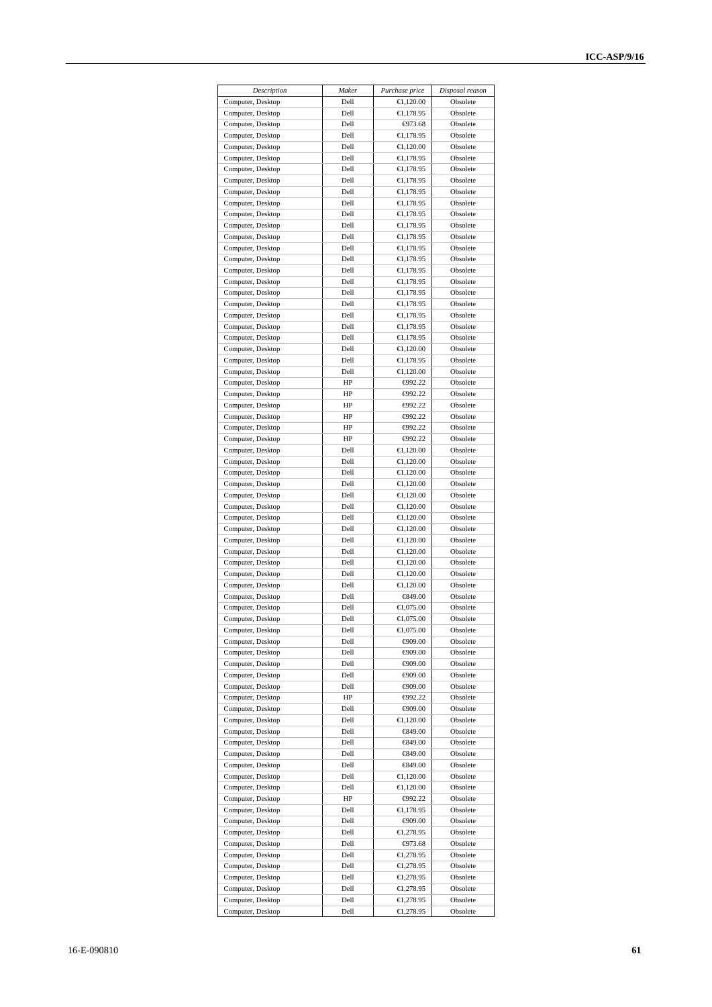| Description                            | Maker        | Purchase price          | Disposal reason      |
|----------------------------------------|--------------|-------------------------|----------------------|
| Computer, Desktop                      | Dell         | €1,120.00               | Obsolete             |
| Computer, Desktop                      | Dell         | €1,178.95               | Obsolete             |
| Computer, Desktop                      | Dell         | $-4973.68$              | Obsolete             |
| Computer, Desktop                      | Dell         | €1,178.95               | Obsolete             |
| Computer, Desktop<br>Computer, Desktop | Dell<br>Dell | €1,120.00<br>€1,178.95  | Obsolete<br>Obsolete |
| Computer, Desktop                      | Dell         | €1,178.95               | Obsolete             |
| Computer, Desktop                      | Dell         | €1,178.95               | Obsolete             |
| Computer, Desktop                      | Dell         | €1,178.95               | Obsolete             |
| Computer, Desktop                      | Dell         | €1,178.95               | Obsolete             |
| Computer, Desktop                      | Dell         | €1,178.95               | Obsolete             |
| Computer, Desktop                      | Dell         | €1,178.95               | Obsolete             |
| Computer, Desktop                      | Dell         | €1,178.95               | Obsolete             |
| Computer, Desktop                      | Dell         | €1.178.95               | Obsolete             |
| Computer, Desktop                      | Dell<br>Dell | €1,178.95<br>€1,178.95  | Obsolete<br>Obsolete |
| Computer, Desktop<br>Computer, Desktop | Dell         | €1,178.95               | Obsolete             |
| Computer, Desktop                      | Dell         | €1,178.95               | Obsolete             |
| Computer, Desktop                      | Dell         | €1,178.95               | Obsolete             |
| Computer, Desktop                      | Dell         | €1,178.95               | Obsolete             |
| Computer, Desktop                      | Dell         | €1,178.95               | Obsolete             |
| Computer, Desktop                      | Dell         | €1,178.95               | Obsolete             |
| Computer, Desktop                      | Dell         | €1,120.00               | Obsolete             |
| Computer, Desktop                      | Dell         | €1,178.95               | Obsolete             |
| Computer, Desktop                      | Dell         | €1,120.00               | Obsolete             |
| Computer, Desktop                      | HP           | $-092.22$<br>$-092.22$  | Obsolete<br>Obsolete |
| Computer, Desktop<br>Computer, Desktop | HP<br>HP     | $-092.22$               | Obsolete             |
| Computer, Desktop                      | HP           | $-092.22$               | Obsolete             |
| Computer, Desktop                      | HP           | $-092.22$               | Obsolete             |
| Computer, Desktop                      | HP           | $-092.22$               | Obsolete             |
| Computer, Desktop                      | Dell         | €1,120.00               | Obsolete             |
| Computer, Desktop                      | Dell         | €1,120.00               | Obsolete             |
| Computer, Desktop                      | Dell         | €1,120.00               | Obsolete             |
| Computer, Desktop                      | Dell         | €1,120.00               | Obsolete             |
| Computer, Desktop                      | Dell         | €1,120.00               | Obsolete             |
| Computer, Desktop                      | Dell<br>Dell | €1,120.00               | Obsolete             |
| Computer, Desktop<br>Computer, Desktop | Dell         | €1,120.00<br>€1,120.00  | Obsolete<br>Obsolete |
| Computer, Desktop                      | Dell         | €1,120.00               | Obsolete             |
| Computer, Desktop                      | Dell         | €1,120.00               | Obsolete             |
| Computer, Desktop                      | Dell         | €1,120.00               | Obsolete             |
| Computer, Desktop                      | Dell         | €1,120.00               | Obsolete             |
| Computer, Desktop                      | Dell         | €1,120.00               | Obsolete             |
| Computer, Desktop                      | Dell         | €849.00                 | Obsolete             |
| Computer, Desktop                      | Dell         | €1,075.00               | Obsolete             |
| Computer, Desktop                      | Dell         | €1,075.00               | Obsolete             |
| Computer, Desktop                      | Dell         | €1,075.00               | Obsolete             |
| Computer, Desktop<br>Computer, Desktop | Dell<br>Dell | €09.00<br>€909.00       | Obsolete<br>Obsolete |
| Computer, Desktop                      | Dell         | $\Theta$ 09.00          | Obsolete             |
| Computer, Desktop                      | Dell         | $\Leftrightarrow$ 09.00 | Obsolete             |
| Computer, Desktop                      | Dell         | $-09.00$                | Obsolete             |
| Computer, Desktop                      | HP           | $-092.22$               | Obsolete             |
| Computer, Desktop                      | Dell         | $\bigoplus$ 09.00       | Obsolete             |
| Computer, Desktop                      | Dell         | €1,120.00               | Obsolete             |
| Computer, Desktop                      | Dell         | €849.00                 | Obsolete             |
| Computer, Desktop                      | Dell         | €849.00                 | Obsolete             |
| Computer, Desktop                      | Dell         | €849.00                 | Obsolete             |
| Computer, Desktop                      | Dell         | \$49.00                 | Obsolete             |
| Computer, Desktop<br>Computer, Desktop | Dell<br>Dell | €1,120.00<br>€1,120.00  | Obsolete<br>Obsolete |
| Computer, Desktop                      | HP           | $-092.22$               | Obsolete             |
| Computer, Desktop                      | Dell         | €1,178.95               | Obsolete             |
| Computer, Desktop                      | Dell         | $\Theta$ 09.00          | Obsolete             |
| Computer, Desktop                      | Dell         | €1,278.95               | Obsolete             |
| Computer, Desktop                      | Dell         | ⊕73.68                  | Obsolete             |
| Computer, Desktop                      | Dell         | €1,278.95               | Obsolete             |
| Computer, Desktop                      | Dell         | €1,278.95               | Obsolete             |
| Computer, Desktop                      | Dell         | €1,278.95               | Obsolete             |
| Computer, Desktop                      | Dell         | €1,278.95               | Obsolete             |
| Computer, Desktop                      | Dell         | €1,278.95               | Obsolete             |
| Computer, Desktop                      | Dell         | €1,278.95               | Obsolete             |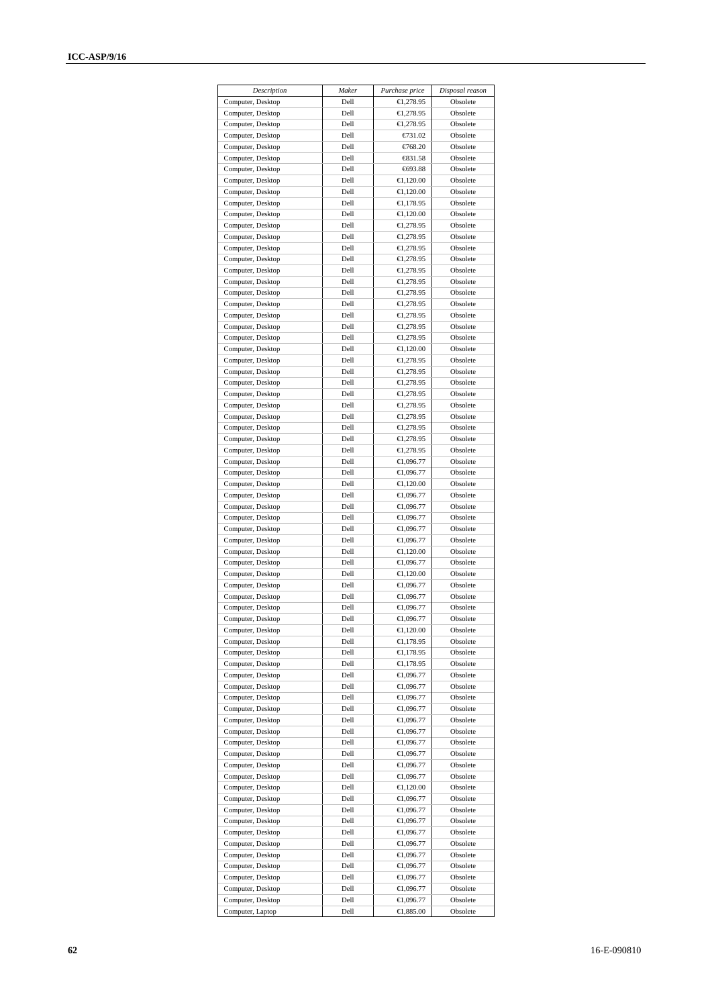| Description                            | Maker        | Purchase price         | Disposal reason      |
|----------------------------------------|--------------|------------------------|----------------------|
| Computer, Desktop                      | Dell         | €1,278.95              | Obsolete             |
| Computer, Desktop                      | Dell         | €1,278.95              | Obsolete             |
| Computer, Desktop                      | Dell         | €1,278.95              | Obsolete             |
| Computer, Desktop                      | Dell         | €731.02                | Obsolete             |
| Computer, Desktop                      | Dell         | €768.20                | Obsolete             |
| Computer, Desktop                      | Dell         | $\xi$ 31.58            | Obsolete             |
| Computer, Desktop                      | Dell         | €693.88                | Obsolete             |
| Computer, Desktop                      | Dell         | €1,120.00              | Obsolete             |
| Computer, Desktop                      | Dell         | €1,120.00              | Obsolete             |
| Computer, Desktop                      | Dell         | €1,178.95              | Obsolete             |
| Computer, Desktop                      | Dell         | €1,120.00              | Obsolete             |
| Computer, Desktop                      | Dell         | €1,278.95              | Obsolete             |
| Computer, Desktop                      | Dell         | €1,278.95              | Obsolete             |
| Computer, Desktop                      | Dell         | €1,278.95              | Obsolete             |
| Computer, Desktop                      | Dell         | €1,278.95              | Obsolete             |
| Computer, Desktop                      | Dell         | €1,278.95              | Obsolete             |
| Computer, Desktop                      | Dell         | €1,278.95              | Obsolete             |
| Computer, Desktop                      | Dell         | €1,278.95              | Obsolete             |
| Computer, Desktop                      | Dell         | €1,278.95              | Obsolete             |
| Computer, Desktop                      | Dell         | €1,278.95              | Obsolete             |
| Computer, Desktop                      | Dell         | €1,278.95              | Obsolete             |
| Computer, Desktop                      | Dell         | €1,278.95              | Obsolete             |
| Computer, Desktop                      | Dell         | €1,120.00              | Obsolete             |
| Computer, Desktop                      | Dell         | €1,278.95              | Obsolete             |
| Computer, Desktop                      | Dell         | €1,278.95              | Obsolete             |
| Computer, Desktop                      | Dell         | €1,278.95              | Obsolete             |
| Computer, Desktop                      | Dell         | €1,278.95              | Obsolete             |
| Computer, Desktop                      | Dell         | €1,278.95              | Obsolete             |
| Computer, Desktop                      | Dell         | €1,278.95              | Obsolete             |
| Computer, Desktop                      | Dell         | €1,278.95              | Obsolete             |
| Computer, Desktop                      | Dell         | €1,278.95              | Obsolete             |
| Computer, Desktop                      | Dell         | €1,278.95              | Obsolete             |
| Computer, Desktop                      | Dell         | €1,096.77              | Obsolete             |
| Computer, Desktop                      | Dell         | €1,096.77              | Obsolete             |
| Computer, Desktop                      | Dell         | €1,120.00              | Obsolete             |
| Computer, Desktop                      | Dell         | €1,096.77              | Obsolete             |
| Computer, Desktop                      | Dell         | €1,096.77              | Obsolete             |
| Computer, Desktop                      | Dell<br>Dell | €1,096.77              | Obsolete<br>Obsolete |
| Computer, Desktop                      | Dell         | €1,096.77              | Obsolete             |
| Computer, Desktop                      | Dell         | €1,096.77              | Obsolete             |
| Computer, Desktop                      | Dell         | €1,120.00<br>€1,096.77 | Obsolete             |
| Computer, Desktop<br>Computer, Desktop | Dell         | €1,120.00              | Obsolete             |
| Computer, Desktop                      | Dell         | €1,096.77              | Obsolete             |
| Computer, Desktop                      | Dell         | €1,096.77              | Obsolete             |
| Computer, Desktop                      | Dell         | €1,096.77              | Obsolete             |
| Computer, Desktop                      | Dell         | €1,096.77              | Obsolete             |
| Computer, Desktop                      | Dell         | €1,120.00              | Obsolete             |
| Computer, Desktop                      | Dell         | $\bigoplus$ , 178.95   | Obsolete             |
| Computer, Desktop                      | Dell         | €1,178.95              | Obsolete             |
| Computer, Desktop                      | Dell         | €1,178.95              | Obsolete             |
| Computer, Desktop                      | Dell         | €1,096.77              | Obsolete             |
| Computer, Desktop                      | Dell         | €1,096.77              | Obsolete             |
| Computer, Desktop                      | Dell         | €1,096.77              | Obsolete             |
| Computer, Desktop                      | Dell         | €1,096.77              | Obsolete             |
| Computer, Desktop                      | Dell         | €1,096.77              | Obsolete             |
| Computer, Desktop                      | Dell         | €1,096.77              | Obsolete             |
| Computer, Desktop                      | Dell         | €1,096.77              | Obsolete             |
| Computer, Desktop                      | Dell         | €1,096.77              | Obsolete             |
| Computer, Desktop                      | Dell         | €1,096.77              | Obsolete             |
| Computer, Desktop                      | Dell         | €1,096.77              | Obsolete             |
| Computer, Desktop                      | Dell         | €1,120.00              | Obsolete             |
| Computer, Desktop                      | Dell         | €1,096.77              | Obsolete             |
| Computer, Desktop                      | Dell         | €1,096.77              | Obsolete             |
| Computer, Desktop                      | Dell         | €1,096.77              | Obsolete             |
| Computer, Desktop                      | Dell         | €1,096.77              | Obsolete             |
| Computer, Desktop                      | Dell         | €1,096.77              | Obsolete             |
| Computer, Desktop                      | Dell         | €1,096.77              | Obsolete             |
| Computer, Desktop                      | Dell         | €1,096.77              | Obsolete             |
| Computer, Desktop                      | Dell         | €1,096.77              | Obsolete             |
| Computer, Desktop                      | Dell         | €1,096.77              | Obsolete             |
| Computer, Desktop                      | Dell         | €1,096.77              | Obsolete             |
| Computer, Laptop                       | Dell         | €1,885.00              | Obsolete             |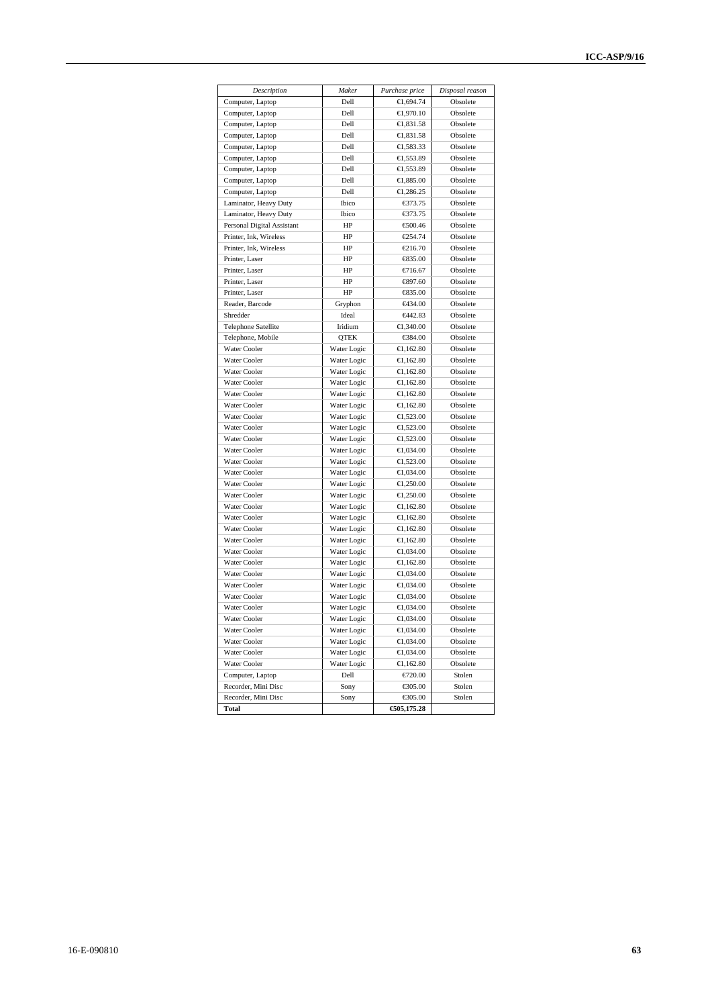| Description                | Maker       | Purchase price      | Disposal reason      |
|----------------------------|-------------|---------------------|----------------------|
| Computer, Laptop           | Dell        | €1.694.74           | Obsolete             |
| Computer, Laptop           | Dell        | €1,970.10           | Obsolete             |
| Computer, Laptop           | Dell        | €1,831.58           | Obsolete             |
|                            | Dell        |                     | Obsolete             |
| Computer, Laptop           | Dell        | €1,831.58           |                      |
| Computer, Laptop           |             | €1,583.33           | Obsolete<br>Obsolete |
| Computer, Laptop           | Dell        | €1,553.89           |                      |
| Computer, Laptop           | Dell        | €1,553.89           | Obsolete             |
| Computer, Laptop           | Dell        | €1,885.00           | Obsolete             |
| Computer, Laptop           | Dell        | €1,286.25           | Obsolete             |
| Laminator, Heavy Duty      | Ibico       | €373.75             | Obsolete             |
| Laminator, Heavy Duty      | Ibico       | €373.75             | Obsolete             |
| Personal Digital Assistant | HP          | €500.46             | Obsolete             |
| Printer, Ink, Wireless     | HP          | €254.74             | Obsolete             |
| Printer, Ink, Wireless     | HP          | €216.70             | Obsolete             |
| Printer, Laser             | HP          | $\xi$ 35.00         | Obsolete             |
| Printer, Laser             | HP          | €716.67             | Obsolete             |
| Printer, Laser             | HP          | €897.60             | Obsolete             |
| Printer, Laser             | HP          | $\xi$ 35.00         | Obsolete             |
| Reader, Barcode            | Gryphon     | €434.00             | Obsolete             |
| Shredder                   | Ideal       | <del>€</del> 442.83 | Obsolete             |
| <b>Telephone Satellite</b> | Iridium     | €1,340.00           | Obsolete             |
| Telephone, Mobile          | <b>QTEK</b> | €384.00             | Obsolete             |
| Water Cooler               | Water Logic | €1,162.80           | Obsolete             |
| Water Cooler               | Water Logic | €1,162.80           | Obsolete             |
| <b>Water Cooler</b>        | Water Logic | €1,162.80           | Obsolete             |
| Water Cooler               | Water Logic | €1,162.80           | Obsolete             |
| Water Cooler               | Water Logic | €1,162.80           | Obsolete             |
| Water Cooler               | Water Logic | €1,162.80           | Obsolete             |
| Water Cooler               | Water Logic | €1,523.00           | Obsolete             |
| Water Cooler               | Water Logic | €1,523.00           | Obsolete             |
| Water Cooler               | Water Logic | €1,523.00           | Obsolete             |
| <b>Water Cooler</b>        | Water Logic | €1,034.00           | Obsolete             |
| <b>Water Cooler</b>        | Water Logic | €1,523.00           | Obsolete             |
| Water Cooler               | Water Logic | €1,034.00           | Obsolete             |
| Water Cooler               | Water Logic | €1,250.00           | Obsolete             |
| Water Cooler               | Water Logic | €1,250.00           | Obsolete             |
| Water Cooler               | Water Logic | €1,162.80           | Obsolete             |
| Water Cooler               | Water Logic | €1,162.80           | Obsolete             |
| Water Cooler               | Water Logic | €1,162.80           | Obsolete             |
| <b>Water Cooler</b>        | Water Logic | €1,162.80           | Obsolete             |
| Water Cooler               | Water Logic |                     | Obsolete             |
| Water Cooler               |             | €1,034.00           |                      |
|                            | Water Logic | €1,162.80           | Obsolete<br>Obsolete |
| Water Cooler               | Water Logic | €1,034.00           |                      |
| <b>Water Cooler</b>        | Water Logic | €1,034.00           | Obsolete             |
| Water Cooler               | Water Logic | €1,034.00           | Obsolete             |
| <b>Water Cooler</b>        | Water Logic | €1,034.00           | Obsolete             |
| Water Cooler               | Water Logic | €1,034.00           | Obsolete             |
| Water Cooler               | Water Logic | €1,034.00           | Obsolete             |
| Water Cooler               | Water Logic | €1,034.00           | Obsolete             |
| Water Cooler               | Water Logic | €1,034.00           | Obsolete             |
| Water Cooler               | Water Logic | €1,162.80           | Obsolete             |
| Computer, Laptop           | Dell        | €720.00             | Stolen               |
| Recorder, Mini Disc        | Sony        | €305.00             | Stolen               |
| Recorder, Mini Disc        | Sony        | €305.00             | Stolen               |
| <b>Total</b>               |             | 605,175.28          |                      |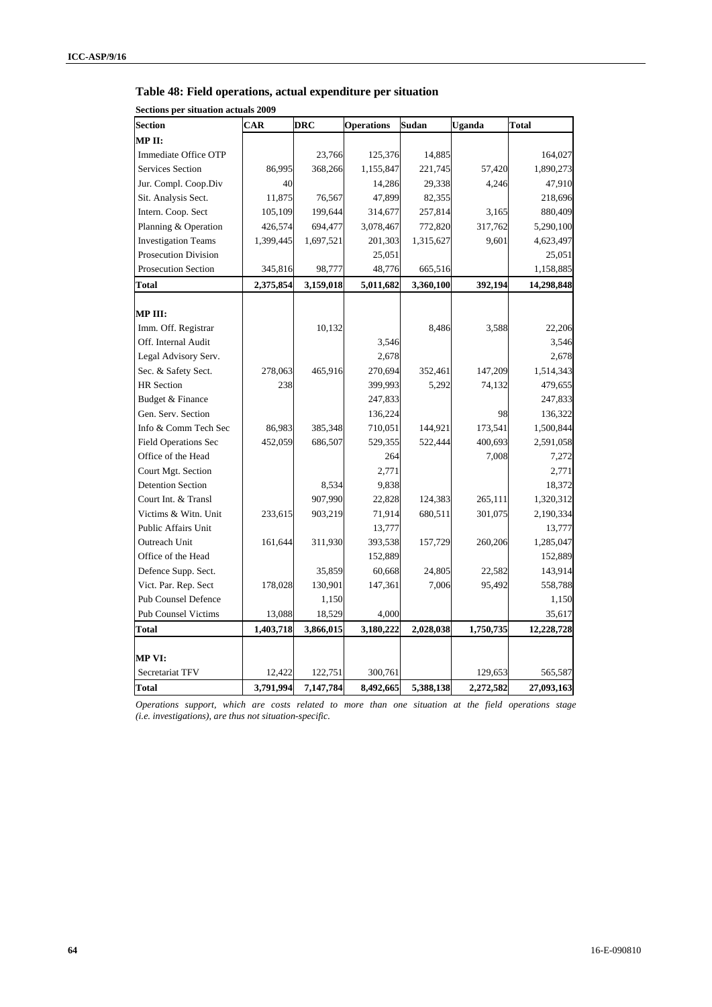|  | Table 48: Field operations, actual expenditure per situation |  |  |
|--|--------------------------------------------------------------|--|--|
|--|--------------------------------------------------------------|--|--|

| Secuviis per situativn actuais 2007<br><b>Section</b> | CAR       | <b>DRC</b> | <b>Operations</b>    | Sudan     | Uganda    | <b>Total</b> |
|-------------------------------------------------------|-----------|------------|----------------------|-----------|-----------|--------------|
| MPII:                                                 |           |            |                      |           |           |              |
| Immediate Office OTP                                  |           | 23,766     | 125,376              | 14,885    |           | 164,027      |
| Services Section                                      | 86,995    | 368,266    | 1,155,847            | 221,745   | 57,420    | 1,890,273    |
| Jur. Compl. Coop.Div                                  | 40        |            | 14,286               | 29,338    | 4,246     | 47,910       |
| Sit. Analysis Sect.                                   | 11,875    | 76,567     | 47,899               | 82,355    |           | 218,696      |
| Intern. Coop. Sect                                    | 105,109   | 199,644    |                      | 257,814   | 3,165     | 880,409      |
| Planning & Operation                                  | 426,574   | 694,477    | 314,677<br>3,078,467 | 772,820   | 317,762   | 5,290,100    |
| <b>Investigation Teams</b>                            | 1,399,445 | 1,697,521  | 201,303              | 1,315,627 | 9,601     | 4,623,497    |
| <b>Prosecution Division</b>                           |           |            | 25,051               |           |           | 25,051       |
| <b>Prosecution Section</b>                            | 345,816   | 98,777     | 48,776               | 665,516   |           | 1,158,885    |
|                                                       |           |            |                      |           |           |              |
| <b>Total</b>                                          | 2,375,854 | 3,159,018  | 5,011,682            | 3,360,100 | 392,194   | 14,298,848   |
| MP III:                                               |           |            |                      |           |           |              |
| Imm. Off. Registrar                                   |           | 10,132     |                      | 8,486     | 3,588     | 22,206       |
| Off. Internal Audit                                   |           |            | 3,546                |           |           | 3,546        |
| Legal Advisory Serv.                                  |           |            | 2,678                |           |           | 2,678        |
| Sec. & Safety Sect.                                   | 278,063   | 465,916    | 270,694              | 352,461   | 147,209   | 1,514,343    |
| <b>HR</b> Section                                     | 238       |            | 399,993              | 5,292     | 74,132    | 479,655      |
| Budget & Finance                                      |           |            | 247,833              |           |           | 247,833      |
| Gen. Serv. Section                                    |           |            | 136,224              |           | 98        | 136,322      |
| Info & Comm Tech Sec                                  | 86,983    | 385,348    | 710,051              | 144,921   | 173,541   | 1,500,844    |
| <b>Field Operations Sec</b>                           | 452,059   | 686,507    | 529,355              | 522,444   | 400,693   | 2,591,058    |
| Office of the Head                                    |           |            | 264                  |           | 7,008     | 7,272        |
| Court Mgt. Section                                    |           |            | 2,771                |           |           | 2,771        |
| <b>Detention Section</b>                              |           | 8,534      | 9,838                |           |           | 18,372       |
| Court Int. & Transl                                   |           | 907,990    | 22,828               | 124,383   | 265,111   | 1,320,312    |
| Victims & Witn. Unit                                  | 233,615   | 903,219    | 71,914               | 680,511   | 301,075   | 2,190,334    |
| Public Affairs Unit                                   |           |            | 13,777               |           |           | 13,777       |
| Outreach Unit                                         | 161,644   | 311,930    | 393,538              | 157,729   | 260,206   | 1,285,047    |
| Office of the Head                                    |           |            | 152,889              |           |           | 152,889      |
| Defence Supp. Sect.                                   |           | 35,859     | 60,668               | 24,805    | 22,582    | 143,914      |
| Vict. Par. Rep. Sect                                  | 178,028   | 130,901    | 147,361              | 7,006     | 95,492    | 558,788      |
| <b>Pub Counsel Defence</b>                            |           | 1,150      |                      |           |           | 1,150        |
| <b>Pub Counsel Victims</b>                            | 13,088    | 18,529     | 4,000                |           |           | 35,617       |
| <b>Total</b>                                          | 1,403,718 | 3,866,015  | 3,180,222            | 2,028,038 | 1,750,735 | 12,228,728   |
|                                                       |           |            |                      |           |           |              |
| MP VI:                                                |           |            |                      |           |           |              |
| Secretariat TFV                                       | 12,422    | 122,751    | 300,761              |           | 129,653   | 565,587      |
| <b>Total</b>                                          | 3,791,994 | 7,147,784  | 8,492,665            | 5,388,138 | 2,272,582 | 27,093,163   |

**Sections per situation actuals 2009** 

*Operations support, which are costs related to more than one situation at the field operations stage (i.e. investigations), are thus not situation-specific.*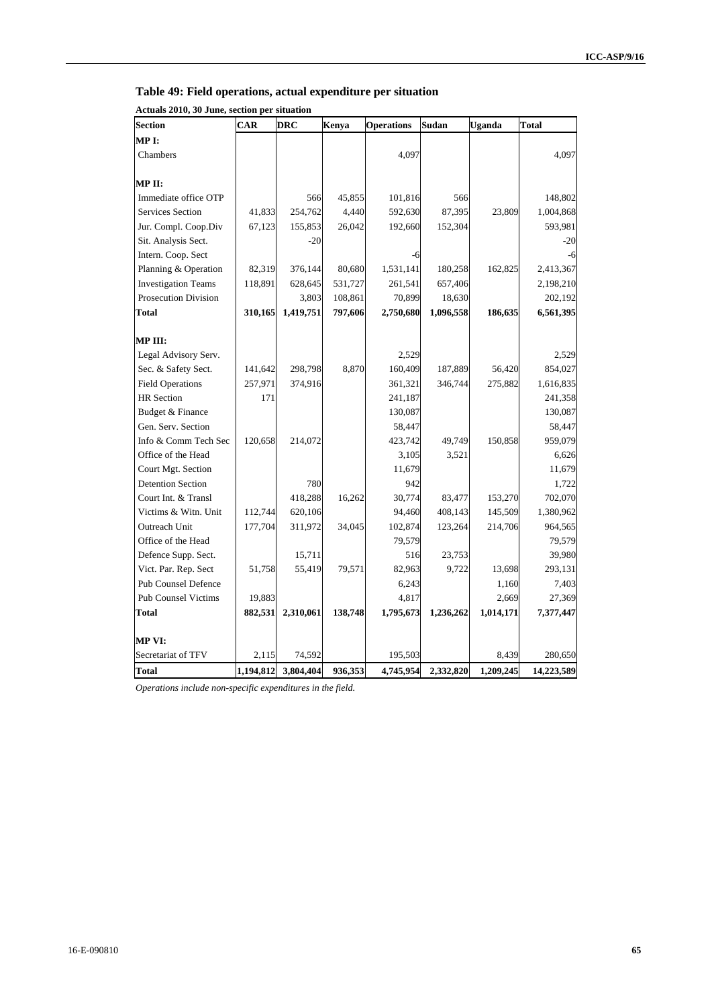#### **Table 49: Field operations, actual expenditure per situation**

**Actuals 2010, 30 June, section per situation** 

| Section                     | <b>CAR</b> | <b>DRC</b> | Kenya   | <b>Operations</b> | Sudan     | Uganda    | Total      |
|-----------------------------|------------|------------|---------|-------------------|-----------|-----------|------------|
| MP I:                       |            |            |         |                   |           |           |            |
| Chambers                    |            |            |         | 4,097             |           |           | 4,097      |
|                             |            |            |         |                   |           |           |            |
| MP II:                      |            |            |         |                   |           |           |            |
| Immediate office OTP        |            | 566        | 45,855  | 101,816           | 566       |           | 148,802    |
| <b>Services Section</b>     | 41,833     | 254,762    | 4,440   | 592,630           | 87,395    | 23,809    | 1,004,868  |
| Jur. Compl. Coop.Div        | 67,123     | 155,853    | 26,042  | 192,660           | 152,304   |           | 593,981    |
| Sit. Analysis Sect.         |            | $-20$      |         |                   |           |           | $-20$      |
| Intern. Coop. Sect          |            |            |         | -6                |           |           | $-6$       |
| Planning & Operation        | 82,319     | 376,144    | 80,680  | 1,531,141         | 180,258   | 162,825   | 2,413,367  |
| <b>Investigation Teams</b>  | 118,891    | 628,645    | 531,727 | 261,541           | 657,406   |           | 2,198,210  |
| <b>Prosecution Division</b> |            | 3,803      | 108,861 | 70,899            | 18,630    |           | 202,192    |
| <b>Total</b>                | 310,165    | 1,419,751  | 797,606 | 2,750,680         | 1,096,558 | 186,635   | 6,561,395  |
|                             |            |            |         |                   |           |           |            |
| MP III:                     |            |            |         |                   |           |           |            |
| Legal Advisory Serv.        |            |            |         | 2,529             |           |           | 2,529      |
| Sec. & Safety Sect.         | 141,642    | 298,798    | 8,870   | 160,409           | 187,889   | 56,420    | 854,027    |
| <b>Field Operations</b>     | 257,971    | 374,916    |         | 361,321           | 346,744   | 275,882   | 1,616,835  |
| <b>HR</b> Section           | 171        |            |         | 241,187           |           |           | 241,358    |
| Budget & Finance            |            |            |         | 130,087           |           |           | 130,087    |
| Gen. Serv. Section          |            |            |         | 58,447            |           |           | 58,447     |
| Info & Comm Tech Sec        | 120,658    | 214,072    |         | 423,742           | 49,749    | 150,858   | 959,079    |
| Office of the Head          |            |            |         | 3,105             | 3,521     |           | 6,626      |
| Court Mgt. Section          |            |            |         | 11,679            |           |           | 11,679     |
| <b>Detention Section</b>    |            | 780        |         | 942               |           |           | 1,722      |
| Court Int. & Transl         |            | 418,288    | 16,262  | 30,774            | 83,477    | 153,270   | 702,070    |
| Victims & Witn. Unit        | 112,744    | 620,106    |         | 94,460            | 408,143   | 145,509   | 1,380,962  |
| <b>Outreach Unit</b>        | 177,704    | 311,972    | 34,045  | 102,874           | 123,264   | 214,706   | 964,565    |
| Office of the Head          |            |            |         | 79,579            |           |           | 79,579     |
| Defence Supp. Sect.         |            | 15,711     |         | 516               | 23,753    |           | 39,980     |
| Vict. Par. Rep. Sect        | 51,758     | 55,419     | 79,571  | 82,963            | 9,722     | 13,698    | 293,131    |
| Pub Counsel Defence         |            |            |         | 6,243             |           | 1,160     | 7,403      |
| <b>Pub Counsel Victims</b>  | 19,883     |            |         | 4,817             |           | 2,669     | 27,369     |
| <b>Total</b>                | 882,531    | 2,310,061  | 138,748 | 1,795,673         | 1,236,262 | 1,014,171 | 7,377,447  |
| MP VI:                      |            |            |         |                   |           |           |            |
| Secretariat of TFV          | 2,115      | 74,592     |         | 195,503           |           | 8,439     | 280,650    |
| Total                       | 1,194,812  | 3,804,404  | 936,353 | 4,745,954         | 2,332,820 | 1,209,245 | 14,223,589 |

*Operations include non-specific expenditures in the field.*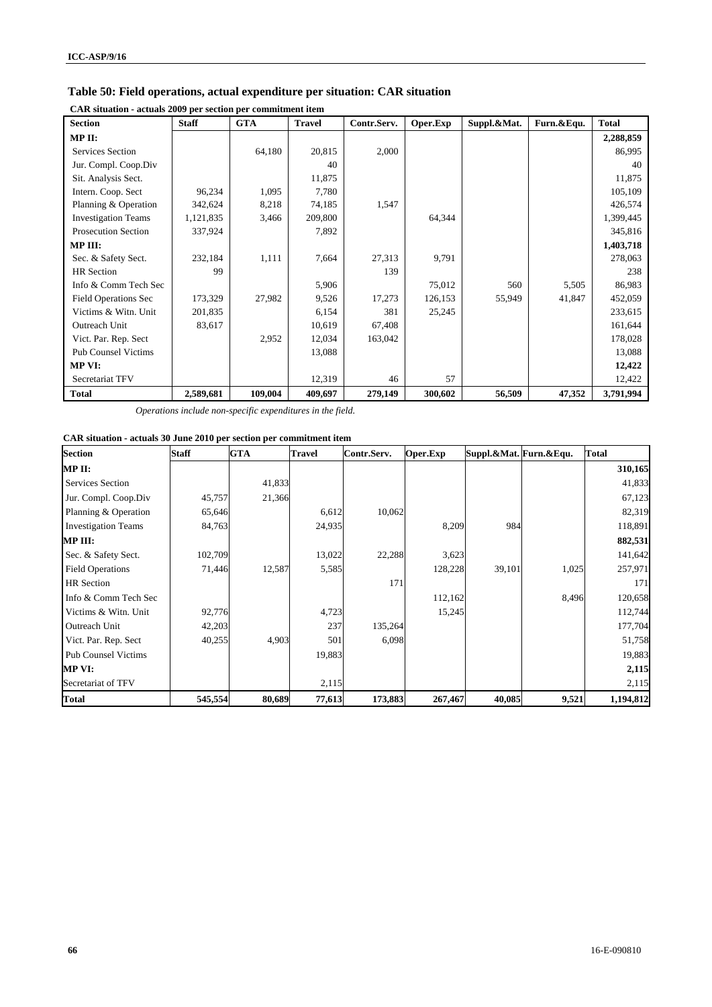| CAR situation - actuals 2009 per section per commitment item |              |            |               |             |          |             |            |              |  |
|--------------------------------------------------------------|--------------|------------|---------------|-------------|----------|-------------|------------|--------------|--|
| <b>Section</b>                                               | <b>Staff</b> | <b>GTA</b> | <b>Travel</b> | Contr.Serv. | Oper.Exp | Suppl.&Mat. | Furn.&Equ. | <b>Total</b> |  |
| MP II:                                                       |              |            |               |             |          |             |            | 2,288,859    |  |
| Services Section                                             |              | 64,180     | 20,815        | 2,000       |          |             |            | 86,995       |  |
| Jur. Compl. Coop.Div                                         |              |            | 40            |             |          |             |            | 40           |  |
| Sit. Analysis Sect.                                          |              |            | 11,875        |             |          |             |            | 11,875       |  |
| Intern. Coop. Sect                                           | 96,234       | 1,095      | 7,780         |             |          |             |            | 105,109      |  |
| Planning & Operation                                         | 342,624      | 8,218      | 74,185        | 1,547       |          |             |            | 426,574      |  |
| <b>Investigation Teams</b>                                   | 1,121,835    | 3,466      | 209,800       |             | 64,344   |             |            | 1,399,445    |  |
| <b>Prosecution Section</b>                                   | 337,924      |            | 7,892         |             |          |             |            | 345,816      |  |
| MP III:                                                      |              |            |               |             |          |             |            | 1,403,718    |  |
| Sec. & Safety Sect.                                          | 232,184      | 1,111      | 7,664         | 27,313      | 9,791    |             |            | 278,063      |  |
| HR Section                                                   | 99           |            |               | 139         |          |             |            | 238          |  |
| Info & Comm Tech Sec                                         |              |            | 5,906         |             | 75,012   | 560         | 5,505      | 86,983       |  |
| <b>Field Operations Sec</b>                                  | 173,329      | 27,982     | 9,526         | 17,273      | 126,153  | 55,949      | 41,847     | 452,059      |  |
| Victims & Witn. Unit                                         | 201,835      |            | 6,154         | 381         | 25,245   |             |            | 233,615      |  |
| Outreach Unit                                                | 83,617       |            | 10,619        | 67,408      |          |             |            | 161,644      |  |
| Vict. Par. Rep. Sect                                         |              | 2,952      | 12,034        | 163,042     |          |             |            | 178,028      |  |
| <b>Pub Counsel Victims</b>                                   |              |            | 13,088        |             |          |             |            | 13,088       |  |
| MP VI:                                                       |              |            |               |             |          |             |            | 12,422       |  |
| Secretariat TFV                                              |              |            | 12,319        | 46          | 57       |             |            | 12,422       |  |
| <b>Total</b>                                                 | 2,589,681    | 109,004    | 409,697       | 279,149     | 300,602  | 56,509      | 47,352     | 3,791,994    |  |

#### **Table 50: Field operations, actual expenditure per situation: CAR situation**

*Operations include non-specific expenditures in the field.*

#### **CAR situation - actuals 30 June 2010 per section per commitment item**

| <b>Section</b>             | <b>Staff</b> | <b>GTA</b> | <b>Travel</b> | Contr.Serv. | Oper.Exp | Suppl.&Mat. Furn.&Equ. |       | <b>Total</b> |
|----------------------------|--------------|------------|---------------|-------------|----------|------------------------|-------|--------------|
| MP II:                     |              |            |               |             |          |                        |       | 310,165      |
| <b>Services Section</b>    |              | 41,833     |               |             |          |                        |       | 41,833       |
| Jur. Compl. Coop.Div       | 45,757       | 21,366     |               |             |          |                        |       | 67,123       |
| Planning & Operation       | 65,646       |            | 6,612         | 10,062      |          |                        |       | 82,319       |
| <b>Investigation Teams</b> | 84,763       |            | 24,935        |             | 8,209    | 984                    |       | 118,891      |
| MP III:                    |              |            |               |             |          |                        |       | 882,531      |
| Sec. & Safety Sect.        | 102,709      |            | 13,022        | 22,288      | 3,623    |                        |       | 141,642      |
| <b>Field Operations</b>    | 71,446       | 12,587     | 5,585         |             | 128,228  | 39,101                 | 1,025 | 257,971      |
| <b>HR</b> Section          |              |            |               | 171         |          |                        |       | 171          |
| Info & Comm Tech Sec       |              |            |               |             | 112,162  |                        | 8,496 | 120,658      |
| Victims & Witn. Unit       | 92,776       |            | 4,723         |             | 15,245   |                        |       | 112,744      |
| Outreach Unit              | 42,203       |            | 237           | 135,264     |          |                        |       | 177,704      |
| Vict. Par. Rep. Sect       | 40,255       | 4,903      | 501           | 6,098       |          |                        |       | 51,758       |
| <b>Pub Counsel Victims</b> |              |            | 19,883        |             |          |                        |       | 19,883       |
| <b>MP VI:</b>              |              |            |               |             |          |                        |       | 2,115        |
| Secretariat of TFV         |              |            | 2,115         |             |          |                        |       | 2,115        |
| <b>Total</b>               | 545,554      | 80,689     | 77,613        | 173,883     | 267,467  | 40,085                 | 9,521 | 1,194,812    |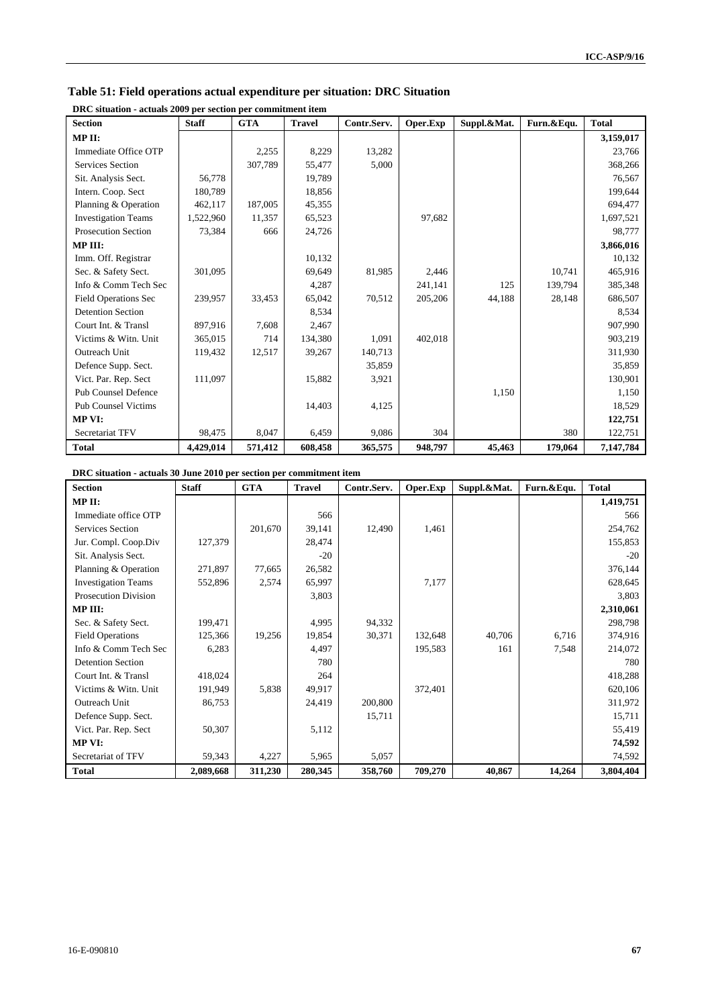| Table 51: Field operations actual expenditure per situation: DRC Situation |
|----------------------------------------------------------------------------|
|----------------------------------------------------------------------------|

| <b>Section</b>              | <b>Staff</b> | <b>GTA</b> | <b>Travel</b> | Contr.Serv. | Oper.Exp | Suppl.&Mat. | Furn.&Equ. | <b>Total</b> |
|-----------------------------|--------------|------------|---------------|-------------|----------|-------------|------------|--------------|
| MPII:                       |              |            |               |             |          |             |            | 3,159,017    |
| Immediate Office OTP        |              | 2,255      | 8,229         | 13,282      |          |             |            | 23,766       |
| <b>Services Section</b>     |              | 307,789    | 55,477        | 5,000       |          |             |            | 368,266      |
| Sit. Analysis Sect.         | 56,778       |            | 19,789        |             |          |             |            | 76,567       |
| Intern. Coop. Sect          | 180,789      |            | 18,856        |             |          |             |            | 199,644      |
| Planning & Operation        | 462,117      | 187,005    | 45,355        |             |          |             |            | 694,477      |
| <b>Investigation Teams</b>  | 1,522,960    | 11,357     | 65,523        |             | 97,682   |             |            | 1,697,521    |
| <b>Prosecution Section</b>  | 73,384       | 666        | 24,726        |             |          |             |            | 98,777       |
| MP III:                     |              |            |               |             |          |             |            | 3,866,016    |
| Imm. Off. Registrar         |              |            | 10,132        |             |          |             |            | 10,132       |
| Sec. & Safety Sect.         | 301,095      |            | 69,649        | 81,985      | 2,446    |             | 10,741     | 465,916      |
| Info & Comm Tech Sec        |              |            | 4,287         |             | 241,141  | 125         | 139,794    | 385,348      |
| <b>Field Operations Sec</b> | 239,957      | 33,453     | 65,042        | 70,512      | 205,206  | 44,188      | 28,148     | 686,507      |
| <b>Detention Section</b>    |              |            | 8,534         |             |          |             |            | 8,534        |
| Court Int. & Transl         | 897,916      | 7,608      | 2,467         |             |          |             |            | 907,990      |
| Victims & Witn. Unit        | 365,015      | 714        | 134,380       | 1,091       | 402,018  |             |            | 903,219      |
| Outreach Unit               | 119,432      | 12,517     | 39,267        | 140,713     |          |             |            | 311,930      |
| Defence Supp. Sect.         |              |            |               | 35,859      |          |             |            | 35,859       |
| Vict. Par. Rep. Sect        | 111,097      |            | 15,882        | 3,921       |          |             |            | 130,901      |
| <b>Pub Counsel Defence</b>  |              |            |               |             |          | 1,150       |            | 1,150        |
| <b>Pub Counsel Victims</b>  |              |            | 14,403        | 4,125       |          |             |            | 18,529       |
| <b>MP VI:</b>               |              |            |               |             |          |             |            | 122,751      |
| Secretariat TFV             | 98,475       | 8,047      | 6,459         | 9,086       | 304      |             | 380        | 122,751      |
| <b>Total</b>                | 4,429,014    | 571,412    | 608,458       | 365,575     | 948,797  | 45,463      | 179,064    | 7,147,784    |

**DRC situation - actuals 2009 per section per commitment item** 

**DRC situation - actuals 30 June 2010 per section per commitment item** 

| <b>Section</b>             | <b>Staff</b> | <b>GTA</b> | <b>Travel</b> | Contr.Serv. | Oper.Exp | Suppl.&Mat. | Furn.&Equ. | <b>Total</b> |
|----------------------------|--------------|------------|---------------|-------------|----------|-------------|------------|--------------|
| MP II:                     |              |            |               |             |          |             |            | 1,419,751    |
| Immediate office OTP       |              |            | 566           |             |          |             |            | 566          |
| Services Section           |              | 201,670    | 39,141        | 12,490      | 1,461    |             |            | 254,762      |
| Jur. Compl. Coop.Div       | 127,379      |            | 28,474        |             |          |             |            | 155,853      |
| Sit. Analysis Sect.        |              |            | $-20$         |             |          |             |            | $-20$        |
| Planning & Operation       | 271,897      | 77,665     | 26,582        |             |          |             |            | 376,144      |
| <b>Investigation Teams</b> | 552,896      | 2,574      | 65,997        |             | 7,177    |             |            | 628,645      |
| Prosecution Division       |              |            | 3,803         |             |          |             |            | 3,803        |
| MP III:                    |              |            |               |             |          |             |            | 2,310,061    |
| Sec. & Safety Sect.        | 199,471      |            | 4,995         | 94,332      |          |             |            | 298,798      |
| <b>Field Operations</b>    | 125,366      | 19,256     | 19,854        | 30,371      | 132,648  | 40,706      | 6,716      | 374,916      |
| Info & Comm Tech Sec       | 6,283        |            | 4,497         |             | 195,583  | 161         | 7,548      | 214,072      |
| <b>Detention Section</b>   |              |            | 780           |             |          |             |            | 780          |
| Court Int. & Transl        | 418,024      |            | 264           |             |          |             |            | 418,288      |
| Victims & Witn. Unit       | 191,949      | 5,838      | 49,917        |             | 372,401  |             |            | 620,106      |
| Outreach Unit              | 86,753       |            | 24,419        | 200,800     |          |             |            | 311,972      |
| Defence Supp. Sect.        |              |            |               | 15,711      |          |             |            | 15,711       |
| Vict. Par. Rep. Sect       | 50,307       |            | 5,112         |             |          |             |            | 55,419       |
| MP VI:                     |              |            |               |             |          |             |            | 74,592       |
| Secretariat of TFV         | 59,343       | 4,227      | 5,965         | 5,057       |          |             |            | 74,592       |
| <b>Total</b>               | 2,089,668    | 311,230    | 280,345       | 358,760     | 709,270  | 40,867      | 14,264     | 3,804,404    |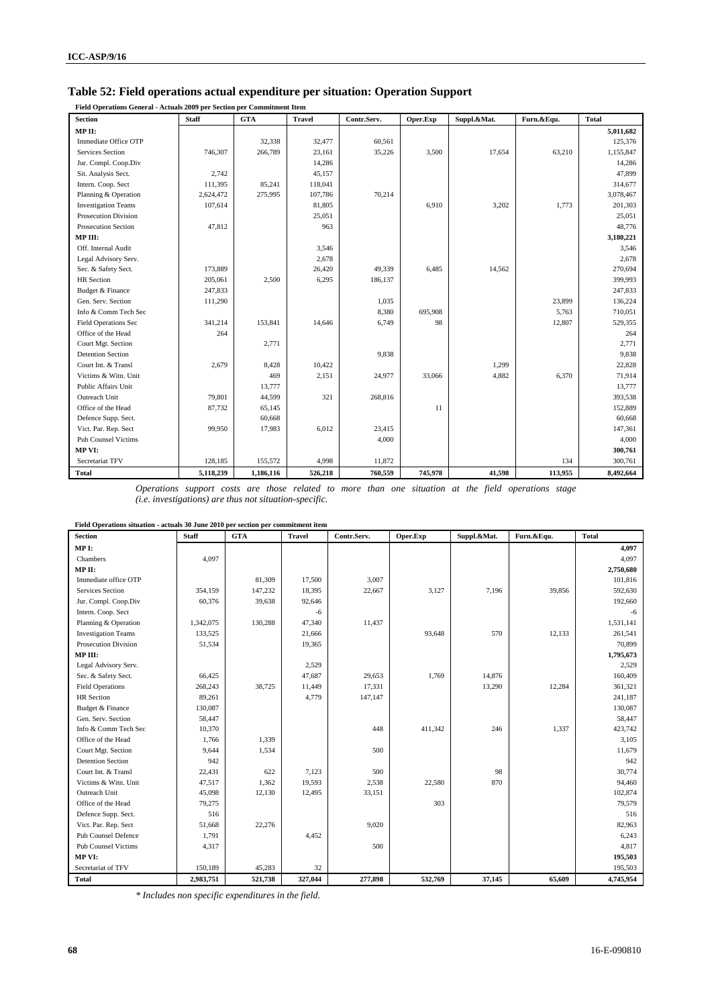#### **Table 52: Field operations actual expenditure per situation: Operation Support**

**Field Operations General - Actuals 2009 per Section per Commitment Item** 

| <b>Section</b>              | <b>Staff</b> | <b>GTA</b> | <b>Travel</b> | Contr.Serv. | Oper.Exp | Suppl.&Mat. | Furn.&Equ. | <b>Total</b> |
|-----------------------------|--------------|------------|---------------|-------------|----------|-------------|------------|--------------|
| MP II:                      |              |            |               |             |          |             |            | 5,011,682    |
| Immediate Office OTP        |              | 32,338     | 32,477        | 60,561      |          |             |            | 125,376      |
| <b>Services Section</b>     | 746,307      | 266,789    | 23,161        | 35,226      | 3,500    | 17,654      | 63,210     | 1,155,847    |
| Jur. Compl. Coop.Div        |              |            | 14,286        |             |          |             |            | 14,286       |
| Sit. Analysis Sect.         | 2,742        |            | 45,157        |             |          |             |            | 47,899       |
| Intern. Coop. Sect          | 111,395      | 85,241     | 118,041       |             |          |             |            | 314,677      |
| Planning & Operation        | 2,624,472    | 275,995    | 107,786       | 70,214      |          |             |            | 3,078,467    |
| <b>Investigation Teams</b>  | 107,614      |            | 81,805        |             | 6,910    | 3,202       | 1,773      | 201,303      |
| <b>Prosecution Division</b> |              |            | 25,051        |             |          |             |            | 25,051       |
| Prosecution Section         | 47,812       |            | 963           |             |          |             |            | 48,776       |
| MP III:                     |              |            |               |             |          |             |            | 3,180,221    |
| Off. Internal Audit         |              |            | 3,546         |             |          |             |            | 3,546        |
| Legal Advisory Serv.        |              |            | 2,678         |             |          |             |            | 2,678        |
| Sec. & Safety Sect.         | 173,889      |            | 26,420        | 49,339      | 6,485    | 14,562      |            | 270,694      |
| <b>HR</b> Section           | 205,061      | 2,500      | 6,295         | 186,137     |          |             |            | 399,993      |
| Budget & Finance            | 247,833      |            |               |             |          |             |            | 247,833      |
| Gen. Serv. Section          | 111,290      |            |               | 1,035       |          |             | 23,899     | 136,224      |
| Info & Comm Tech Sec        |              |            |               | 8,380       | 695,908  |             | 5,763      | 710,051      |
| Field Operations Sec        | 341,214      | 153,841    | 14,646        | 6,749       | 98       |             | 12,807     | 529,355      |
| Office of the Head          | 264          |            |               |             |          |             |            | 264          |
| Court Mgt. Section          |              | 2,771      |               |             |          |             |            | 2,771        |
| <b>Detention Section</b>    |              |            |               | 9,838       |          |             |            | 9,838        |
| Court Int. & Transl         | 2,679        | 8,428      | 10,422        |             |          | 1,299       |            | 22,828       |
| Victims & Witn. Unit        |              | 469        | 2,151         | 24,977      | 33,066   | 4,882       | 6,370      | 71,914       |
| Public Affairs Unit         |              | 13,777     |               |             |          |             |            | 13,777       |
| Outreach Unit               | 79,801       | 44,599     | 321           | 268,816     |          |             |            | 393,538      |
| Office of the Head          | 87,732       | 65,145     |               |             | 11       |             |            | 152,889      |
| Defence Supp. Sect.         |              | 60,668     |               |             |          |             |            | 60,668       |
| Vict. Par. Rep. Sect        | 99,950       | 17,983     | 6,012         | 23,415      |          |             |            | 147,361      |
| <b>Pub Counsel Victims</b>  |              |            |               | 4,000       |          |             |            | 4,000        |
| MP VI:                      |              |            |               |             |          |             |            | 300,761      |
| Secretariat TFV             | 128,185      | 155,572    | 4,998         | 11,872      |          |             | 134        | 300,761      |
| <b>Total</b>                | 5,118,239    | 1,186,116  | 526,218       | 760,559     | 745,978  | 41,598      | 113,955    | 8,492,664    |

*Operations support costs are those related to more than one situation at the field operations stage (i.e. investigations) are thus not situation-specific.* 

| Field Operations situation - actuals 30 June 2010 per section per commitment item |              |            |               |             |          |             |            |              |
|-----------------------------------------------------------------------------------|--------------|------------|---------------|-------------|----------|-------------|------------|--------------|
| <b>Section</b>                                                                    | <b>Staff</b> | <b>GTA</b> | <b>Travel</b> | Contr.Serv. | Oper.Exp | Suppl.&Mat. | Furn.&Equ. | <b>Total</b> |
| MPI:                                                                              |              |            |               |             |          |             |            | 4,097        |
| Chambers                                                                          | 4,097        |            |               |             |          |             |            | 4,097        |
| MP II:                                                                            |              |            |               |             |          |             |            | 2,750,680    |
| Immediate office OTP                                                              |              | 81,309     | 17,500        | 3,007       |          |             |            | 101,816      |
| <b>Services Section</b>                                                           | 354,159      | 147,232    | 18,395        | 22,667      | 3,127    | 7,196       | 39,856     | 592,630      |
| Jur. Compl. Coop.Div                                                              | 60,376       | 39,638     | 92,646        |             |          |             |            | 192,660      |
| Intern. Coop. Sect                                                                |              |            | -6            |             |          |             |            | $-6$         |
| Planning & Operation                                                              | 1,342,075    | 130,288    | 47,340        | 11,437      |          |             |            | 1,531,141    |
| <b>Investigation Teams</b>                                                        | 133,525      |            | 21,666        |             | 93,648   | 570         | 12,133     | 261,541      |
| Prosecution Division                                                              | 51,534       |            | 19,365        |             |          |             |            | 70,899       |
| MPIII:                                                                            |              |            |               |             |          |             |            | 1,795,673    |
| Legal Advisory Serv.                                                              |              |            | 2,529         |             |          |             |            | 2.529        |
| Sec. & Safety Sect.                                                               | 66,425       |            | 47,687        | 29,653      | 1,769    | 14,876      |            | 160,409      |
| <b>Field Operations</b>                                                           | 268,243      | 38,725     | 11,449        | 17,331      |          | 13,290      | 12,284     | 361,321      |
| <b>HR</b> Section                                                                 | 89,261       |            | 4,779         | 147,147     |          |             |            | 241,187      |
| Budget & Finance                                                                  | 130,087      |            |               |             |          |             |            | 130,087      |
| Gen. Serv. Section                                                                | 58,447       |            |               |             |          |             |            | 58,447       |
| Info & Comm Tech Sec                                                              | 10,370       |            |               | 448         | 411,342  | 246         | 1,337      | 423,742      |
| Office of the Head                                                                | 1,766        | 1,339      |               |             |          |             |            | 3,105        |
| Court Mgt. Section                                                                | 9,644        | 1,534      |               | 500         |          |             |            | 11,679       |
| <b>Detention Section</b>                                                          | 942          |            |               |             |          |             |            | 942          |
| Court Int. & Transl                                                               | 22,431       | 622        | 7,123         | 500         |          | 98          |            | 30,774       |
| Victims & Witn. Unit                                                              | 47,517       | 1,362      | 19,593        | 2,538       | 22,580   | 870         |            | 94,460       |
| Outreach Unit                                                                     | 45,098       | 12,130     | 12,495        | 33,151      |          |             |            | 102,874      |
| Office of the Head                                                                | 79,275       |            |               |             | 303      |             |            | 79,579       |
| Defence Supp. Sect.                                                               | 516          |            |               |             |          |             |            | 516          |
| Vict. Par. Rep. Sect                                                              | 51,668       | 22,276     |               | 9,020       |          |             |            | 82,963       |
| <b>Pub Counsel Defence</b>                                                        | 1,791        |            | 4,452         |             |          |             |            | 6,243        |
| Pub Counsel Victims                                                               | 4,317        |            |               | 500         |          |             |            | 4,817        |
| MP VI:                                                                            |              |            |               |             |          |             |            | 195,503      |
| Secretariat of TFV                                                                | 150,189      | 45,283     | 32            |             |          |             |            | 195,503      |
| <b>Total</b>                                                                      | 2,983,751    | 521,738    | 327,044       | 277,898     | 532,769  | 37,145      | 65,609     | 4,745,954    |

*\* Includes non specific expenditures in the field.*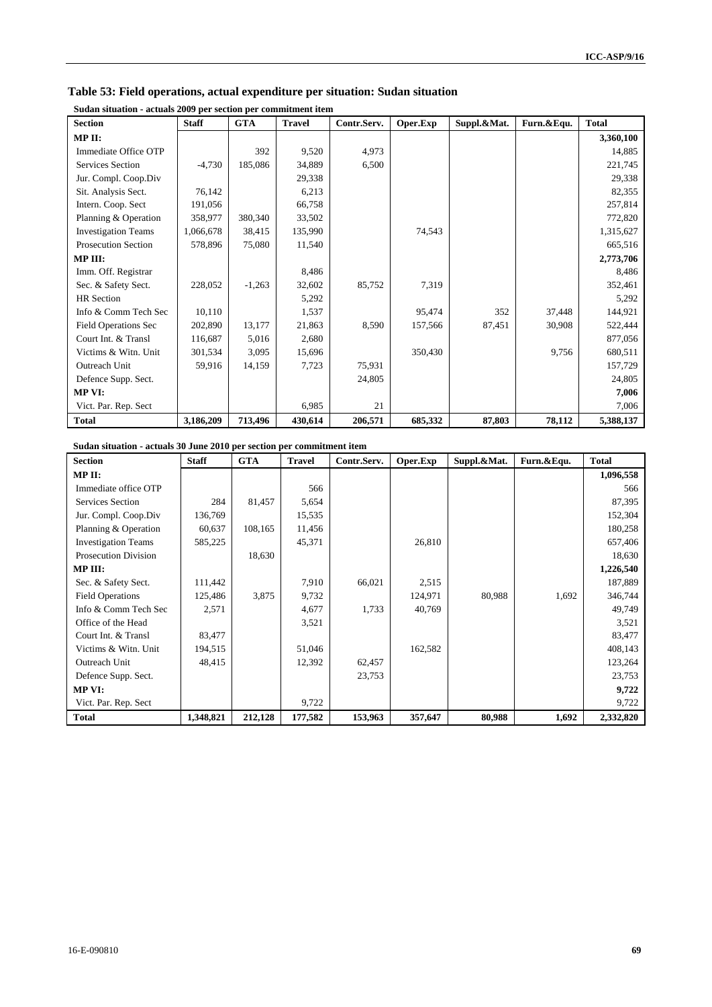| suuan situation - actuais 2007 per section per commitment item |              |            |               |             |          |             |            |              |
|----------------------------------------------------------------|--------------|------------|---------------|-------------|----------|-------------|------------|--------------|
| <b>Section</b>                                                 | <b>Staff</b> | <b>GTA</b> | <b>Travel</b> | Contr.Serv. | Oper.Exp | Suppl.&Mat. | Furn.&Equ. | <b>Total</b> |
| MP II:                                                         |              |            |               |             |          |             |            | 3,360,100    |
| Immediate Office OTP                                           |              | 392        | 9,520         | 4,973       |          |             |            | 14,885       |
| <b>Services Section</b>                                        | $-4,730$     | 185,086    | 34,889        | 6,500       |          |             |            | 221,745      |
| Jur. Compl. Coop.Div                                           |              |            | 29,338        |             |          |             |            | 29,338       |
| Sit. Analysis Sect.                                            | 76,142       |            | 6,213         |             |          |             |            | 82,355       |
| Intern. Coop. Sect                                             | 191,056      |            | 66,758        |             |          |             |            | 257,814      |
| Planning & Operation                                           | 358,977      | 380,340    | 33,502        |             |          |             |            | 772,820      |
| <b>Investigation Teams</b>                                     | 1,066,678    | 38,415     | 135,990       |             | 74,543   |             |            | 1,315,627    |
| <b>Prosecution Section</b>                                     | 578,896      | 75,080     | 11,540        |             |          |             |            | 665,516      |
| MP III:                                                        |              |            |               |             |          |             |            | 2,773,706    |
| Imm. Off. Registrar                                            |              |            | 8,486         |             |          |             |            | 8,486        |
| Sec. & Safety Sect.                                            | 228,052      | $-1,263$   | 32,602        | 85,752      | 7,319    |             |            | 352,461      |
| <b>HR</b> Section                                              |              |            | 5,292         |             |          |             |            | 5,292        |
| Info & Comm Tech Sec                                           | 10,110       |            | 1,537         |             | 95,474   | 352         | 37,448     | 144,921      |
| <b>Field Operations Sec</b>                                    | 202,890      | 13,177     | 21,863        | 8,590       | 157,566  | 87,451      | 30,908     | 522,444      |
| Court Int. & Transl                                            | 116,687      | 5,016      | 2,680         |             |          |             |            | 877,056      |
| Victims & Witn. Unit                                           | 301,534      | 3,095      | 15,696        |             | 350,430  |             | 9,756      | 680,511      |
| Outreach Unit                                                  | 59,916       | 14,159     | 7,723         | 75,931      |          |             |            | 157,729      |
| Defence Supp. Sect.                                            |              |            |               | 24,805      |          |             |            | 24,805       |
| MP VI:                                                         |              |            |               |             |          |             |            | 7,006        |
| Vict. Par. Rep. Sect                                           |              |            | 6,985         | 21          |          |             |            | 7,006        |
| Total                                                          | 3,186,209    | 713,496    | 430,614       | 206,571     | 685,332  | 87,803      | 78,112     | 5,388,137    |

#### **Table 53: Field operations, actual expenditure per situation: Sudan situation**

**Sudan situation - actuals 2009 per section per commitment item** 

#### **Sudan situation - actuals 30 June 2010 per section per commitment item**

| <b>Section</b>              | <b>Staff</b> | <b>GTA</b> | <b>Travel</b> | Contr.Serv. | Oper.Exp | Suppl.&Mat. | Furn.&Equ. | <b>Total</b> |
|-----------------------------|--------------|------------|---------------|-------------|----------|-------------|------------|--------------|
| MP II:                      |              |            |               |             |          |             |            | 1,096,558    |
| Immediate office OTP        |              |            | 566           |             |          |             |            | 566          |
| Services Section            | 284          | 81,457     | 5,654         |             |          |             |            | 87,395       |
| Jur. Compl. Coop.Div        | 136,769      |            | 15,535        |             |          |             |            | 152,304      |
| Planning & Operation        | 60,637       | 108,165    | 11,456        |             |          |             |            | 180,258      |
| <b>Investigation Teams</b>  | 585,225      |            | 45,371        |             | 26,810   |             |            | 657,406      |
| <b>Prosecution Division</b> |              | 18,630     |               |             |          |             |            | 18,630       |
| MP III:                     |              |            |               |             |          |             |            | 1,226,540    |
| Sec. & Safety Sect.         | 111,442      |            | 7,910         | 66,021      | 2,515    |             |            | 187,889      |
| <b>Field Operations</b>     | 125,486      | 3,875      | 9,732         |             | 124,971  | 80,988      | 1,692      | 346,744      |
| Info & Comm Tech Sec        | 2,571        |            | 4,677         | 1,733       | 40,769   |             |            | 49,749       |
| Office of the Head          |              |            | 3,521         |             |          |             |            | 3,521        |
| Court Int. & Transl         | 83,477       |            |               |             |          |             |            | 83,477       |
| Victims & Witn. Unit        | 194,515      |            | 51,046        |             | 162,582  |             |            | 408,143      |
| Outreach Unit               | 48,415       |            | 12,392        | 62,457      |          |             |            | 123,264      |
| Defence Supp. Sect.         |              |            |               | 23,753      |          |             |            | 23,753       |
| <b>MP VI:</b>               |              |            |               |             |          |             |            | 9,722        |
| Vict. Par. Rep. Sect        |              |            | 9,722         |             |          |             |            | 9,722        |
| <b>Total</b>                | 1,348,821    | 212,128    | 177,582       | 153,963     | 357,647  | 80,988      | 1,692      | 2,332,820    |